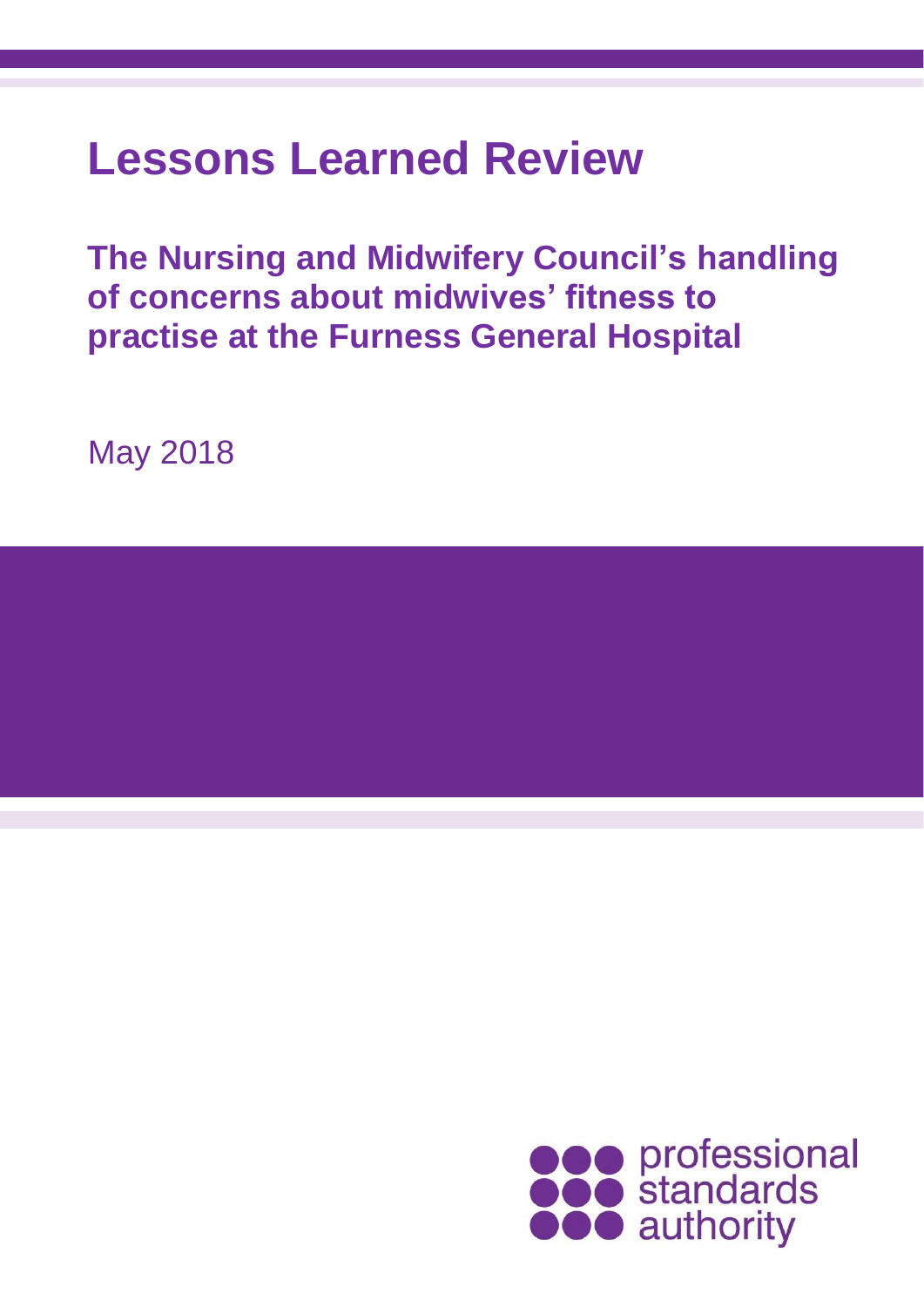# **Lessons Learned Review**

**The Nursing and Midwifery Council's handling of concerns about midwives' fitness to practise at the Furness General Hospital** 

May 2018

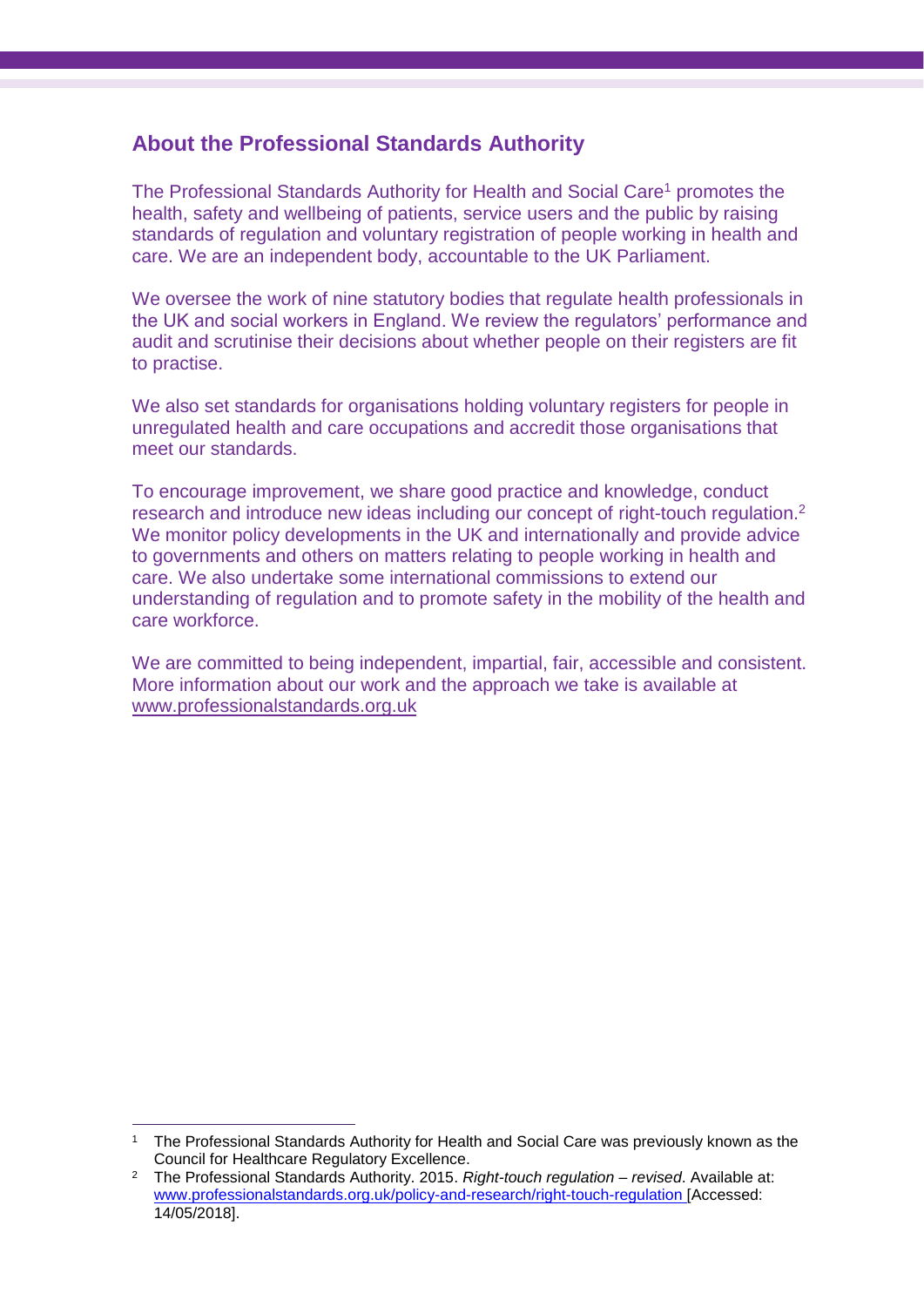#### **About the Professional Standards Authority**

The Professional Standards Authority for Health and Social Care<sup>1</sup> promotes the health, safety and wellbeing of patients, service users and the public by raising standards of regulation and voluntary registration of people working in health and care. We are an independent body, accountable to the UK Parliament.

We oversee the work of nine statutory bodies that regulate health professionals in the UK and social workers in England. We review the regulators' performance and audit and scrutinise their decisions about whether people on their registers are fit to practise.

We also set standards for organisations holding voluntary registers for people in unregulated health and care occupations and accredit those organisations that meet our standards.

To encourage improvement, we share good practice and knowledge, conduct research and introduce new ideas including our concept of right-touch regulation.<sup>2</sup> We monitor policy developments in the UK and internationally and provide advice to governments and others on matters relating to people working in health and care. We also undertake some international commissions to extend our understanding of regulation and to promote safety in the mobility of the health and care workforce.

We are committed to being independent, impartial, fair, accessible and consistent. More information about our work and the approach we take is available at [www.professionalstandards.org.uk](http://www.professionalstandards.org.uk/)

 $\overline{a}$ <sup>1</sup> The Professional Standards Authority for Health and Social Care was previously known as the Council for Healthcare Regulatory Excellence.

<sup>2</sup> The Professional Standards Authority. 2015. *Right-touch regulation – revised*. Available at: [www.professionalstandards.org.uk/policy-and-research/right-touch-regulation](http://www.professionalstandards.org.uk/policy-and-research/right-touch-regulation) [Accessed: 14/05/2018].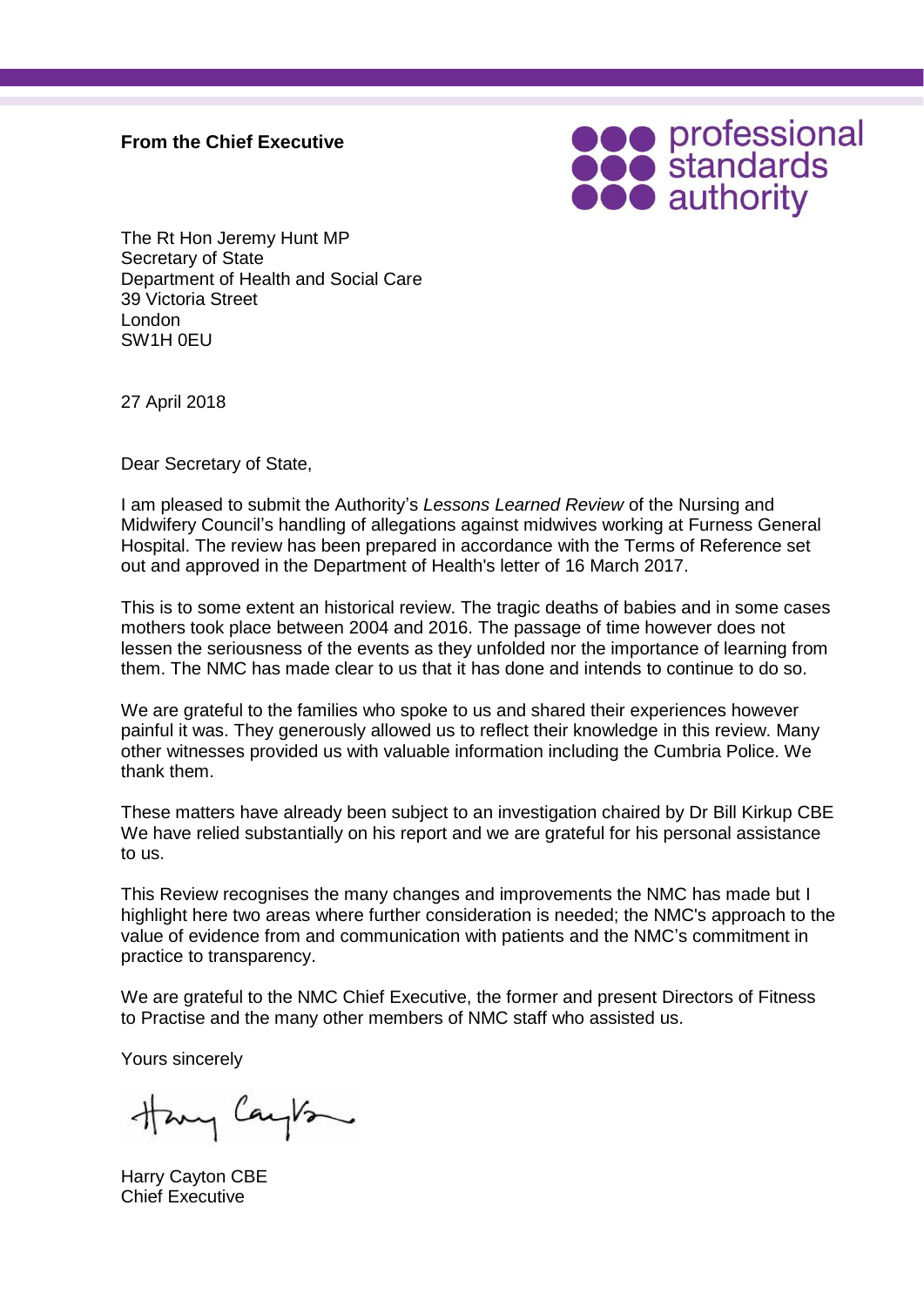#### **From the Chief Executive**



The Rt Hon Jeremy Hunt MP Secretary of State Department of Health and Social Care 39 Victoria Street London SW1H 0EU

27 April 2018

Dear Secretary of State,

I am pleased to submit the Authority's *Lessons Learned Review* of the Nursing and Midwifery Council's handling of allegations against midwives working at Furness General Hospital. The review has been prepared in accordance with the Terms of Reference set out and approved in the Department of Health's letter of 16 March 2017.

This is to some extent an historical review. The tragic deaths of babies and in some cases mothers took place between 2004 and 2016. The passage of time however does not lessen the seriousness of the events as they unfolded nor the importance of learning from them. The NMC has made clear to us that it has done and intends to continue to do so.

We are grateful to the families who spoke to us and shared their experiences however painful it was. They generously allowed us to reflect their knowledge in this review. Many other witnesses provided us with valuable information including the Cumbria Police. We thank them.

These matters have already been subject to an investigation chaired by Dr Bill Kirkup CBE We have relied substantially on his report and we are grateful for his personal assistance to us.

This Review recognises the many changes and improvements the NMC has made but I highlight here two areas where further consideration is needed; the NMC's approach to the value of evidence from and communication with patients and the NMC's commitment in practice to transparency.

We are grateful to the NMC Chief Executive, the former and present Directors of Fitness to Practise and the many other members of NMC staff who assisted us.

Yours sincerely

Hany Cayton

Harry Cayton CBE Chief Executive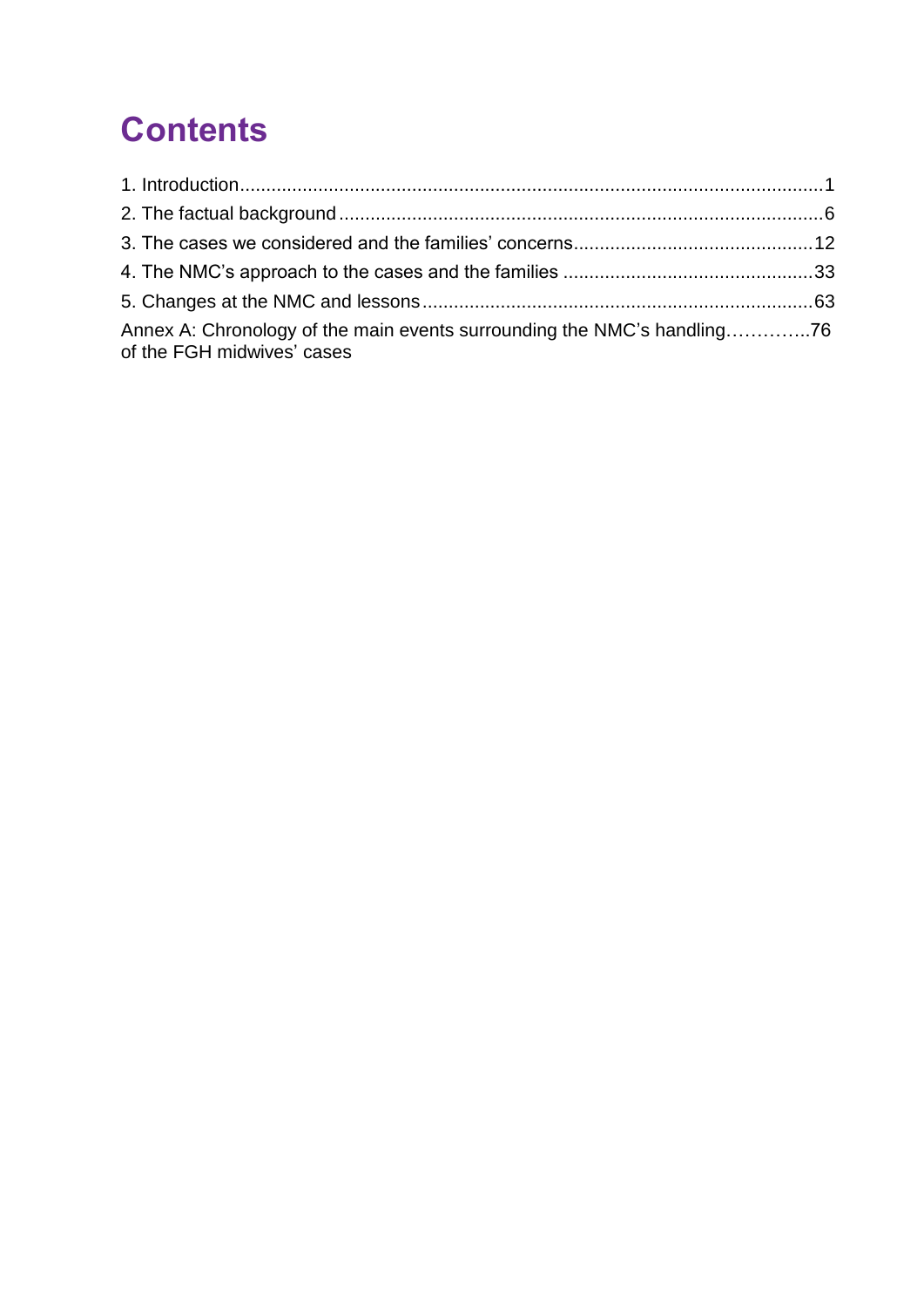## **Contents**

| Annex A: Chronology of the main events surrounding the NMC's handling76<br>of the FGH midwives' cases |  |
|-------------------------------------------------------------------------------------------------------|--|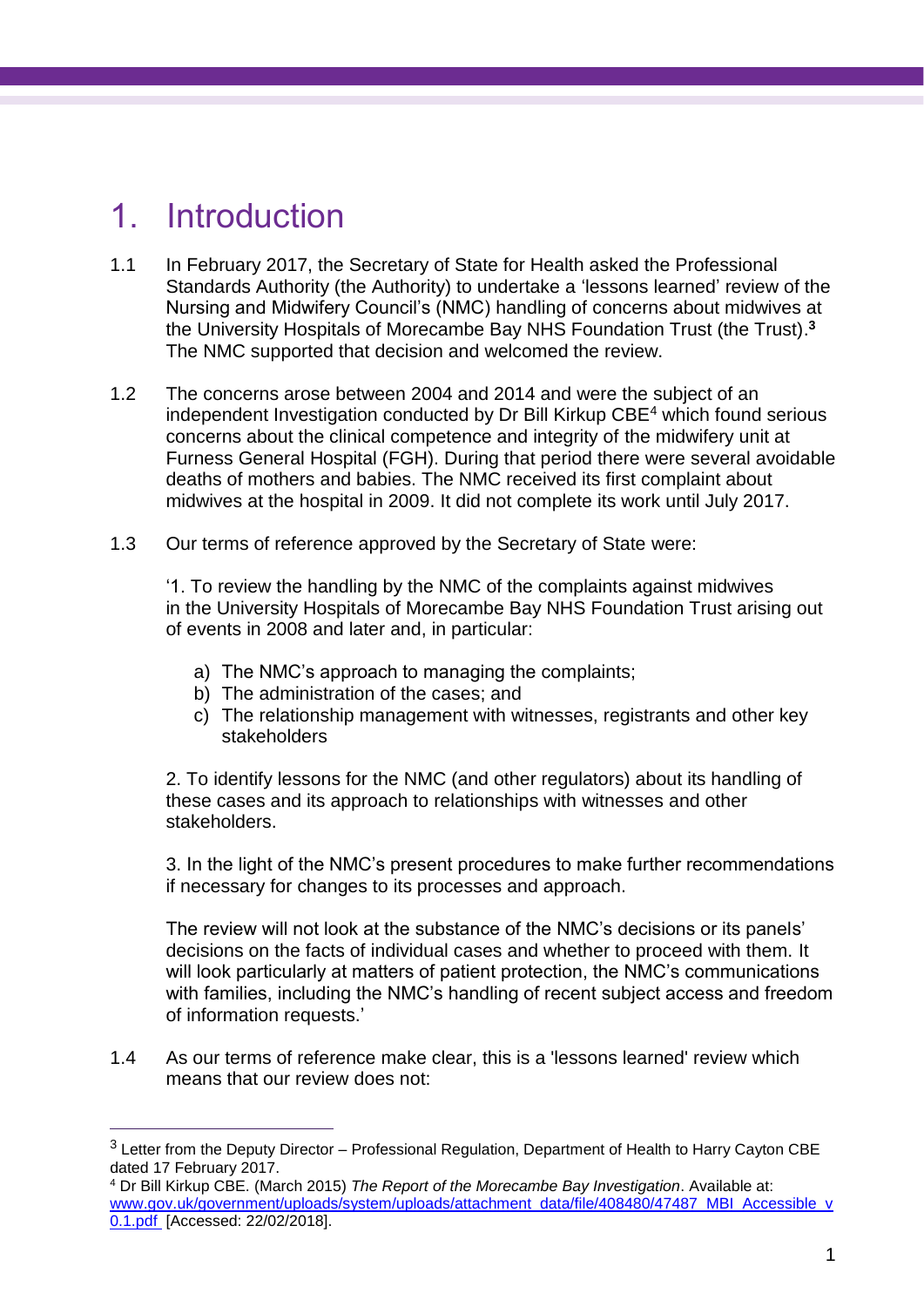## <span id="page-4-0"></span>1. Introduction

 $\overline{a}$ 

- 1.1 In February 2017, the Secretary of State for Health asked the Professional Standards Authority (the Authority) to undertake a 'lessons learned' review of the Nursing and Midwifery Council's (NMC) handling of concerns about midwives at the University Hospitals of Morecambe Bay NHS Foundation Trust (the Trust). **3** The NMC supported that decision and welcomed the review.
- 1.2 The concerns arose between 2004 and 2014 and were the subject of an independent Investigation conducted by Dr Bill Kirkup CBE<sup>4</sup> which found serious concerns about the clinical competence and integrity of the midwifery unit at Furness General Hospital (FGH). During that period there were several avoidable deaths of mothers and babies. The NMC received its first complaint about midwives at the hospital in 2009. It did not complete its work until July 2017.
- 1.3 Our terms of reference approved by the Secretary of State were:

'1. To review the handling by the NMC of the complaints against midwives in the University Hospitals of Morecambe Bay NHS Foundation Trust arising out of events in 2008 and later and, in particular:

- a) The NMC's approach to managing the complaints;
- b) The administration of the cases; and
- c) The relationship management with witnesses, registrants and other key stakeholders

2. To identify lessons for the NMC (and other regulators) about its handling of these cases and its approach to relationships with witnesses and other stakeholders.

3. In the light of the NMC's present procedures to make further recommendations if necessary for changes to its processes and approach.

The review will not look at the substance of the NMC's decisions or its panels' decisions on the facts of individual cases and whether to proceed with them. It will look particularly at matters of patient protection, the NMC's communications with families, including the NMC's handling of recent subject access and freedom of information requests.'

1.4 As our terms of reference make clear, this is a 'lessons learned' review which means that our review does not:

 $3$  Letter from the Deputy Director – Professional Regulation, Department of Health to Harry Cayton CBE dated 17 February 2017.

<sup>4</sup> Dr Bill Kirkup CBE. (March 2015) *The Report of the Morecambe Bay Investigation*. Available at: [www.gov.uk/government/uploads/system/uploads/attachment\\_data/file/408480/47487\\_MBI\\_Accessible\\_v](http://www.gov.uk/government/uploads/system/uploads/attachment_data/file/408480/47487_MBI_Accessible_v0.1.pdf) [0.1.pdf](http://www.gov.uk/government/uploads/system/uploads/attachment_data/file/408480/47487_MBI_Accessible_v0.1.pdf) [Accessed: 22/02/2018].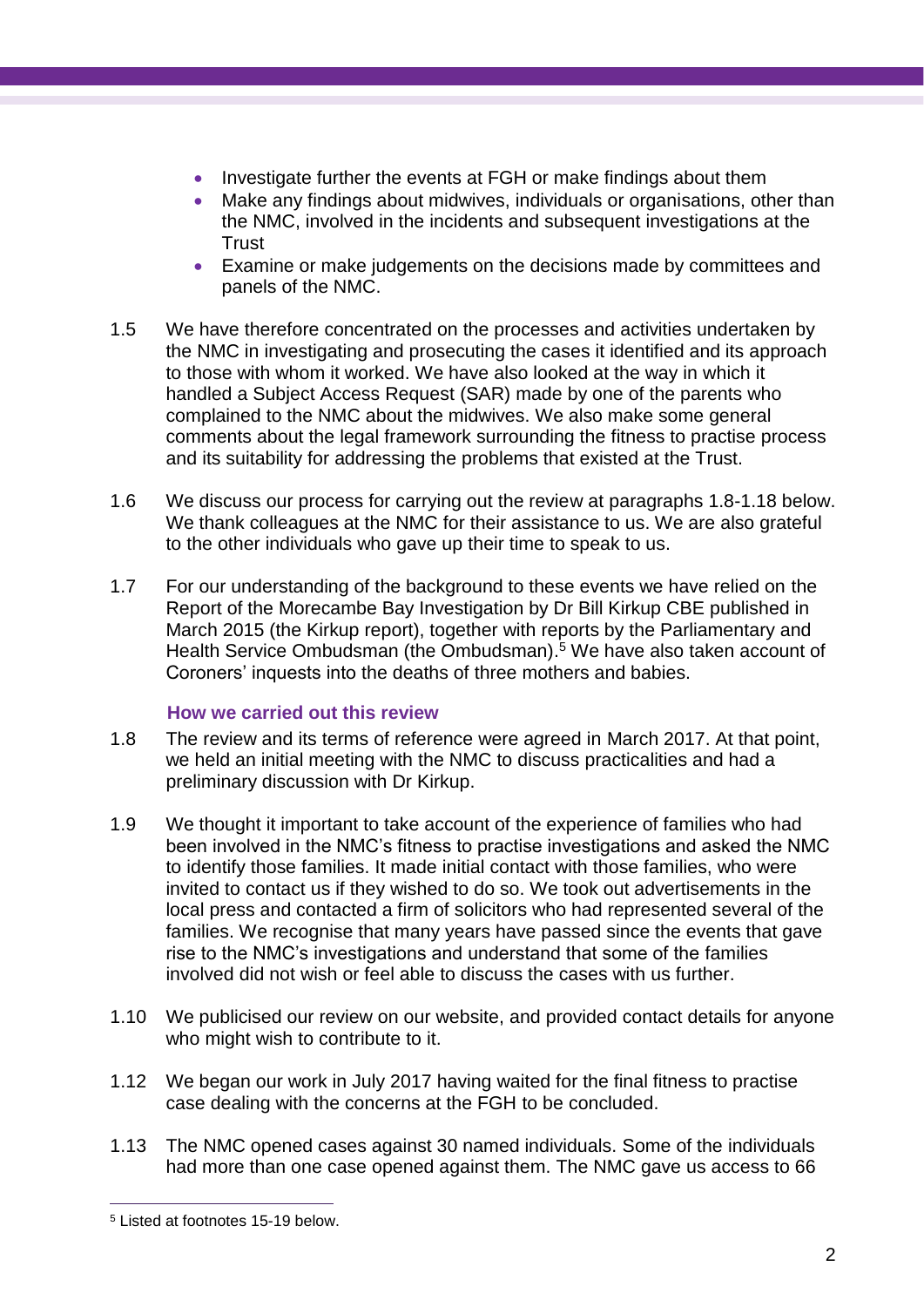- Investigate further the events at FGH or make findings about them
- Make any findings about midwives, individuals or organisations, other than the NMC, involved in the incidents and subsequent investigations at the **Trust**
- Examine or make judgements on the decisions made by committees and panels of the NMC.
- 1.5 We have therefore concentrated on the processes and activities undertaken by the NMC in investigating and prosecuting the cases it identified and its approach to those with whom it worked. We have also looked at the way in which it handled a Subject Access Request (SAR) made by one of the parents who complained to the NMC about the midwives. We also make some general comments about the legal framework surrounding the fitness to practise process and its suitability for addressing the problems that existed at the Trust.
- 1.6 We discuss our process for carrying out the review at paragraphs 1.8-1.18 below. We thank colleagues at the NMC for their assistance to us. We are also grateful to the other individuals who gave up their time to speak to us.
- 1.7 For our understanding of the background to these events we have relied on the Report of the Morecambe Bay Investigation by Dr Bill Kirkup CBE published in March 2015 (the Kirkup report), together with reports by the Parliamentary and Health Service Ombudsman (the Ombudsman). <sup>5</sup> We have also taken account of Coroners' inquests into the deaths of three mothers and babies.

#### **How we carried out this review**

- 1.8 The review and its terms of reference were agreed in March 2017. At that point, we held an initial meeting with the NMC to discuss practicalities and had a preliminary discussion with Dr Kirkup.
- 1.9 We thought it important to take account of the experience of families who had been involved in the NMC's fitness to practise investigations and asked the NMC to identify those families. It made initial contact with those families, who were invited to contact us if they wished to do so. We took out advertisements in the local press and contacted a firm of solicitors who had represented several of the families. We recognise that many years have passed since the events that gave rise to the NMC's investigations and understand that some of the families involved did not wish or feel able to discuss the cases with us further.
- 1.10 We publicised our review on our website, and provided contact details for anyone who might wish to contribute to it.
- 1.12 We began our work in July 2017 having waited for the final fitness to practise case dealing with the concerns at the FGH to be concluded.
- 1.13 The NMC opened cases against 30 named individuals. Some of the individuals had more than one case opened against them. The NMC gave us access to 66

 $\overline{a}$ <sup>5</sup> Listed at footnotes 15-19 below.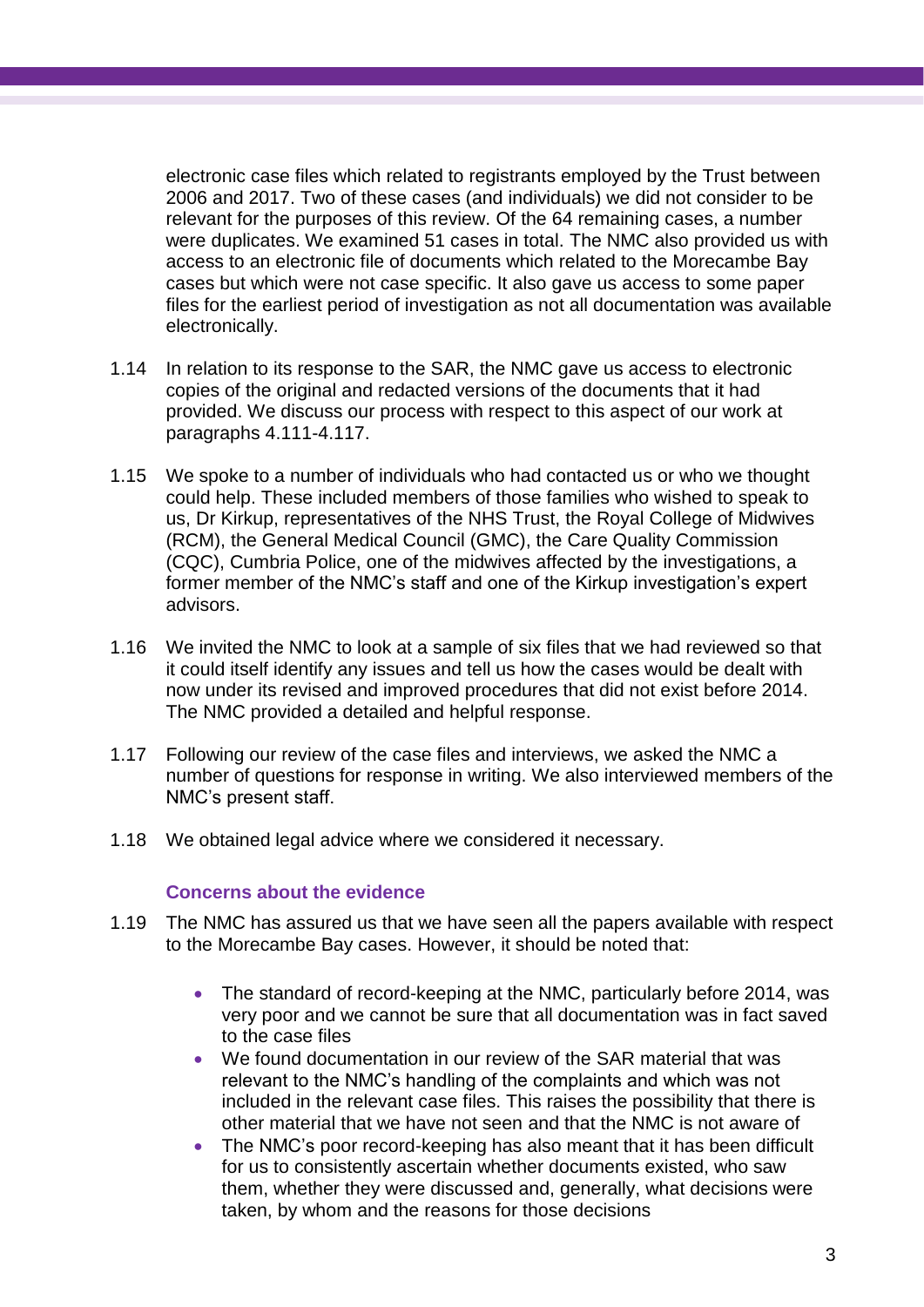electronic case files which related to registrants employed by the Trust between 2006 and 2017. Two of these cases (and individuals) we did not consider to be relevant for the purposes of this review. Of the 64 remaining cases, a number were duplicates. We examined 51 cases in total. The NMC also provided us with access to an electronic file of documents which related to the Morecambe Bay cases but which were not case specific. It also gave us access to some paper files for the earliest period of investigation as not all documentation was available electronically.

- 1.14 In relation to its response to the SAR, the NMC gave us access to electronic copies of the original and redacted versions of the documents that it had provided. We discuss our process with respect to this aspect of our work at paragraphs 4.111-4.117.
- 1.15 We spoke to a number of individuals who had contacted us or who we thought could help. These included members of those families who wished to speak to us, Dr Kirkup, representatives of the NHS Trust, the Royal College of Midwives (RCM), the General Medical Council (GMC), the Care Quality Commission (CQC), Cumbria Police, one of the midwives affected by the investigations, a former member of the NMC's staff and one of the Kirkup investigation's expert advisors.
- 1.16 We invited the NMC to look at a sample of six files that we had reviewed so that it could itself identify any issues and tell us how the cases would be dealt with now under its revised and improved procedures that did not exist before 2014. The NMC provided a detailed and helpful response.
- 1.17 Following our review of the case files and interviews, we asked the NMC a number of questions for response in writing. We also interviewed members of the NMC's present staff.
- 1.18 We obtained legal advice where we considered it necessary.

#### **Concerns about the evidence**

- 1.19 The NMC has assured us that we have seen all the papers available with respect to the Morecambe Bay cases. However, it should be noted that:
	- The standard of record-keeping at the NMC, particularly before 2014, was very poor and we cannot be sure that all documentation was in fact saved to the case files
	- We found documentation in our review of the SAR material that was relevant to the NMC's handling of the complaints and which was not included in the relevant case files. This raises the possibility that there is other material that we have not seen and that the NMC is not aware of
	- The NMC's poor record-keeping has also meant that it has been difficult for us to consistently ascertain whether documents existed, who saw them, whether they were discussed and, generally, what decisions were taken, by whom and the reasons for those decisions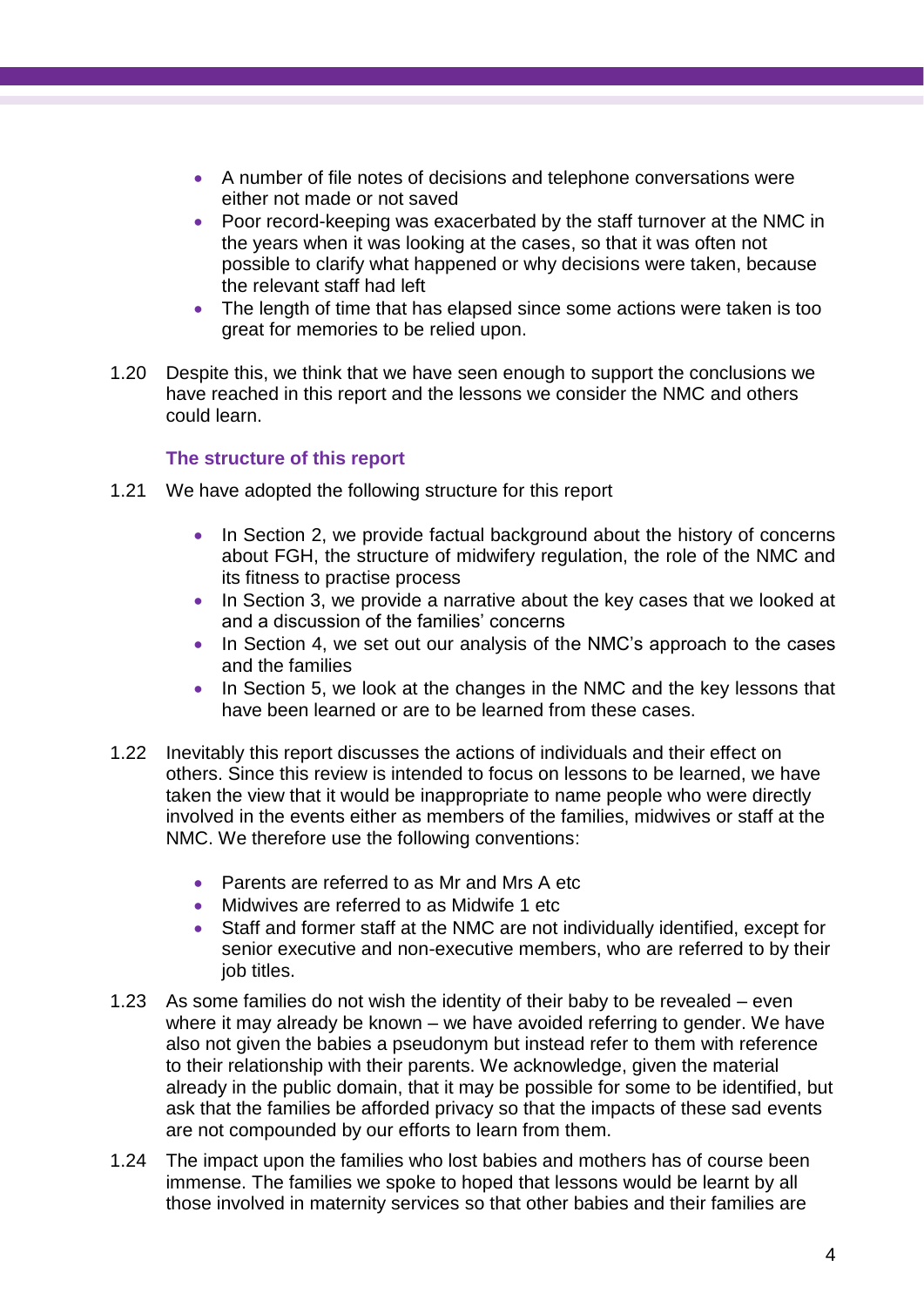- A number of file notes of decisions and telephone conversations were either not made or not saved
- Poor record-keeping was exacerbated by the staff turnover at the NMC in the years when it was looking at the cases, so that it was often not possible to clarify what happened or why decisions were taken, because the relevant staff had left
- The length of time that has elapsed since some actions were taken is too great for memories to be relied upon.
- 1.20 Despite this, we think that we have seen enough to support the conclusions we have reached in this report and the lessons we consider the NMC and others could learn.

#### **The structure of this report**

- 1.21 We have adopted the following structure for this report
	- In Section 2, we provide factual background about the history of concerns about FGH, the structure of midwifery regulation, the role of the NMC and its fitness to practise process
	- In Section 3, we provide a narrative about the key cases that we looked at and a discussion of the families' concerns
	- In Section 4, we set out our analysis of the NMC's approach to the cases and the families
	- In Section 5, we look at the changes in the NMC and the key lessons that have been learned or are to be learned from these cases.
- 1.22 Inevitably this report discusses the actions of individuals and their effect on others. Since this review is intended to focus on lessons to be learned, we have taken the view that it would be inappropriate to name people who were directly involved in the events either as members of the families, midwives or staff at the NMC. We therefore use the following conventions:
	- Parents are referred to as Mr and Mrs A etc
	- Midwives are referred to as Midwife 1 etc
	- Staff and former staff at the NMC are not individually identified, except for senior executive and non-executive members, who are referred to by their job titles.
- 1.23 As some families do not wish the identity of their baby to be revealed even where it may already be known – we have avoided referring to gender. We have also not given the babies a pseudonym but instead refer to them with reference to their relationship with their parents. We acknowledge, given the material already in the public domain, that it may be possible for some to be identified, but ask that the families be afforded privacy so that the impacts of these sad events are not compounded by our efforts to learn from them.
- 1.24 The impact upon the families who lost babies and mothers has of course been immense. The families we spoke to hoped that lessons would be learnt by all those involved in maternity services so that other babies and their families are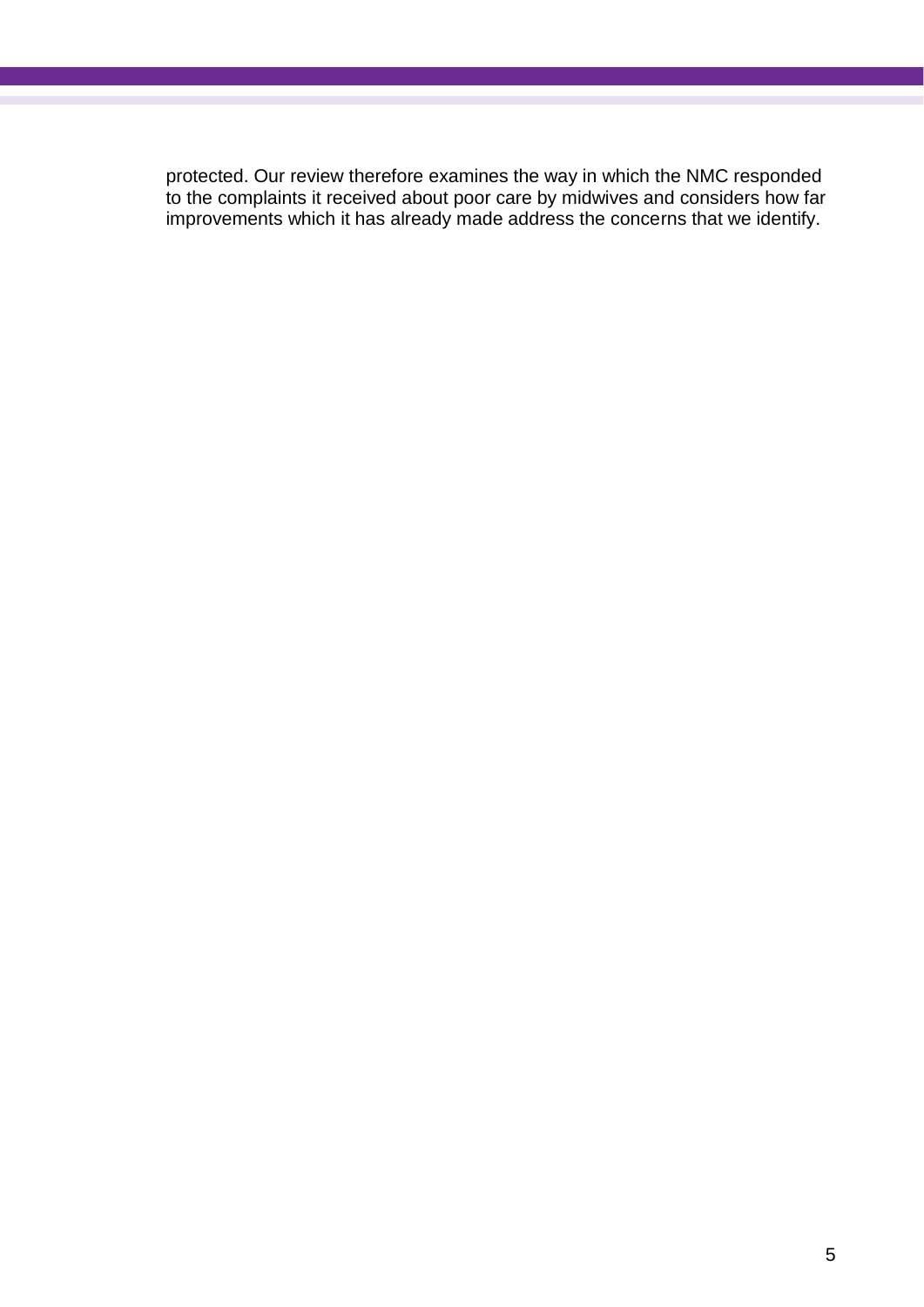protected. Our review therefore examines the way in which the NMC responded to the complaints it received about poor care by midwives and considers how far improvements which it has already made address the concerns that we identify.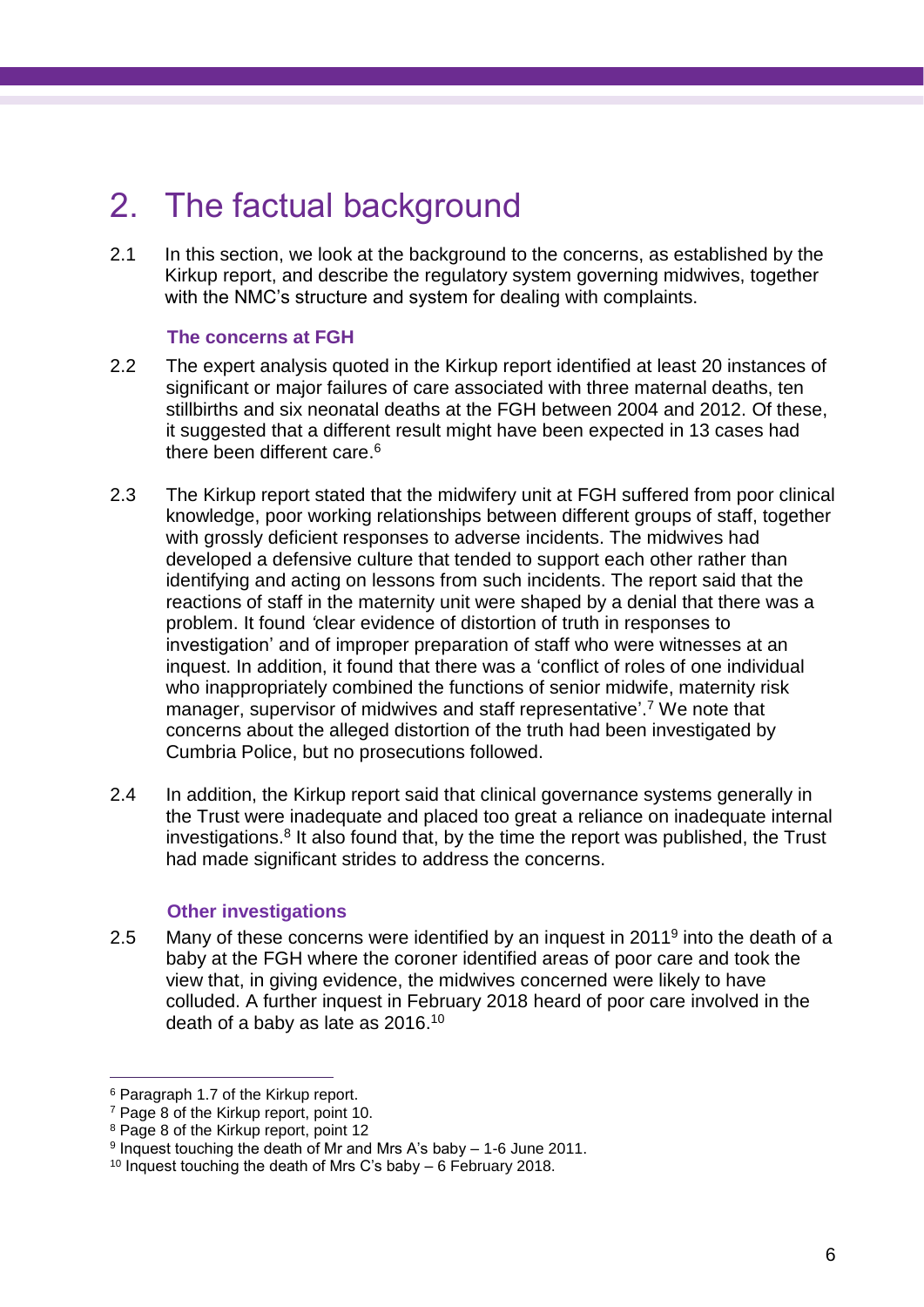## <span id="page-9-0"></span>2. The factual background

2.1 In this section, we look at the background to the concerns, as established by the Kirkup report, and describe the regulatory system governing midwives, together with the NMC's structure and system for dealing with complaints.

#### **The concerns at FGH**

- 2.2 The expert analysis quoted in the Kirkup report identified at least 20 instances of significant or major failures of care associated with three maternal deaths, ten stillbirths and six neonatal deaths at the FGH between 2004 and 2012. Of these, it suggested that a different result might have been expected in 13 cases had there been different care. 6
- 2.3 The Kirkup report stated that the midwifery unit at FGH suffered from poor clinical knowledge, poor working relationships between different groups of staff, together with grossly deficient responses to adverse incidents. The midwives had developed a defensive culture that tended to support each other rather than identifying and acting on lessons from such incidents. The report said that the reactions of staff in the maternity unit were shaped by a denial that there was a problem. It found *'*clear evidence of distortion of truth in responses to investigation' and of improper preparation of staff who were witnesses at an inquest. In addition, it found that there was a 'conflict of roles of one individual who inappropriately combined the functions of senior midwife, maternity risk manager, supervisor of midwives and staff representative'. <sup>7</sup> We note that concerns about the alleged distortion of the truth had been investigated by Cumbria Police, but no prosecutions followed.
- 2.4 In addition, the Kirkup report said that clinical governance systems generally in the Trust were inadequate and placed too great a reliance on inadequate internal investigations.<sup>8</sup> It also found that, by the time the report was published, the Trust had made significant strides to address the concerns.

#### **Other investigations**

2.5 Many of these concerns were identified by an inquest in 2011<sup>9</sup> into the death of a baby at the FGH where the coroner identified areas of poor care and took the view that, in giving evidence, the midwives concerned were likely to have colluded. A further inquest in February 2018 heard of poor care involved in the death of a baby as late as 2016.<sup>10</sup>

<sup>6</sup> Paragraph 1.7 of the Kirkup report.

<sup>7</sup> Page 8 of the Kirkup report, point 10.

<sup>8</sup> Page 8 of the Kirkup report, point 12

<sup>9</sup> Inquest touching the death of Mr and Mrs A's baby – 1-6 June 2011.

<sup>10</sup> Inquest touching the death of Mrs C's baby – 6 February 2018.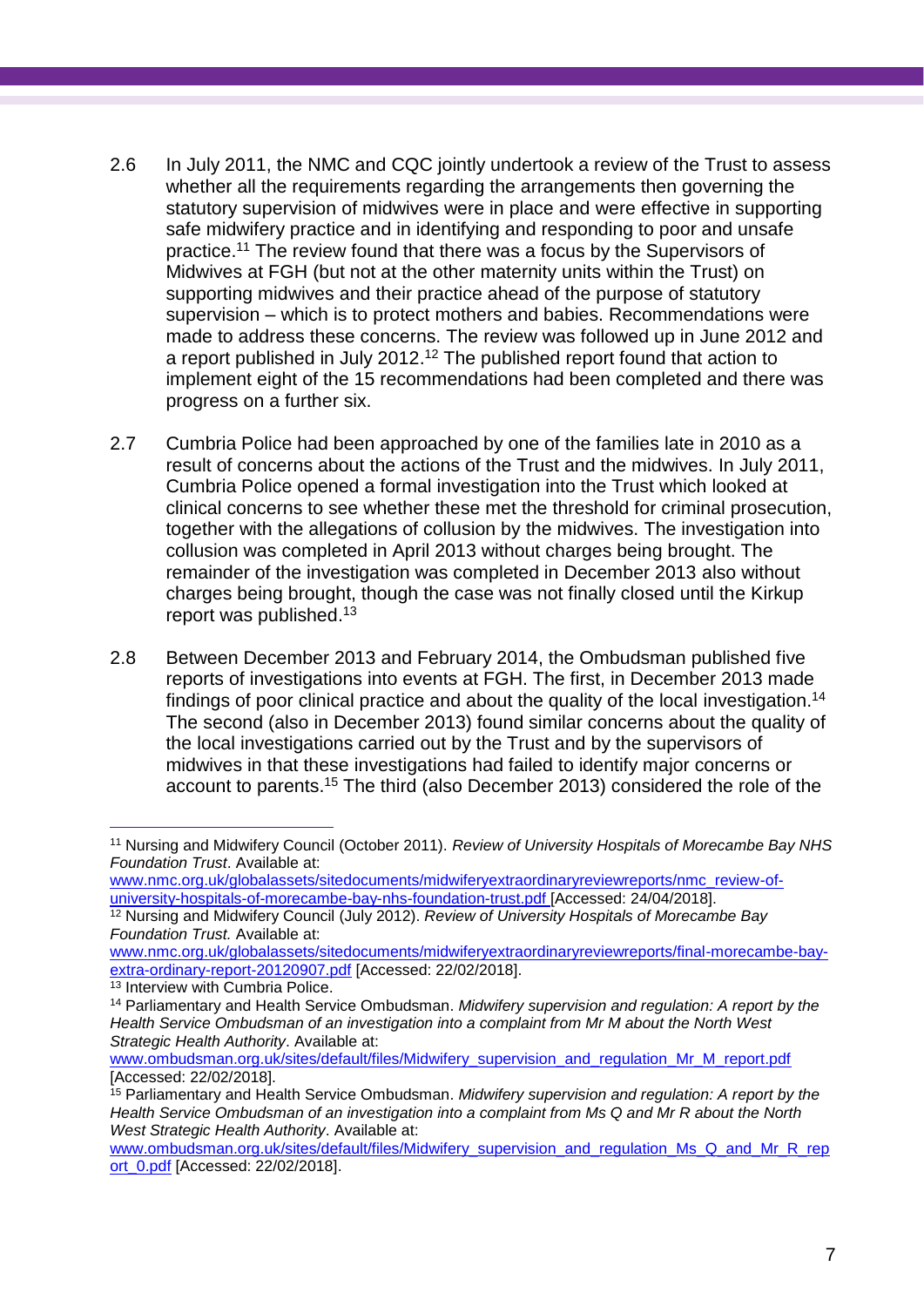- 2.6 In July 2011, the NMC and CQC jointly undertook a review of the Trust to assess whether all the requirements regarding the arrangements then governing the statutory supervision of midwives were in place and were effective in supporting safe midwifery practice and in identifying and responding to poor and unsafe practice. <sup>11</sup> The review found that there was a focus by the Supervisors of Midwives at FGH (but not at the other maternity units within the Trust) on supporting midwives and their practice ahead of the purpose of statutory supervision – which is to protect mothers and babies. Recommendations were made to address these concerns. The review was followed up in June 2012 and a report published in July 2012.<sup>12</sup> The published report found that action to implement eight of the 15 recommendations had been completed and there was progress on a further six.
- 2.7 Cumbria Police had been approached by one of the families late in 2010 as a result of concerns about the actions of the Trust and the midwives. In July 2011, Cumbria Police opened a formal investigation into the Trust which looked at clinical concerns to see whether these met the threshold for criminal prosecution, together with the allegations of collusion by the midwives. The investigation into collusion was completed in April 2013 without charges being brought. The remainder of the investigation was completed in December 2013 also without charges being brought, though the case was not finally closed until the Kirkup report was published. 13
- 2.8 Between December 2013 and February 2014, the Ombudsman published five reports of investigations into events at FGH. The first, in December 2013 made findings of poor clinical practice and about the quality of the local investigation. 14 The second (also in December 2013) found similar concerns about the quality of the local investigations carried out by the Trust and by the supervisors of midwives in that these investigations had failed to identify major concerns or account to parents. <sup>15</sup> The third (also December 2013) considered the role of the

 $\overline{a}$ <sup>11</sup> Nursing and Midwifery Council (October 2011). *Review of University Hospitals of Morecambe Bay NHS Foundation Trust*. Available at:

[www.nmc.org.uk/globalassets/sitedocuments/midwiferyextraordinaryreviewreports/nmc\\_review-of](http://www.nmc.org.uk/globalassets/sitedocuments/midwiferyextraordinaryreviewreports/nmc_review-of-university-hospitals-of-morecambe-bay-nhs-foundation-trust.pdf)[university-hospitals-of-morecambe-bay-nhs-foundation-trust.pdf](http://www.nmc.org.uk/globalassets/sitedocuments/midwiferyextraordinaryreviewreports/nmc_review-of-university-hospitals-of-morecambe-bay-nhs-foundation-trust.pdf) [Accessed: 24/04/2018].

<sup>12</sup> Nursing and Midwifery Council (July 2012). *Review of University Hospitals of Morecambe Bay Foundation Trust.* Available at:

[www.nmc.org.uk/globalassets/sitedocuments/midwiferyextraordinaryreviewreports/final-morecambe-bay](http://www.nmc.org.uk/globalassets/sitedocuments/midwiferyextraordinaryreviewreports/final-morecambe-bay-extra-ordinary-report-20120907.pdf)[extra-ordinary-report-20120907.pdf](http://www.nmc.org.uk/globalassets/sitedocuments/midwiferyextraordinaryreviewreports/final-morecambe-bay-extra-ordinary-report-20120907.pdf) [Accessed: 22/02/2018].

<sup>&</sup>lt;sup>13</sup> Interview with Cumbria Police.

<sup>14</sup> Parliamentary and Health Service Ombudsman. *Midwifery supervision and regulation: A report by the Health Service Ombudsman of an investigation into a complaint from Mr M about the North West Strategic Health Authority*. Available at:

[www.ombudsman.org.uk/sites/default/files/Midwifery\\_supervision\\_and\\_regulation\\_Mr\\_M\\_report.pdf](http://www.ombudsman.org.uk/sites/default/files/Midwifery_supervision_and_regulation_Mr_M_report.pdf) [Accessed: 22/02/2018].

<sup>15</sup> Parliamentary and Health Service Ombudsman. *Midwifery supervision and regulation: A report by the Health Service Ombudsman of an investigation into a complaint from Ms Q and Mr R about the North West Strategic Health Authority*. Available at:

[www.ombudsman.org.uk/sites/default/files/Midwifery\\_supervision\\_and\\_regulation\\_Ms\\_Q\\_and\\_Mr\\_R\\_rep](http://www.ombudsman.org.uk/sites/default/files/Midwifery_supervision_and_regulation_Ms_Q_and_Mr_R_report_0.pdf) [ort\\_0.pdf](http://www.ombudsman.org.uk/sites/default/files/Midwifery_supervision_and_regulation_Ms_Q_and_Mr_R_report_0.pdf) [Accessed: 22/02/2018].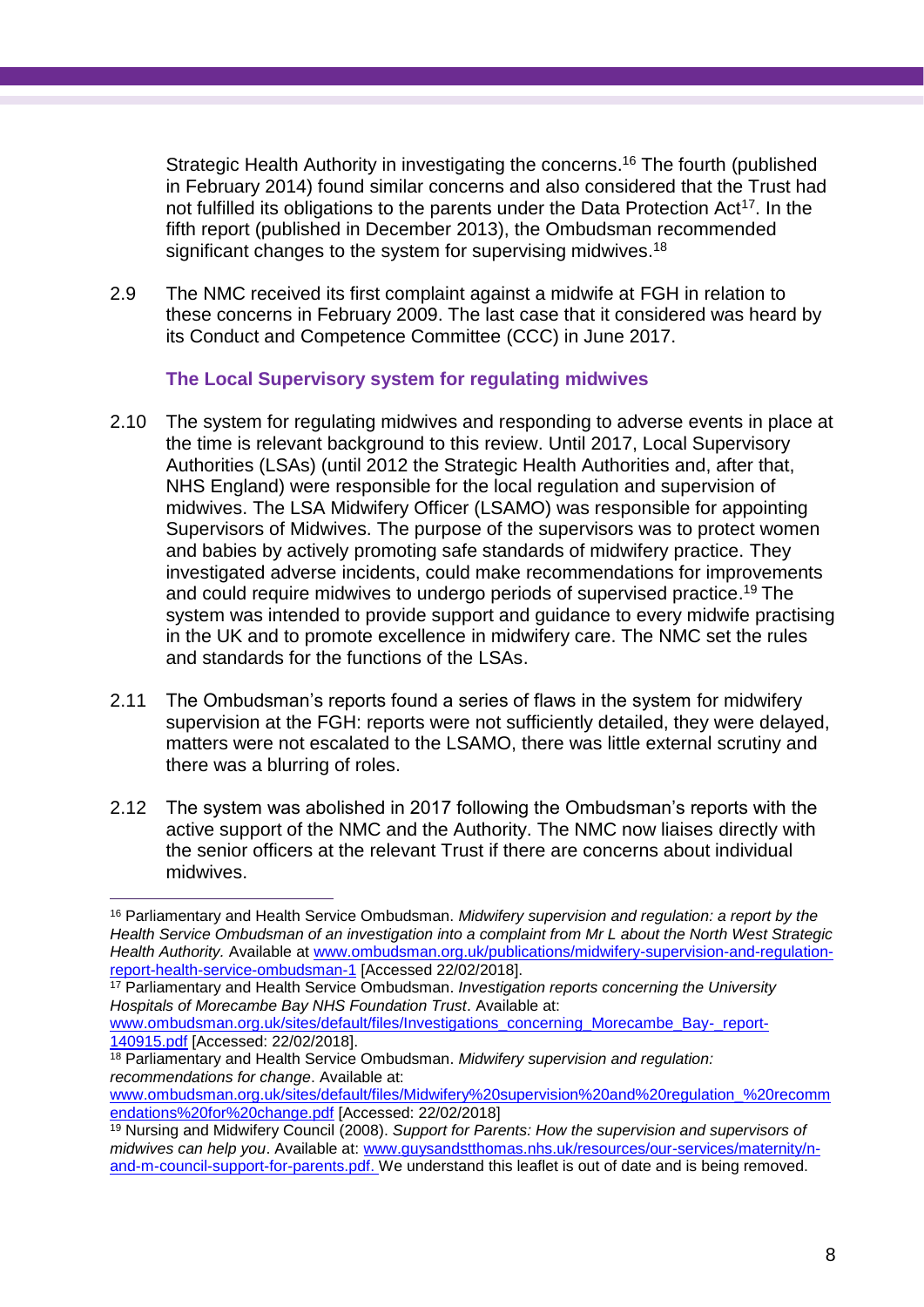Strategic Health Authority in investigating the concerns. <sup>16</sup> The fourth (published in February 2014) found similar concerns and also considered that the Trust had not fulfilled its obligations to the parents under the Data Protection Act<sup>17</sup>. In the fifth report (published in December 2013), the Ombudsman recommended significant changes to the system for supervising midwives.<sup>18</sup>

2.9 The NMC received its first complaint against a midwife at FGH in relation to these concerns in February 2009. The last case that it considered was heard by its Conduct and Competence Committee (CCC) in June 2017.

#### **The Local Supervisory system for regulating midwives**

- 2.10 The system for regulating midwives and responding to adverse events in place at the time is relevant background to this review. Until 2017, Local Supervisory Authorities (LSAs) (until 2012 the Strategic Health Authorities and, after that, NHS England) were responsible for the local regulation and supervision of midwives. The LSA Midwifery Officer (LSAMO) was responsible for appointing Supervisors of Midwives. The purpose of the supervisors was to protect women and babies by actively promoting safe standards of midwifery practice. They investigated adverse incidents, could make recommendations for improvements and could require midwives to undergo periods of supervised practice. <sup>19</sup> The system was intended to provide support and guidance to every midwife practising in the UK and to promote excellence in midwifery care. The NMC set the rules and standards for the functions of the LSAs.
- 2.11 The Ombudsman's reports found a series of flaws in the system for midwifery supervision at the FGH: reports were not sufficiently detailed, they were delayed, matters were not escalated to the LSAMO, there was little external scrutiny and there was a blurring of roles.
- 2.12 The system was abolished in 2017 following the Ombudsman's reports with the active support of the NMC and the Authority. The NMC now liaises directly with the senior officers at the relevant Trust if there are concerns about individual midwives.

<sup>16</sup> Parliamentary and Health Service Ombudsman. *Midwifery supervision and regulation: a report by the Health Service Ombudsman of an investigation into a complaint from Mr L about the North West Strategic Health Authority.* Available at [www.ombudsman.org.uk/publications/midwifery-supervision-and-regulation](http://www.ombudsman.org.uk/publications/midwifery-supervision-and-regulation-report-health-service-ombudsman-1)[report-health-service-ombudsman-1](http://www.ombudsman.org.uk/publications/midwifery-supervision-and-regulation-report-health-service-ombudsman-1) [Accessed 22/02/2018].

<sup>17</sup> Parliamentary and Health Service Ombudsman. *Investigation reports concerning the University Hospitals of Morecambe Bay NHS Foundation Trust*. Available at:

[www.ombudsman.org.uk/sites/default/files/Investigations\\_concerning\\_Morecambe\\_Bay-\\_report-](http://www.ombudsman.org.uk/sites/default/files/Investigations_concerning_Morecambe_Bay-_report-140915.pdf)[140915.pdf](http://www.ombudsman.org.uk/sites/default/files/Investigations_concerning_Morecambe_Bay-_report-140915.pdf) [Accessed: 22/02/2018].

<sup>18</sup> Parliamentary and Health Service Ombudsman. *Midwifery supervision and regulation: recommendations for change*. Available at:

[www.ombudsman.org.uk/sites/default/files/Midwifery%20supervision%20and%20regulation\\_%20recomm](http://www.ombudsman.org.uk/sites/default/files/Midwifery%20supervision%20and%20regulation_%20recommendations%20for%20change.pdf) [endations%20for%20change.pdf](http://www.ombudsman.org.uk/sites/default/files/Midwifery%20supervision%20and%20regulation_%20recommendations%20for%20change.pdf) [Accessed: 22/02/2018]

<sup>19</sup> Nursing and Midwifery Council (2008). *Support for Parents: How the supervision and supervisors of midwives can help you*. Available at: [www.guysandstthomas.nhs.uk/resources/our-services/maternity/n](http://www.guysandstthomas.nhs.uk/resources/our-services/maternity/n-and-m-council-support-for-parents.pdf)[and-m-council-support-for-parents.pdf.](http://www.guysandstthomas.nhs.uk/resources/our-services/maternity/n-and-m-council-support-for-parents.pdf) We understand this leaflet is out of date and is being removed.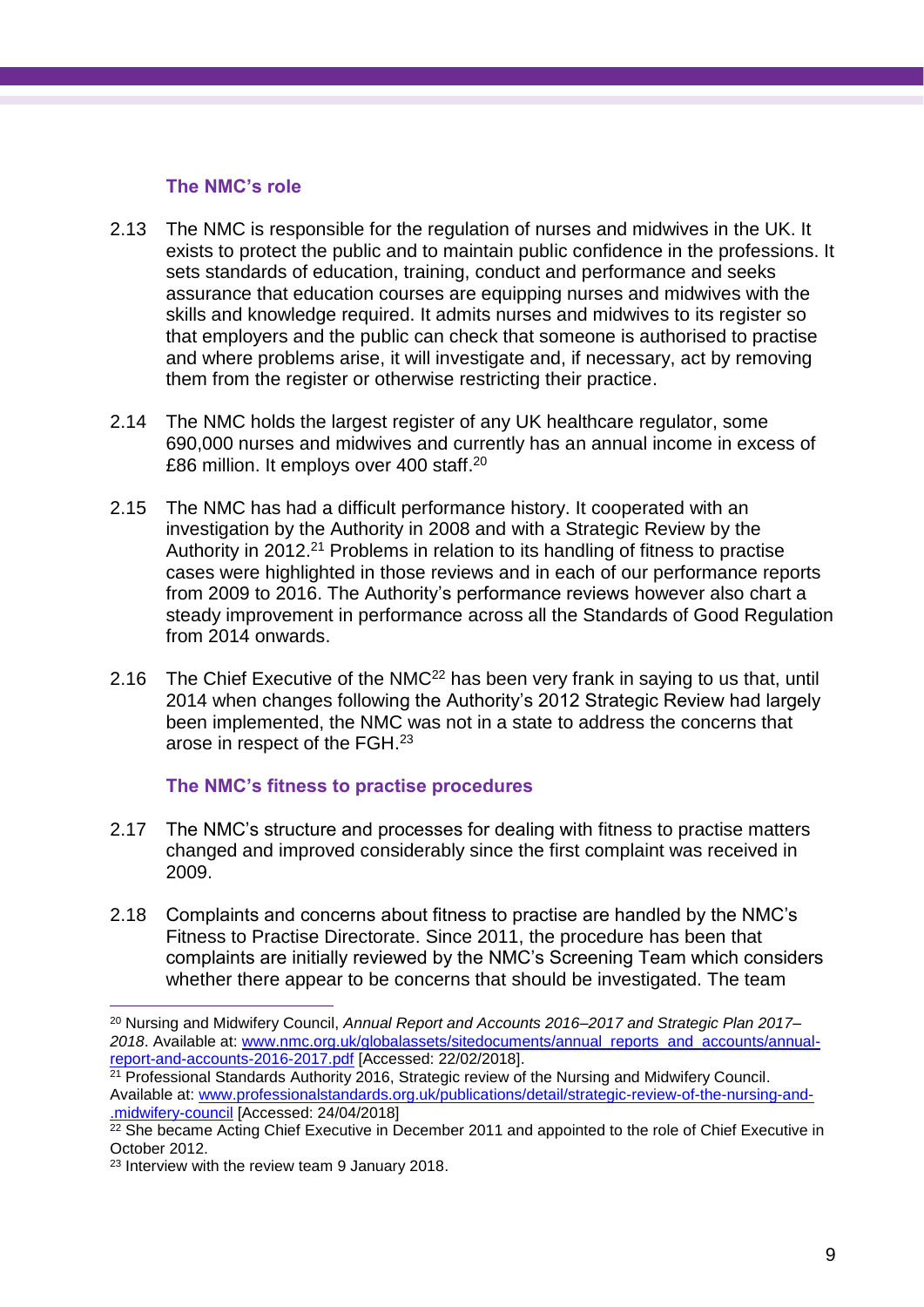#### **The NMC's role**

- 2.13 The NMC is responsible for the regulation of nurses and midwives in the UK. It exists to protect the public and to maintain public confidence in the professions. It sets standards of education, training, conduct and performance and seeks assurance that education courses are equipping nurses and midwives with the skills and knowledge required. It admits nurses and midwives to its register so that employers and the public can check that someone is authorised to practise and where problems arise, it will investigate and, if necessary, act by removing them from the register or otherwise restricting their practice.
- 2.14 The NMC holds the largest register of any UK healthcare regulator, some 690,000 nurses and midwives and currently has an annual income in excess of £86 million. It employs over 400 staff.<sup>20</sup>
- 2.15 The NMC has had a difficult performance history. It cooperated with an investigation by the Authority in 2008 and with a Strategic Review by the Authority in 2012.<sup>21</sup> Problems in relation to its handling of fitness to practise cases were highlighted in those reviews and in each of our performance reports from 2009 to 2016. The Authority's performance reviews however also chart a steady improvement in performance across all the Standards of Good Regulation from 2014 onwards.
- 2.16 The Chief Executive of the NMC<sup>22</sup> has been very frank in saying to us that, until 2014 when changes following the Authority's 2012 Strategic Review had largely been implemented, the NMC was not in a state to address the concerns that arose in respect of the FGH.<sup>23</sup>

#### **The NMC's fitness to practise procedures**

- 2.17 The NMC's structure and processes for dealing with fitness to practise matters changed and improved considerably since the first complaint was received in 2009.
- 2.18 Complaints and concerns about fitness to practise are handled by the NMC's Fitness to Practise Directorate. Since 2011, the procedure has been that complaints are initially reviewed by the NMC's Screening Team which considers whether there appear to be concerns that should be investigated. The team

<sup>21</sup> Professional Standards Authority 2016, Strategic review of the Nursing and Midwifery Council. Available at: [www.professionalstandards.org.uk/publications/detail/strategic-review-of-the-nursing-and-](http://www.professionalstandards.org.uk/publications/detail/strategic-review-of-the-nursing-and-.midwifery-council) [.midwifery-council](http://www.professionalstandards.org.uk/publications/detail/strategic-review-of-the-nursing-and-.midwifery-council) [Accessed: 24/04/2018]

<sup>20</sup> Nursing and Midwifery Council, *Annual Report and Accounts 2016–2017 and Strategic Plan 2017– 2018*. Available at: [www.nmc.org.uk/globalassets/sitedocuments/annual\\_reports\\_and\\_accounts/annual](http://www.nmc.org.uk/globalassets/sitedocuments/annual_reports_and_accounts/annual-report-and-accounts-2016-2017.pdf)[report-and-accounts-2016-2017.pdf](http://www.nmc.org.uk/globalassets/sitedocuments/annual_reports_and_accounts/annual-report-and-accounts-2016-2017.pdf) [Accessed: 22/02/2018].

<sup>&</sup>lt;sup>22</sup> She became Acting Chief Executive in December 2011 and appointed to the role of Chief Executive in October 2012.

<sup>23</sup> Interview with the review team 9 January 2018.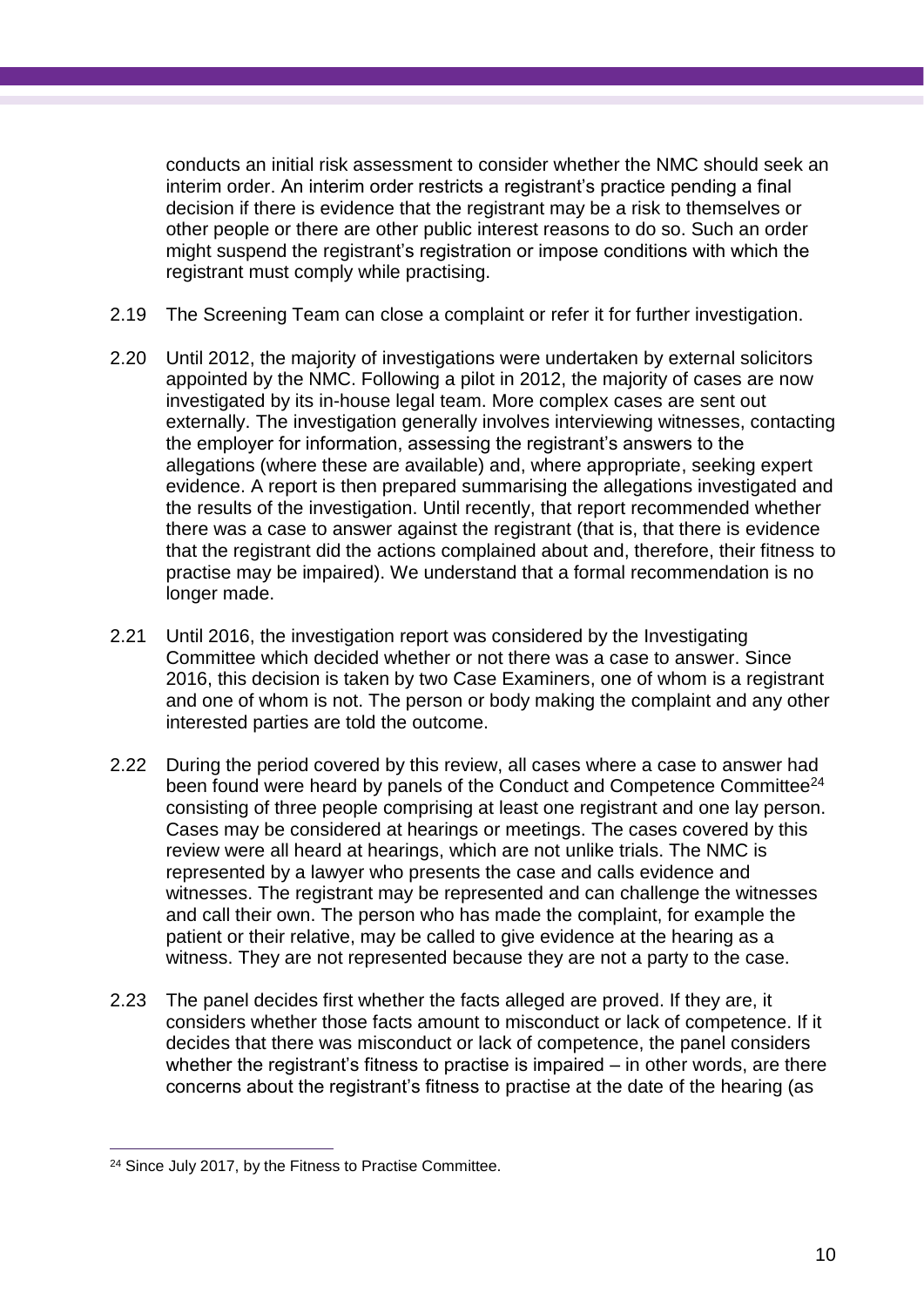conducts an initial risk assessment to consider whether the NMC should seek an interim order. An interim order restricts a registrant's practice pending a final decision if there is evidence that the registrant may be a risk to themselves or other people or there are other public interest reasons to do so. Such an order might suspend the registrant's registration or impose conditions with which the registrant must comply while practising.

- 2.19 The Screening Team can close a complaint or refer it for further investigation.
- 2.20 Until 2012, the majority of investigations were undertaken by external solicitors appointed by the NMC. Following a pilot in 2012, the majority of cases are now investigated by its in-house legal team. More complex cases are sent out externally. The investigation generally involves interviewing witnesses, contacting the employer for information, assessing the registrant's answers to the allegations (where these are available) and, where appropriate, seeking expert evidence. A report is then prepared summarising the allegations investigated and the results of the investigation. Until recently, that report recommended whether there was a case to answer against the registrant (that is, that there is evidence that the registrant did the actions complained about and, therefore, their fitness to practise may be impaired). We understand that a formal recommendation is no longer made.
- 2.21 Until 2016, the investigation report was considered by the Investigating Committee which decided whether or not there was a case to answer. Since 2016, this decision is taken by two Case Examiners, one of whom is a registrant and one of whom is not. The person or body making the complaint and any other interested parties are told the outcome.
- 2.22 During the period covered by this review, all cases where a case to answer had been found were heard by panels of the Conduct and Competence Committee<sup>24</sup> consisting of three people comprising at least one registrant and one lay person. Cases may be considered at hearings or meetings. The cases covered by this review were all heard at hearings, which are not unlike trials. The NMC is represented by a lawyer who presents the case and calls evidence and witnesses. The registrant may be represented and can challenge the witnesses and call their own. The person who has made the complaint, for example the patient or their relative, may be called to give evidence at the hearing as a witness. They are not represented because they are not a party to the case.
- 2.23 The panel decides first whether the facts alleged are proved. If they are, it considers whether those facts amount to misconduct or lack of competence. If it decides that there was misconduct or lack of competence, the panel considers whether the registrant's fitness to practise is impaired – in other words, are there concerns about the registrant's fitness to practise at the date of the hearing (as

 $\overline{a}$ <sup>24</sup> Since July 2017, by the Fitness to Practise Committee.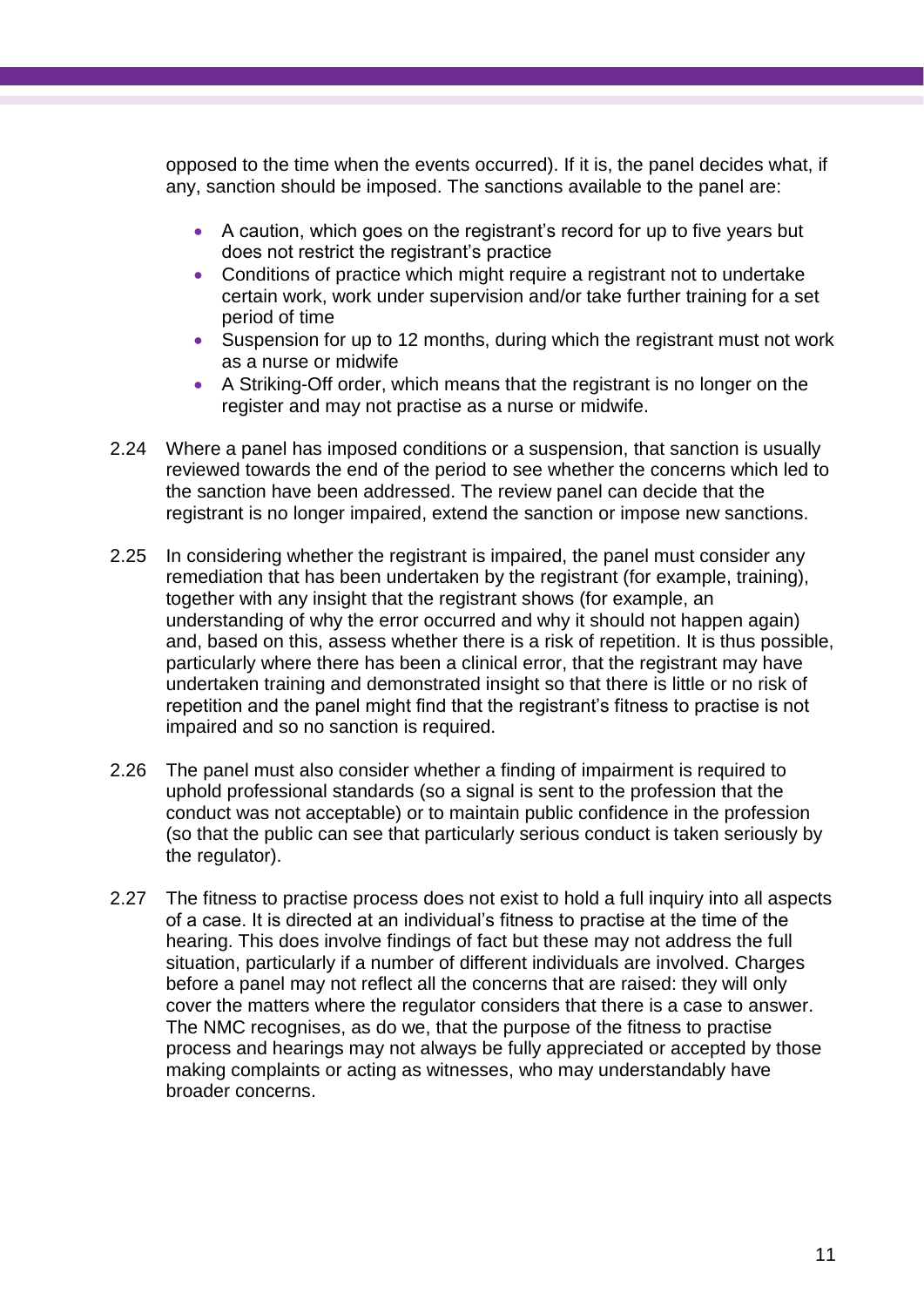opposed to the time when the events occurred). If it is, the panel decides what, if any, sanction should be imposed. The sanctions available to the panel are:

- A caution, which goes on the registrant's record for up to five years but does not restrict the registrant's practice
- Conditions of practice which might require a registrant not to undertake certain work, work under supervision and/or take further training for a set period of time
- Suspension for up to 12 months, during which the registrant must not work as a nurse or midwife
- A Striking-Off order, which means that the registrant is no longer on the register and may not practise as a nurse or midwife.
- 2.24 Where a panel has imposed conditions or a suspension, that sanction is usually reviewed towards the end of the period to see whether the concerns which led to the sanction have been addressed. The review panel can decide that the registrant is no longer impaired, extend the sanction or impose new sanctions.
- 2.25 In considering whether the registrant is impaired, the panel must consider any remediation that has been undertaken by the registrant (for example, training), together with any insight that the registrant shows (for example, an understanding of why the error occurred and why it should not happen again) and, based on this, assess whether there is a risk of repetition. It is thus possible, particularly where there has been a clinical error, that the registrant may have undertaken training and demonstrated insight so that there is little or no risk of repetition and the panel might find that the registrant's fitness to practise is not impaired and so no sanction is required.
- 2.26 The panel must also consider whether a finding of impairment is required to uphold professional standards (so a signal is sent to the profession that the conduct was not acceptable) or to maintain public confidence in the profession (so that the public can see that particularly serious conduct is taken seriously by the regulator).
- 2.27 The fitness to practise process does not exist to hold a full inquiry into all aspects of a case. It is directed at an individual's fitness to practise at the time of the hearing. This does involve findings of fact but these may not address the full situation, particularly if a number of different individuals are involved. Charges before a panel may not reflect all the concerns that are raised: they will only cover the matters where the regulator considers that there is a case to answer. The NMC recognises, as do we, that the purpose of the fitness to practise process and hearings may not always be fully appreciated or accepted by those making complaints or acting as witnesses, who may understandably have broader concerns.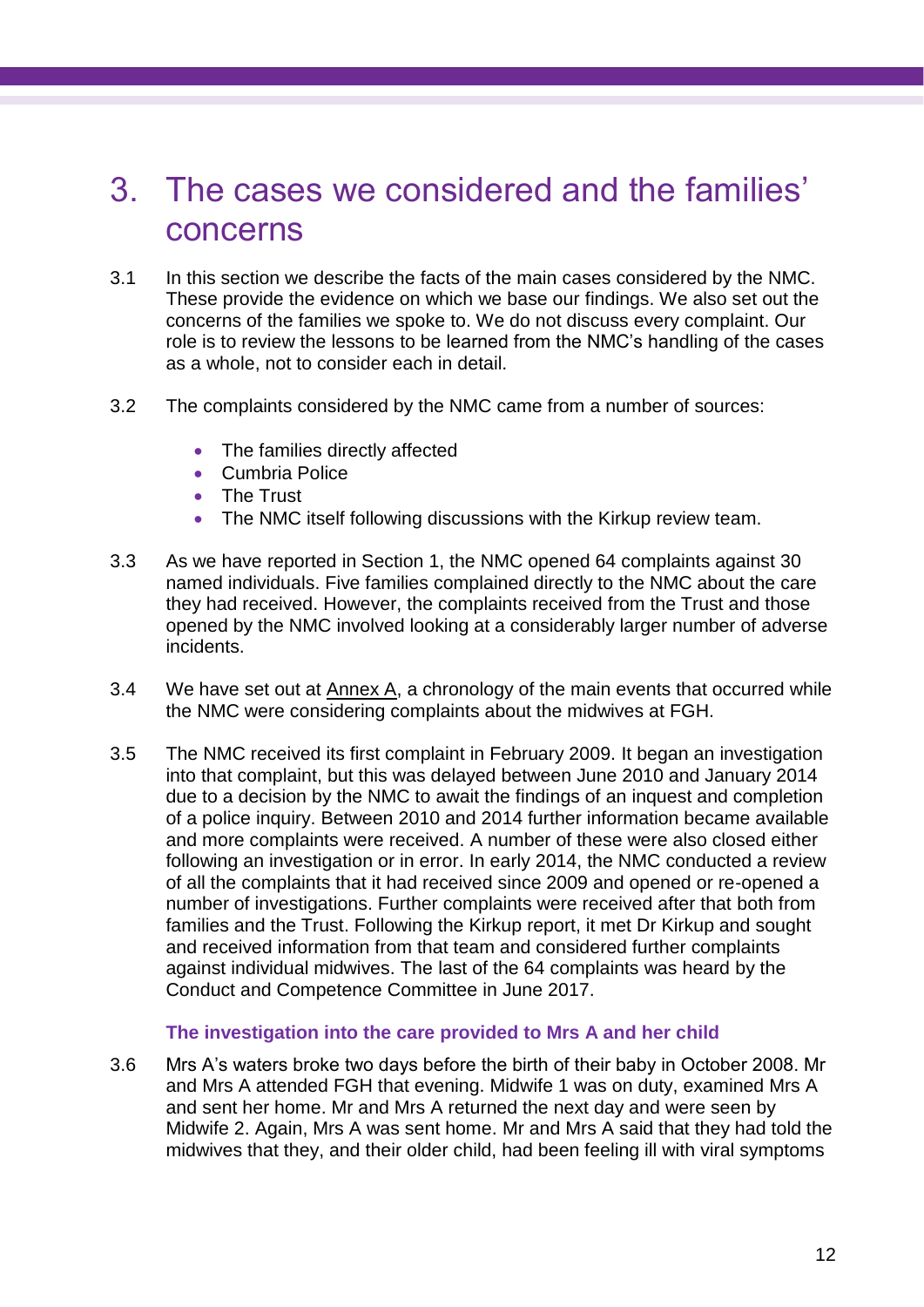### <span id="page-15-0"></span>3. The cases we considered and the families' concerns

- 3.1 In this section we describe the facts of the main cases considered by the NMC. These provide the evidence on which we base our findings. We also set out the concerns of the families we spoke to. We do not discuss every complaint. Our role is to review the lessons to be learned from the NMC's handling of the cases as a whole, not to consider each in detail.
- 3.2 The complaints considered by the NMC came from a number of sources:
	- The families directly affected
	- Cumbria Police
	- The Trust
	- The NMC itself following discussions with the Kirkup review team.
- 3.3 As we have reported in Section 1, the NMC opened 64 complaints against 30 named individuals. Five families complained directly to the NMC about the care they had received. However, the complaints received from the Trust and those opened by the NMC involved looking at a considerably larger number of adverse incidents.
- 3.4 We have set out at  $\frac{\text{Annex } A}{\text{Annex } A}$ , a chronology of the main events that occurred while the NMC were considering complaints about the midwives at FGH.
- 3.5 The NMC received its first complaint in February 2009. It began an investigation into that complaint, but this was delayed between June 2010 and January 2014 due to a decision by the NMC to await the findings of an inquest and completion of a police inquiry. Between 2010 and 2014 further information became available and more complaints were received. A number of these were also closed either following an investigation or in error. In early 2014, the NMC conducted a review of all the complaints that it had received since 2009 and opened or re-opened a number of investigations. Further complaints were received after that both from families and the Trust. Following the Kirkup report, it met Dr Kirkup and sought and received information from that team and considered further complaints against individual midwives. The last of the 64 complaints was heard by the Conduct and Competence Committee in June 2017.

#### **The investigation into the care provided to Mrs A and her child**

3.6 Mrs A's waters broke two days before the birth of their baby in October 2008. Mr and Mrs A attended FGH that evening. Midwife 1 was on duty, examined Mrs A and sent her home. Mr and Mrs A returned the next day and were seen by Midwife 2. Again, Mrs A was sent home. Mr and Mrs A said that they had told the midwives that they, and their older child, had been feeling ill with viral symptoms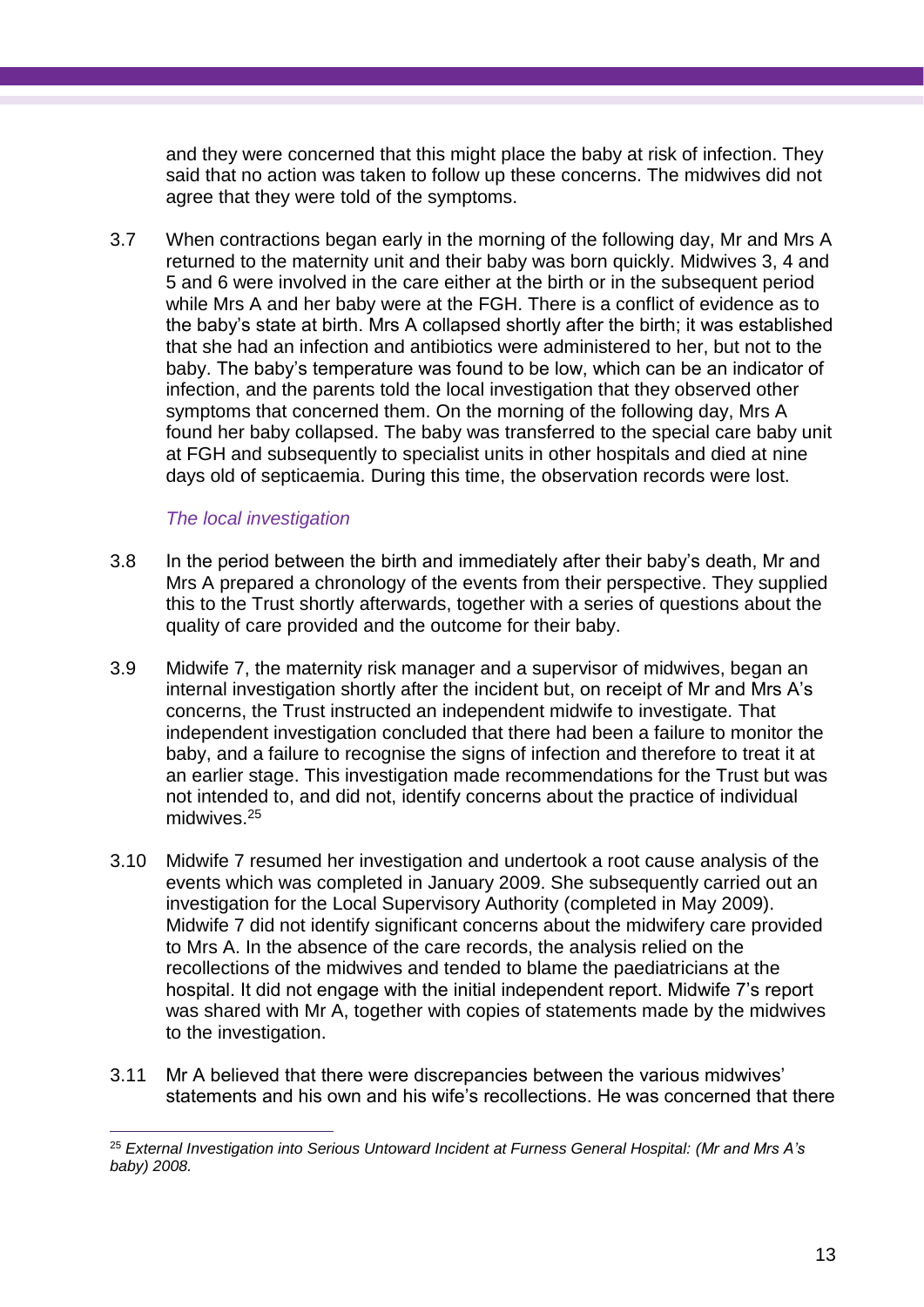and they were concerned that this might place the baby at risk of infection. They said that no action was taken to follow up these concerns. The midwives did not agree that they were told of the symptoms.

3.7 When contractions began early in the morning of the following day, Mr and Mrs A returned to the maternity unit and their baby was born quickly. Midwives 3, 4 and 5 and 6 were involved in the care either at the birth or in the subsequent period while Mrs A and her baby were at the FGH. There is a conflict of evidence as to the baby's state at birth. Mrs A collapsed shortly after the birth; it was established that she had an infection and antibiotics were administered to her, but not to the baby. The baby's temperature was found to be low, which can be an indicator of infection, and the parents told the local investigation that they observed other symptoms that concerned them. On the morning of the following day, Mrs A found her baby collapsed. The baby was transferred to the special care baby unit at FGH and subsequently to specialist units in other hospitals and died at nine days old of septicaemia. During this time, the observation records were lost.

#### *The local investigation*

- 3.8 In the period between the birth and immediately after their baby's death, Mr and Mrs A prepared a chronology of the events from their perspective. They supplied this to the Trust shortly afterwards, together with a series of questions about the quality of care provided and the outcome for their baby.
- 3.9 Midwife 7, the maternity risk manager and a supervisor of midwives, began an internal investigation shortly after the incident but, on receipt of Mr and Mrs A's concerns, the Trust instructed an independent midwife to investigate. That independent investigation concluded that there had been a failure to monitor the baby, and a failure to recognise the signs of infection and therefore to treat it at an earlier stage. This investigation made recommendations for the Trust but was not intended to, and did not, identify concerns about the practice of individual midwives. 25
- 3.10 Midwife 7 resumed her investigation and undertook a root cause analysis of the events which was completed in January 2009. She subsequently carried out an investigation for the Local Supervisory Authority (completed in May 2009). Midwife 7 did not identify significant concerns about the midwifery care provided to Mrs A. In the absence of the care records, the analysis relied on the recollections of the midwives and tended to blame the paediatricians at the hospital. It did not engage with the initial independent report. Midwife 7's report was shared with Mr A, together with copies of statements made by the midwives to the investigation.
- 3.11 Mr A believed that there were discrepancies between the various midwives' statements and his own and his wife's recollections. He was concerned that there

<sup>25</sup> *External Investigation into Serious Untoward Incident at Furness General Hospital: (Mr and Mrs A's baby) 2008.*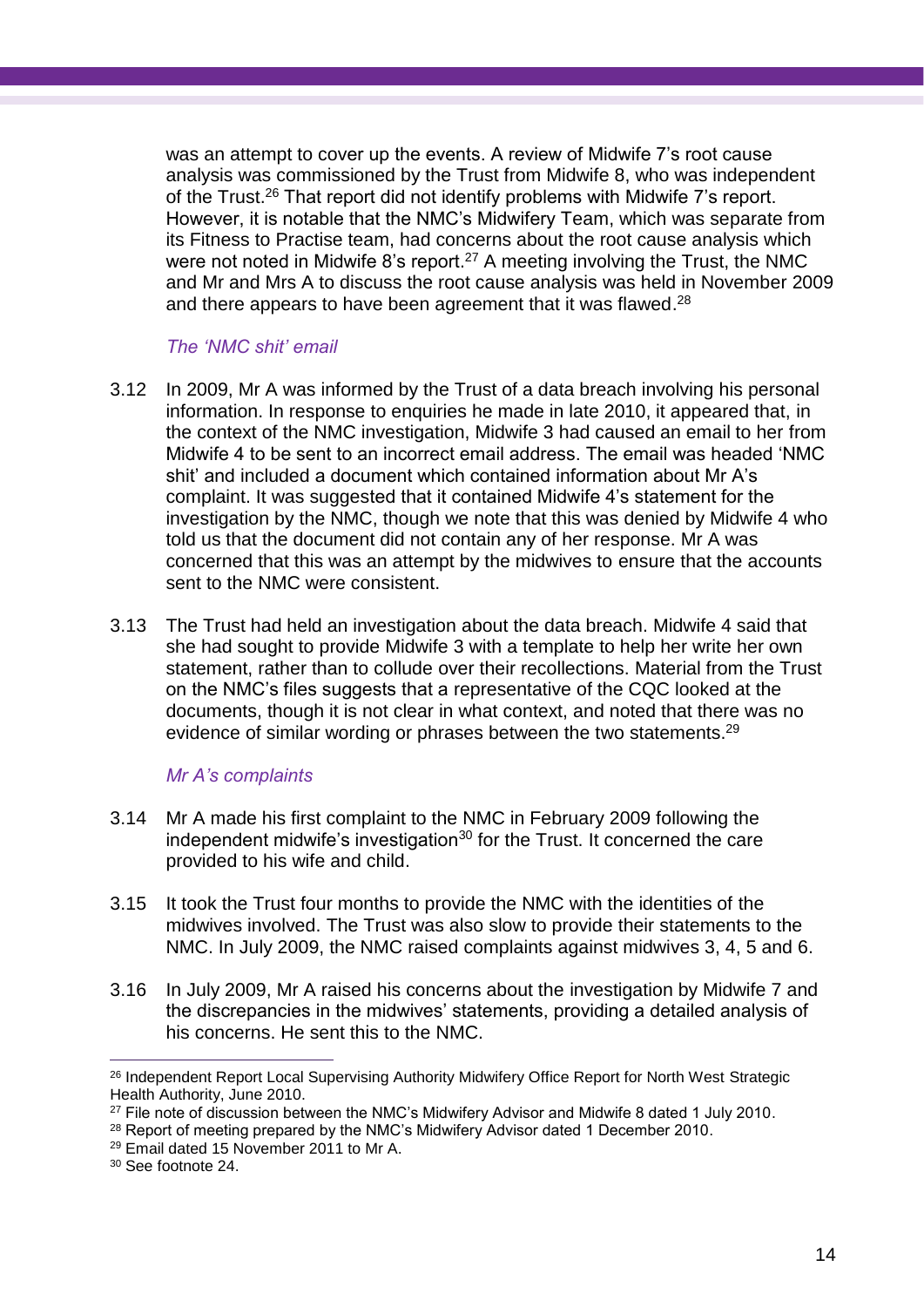was an attempt to cover up the events. A review of Midwife 7's root cause analysis was commissioned by the Trust from Midwife 8, who was independent of the Trust.<sup>26</sup> That report did not identify problems with Midwife 7's report. However, it is notable that the NMC's Midwifery Team, which was separate from its Fitness to Practise team, had concerns about the root cause analysis which were not noted in Midwife 8's report. <sup>27</sup> A meeting involving the Trust, the NMC and Mr and Mrs A to discuss the root cause analysis was held in November 2009 and there appears to have been agreement that it was flawed.<sup>28</sup>

#### *The 'NMC shit' email*

- 3.12 In 2009, Mr A was informed by the Trust of a data breach involving his personal information. In response to enquiries he made in late 2010, it appeared that, in the context of the NMC investigation, Midwife 3 had caused an email to her from Midwife 4 to be sent to an incorrect email address. The email was headed 'NMC shit' and included a document which contained information about Mr A's complaint. It was suggested that it contained Midwife 4's statement for the investigation by the NMC, though we note that this was denied by Midwife 4 who told us that the document did not contain any of her response. Mr A was concerned that this was an attempt by the midwives to ensure that the accounts sent to the NMC were consistent.
- 3.13 The Trust had held an investigation about the data breach. Midwife 4 said that she had sought to provide Midwife 3 with a template to help her write her own statement, rather than to collude over their recollections. Material from the Trust on the NMC's files suggests that a representative of the CQC looked at the documents, though it is not clear in what context, and noted that there was no evidence of similar wording or phrases between the two statements.<sup>29</sup>

#### *Mr A's complaints*

- 3.14 Mr A made his first complaint to the NMC in February 2009 following the independent midwife's investigation<sup>30</sup> for the Trust. It concerned the care provided to his wife and child.
- 3.15 It took the Trust four months to provide the NMC with the identities of the midwives involved. The Trust was also slow to provide their statements to the NMC. In July 2009, the NMC raised complaints against midwives 3, 4, 5 and 6.
- 3.16 In July 2009, Mr A raised his concerns about the investigation by Midwife 7 and the discrepancies in the midwives' statements, providing a detailed analysis of his concerns. He sent this to the NMC.

 $\overline{a}$ <sup>26</sup> Independent Report Local Supervising Authority Midwifery Office Report for North West Strategic Health Authority, June 2010.

<sup>&</sup>lt;sup>27</sup> File note of discussion between the NMC's Midwifery Advisor and Midwife 8 dated 1 July 2010.

<sup>&</sup>lt;sup>28</sup> Report of meeting prepared by the NMC's Midwifery Advisor dated 1 December 2010.

<sup>29</sup> Email dated 15 November 2011 to Mr A.

<sup>30</sup> See footnote 24.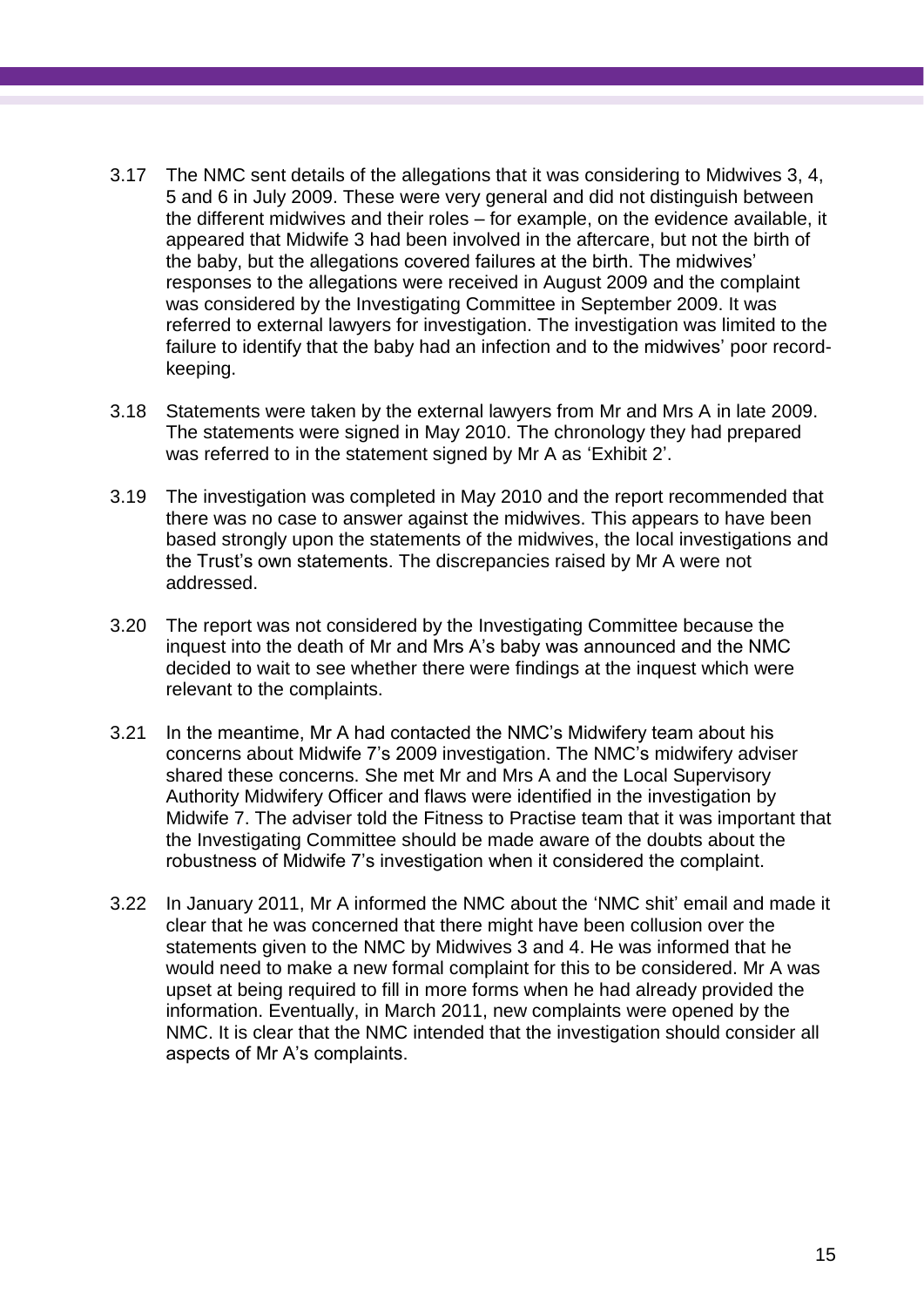- 3.17 The NMC sent details of the allegations that it was considering to Midwives 3, 4, 5 and 6 in July 2009. These were very general and did not distinguish between the different midwives and their roles – for example, on the evidence available, it appeared that Midwife 3 had been involved in the aftercare, but not the birth of the baby, but the allegations covered failures at the birth. The midwives' responses to the allegations were received in August 2009 and the complaint was considered by the Investigating Committee in September 2009. It was referred to external lawyers for investigation. The investigation was limited to the failure to identify that the baby had an infection and to the midwives' poor recordkeeping.
- 3.18 Statements were taken by the external lawyers from Mr and Mrs A in late 2009. The statements were signed in May 2010. The chronology they had prepared was referred to in the statement signed by Mr A as 'Exhibit 2'.
- 3.19 The investigation was completed in May 2010 and the report recommended that there was no case to answer against the midwives. This appears to have been based strongly upon the statements of the midwives, the local investigations and the Trust's own statements. The discrepancies raised by Mr A were not addressed.
- 3.20 The report was not considered by the Investigating Committee because the inquest into the death of Mr and Mrs A's baby was announced and the NMC decided to wait to see whether there were findings at the inquest which were relevant to the complaints.
- 3.21 In the meantime, Mr A had contacted the NMC's Midwifery team about his concerns about Midwife 7's 2009 investigation. The NMC's midwifery adviser shared these concerns. She met Mr and Mrs A and the Local Supervisory Authority Midwifery Officer and flaws were identified in the investigation by Midwife 7. The adviser told the Fitness to Practise team that it was important that the Investigating Committee should be made aware of the doubts about the robustness of Midwife 7's investigation when it considered the complaint.
- 3.22 In January 2011, Mr A informed the NMC about the 'NMC shit' email and made it clear that he was concerned that there might have been collusion over the statements given to the NMC by Midwives 3 and 4. He was informed that he would need to make a new formal complaint for this to be considered. Mr A was upset at being required to fill in more forms when he had already provided the information. Eventually, in March 2011, new complaints were opened by the NMC. It is clear that the NMC intended that the investigation should consider all aspects of Mr A's complaints.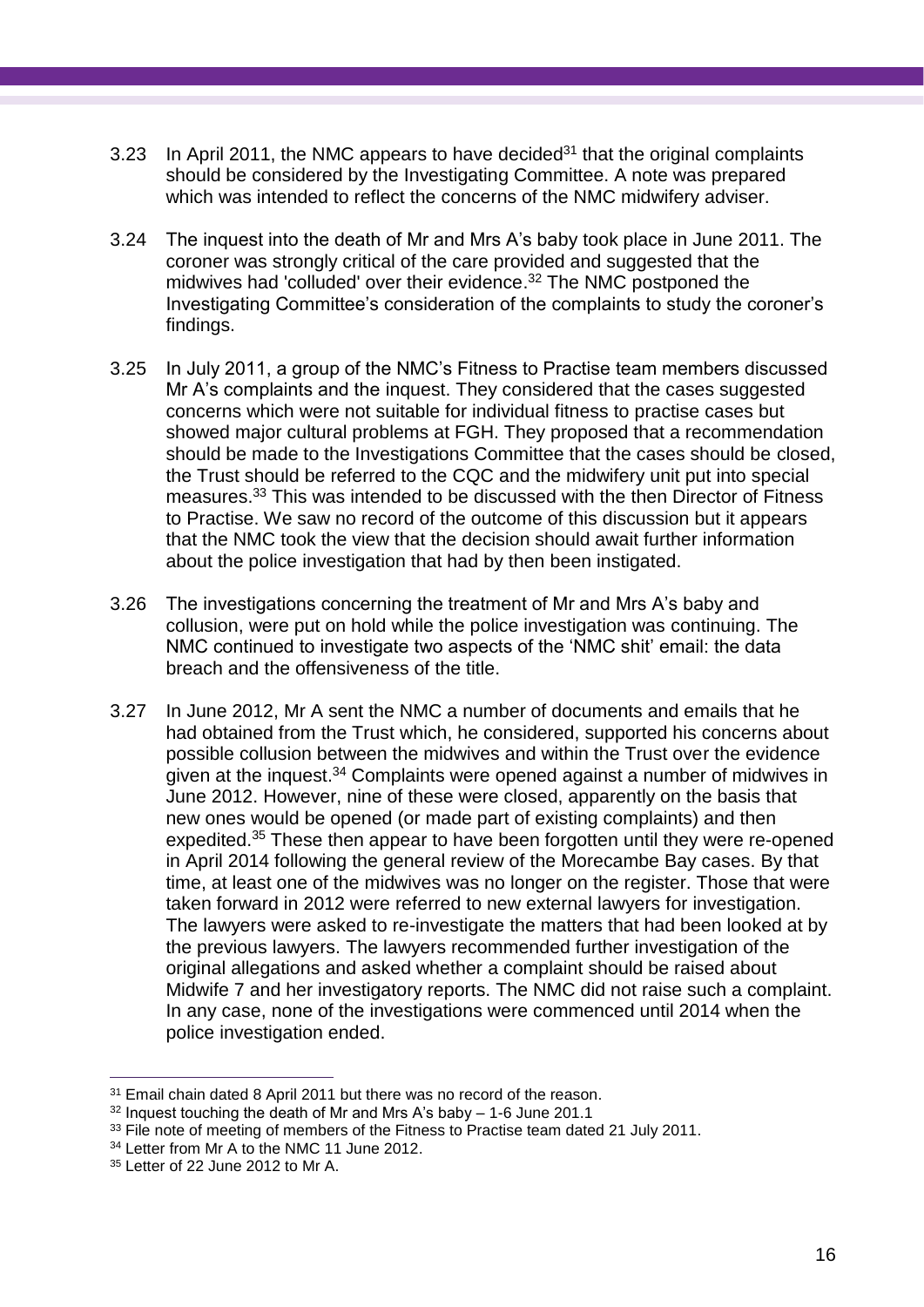- 3.23 In April 2011, the NMC appears to have decided<sup>31</sup> that the original complaints should be considered by the Investigating Committee. A note was prepared which was intended to reflect the concerns of the NMC midwifery adviser.
- 3.24 The inquest into the death of Mr and Mrs A's baby took place in June 2011. The coroner was strongly critical of the care provided and suggested that the midwives had 'colluded' over their evidence. <sup>32</sup> The NMC postponed the Investigating Committee's consideration of the complaints to study the coroner's findings.
- 3.25 In July 2011, a group of the NMC's Fitness to Practise team members discussed Mr A's complaints and the inquest. They considered that the cases suggested concerns which were not suitable for individual fitness to practise cases but showed major cultural problems at FGH. They proposed that a recommendation should be made to the Investigations Committee that the cases should be closed, the Trust should be referred to the CQC and the midwifery unit put into special measures. <sup>33</sup> This was intended to be discussed with the then Director of Fitness to Practise. We saw no record of the outcome of this discussion but it appears that the NMC took the view that the decision should await further information about the police investigation that had by then been instigated.
- 3.26 The investigations concerning the treatment of Mr and Mrs A's baby and collusion, were put on hold while the police investigation was continuing. The NMC continued to investigate two aspects of the 'NMC shit' email: the data breach and the offensiveness of the title.
- 3.27 In June 2012, Mr A sent the NMC a number of documents and emails that he had obtained from the Trust which, he considered, supported his concerns about possible collusion between the midwives and within the Trust over the evidence given at the inquest.<sup>34</sup> Complaints were opened against a number of midwives in June 2012. However, nine of these were closed, apparently on the basis that new ones would be opened (or made part of existing complaints) and then expedited. <sup>35</sup> These then appear to have been forgotten until they were re-opened in April 2014 following the general review of the Morecambe Bay cases. By that time, at least one of the midwives was no longer on the register. Those that were taken forward in 2012 were referred to new external lawyers for investigation. The lawyers were asked to re-investigate the matters that had been looked at by the previous lawyers. The lawyers recommended further investigation of the original allegations and asked whether a complaint should be raised about Midwife 7 and her investigatory reports. The NMC did not raise such a complaint. In any case, none of the investigations were commenced until 2014 when the police investigation ended.

 $\overline{a}$ <sup>31</sup> Email chain dated 8 April 2011 but there was no record of the reason.

 $32$  Inquest touching the death of Mr and Mrs A's baby  $-1$ -6 June 201.1

<sup>&</sup>lt;sup>33</sup> File note of meeting of members of the Fitness to Practise team dated 21 July 2011.

<sup>&</sup>lt;sup>34</sup> Letter from Mr A to the NMC 11 June 2012.

<sup>35</sup> Letter of 22 June 2012 to Mr A.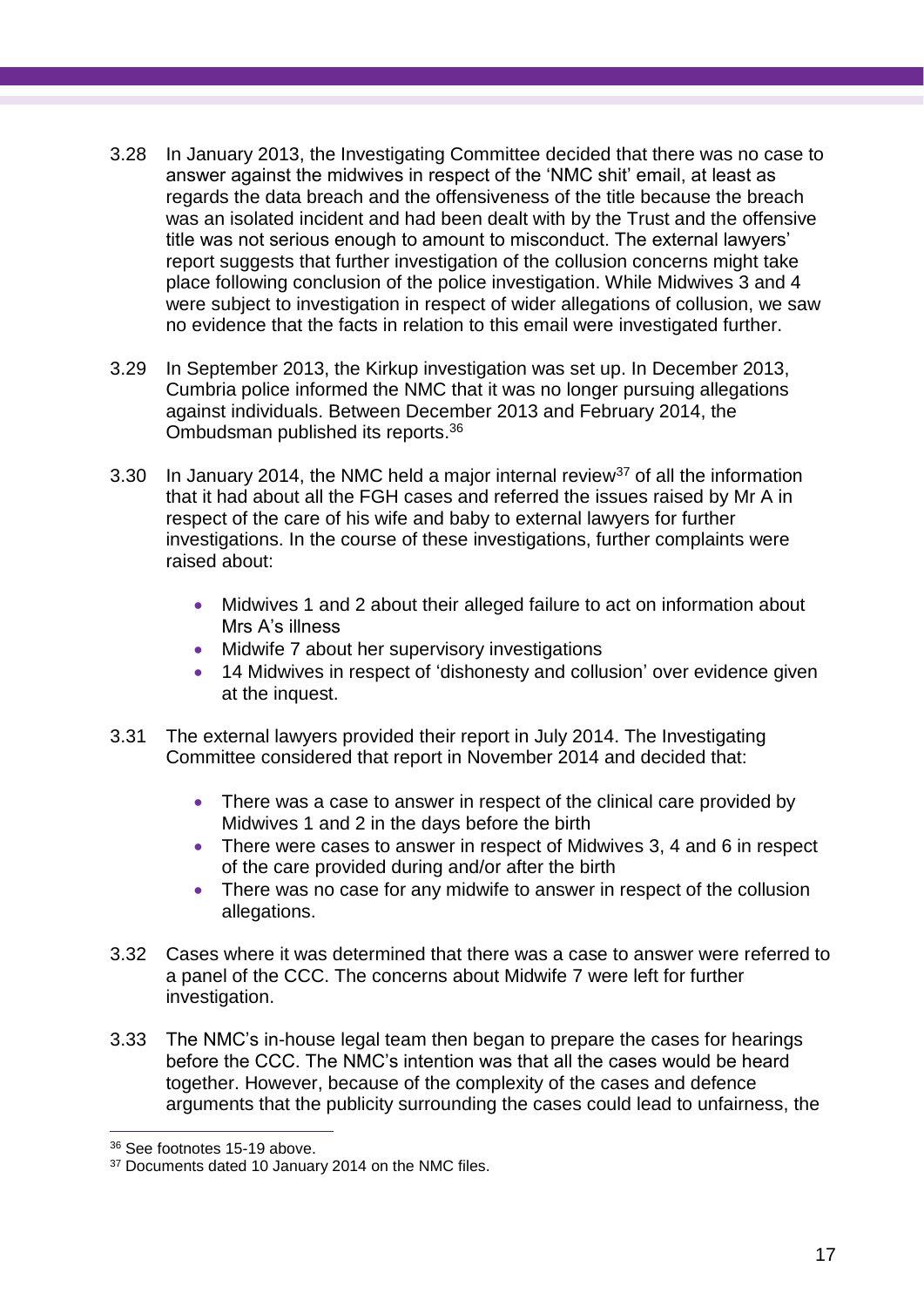- 3.28 In January 2013, the Investigating Committee decided that there was no case to answer against the midwives in respect of the 'NMC shit' email, at least as regards the data breach and the offensiveness of the title because the breach was an isolated incident and had been dealt with by the Trust and the offensive title was not serious enough to amount to misconduct. The external lawyers' report suggests that further investigation of the collusion concerns might take place following conclusion of the police investigation. While Midwives 3 and 4 were subject to investigation in respect of wider allegations of collusion, we saw no evidence that the facts in relation to this email were investigated further.
- 3.29 In September 2013, the Kirkup investigation was set up. In December 2013, Cumbria police informed the NMC that it was no longer pursuing allegations against individuals. Between December 2013 and February 2014, the Ombudsman published its reports. 36
- 3.30 In January 2014, the NMC held a major internal review<sup>37</sup> of all the information that it had about all the FGH cases and referred the issues raised by Mr A in respect of the care of his wife and baby to external lawyers for further investigations. In the course of these investigations, further complaints were raised about:
	- Midwives 1 and 2 about their alleged failure to act on information about Mrs A's illness
	- Midwife 7 about her supervisory investigations
	- 14 Midwives in respect of 'dishonesty and collusion' over evidence given at the inquest.
- 3.31 The external lawyers provided their report in July 2014. The Investigating Committee considered that report in November 2014 and decided that:
	- There was a case to answer in respect of the clinical care provided by Midwives 1 and 2 in the days before the birth
	- There were cases to answer in respect of Midwives 3, 4 and 6 in respect of the care provided during and/or after the birth
	- There was no case for any midwife to answer in respect of the collusion allegations.
- 3.32 Cases where it was determined that there was a case to answer were referred to a panel of the CCC. The concerns about Midwife 7 were left for further investigation.
- 3.33 The NMC's in-house legal team then began to prepare the cases for hearings before the CCC. The NMC's intention was that all the cases would be heard together. However, because of the complexity of the cases and defence arguments that the publicity surrounding the cases could lead to unfairness, the

 $\overline{a}$ <sup>36</sup> See footnotes 15-19 above.

<sup>&</sup>lt;sup>37</sup> Documents dated 10 January 2014 on the NMC files.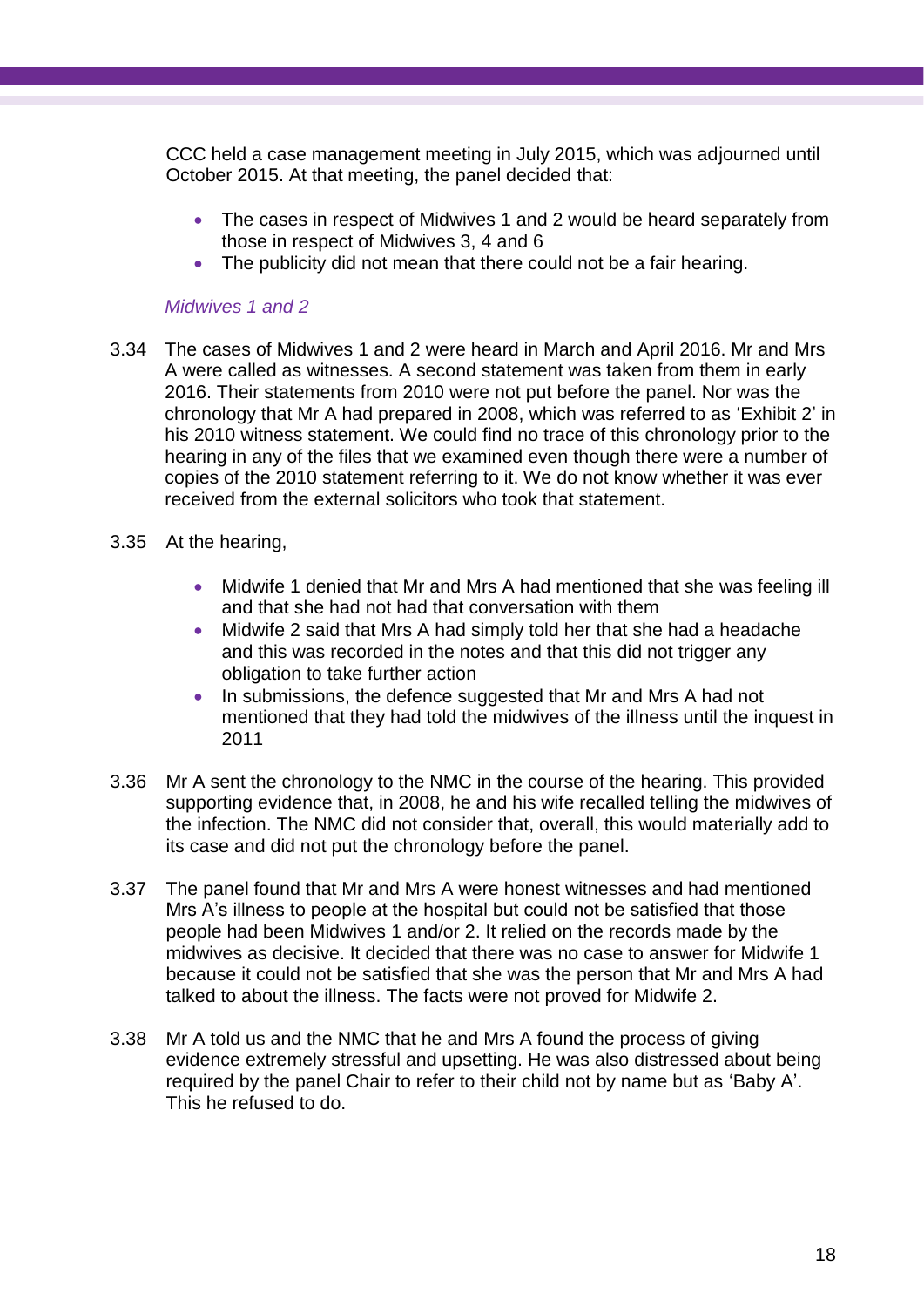CCC held a case management meeting in July 2015, which was adjourned until October 2015. At that meeting, the panel decided that:

- The cases in respect of Midwives 1 and 2 would be heard separately from those in respect of Midwives 3, 4 and 6
- The publicity did not mean that there could not be a fair hearing.

#### *Midwives 1 and 2*

- 3.34 The cases of Midwives 1 and 2 were heard in March and April 2016. Mr and Mrs A were called as witnesses. A second statement was taken from them in early 2016. Their statements from 2010 were not put before the panel. Nor was the chronology that Mr A had prepared in 2008, which was referred to as 'Exhibit 2' in his 2010 witness statement. We could find no trace of this chronology prior to the hearing in any of the files that we examined even though there were a number of copies of the 2010 statement referring to it. We do not know whether it was ever received from the external solicitors who took that statement.
- 3.35 At the hearing,
	- Midwife 1 denied that Mr and Mrs A had mentioned that she was feeling ill and that she had not had that conversation with them
	- Midwife 2 said that Mrs A had simply told her that she had a headache and this was recorded in the notes and that this did not trigger any obligation to take further action
	- In submissions, the defence suggested that Mr and Mrs A had not mentioned that they had told the midwives of the illness until the inquest in 2011
- 3.36 Mr A sent the chronology to the NMC in the course of the hearing. This provided supporting evidence that, in 2008, he and his wife recalled telling the midwives of the infection. The NMC did not consider that, overall, this would materially add to its case and did not put the chronology before the panel.
- 3.37 The panel found that Mr and Mrs A were honest witnesses and had mentioned Mrs A's illness to people at the hospital but could not be satisfied that those people had been Midwives 1 and/or 2. It relied on the records made by the midwives as decisive. It decided that there was no case to answer for Midwife 1 because it could not be satisfied that she was the person that Mr and Mrs A had talked to about the illness. The facts were not proved for Midwife 2.
- 3.38 Mr A told us and the NMC that he and Mrs A found the process of giving evidence extremely stressful and upsetting. He was also distressed about being required by the panel Chair to refer to their child not by name but as 'Baby A'. This he refused to do.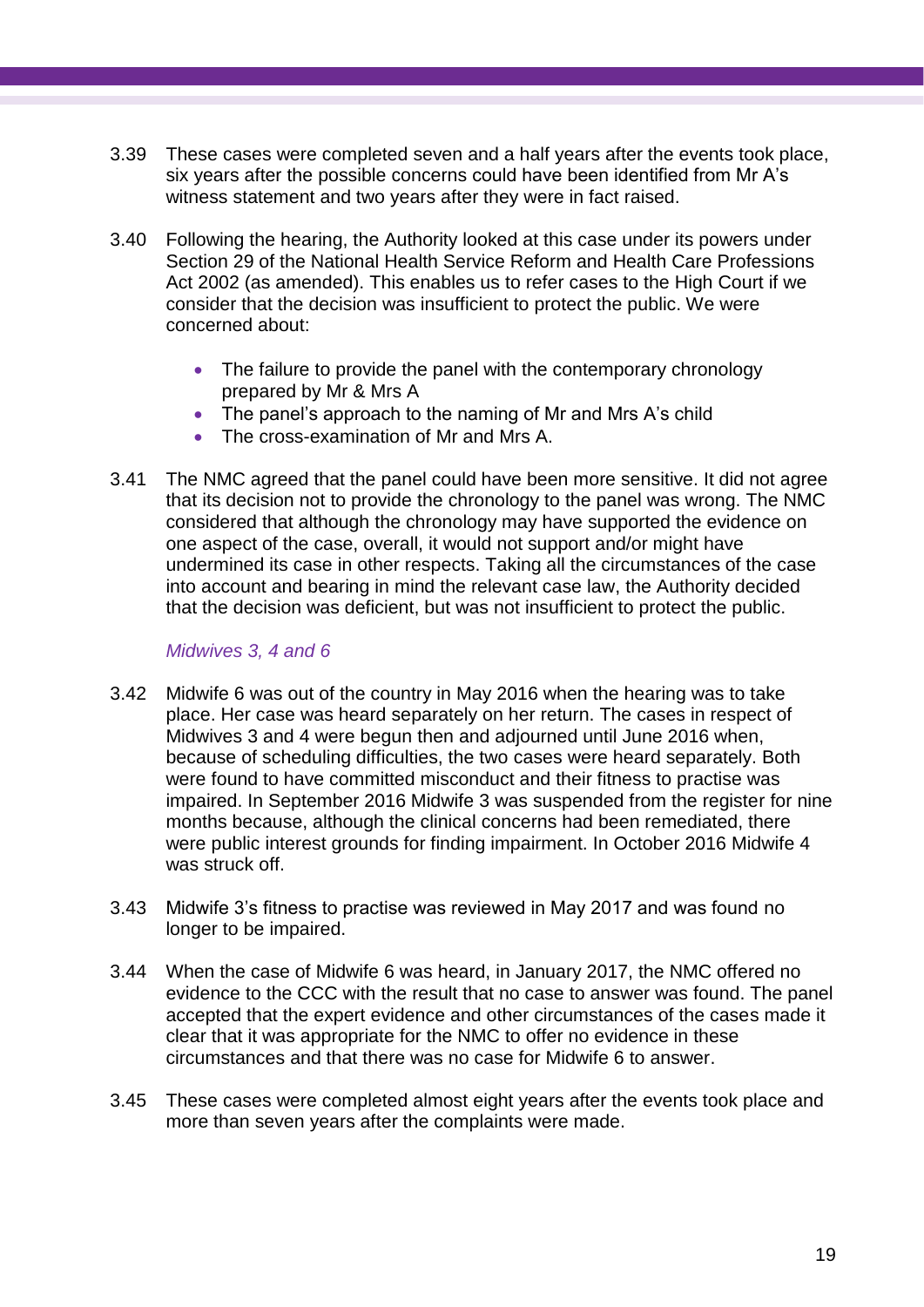- 3.39 These cases were completed seven and a half years after the events took place, six years after the possible concerns could have been identified from Mr A's witness statement and two years after they were in fact raised.
- 3.40 Following the hearing, the Authority looked at this case under its powers under Section 29 of the National Health Service Reform and Health Care Professions Act 2002 (as amended). This enables us to refer cases to the High Court if we consider that the decision was insufficient to protect the public. We were concerned about:
	- The failure to provide the panel with the contemporary chronology prepared by Mr & Mrs A
	- The panel's approach to the naming of Mr and Mrs A's child
	- The cross-examination of Mr and Mrs A.
- 3.41 The NMC agreed that the panel could have been more sensitive. It did not agree that its decision not to provide the chronology to the panel was wrong. The NMC considered that although the chronology may have supported the evidence on one aspect of the case, overall, it would not support and/or might have undermined its case in other respects. Taking all the circumstances of the case into account and bearing in mind the relevant case law, the Authority decided that the decision was deficient, but was not insufficient to protect the public.

#### *Midwives 3, 4 and 6*

- 3.42 Midwife 6 was out of the country in May 2016 when the hearing was to take place. Her case was heard separately on her return. The cases in respect of Midwives 3 and 4 were begun then and adjourned until June 2016 when, because of scheduling difficulties, the two cases were heard separately. Both were found to have committed misconduct and their fitness to practise was impaired. In September 2016 Midwife 3 was suspended from the register for nine months because, although the clinical concerns had been remediated, there were public interest grounds for finding impairment. In October 2016 Midwife 4 was struck off.
- 3.43 Midwife 3's fitness to practise was reviewed in May 2017 and was found no longer to be impaired.
- 3.44 When the case of Midwife 6 was heard, in January 2017, the NMC offered no evidence to the CCC with the result that no case to answer was found. The panel accepted that the expert evidence and other circumstances of the cases made it clear that it was appropriate for the NMC to offer no evidence in these circumstances and that there was no case for Midwife 6 to answer.
- 3.45 These cases were completed almost eight years after the events took place and more than seven years after the complaints were made.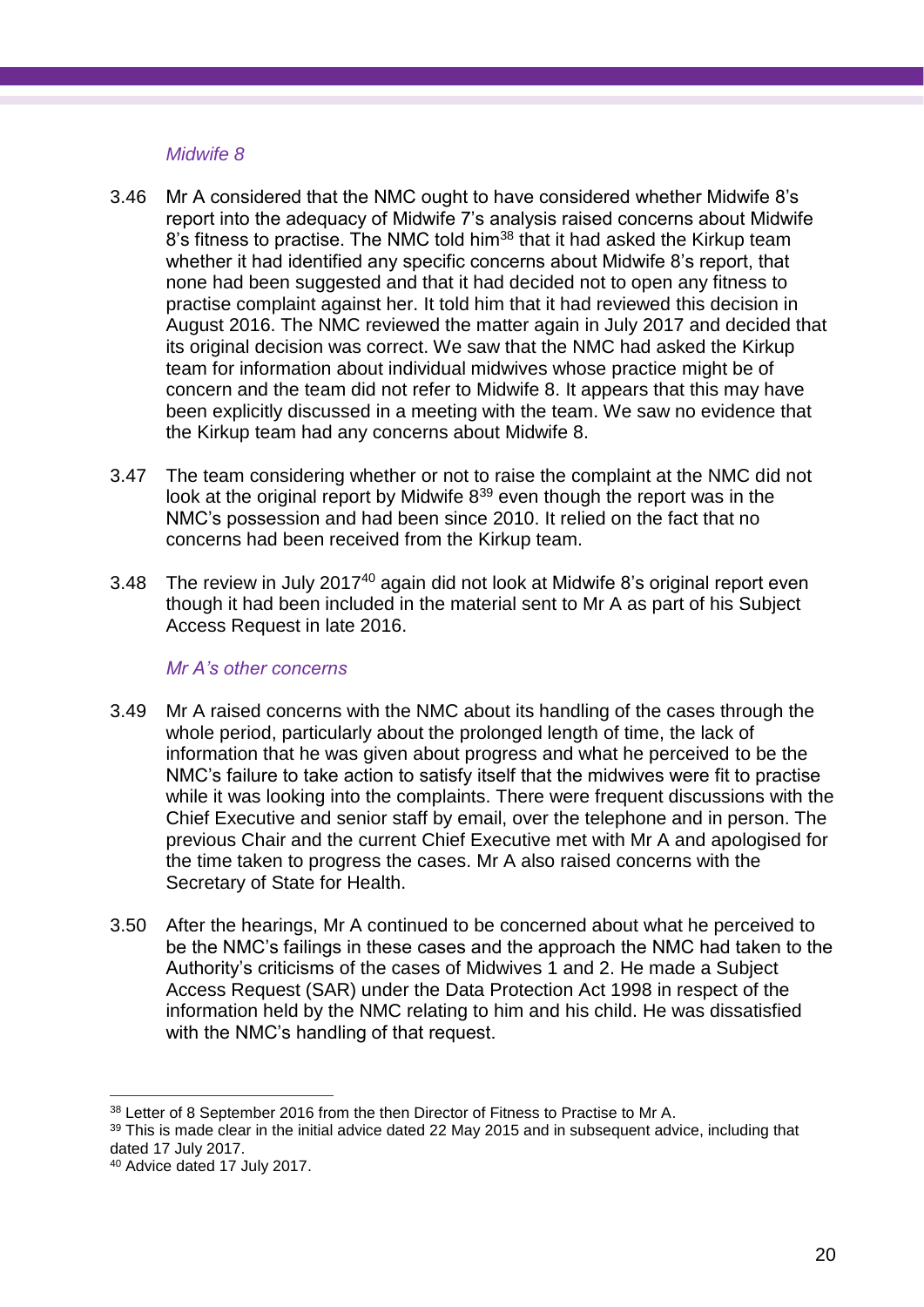#### *Midwife 8*

- 3.46 Mr A considered that the NMC ought to have considered whether Midwife 8's report into the adequacy of Midwife 7's analysis raised concerns about Midwife 8's fitness to practise. The NMC told him<sup>38</sup> that it had asked the Kirkup team whether it had identified any specific concerns about Midwife 8's report, that none had been suggested and that it had decided not to open any fitness to practise complaint against her. It told him that it had reviewed this decision in August 2016. The NMC reviewed the matter again in July 2017 and decided that its original decision was correct. We saw that the NMC had asked the Kirkup team for information about individual midwives whose practice might be of concern and the team did not refer to Midwife 8. It appears that this may have been explicitly discussed in a meeting with the team. We saw no evidence that the Kirkup team had any concerns about Midwife 8.
- 3.47 The team considering whether or not to raise the complaint at the NMC did not look at the original report by Midwife 8<sup>39</sup> even though the report was in the NMC's possession and had been since 2010. It relied on the fact that no concerns had been received from the Kirkup team.
- 3.48 The review in July 2017<sup>40</sup> again did not look at Midwife 8's original report even though it had been included in the material sent to Mr A as part of his Subject Access Request in late 2016.

#### *Mr A's other concerns*

- 3.49 Mr A raised concerns with the NMC about its handling of the cases through the whole period, particularly about the prolonged length of time, the lack of information that he was given about progress and what he perceived to be the NMC's failure to take action to satisfy itself that the midwives were fit to practise while it was looking into the complaints. There were frequent discussions with the Chief Executive and senior staff by email, over the telephone and in person. The previous Chair and the current Chief Executive met with Mr A and apologised for the time taken to progress the cases. Mr A also raised concerns with the Secretary of State for Health.
- 3.50 After the hearings, Mr A continued to be concerned about what he perceived to be the NMC's failings in these cases and the approach the NMC had taken to the Authority's criticisms of the cases of Midwives 1 and 2. He made a Subject Access Request (SAR) under the Data Protection Act 1998 in respect of the information held by the NMC relating to him and his child. He was dissatisfied with the NMC's handling of that request.

 $\overline{a}$ 38 Letter of 8 September 2016 from the then Director of Fitness to Practise to Mr A.

<sup>&</sup>lt;sup>39</sup> This is made clear in the initial advice dated 22 May 2015 and in subsequent advice, including that dated 17 July 2017.

<sup>40</sup> Advice dated 17 July 2017.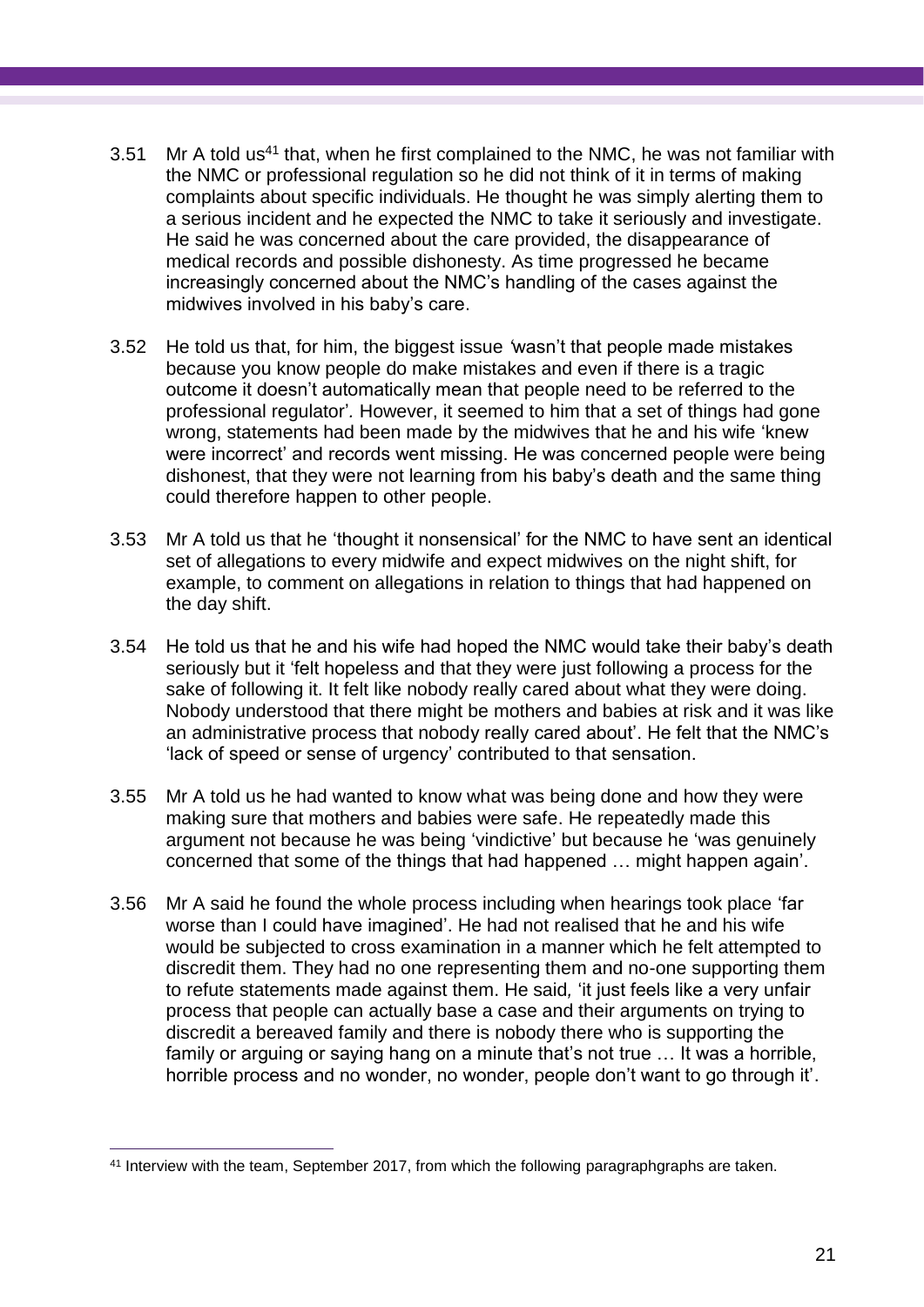- 3.51 Mr A told us<sup>41</sup> that, when he first complained to the NMC, he was not familiar with the NMC or professional regulation so he did not think of it in terms of making complaints about specific individuals. He thought he was simply alerting them to a serious incident and he expected the NMC to take it seriously and investigate. He said he was concerned about the care provided, the disappearance of medical records and possible dishonesty. As time progressed he became increasingly concerned about the NMC's handling of the cases against the midwives involved in his baby's care.
- 3.52 He told us that, for him, the biggest issue *'*wasn't that people made mistakes because you know people do make mistakes and even if there is a tragic outcome it doesn't automatically mean that people need to be referred to the professional regulator'*.* However, it seemed to him that a set of things had gone wrong, statements had been made by the midwives that he and his wife 'knew were incorrect' and records went missing. He was concerned people were being dishonest, that they were not learning from his baby's death and the same thing could therefore happen to other people.
- 3.53 Mr A told us that he 'thought it nonsensical' for the NMC to have sent an identical set of allegations to every midwife and expect midwives on the night shift, for example, to comment on allegations in relation to things that had happened on the day shift.
- 3.54 He told us that he and his wife had hoped the NMC would take their baby's death seriously but it 'felt hopeless and that they were just following a process for the sake of following it. It felt like nobody really cared about what they were doing. Nobody understood that there might be mothers and babies at risk and it was like an administrative process that nobody really cared about'. He felt that the NMC's 'lack of speed or sense of urgency' contributed to that sensation.
- 3.55 Mr A told us he had wanted to know what was being done and how they were making sure that mothers and babies were safe. He repeatedly made this argument not because he was being 'vindictive' but because he 'was genuinely concerned that some of the things that had happened … might happen again'.
- 3.56 Mr A said he found the whole process including when hearings took place 'far worse than I could have imagined'. He had not realised that he and his wife would be subjected to cross examination in a manner which he felt attempted to discredit them. They had no one representing them and no-one supporting them to refute statements made against them. He said*,* 'it just feels like a very unfair process that people can actually base a case and their arguments on trying to discredit a bereaved family and there is nobody there who is supporting the family or arguing or saying hang on a minute that's not true … It was a horrible, horrible process and no wonder, no wonder, people don't want to go through it'.

<sup>41</sup> Interview with the team, September 2017, from which the following paragraphgraphs are taken.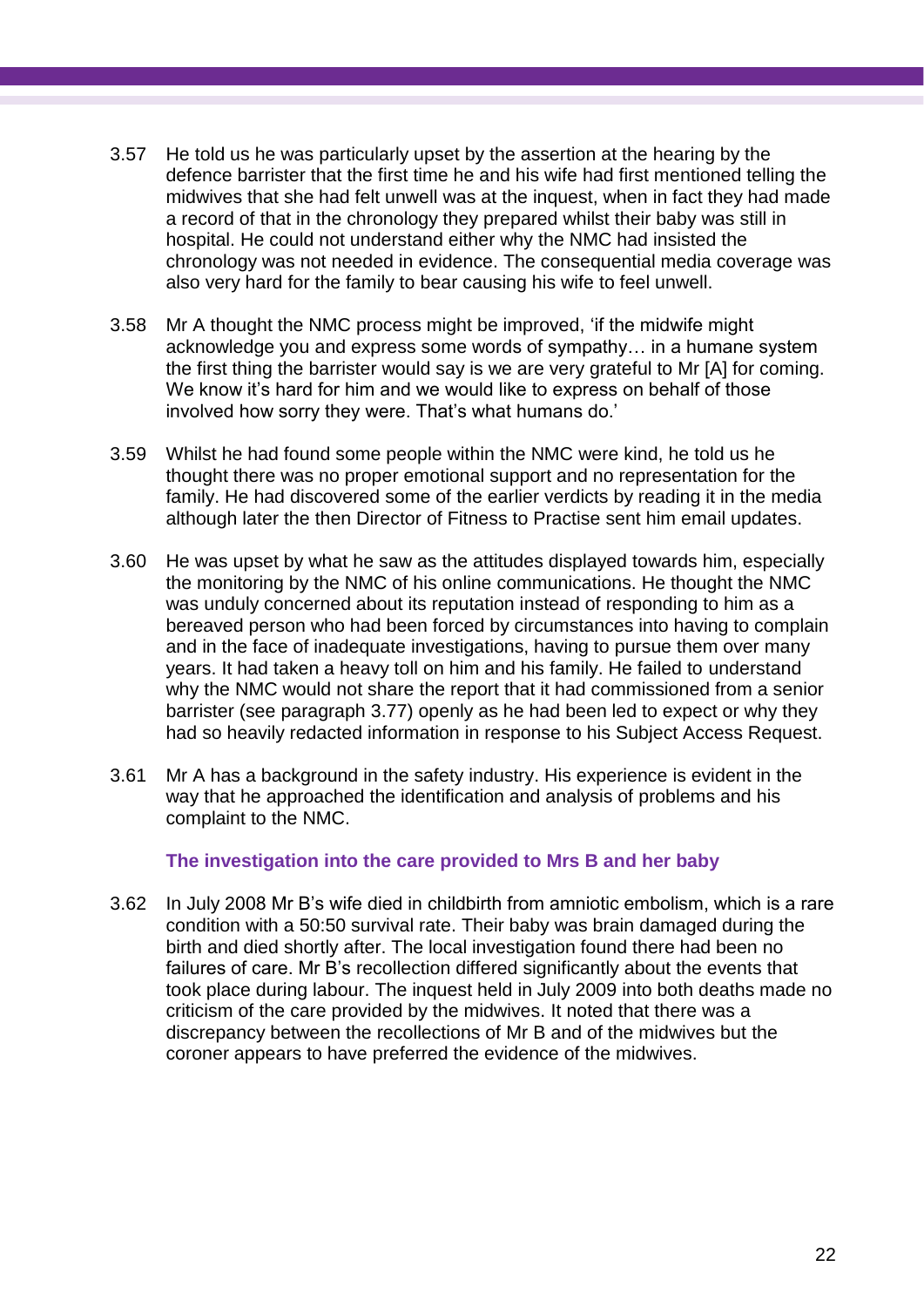- 3.57 He told us he was particularly upset by the assertion at the hearing by the defence barrister that the first time he and his wife had first mentioned telling the midwives that she had felt unwell was at the inquest, when in fact they had made a record of that in the chronology they prepared whilst their baby was still in hospital. He could not understand either why the NMC had insisted the chronology was not needed in evidence. The consequential media coverage was also very hard for the family to bear causing his wife to feel unwell.
- 3.58 Mr A thought the NMC process might be improved, 'if the midwife might acknowledge you and express some words of sympathy… in a humane system the first thing the barrister would say is we are very grateful to Mr [A] for coming. We know it's hard for him and we would like to express on behalf of those involved how sorry they were. That's what humans do.'
- 3.59 Whilst he had found some people within the NMC were kind, he told us he thought there was no proper emotional support and no representation for the family. He had discovered some of the earlier verdicts by reading it in the media although later the then Director of Fitness to Practise sent him email updates.
- 3.60 He was upset by what he saw as the attitudes displayed towards him, especially the monitoring by the NMC of his online communications. He thought the NMC was unduly concerned about its reputation instead of responding to him as a bereaved person who had been forced by circumstances into having to complain and in the face of inadequate investigations, having to pursue them over many years. It had taken a heavy toll on him and his family. He failed to understand why the NMC would not share the report that it had commissioned from a senior barrister (see paragraph 3.77) openly as he had been led to expect or why they had so heavily redacted information in response to his Subject Access Request.
- 3.61 Mr A has a background in the safety industry. His experience is evident in the way that he approached the identification and analysis of problems and his complaint to the NMC.

#### **The investigation into the care provided to Mrs B and her baby**

3.62 In July 2008 Mr B's wife died in childbirth from amniotic embolism, which is a rare condition with a 50:50 survival rate. Their baby was brain damaged during the birth and died shortly after. The local investigation found there had been no failures of care. Mr B's recollection differed significantly about the events that took place during labour. The inquest held in July 2009 into both deaths made no criticism of the care provided by the midwives. It noted that there was a discrepancy between the recollections of Mr B and of the midwives but the coroner appears to have preferred the evidence of the midwives.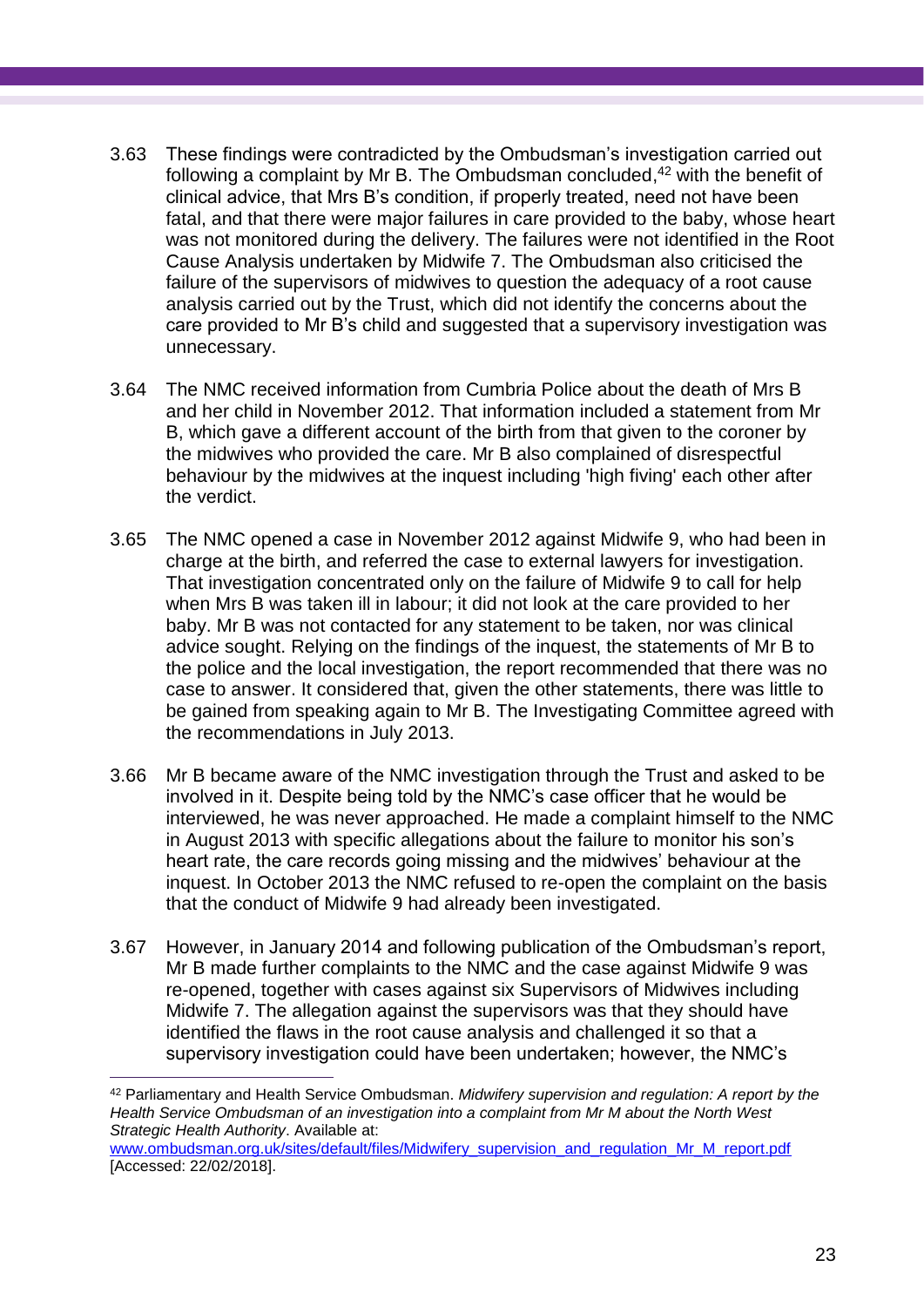- 3.63 These findings were contradicted by the Ombudsman's investigation carried out following a complaint by Mr B. The Ombudsman concluded, <sup>42</sup> with the benefit of clinical advice, that Mrs B's condition, if properly treated, need not have been fatal, and that there were major failures in care provided to the baby, whose heart was not monitored during the delivery. The failures were not identified in the Root Cause Analysis undertaken by Midwife 7. The Ombudsman also criticised the failure of the supervisors of midwives to question the adequacy of a root cause analysis carried out by the Trust, which did not identify the concerns about the care provided to Mr B's child and suggested that a supervisory investigation was unnecessary.
- 3.64 The NMC received information from Cumbria Police about the death of Mrs B and her child in November 2012. That information included a statement from Mr B, which gave a different account of the birth from that given to the coroner by the midwives who provided the care. Mr B also complained of disrespectful behaviour by the midwives at the inquest including 'high fiving' each other after the verdict.
- 3.65 The NMC opened a case in November 2012 against Midwife 9, who had been in charge at the birth, and referred the case to external lawyers for investigation. That investigation concentrated only on the failure of Midwife 9 to call for help when Mrs B was taken ill in labour; it did not look at the care provided to her baby. Mr B was not contacted for any statement to be taken, nor was clinical advice sought. Relying on the findings of the inquest, the statements of Mr B to the police and the local investigation, the report recommended that there was no case to answer. It considered that, given the other statements, there was little to be gained from speaking again to Mr B. The Investigating Committee agreed with the recommendations in July 2013.
- 3.66 Mr B became aware of the NMC investigation through the Trust and asked to be involved in it. Despite being told by the NMC's case officer that he would be interviewed, he was never approached. He made a complaint himself to the NMC in August 2013 with specific allegations about the failure to monitor his son's heart rate, the care records going missing and the midwives' behaviour at the inquest. In October 2013 the NMC refused to re-open the complaint on the basis that the conduct of Midwife 9 had already been investigated.
- 3.67 However, in January 2014 and following publication of the Ombudsman's report, Mr B made further complaints to the NMC and the case against Midwife 9 was re-opened, together with cases against six Supervisors of Midwives including Midwife 7. The allegation against the supervisors was that they should have identified the flaws in the root cause analysis and challenged it so that a supervisory investigation could have been undertaken; however, the NMC's

<sup>42</sup> Parliamentary and Health Service Ombudsman. *Midwifery supervision and regulation: A report by the Health Service Ombudsman of an investigation into a complaint from Mr M about the North West Strategic Health Authority*. Available at:

[www.ombudsman.org.uk/sites/default/files/Midwifery\\_supervision\\_and\\_regulation\\_Mr\\_M\\_report.pdf](http://www.ombudsman.org.uk/sites/default/files/Midwifery_supervision_and_regulation_Mr_M_report.pdf) [Accessed: 22/02/2018].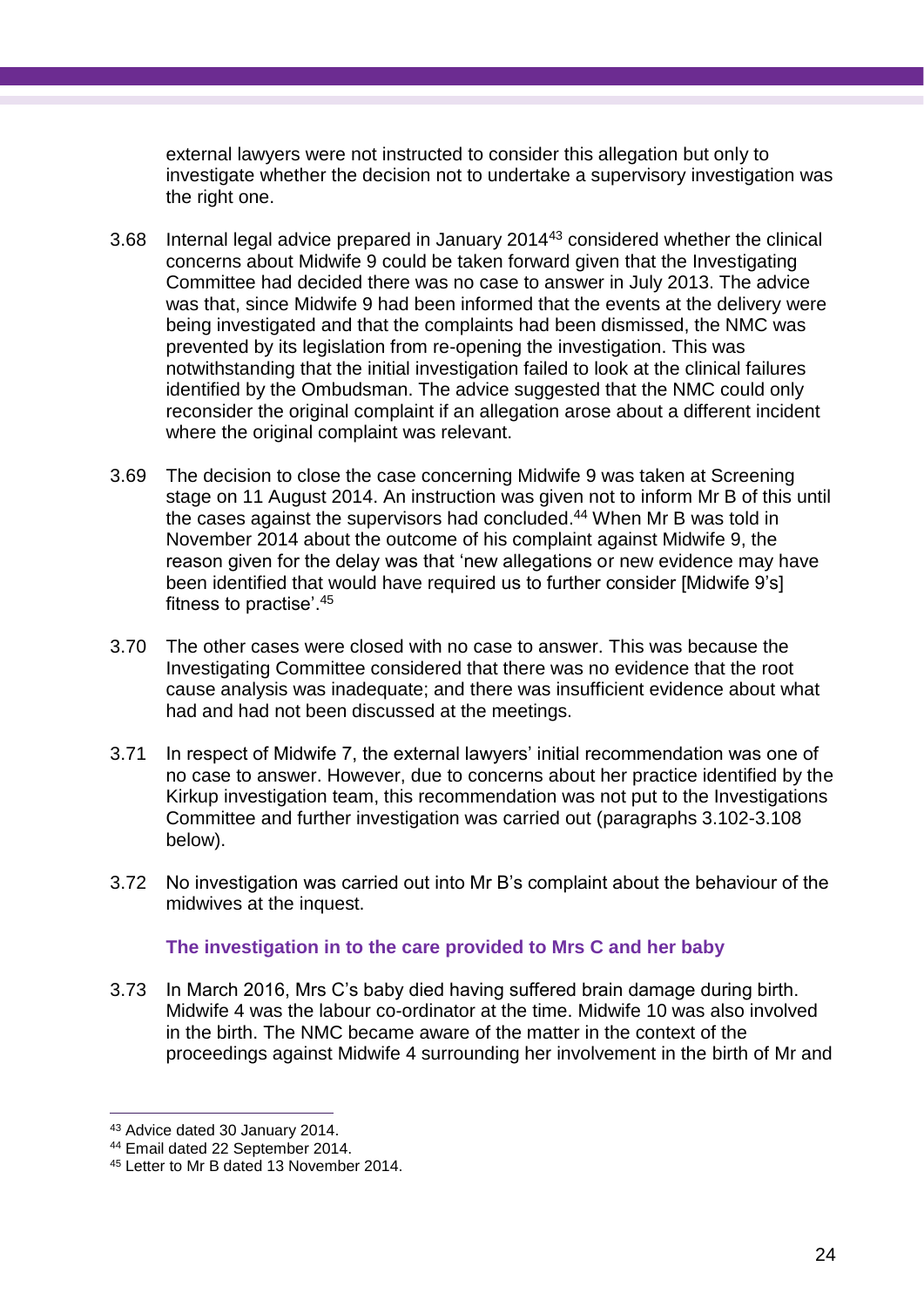external lawyers were not instructed to consider this allegation but only to investigate whether the decision not to undertake a supervisory investigation was the right one.

- 3.68 Internal legal advice prepared in January 2014<sup>43</sup> considered whether the clinical concerns about Midwife 9 could be taken forward given that the Investigating Committee had decided there was no case to answer in July 2013. The advice was that, since Midwife 9 had been informed that the events at the delivery were being investigated and that the complaints had been dismissed, the NMC was prevented by its legislation from re-opening the investigation. This was notwithstanding that the initial investigation failed to look at the clinical failures identified by the Ombudsman. The advice suggested that the NMC could only reconsider the original complaint if an allegation arose about a different incident where the original complaint was relevant.
- 3.69 The decision to close the case concerning Midwife 9 was taken at Screening stage on 11 August 2014. An instruction was given not to inform Mr B of this until the cases against the supervisors had concluded. <sup>44</sup> When Mr B was told in November 2014 about the outcome of his complaint against Midwife 9, the reason given for the delay was that 'new allegations or new evidence may have been identified that would have required us to further consider [Midwife 9's] fitness to practise'. 45
- 3.70 The other cases were closed with no case to answer. This was because the Investigating Committee considered that there was no evidence that the root cause analysis was inadequate; and there was insufficient evidence about what had and had not been discussed at the meetings.
- 3.71 In respect of Midwife 7, the external lawyers' initial recommendation was one of no case to answer. However, due to concerns about her practice identified by the Kirkup investigation team, this recommendation was not put to the Investigations Committee and further investigation was carried out (paragraphs 3.102-3.108 below).
- 3.72 No investigation was carried out into Mr B's complaint about the behaviour of the midwives at the inquest.

#### **The investigation in to the care provided to Mrs C and her baby**

3.73 In March 2016, Mrs C's baby died having suffered brain damage during birth. Midwife 4 was the labour co-ordinator at the time. Midwife 10 was also involved in the birth. The NMC became aware of the matter in the context of the proceedings against Midwife 4 surrounding her involvement in the birth of Mr and

<sup>43</sup> Advice dated 30 January 2014.

<sup>44</sup> Email dated 22 September 2014.

<sup>45</sup> Letter to Mr B dated 13 November 2014.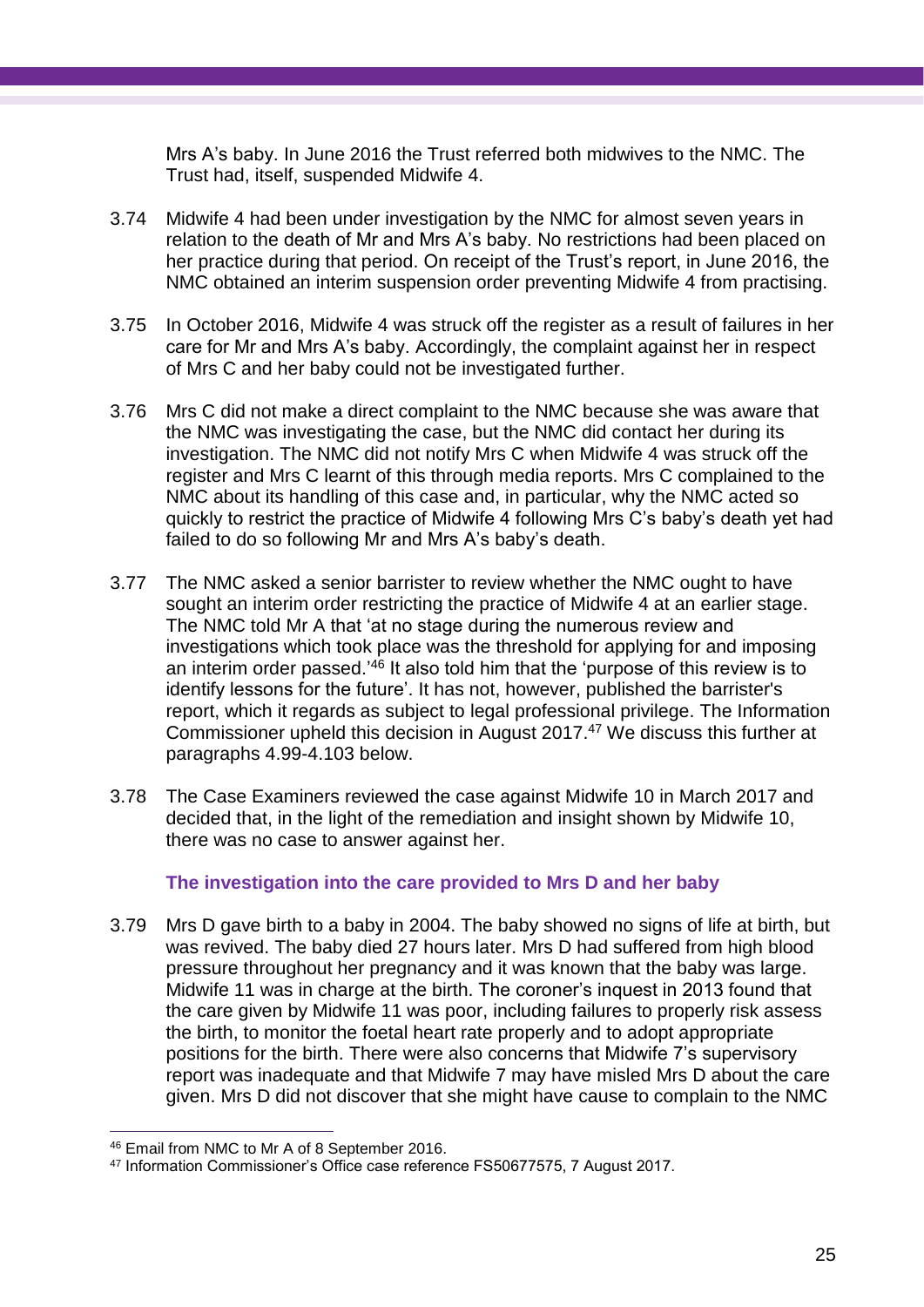Mrs A's baby. In June 2016 the Trust referred both midwives to the NMC. The Trust had, itself, suspended Midwife 4.

- 3.74 Midwife 4 had been under investigation by the NMC for almost seven years in relation to the death of Mr and Mrs A's baby. No restrictions had been placed on her practice during that period. On receipt of the Trust's report, in June 2016, the NMC obtained an interim suspension order preventing Midwife 4 from practising.
- 3.75 In October 2016, Midwife 4 was struck off the register as a result of failures in her care for Mr and Mrs A's baby. Accordingly, the complaint against her in respect of Mrs C and her baby could not be investigated further.
- 3.76 Mrs C did not make a direct complaint to the NMC because she was aware that the NMC was investigating the case, but the NMC did contact her during its investigation. The NMC did not notify Mrs C when Midwife 4 was struck off the register and Mrs C learnt of this through media reports. Mrs C complained to the NMC about its handling of this case and, in particular, why the NMC acted so quickly to restrict the practice of Midwife 4 following Mrs C's baby's death yet had failed to do so following Mr and Mrs A's baby's death.
- 3.77 The NMC asked a senior barrister to review whether the NMC ought to have sought an interim order restricting the practice of Midwife 4 at an earlier stage. The NMC told Mr A that 'at no stage during the numerous review and investigations which took place was the threshold for applying for and imposing an interim order passed.<sup>'46</sup> It also told him that the 'purpose of this review is to identify lessons for the future'. It has not, however, published the barrister's report, which it regards as subject to legal professional privilege. The Information Commissioner upheld this decision in August 2017. <sup>47</sup> We discuss this further at paragraphs 4.99-4.103 below.
- 3.78 The Case Examiners reviewed the case against Midwife 10 in March 2017 and decided that, in the light of the remediation and insight shown by Midwife 10, there was no case to answer against her.

#### **The investigation into the care provided to Mrs D and her baby**

3.79 Mrs D gave birth to a baby in 2004. The baby showed no signs of life at birth, but was revived. The baby died 27 hours later. Mrs D had suffered from high blood pressure throughout her pregnancy and it was known that the baby was large. Midwife 11 was in charge at the birth. The coroner's inquest in 2013 found that the care given by Midwife 11 was poor, including failures to properly risk assess the birth, to monitor the foetal heart rate properly and to adopt appropriate positions for the birth. There were also concerns that Midwife 7's supervisory report was inadequate and that Midwife 7 may have misled Mrs D about the care given. Mrs D did not discover that she might have cause to complain to the NMC

<sup>46</sup> Email from NMC to Mr A of 8 September 2016.

<sup>47</sup> Information Commissioner's Office case reference FS50677575, 7 August 2017.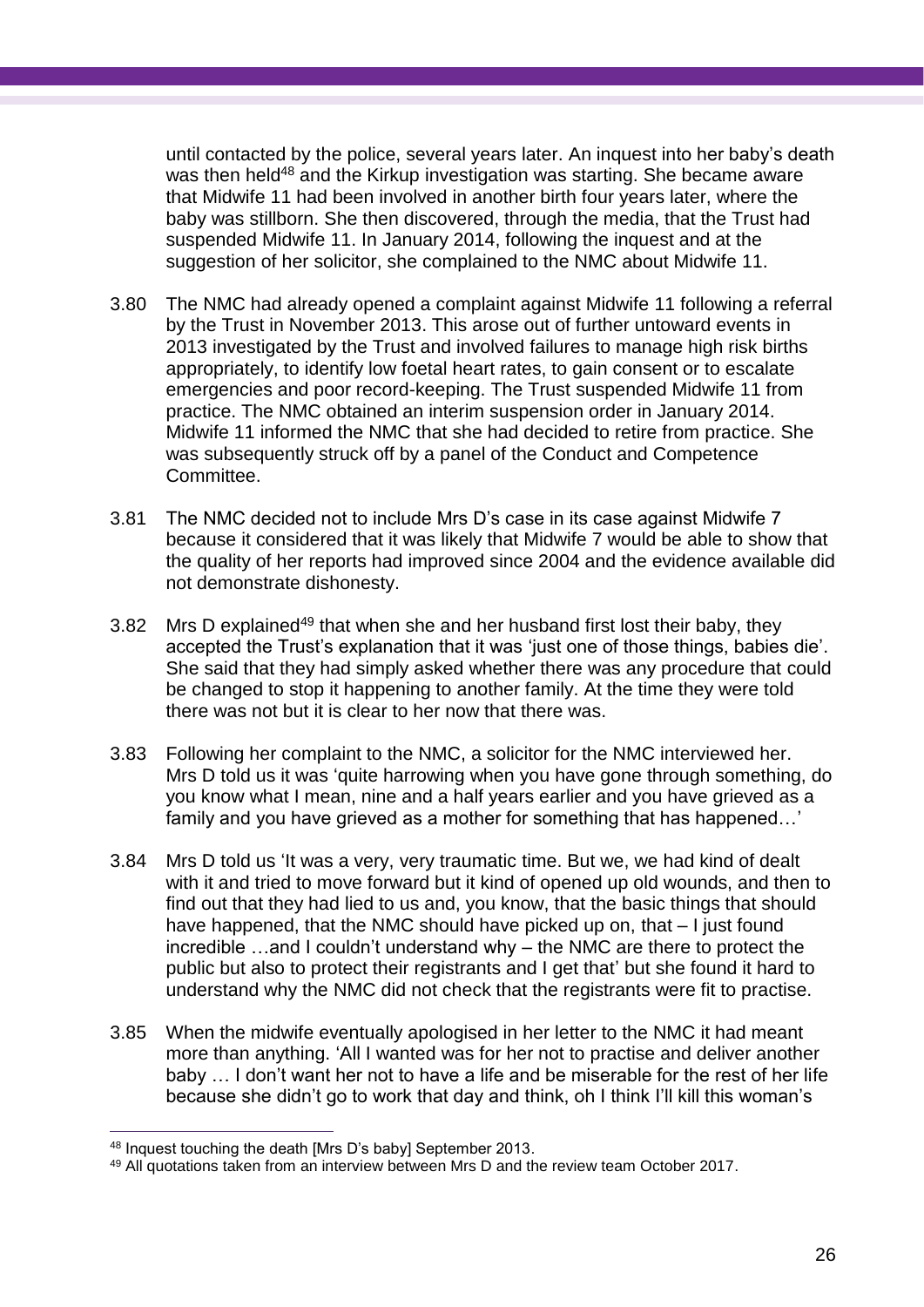until contacted by the police, several years later. An inquest into her baby's death was then held<sup>48</sup> and the Kirkup investigation was starting. She became aware that Midwife 11 had been involved in another birth four years later, where the baby was stillborn. She then discovered, through the media, that the Trust had suspended Midwife 11. In January 2014, following the inquest and at the suggestion of her solicitor, she complained to the NMC about Midwife 11.

- 3.80 The NMC had already opened a complaint against Midwife 11 following a referral by the Trust in November 2013. This arose out of further untoward events in 2013 investigated by the Trust and involved failures to manage high risk births appropriately, to identify low foetal heart rates, to gain consent or to escalate emergencies and poor record-keeping. The Trust suspended Midwife 11 from practice. The NMC obtained an interim suspension order in January 2014. Midwife 11 informed the NMC that she had decided to retire from practice. She was subsequently struck off by a panel of the Conduct and Competence Committee.
- 3.81 The NMC decided not to include Mrs D's case in its case against Midwife 7 because it considered that it was likely that Midwife 7 would be able to show that the quality of her reports had improved since 2004 and the evidence available did not demonstrate dishonesty.
- 3.82 Mrs D explained<sup>49</sup> that when she and her husband first lost their baby, they accepted the Trust's explanation that it was 'just one of those things, babies die'. She said that they had simply asked whether there was any procedure that could be changed to stop it happening to another family. At the time they were told there was not but it is clear to her now that there was.
- 3.83 Following her complaint to the NMC, a solicitor for the NMC interviewed her. Mrs D told us it was 'quite harrowing when you have gone through something, do you know what I mean, nine and a half years earlier and you have grieved as a family and you have grieved as a mother for something that has happened…'
- 3.84 Mrs D told us 'It was a very, very traumatic time. But we, we had kind of dealt with it and tried to move forward but it kind of opened up old wounds, and then to find out that they had lied to us and, you know, that the basic things that should have happened, that the NMC should have picked up on, that – I just found incredible …and I couldn't understand why – the NMC are there to protect the public but also to protect their registrants and I get that' but she found it hard to understand why the NMC did not check that the registrants were fit to practise.
- 3.85 When the midwife eventually apologised in her letter to the NMC it had meant more than anything. 'All I wanted was for her not to practise and deliver another baby … I don't want her not to have a life and be miserable for the rest of her life because she didn't go to work that day and think, oh I think I'll kill this woman's

<sup>&</sup>lt;sup>48</sup> Inquest touching the death [Mrs D's baby] September 2013.

<sup>49</sup> All quotations taken from an interview between Mrs D and the review team October 2017.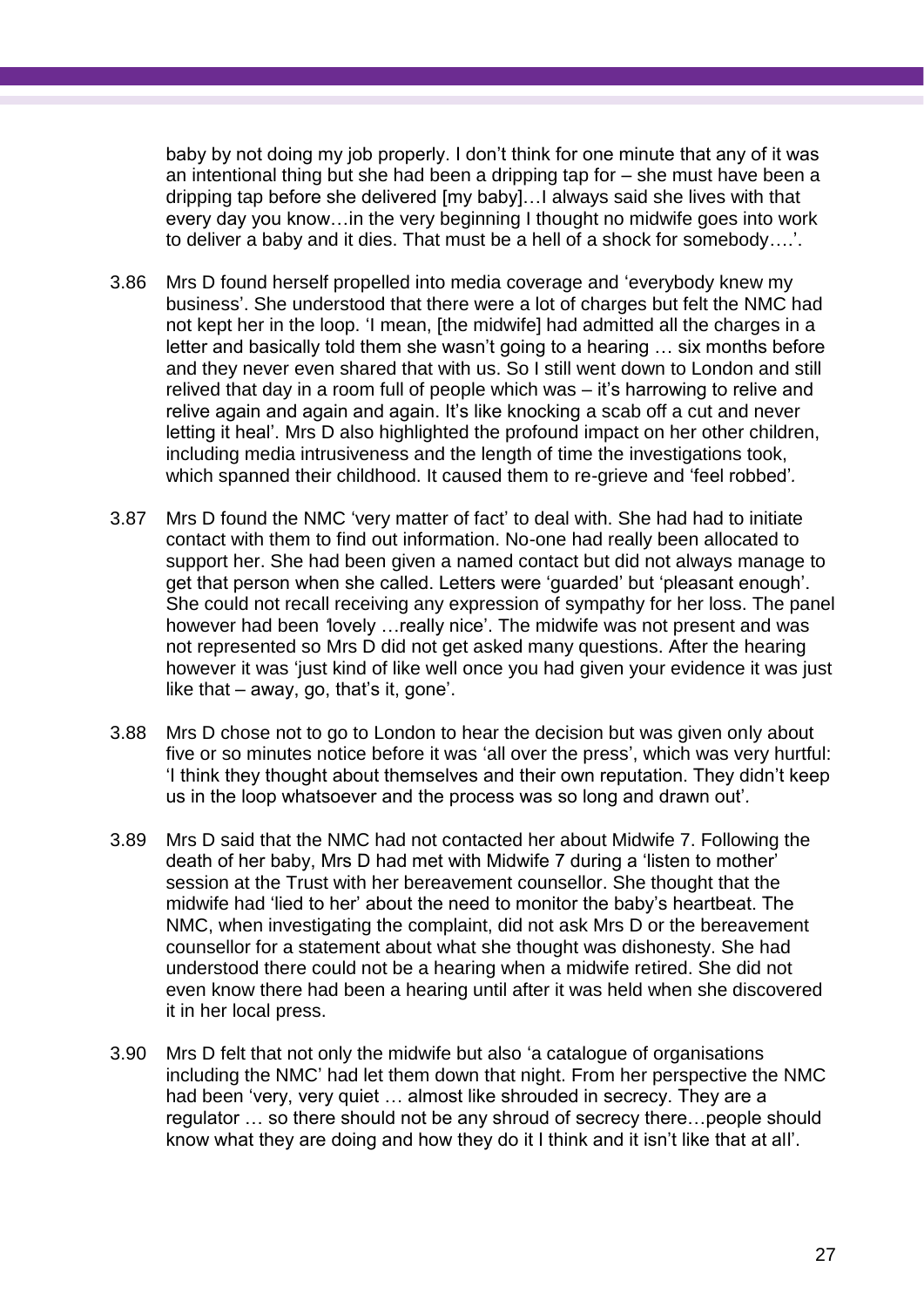baby by not doing my job properly. I don't think for one minute that any of it was an intentional thing but she had been a dripping tap for – she must have been a dripping tap before she delivered [my baby]…I always said she lives with that every day you know…in the very beginning I thought no midwife goes into work to deliver a baby and it dies. That must be a hell of a shock for somebody….'.

- 3.86 Mrs D found herself propelled into media coverage and 'everybody knew my business'. She understood that there were a lot of charges but felt the NMC had not kept her in the loop. 'I mean, [the midwife] had admitted all the charges in a letter and basically told them she wasn't going to a hearing … six months before and they never even shared that with us. So I still went down to London and still relived that day in a room full of people which was – it's harrowing to relive and relive again and again and again. It's like knocking a scab off a cut and never letting it heal'. Mrs D also highlighted the profound impact on her other children, including media intrusiveness and the length of time the investigations took, which spanned their childhood. It caused them to re-grieve and 'feel robbed'*.*
- 3.87 Mrs D found the NMC 'very matter of fact' to deal with. She had had to initiate contact with them to find out information. No-one had really been allocated to support her. She had been given a named contact but did not always manage to get that person when she called. Letters were 'guarded' but 'pleasant enough'. She could not recall receiving any expression of sympathy for her loss. The panel however had been *'*lovely …really nice'. The midwife was not present and was not represented so Mrs D did not get asked many questions. After the hearing however it was 'just kind of like well once you had given your evidence it was just like that – away, go, that's it, gone'.
- 3.88 Mrs D chose not to go to London to hear the decision but was given only about five or so minutes notice before it was 'all over the press', which was very hurtful: 'I think they thought about themselves and their own reputation. They didn't keep us in the loop whatsoever and the process was so long and drawn out'*.*
- 3.89 Mrs D said that the NMC had not contacted her about Midwife 7. Following the death of her baby, Mrs D had met with Midwife 7 during a 'listen to mother' session at the Trust with her bereavement counsellor. She thought that the midwife had 'lied to her' about the need to monitor the baby's heartbeat. The NMC, when investigating the complaint, did not ask Mrs D or the bereavement counsellor for a statement about what she thought was dishonesty. She had understood there could not be a hearing when a midwife retired. She did not even know there had been a hearing until after it was held when she discovered it in her local press.
- 3.90 Mrs D felt that not only the midwife but also 'a catalogue of organisations including the NMC' had let them down that night. From her perspective the NMC had been 'very, very quiet ... almost like shrouded in secrecy. They are a regulator … so there should not be any shroud of secrecy there…people should know what they are doing and how they do it I think and it isn't like that at all'.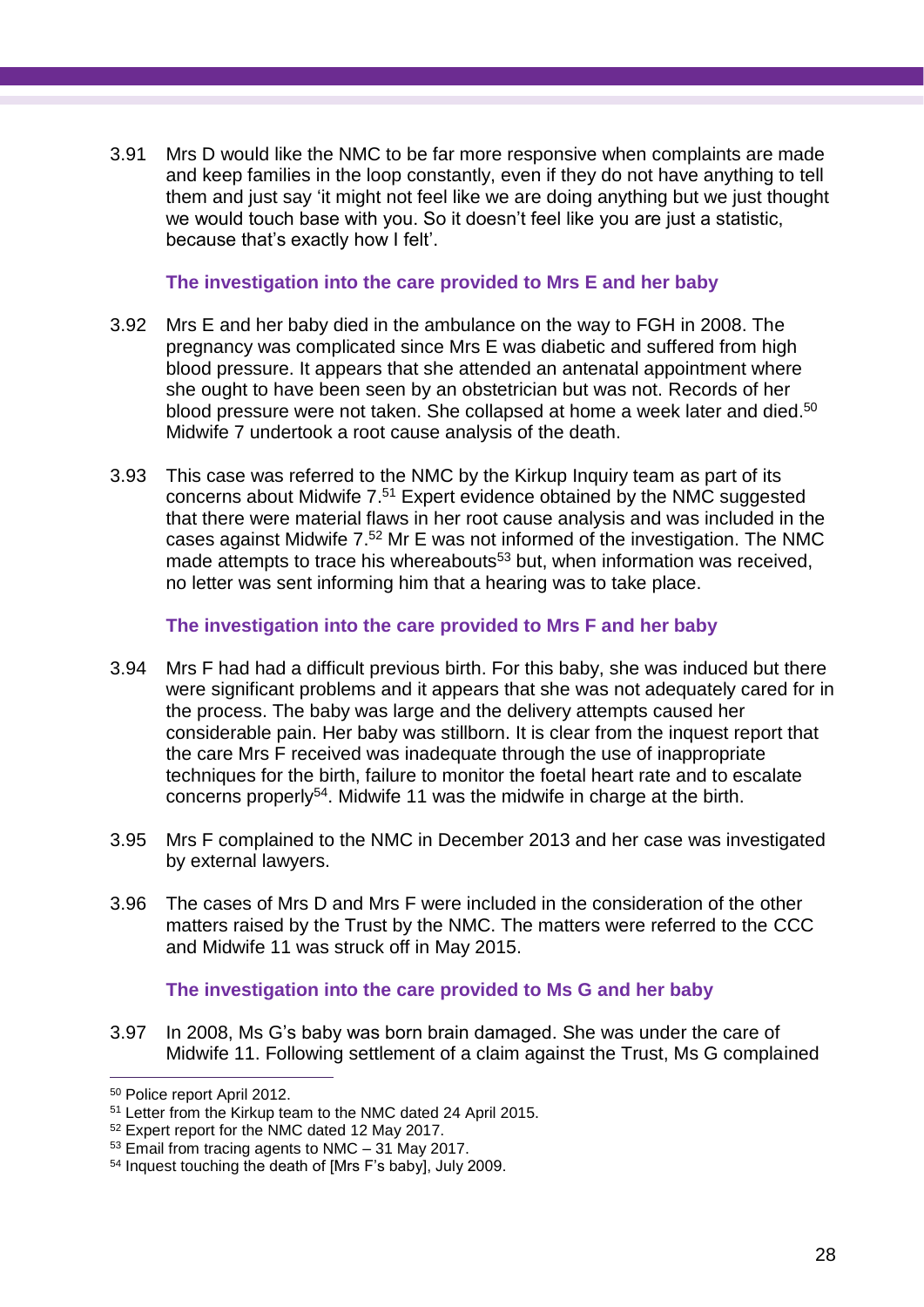3.91 Mrs D would like the NMC to be far more responsive when complaints are made and keep families in the loop constantly, even if they do not have anything to tell them and just say 'it might not feel like we are doing anything but we just thought we would touch base with you. So it doesn't feel like you are just a statistic, because that's exactly how I felt'.

#### **The investigation into the care provided to Mrs E and her baby**

- 3.92 Mrs E and her baby died in the ambulance on the way to FGH in 2008. The pregnancy was complicated since Mrs E was diabetic and suffered from high blood pressure. It appears that she attended an antenatal appointment where she ought to have been seen by an obstetrician but was not. Records of her blood pressure were not taken. She collapsed at home a week later and died. 50 Midwife 7 undertook a root cause analysis of the death.
- 3.93 This case was referred to the NMC by the Kirkup Inquiry team as part of its concerns about Midwife 7. <sup>51</sup> Expert evidence obtained by the NMC suggested that there were material flaws in her root cause analysis and was included in the cases against Midwife 7. <sup>52</sup> Mr E was not informed of the investigation. The NMC made attempts to trace his whereabouts<sup>53</sup> but, when information was received, no letter was sent informing him that a hearing was to take place.

#### **The investigation into the care provided to Mrs F and her baby**

- 3.94 Mrs F had had a difficult previous birth. For this baby, she was induced but there were significant problems and it appears that she was not adequately cared for in the process. The baby was large and the delivery attempts caused her considerable pain. Her baby was stillborn. It is clear from the inquest report that the care Mrs F received was inadequate through the use of inappropriate techniques for the birth, failure to monitor the foetal heart rate and to escalate concerns properly<sup>54</sup>. Midwife 11 was the midwife in charge at the birth.
- 3.95 Mrs F complained to the NMC in December 2013 and her case was investigated by external lawyers.
- 3.96 The cases of Mrs D and Mrs F were included in the consideration of the other matters raised by the Trust by the NMC. The matters were referred to the CCC and Midwife 11 was struck off in May 2015.

#### **The investigation into the care provided to Ms G and her baby**

3.97 In 2008, Ms G's baby was born brain damaged. She was under the care of Midwife 11. Following settlement of a claim against the Trust, Ms G complained

<sup>50</sup> Police report April 2012.

<sup>51</sup> Letter from the Kirkup team to the NMC dated 24 April 2015.

<sup>52</sup> Expert report for the NMC dated 12 May 2017.

<sup>53</sup> Email from tracing agents to NMC – 31 May 2017.

<sup>54</sup> Inquest touching the death of [Mrs F's baby], July 2009.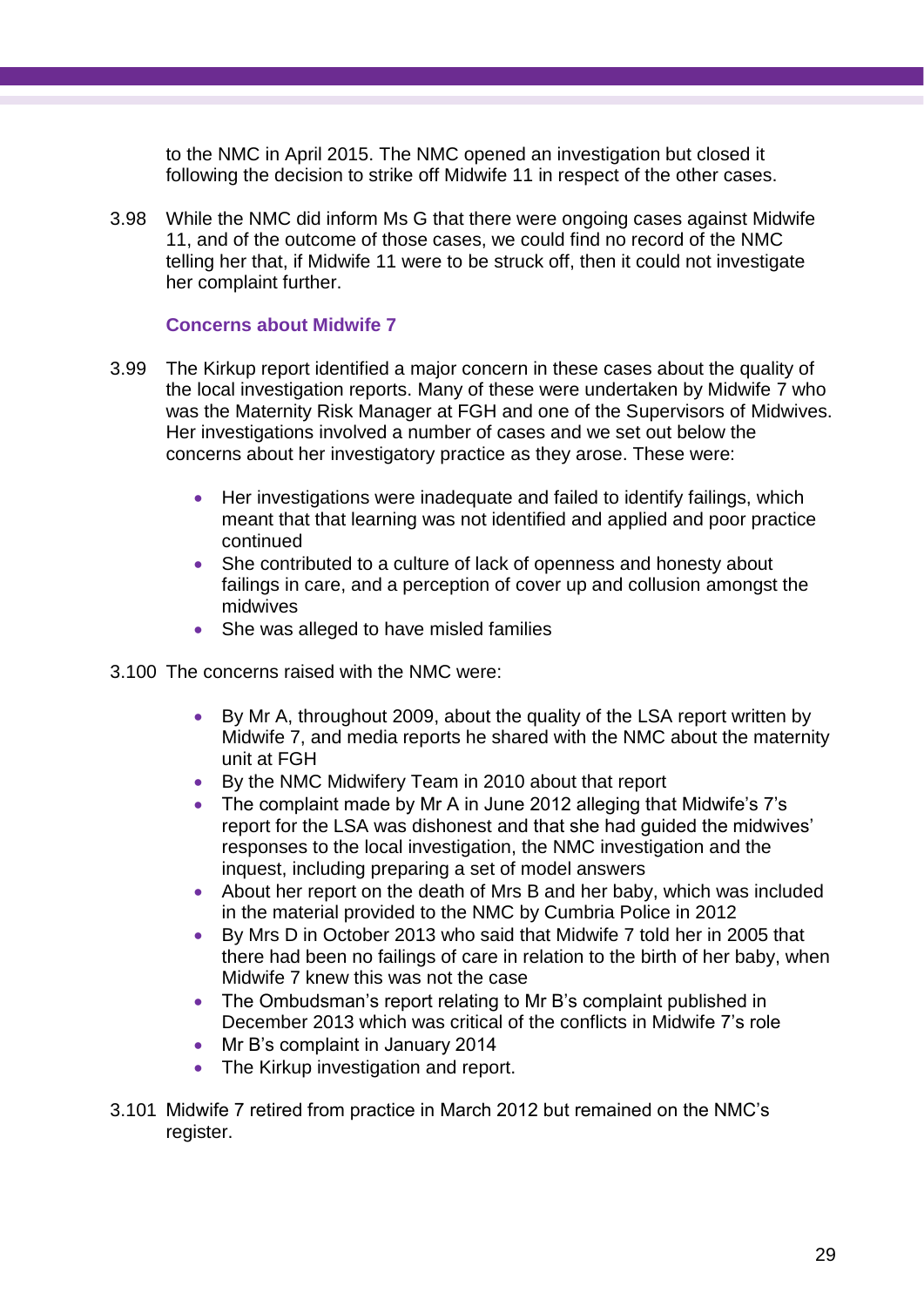to the NMC in April 2015. The NMC opened an investigation but closed it following the decision to strike off Midwife 11 in respect of the other cases.

3.98 While the NMC did inform Ms G that there were ongoing cases against Midwife 11, and of the outcome of those cases, we could find no record of the NMC telling her that, if Midwife 11 were to be struck off, then it could not investigate her complaint further.

#### **Concerns about Midwife 7**

- 3.99 The Kirkup report identified a major concern in these cases about the quality of the local investigation reports. Many of these were undertaken by Midwife 7 who was the Maternity Risk Manager at FGH and one of the Supervisors of Midwives. Her investigations involved a number of cases and we set out below the concerns about her investigatory practice as they arose. These were:
	- Her investigations were inadequate and failed to identify failings, which meant that that learning was not identified and applied and poor practice continued
	- She contributed to a culture of lack of openness and honesty about failings in care, and a perception of cover up and collusion amongst the midwives
	- She was alleged to have misled families
- 3.100 The concerns raised with the NMC were:
	- By Mr A, throughout 2009, about the quality of the LSA report written by Midwife 7, and media reports he shared with the NMC about the maternity unit at FGH
	- By the NMC Midwifery Team in 2010 about that report
	- The complaint made by Mr A in June 2012 alleging that Midwife's 7's report for the LSA was dishonest and that she had guided the midwives' responses to the local investigation, the NMC investigation and the inquest, including preparing a set of model answers
	- About her report on the death of Mrs B and her baby, which was included in the material provided to the NMC by Cumbria Police in 2012
	- By Mrs D in October 2013 who said that Midwife 7 told her in 2005 that there had been no failings of care in relation to the birth of her baby, when Midwife 7 knew this was not the case
	- The Ombudsman's report relating to Mr B's complaint published in December 2013 which was critical of the conflicts in Midwife 7's role
	- Mr B's complaint in January 2014
	- The Kirkup investigation and report.
- 3.101 Midwife 7 retired from practice in March 2012 but remained on the NMC's register.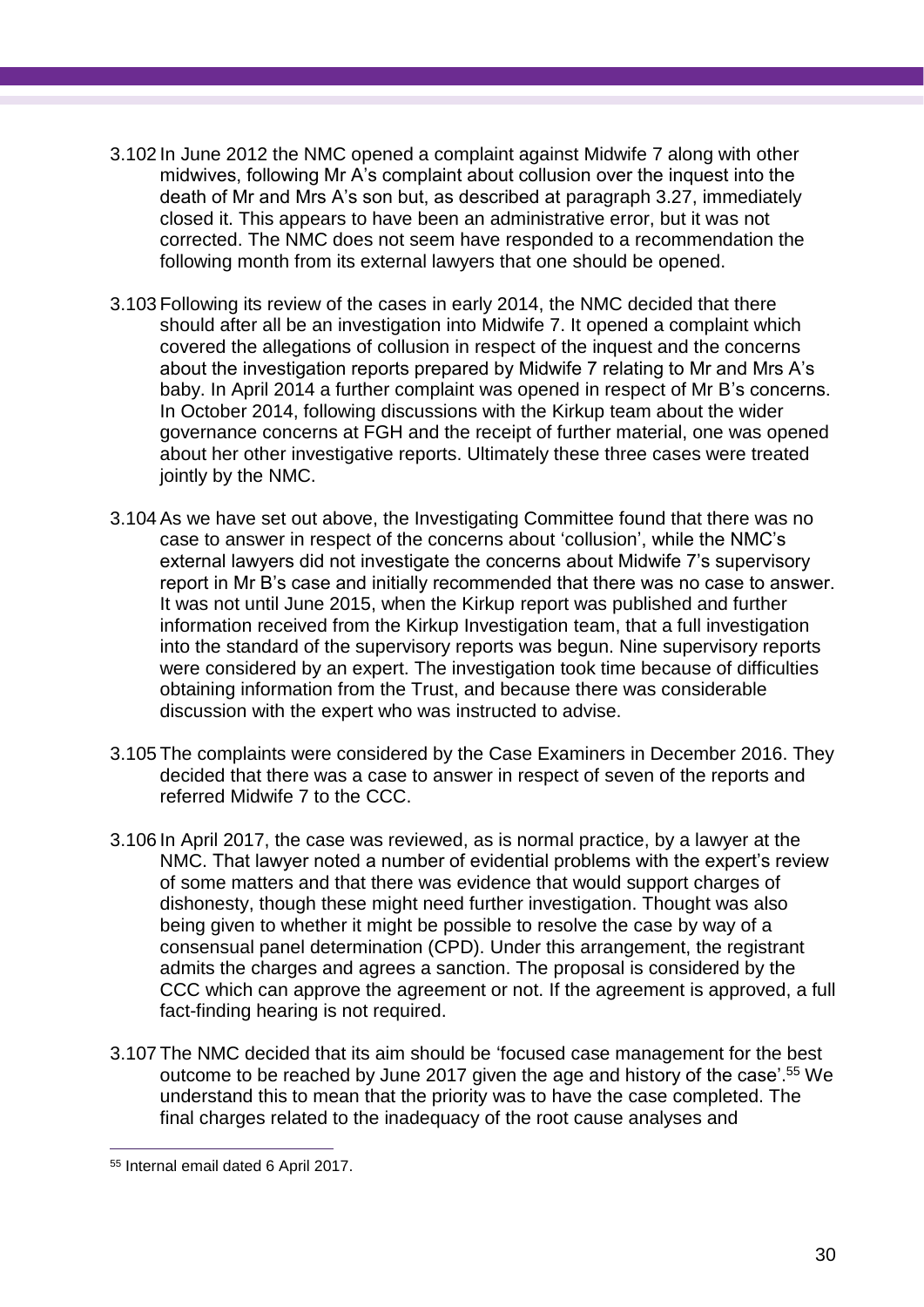- 3.102 In June 2012 the NMC opened a complaint against Midwife 7 along with other midwives, following Mr A's complaint about collusion over the inquest into the death of Mr and Mrs A's son but, as described at paragraph 3.27, immediately closed it. This appears to have been an administrative error, but it was not corrected. The NMC does not seem have responded to a recommendation the following month from its external lawyers that one should be opened.
- 3.103 Following its review of the cases in early 2014, the NMC decided that there should after all be an investigation into Midwife 7. It opened a complaint which covered the allegations of collusion in respect of the inquest and the concerns about the investigation reports prepared by Midwife 7 relating to Mr and Mrs A's baby. In April 2014 a further complaint was opened in respect of Mr B's concerns. In October 2014, following discussions with the Kirkup team about the wider governance concerns at FGH and the receipt of further material, one was opened about her other investigative reports. Ultimately these three cases were treated jointly by the NMC.
- 3.104 As we have set out above, the Investigating Committee found that there was no case to answer in respect of the concerns about 'collusion', while the NMC's external lawyers did not investigate the concerns about Midwife 7's supervisory report in Mr B's case and initially recommended that there was no case to answer. It was not until June 2015, when the Kirkup report was published and further information received from the Kirkup Investigation team, that a full investigation into the standard of the supervisory reports was begun. Nine supervisory reports were considered by an expert. The investigation took time because of difficulties obtaining information from the Trust, and because there was considerable discussion with the expert who was instructed to advise.
- 3.105 The complaints were considered by the Case Examiners in December 2016. They decided that there was a case to answer in respect of seven of the reports and referred Midwife 7 to the CCC.
- 3.106 In April 2017, the case was reviewed, as is normal practice, by a lawyer at the NMC. That lawyer noted a number of evidential problems with the expert's review of some matters and that there was evidence that would support charges of dishonesty, though these might need further investigation. Thought was also being given to whether it might be possible to resolve the case by way of a consensual panel determination (CPD). Under this arrangement, the registrant admits the charges and agrees a sanction. The proposal is considered by the CCC which can approve the agreement or not. If the agreement is approved, a full fact-finding hearing is not required.
- 3.107 The NMC decided that its aim should be 'focused case management for the best outcome to be reached by June 2017 given the age and history of the case'. <sup>55</sup> We understand this to mean that the priority was to have the case completed. The final charges related to the inadequacy of the root cause analyses and

<sup>55</sup> Internal email dated 6 April 2017.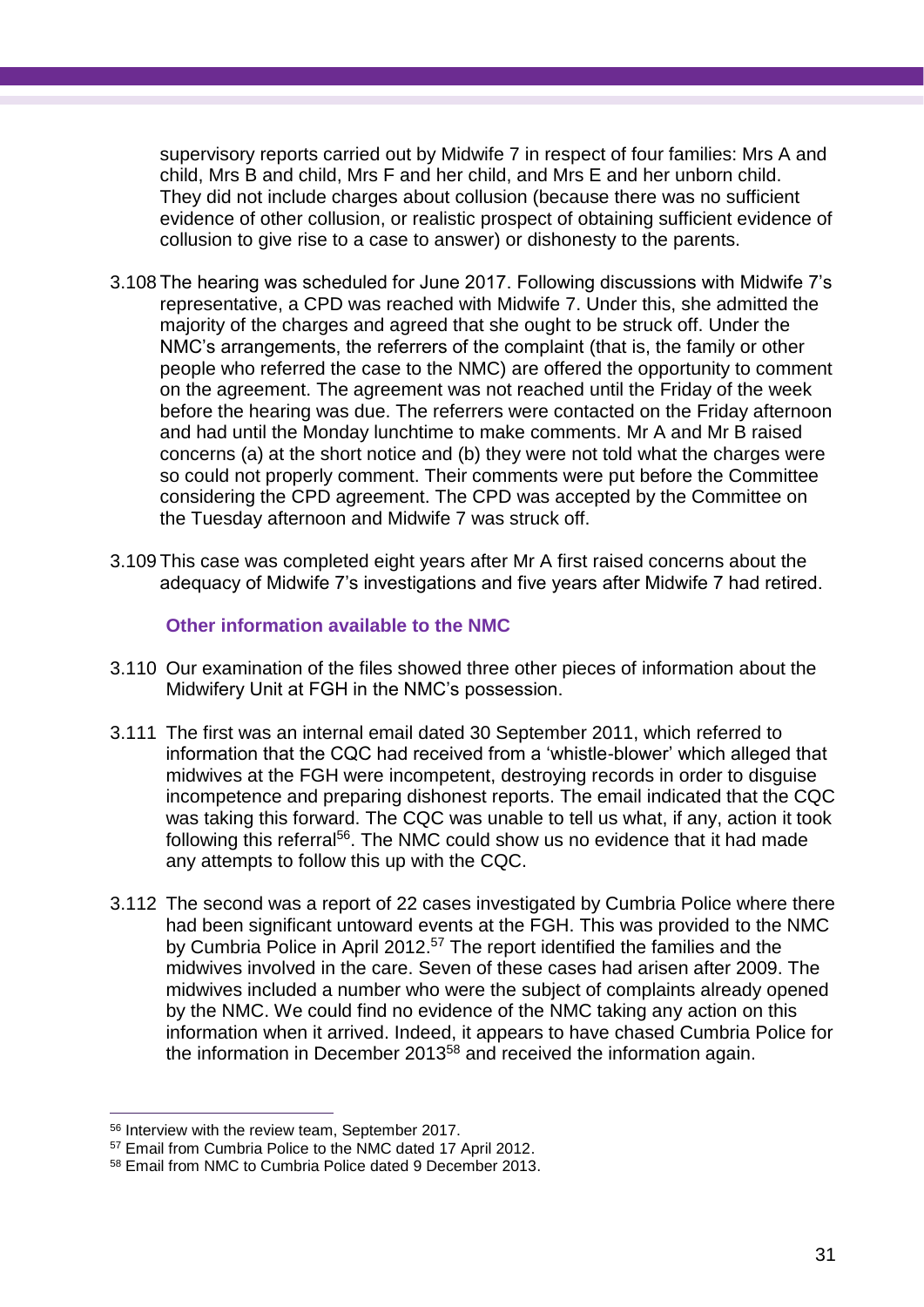supervisory reports carried out by Midwife 7 in respect of four families: Mrs A and child, Mrs B and child, Mrs F and her child, and Mrs E and her unborn child. They did not include charges about collusion (because there was no sufficient evidence of other collusion, or realistic prospect of obtaining sufficient evidence of collusion to give rise to a case to answer) or dishonesty to the parents.

- 3.108 The hearing was scheduled for June 2017. Following discussions with Midwife 7's representative, a CPD was reached with Midwife 7. Under this, she admitted the majority of the charges and agreed that she ought to be struck off. Under the NMC's arrangements, the referrers of the complaint (that is, the family or other people who referred the case to the NMC) are offered the opportunity to comment on the agreement. The agreement was not reached until the Friday of the week before the hearing was due. The referrers were contacted on the Friday afternoon and had until the Monday lunchtime to make comments. Mr A and Mr B raised concerns (a) at the short notice and (b) they were not told what the charges were so could not properly comment. Their comments were put before the Committee considering the CPD agreement. The CPD was accepted by the Committee on the Tuesday afternoon and Midwife 7 was struck off.
- 3.109 This case was completed eight years after Mr A first raised concerns about the adequacy of Midwife 7's investigations and five years after Midwife 7 had retired.

**Other information available to the NMC**

- 3.110 Our examination of the files showed three other pieces of information about the Midwifery Unit at FGH in the NMC's possession.
- 3.111 The first was an internal email dated 30 September 2011, which referred to information that the CQC had received from a 'whistle-blower' which alleged that midwives at the FGH were incompetent, destroying records in order to disguise incompetence and preparing dishonest reports. The email indicated that the CQC was taking this forward. The CQC was unable to tell us what, if any, action it took following this referral<sup>56</sup>. The NMC could show us no evidence that it had made any attempts to follow this up with the CQC.
- 3.112 The second was a report of 22 cases investigated by Cumbria Police where there had been significant untoward events at the FGH. This was provided to the NMC by Cumbria Police in April 2012.<sup>57</sup> The report identified the families and the midwives involved in the care. Seven of these cases had arisen after 2009. The midwives included a number who were the subject of complaints already opened by the NMC. We could find no evidence of the NMC taking any action on this information when it arrived. Indeed, it appears to have chased Cumbria Police for the information in December 2013 $58$  and received the information again.

 $\overline{a}$ <sup>56</sup> Interview with the review team, September 2017.

<sup>57</sup> Email from Cumbria Police to the NMC dated 17 April 2012.

<sup>58</sup> Email from NMC to Cumbria Police dated 9 December 2013.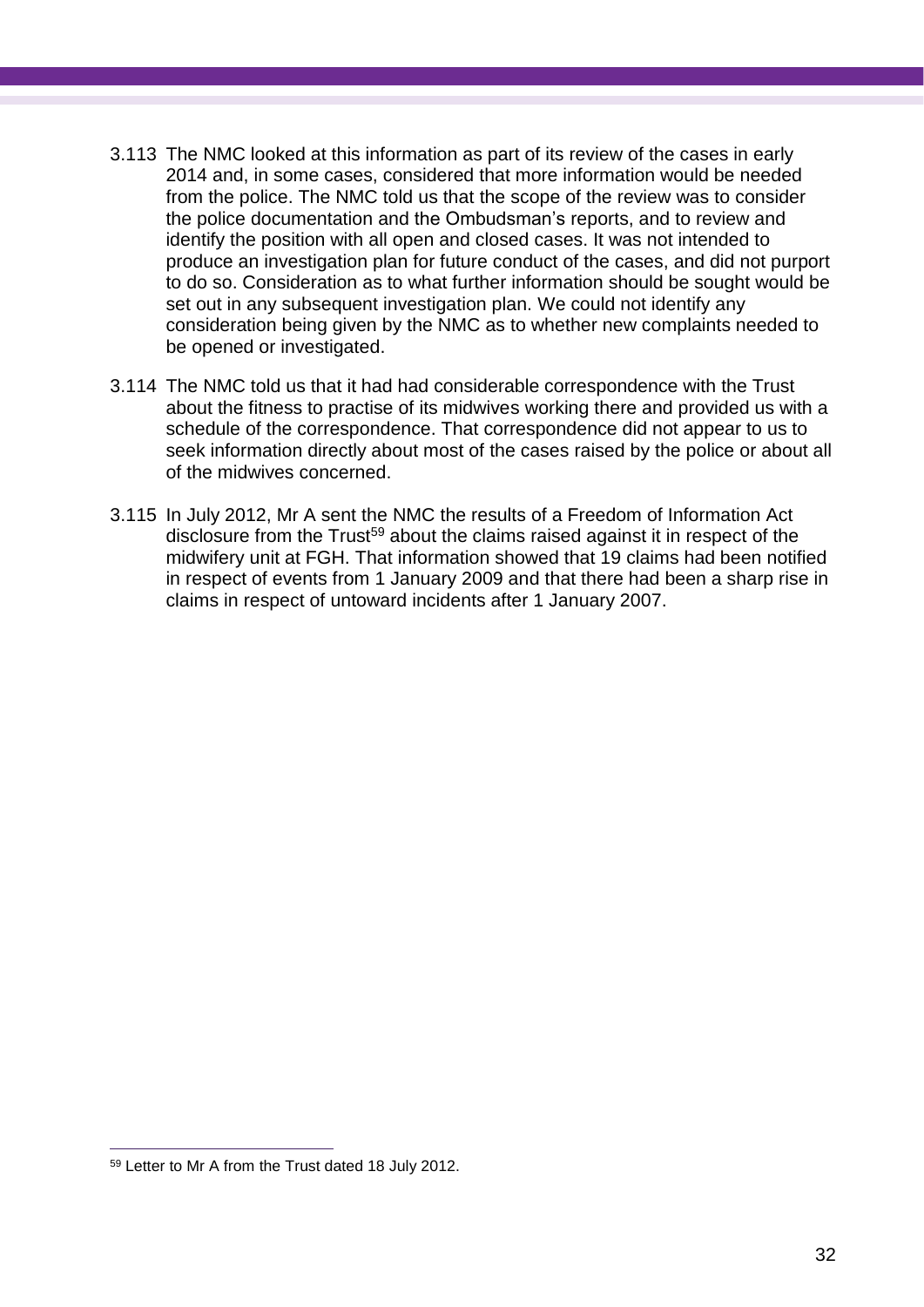- 3.113 The NMC looked at this information as part of its review of the cases in early 2014 and, in some cases, considered that more information would be needed from the police. The NMC told us that the scope of the review was to consider the police documentation and the Ombudsman's reports, and to review and identify the position with all open and closed cases. It was not intended to produce an investigation plan for future conduct of the cases, and did not purport to do so. Consideration as to what further information should be sought would be set out in any subsequent investigation plan. We could not identify any consideration being given by the NMC as to whether new complaints needed to be opened or investigated.
- 3.114 The NMC told us that it had had considerable correspondence with the Trust about the fitness to practise of its midwives working there and provided us with a schedule of the correspondence. That correspondence did not appear to us to seek information directly about most of the cases raised by the police or about all of the midwives concerned.
- 3.115 In July 2012, Mr A sent the NMC the results of a Freedom of Information Act disclosure from the Trust<sup>59</sup> about the claims raised against it in respect of the midwifery unit at FGH. That information showed that 19 claims had been notified in respect of events from 1 January 2009 and that there had been a sharp rise in claims in respect of untoward incidents after 1 January 2007.

<sup>59</sup> Letter to Mr A from the Trust dated 18 July 2012.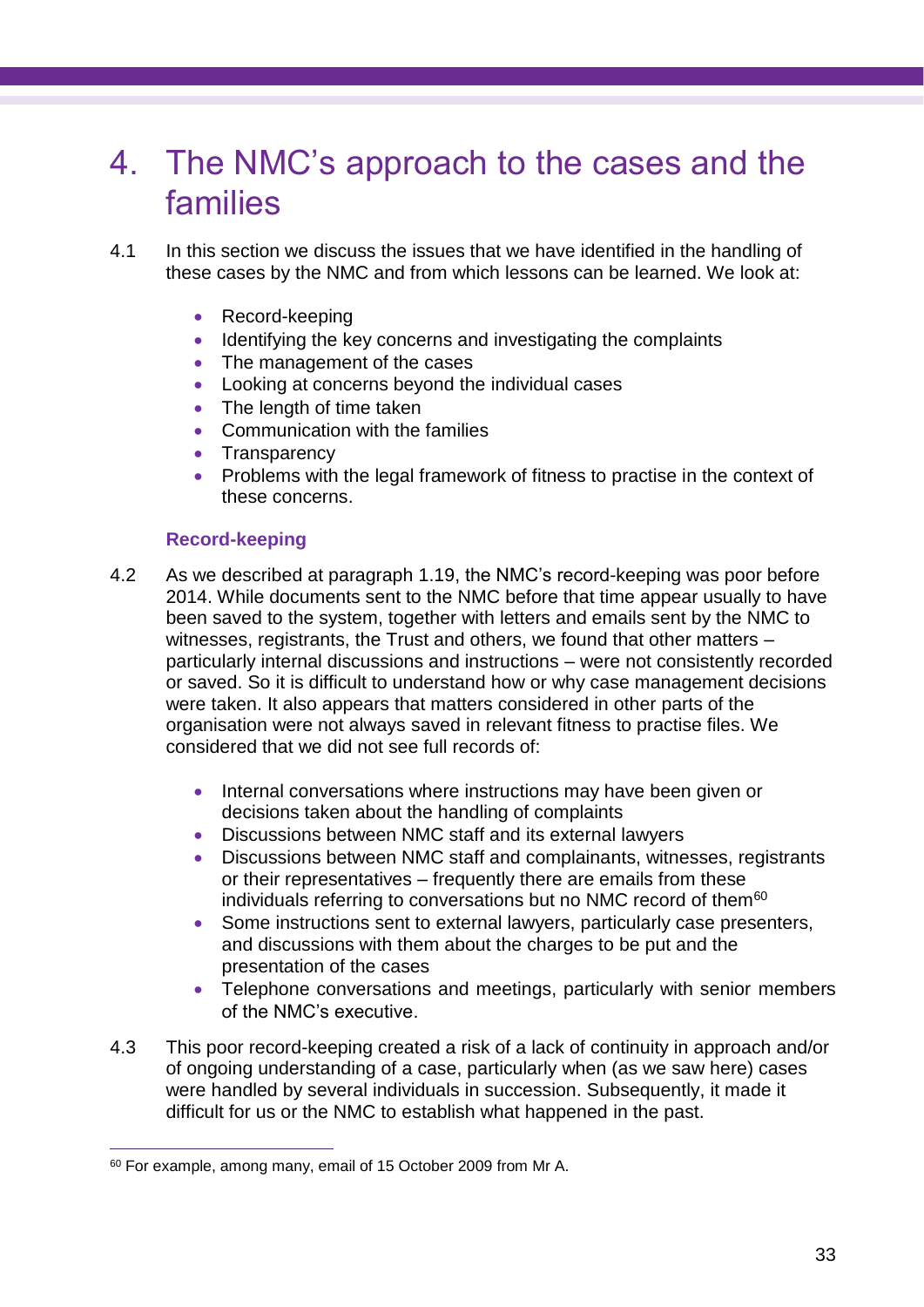## 4. The NMC's approach to the cases and the families

- 4.1 In this section we discuss the issues that we have identified in the handling of these cases by the NMC and from which lessons can be learned. We look at:
	- Record-keeping
	- Identifying the key concerns and investigating the complaints
	- The management of the cases
	- Looking at concerns beyond the individual cases
	- The length of time taken
	- Communication with the families
	- Transparency
	- Problems with the legal framework of fitness to practise in the context of these concerns.

## **Record-keeping**

- 4.2 As we described at paragraph 1.19, the NMC's record-keeping was poor before 2014. While documents sent to the NMC before that time appear usually to have been saved to the system, together with letters and emails sent by the NMC to witnesses, registrants, the Trust and others, we found that other matters particularly internal discussions and instructions – were not consistently recorded or saved. So it is difficult to understand how or why case management decisions were taken. It also appears that matters considered in other parts of the organisation were not always saved in relevant fitness to practise files. We considered that we did not see full records of:
	- Internal conversations where instructions may have been given or decisions taken about the handling of complaints
	- Discussions between NMC staff and its external lawyers
	- Discussions between NMC staff and complainants, witnesses, registrants or their representatives – frequently there are emails from these individuals referring to conversations but no NMC record of them<sup>60</sup>
	- Some instructions sent to external lawyers, particularly case presenters, and discussions with them about the charges to be put and the presentation of the cases
	- Telephone conversations and meetings, particularly with senior members of the NMC's executive.
- 4.3 This poor record-keeping created a risk of a lack of continuity in approach and/or of ongoing understanding of a case, particularly when (as we saw here) cases were handled by several individuals in succession. Subsequently, it made it difficult for us or the NMC to establish what happened in the past.

<sup>60</sup> For example, among many, email of 15 October 2009 from Mr A.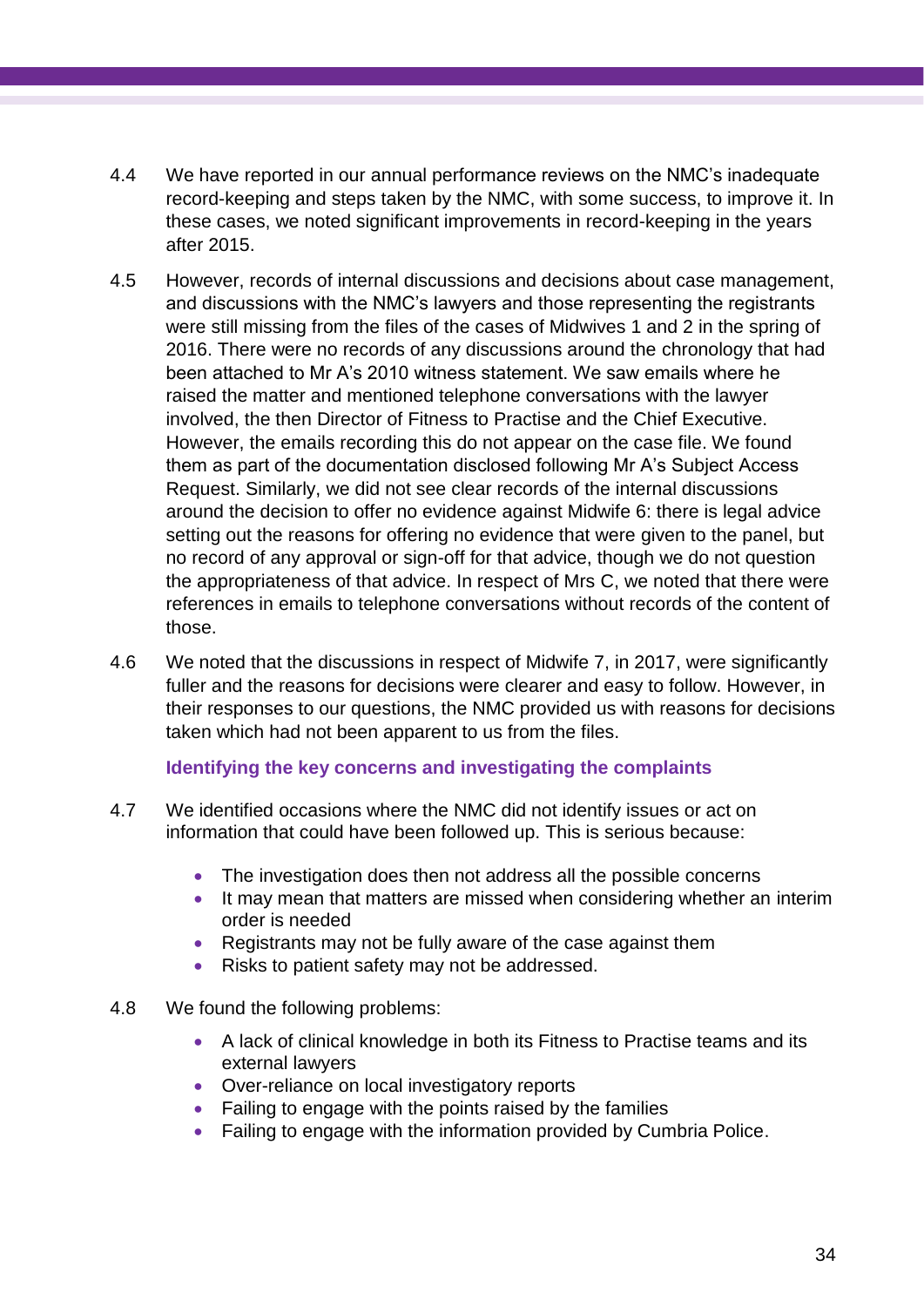- 4.4 We have reported in our annual performance reviews on the NMC's inadequate record-keeping and steps taken by the NMC, with some success, to improve it. In these cases, we noted significant improvements in record-keeping in the years after 2015.
- 4.5 However, records of internal discussions and decisions about case management, and discussions with the NMC's lawyers and those representing the registrants were still missing from the files of the cases of Midwives 1 and 2 in the spring of 2016. There were no records of any discussions around the chronology that had been attached to Mr A's 2010 witness statement. We saw emails where he raised the matter and mentioned telephone conversations with the lawyer involved, the then Director of Fitness to Practise and the Chief Executive. However, the emails recording this do not appear on the case file. We found them as part of the documentation disclosed following Mr A's Subject Access Request. Similarly, we did not see clear records of the internal discussions around the decision to offer no evidence against Midwife 6: there is legal advice setting out the reasons for offering no evidence that were given to the panel, but no record of any approval or sign-off for that advice, though we do not question the appropriateness of that advice. In respect of Mrs C, we noted that there were references in emails to telephone conversations without records of the content of those.
- 4.6 We noted that the discussions in respect of Midwife 7, in 2017, were significantly fuller and the reasons for decisions were clearer and easy to follow. However, in their responses to our questions, the NMC provided us with reasons for decisions taken which had not been apparent to us from the files.

## **Identifying the key concerns and investigating the complaints**

- 4.7 We identified occasions where the NMC did not identify issues or act on information that could have been followed up. This is serious because:
	- The investigation does then not address all the possible concerns
	- It may mean that matters are missed when considering whether an interim order is needed
	- Registrants may not be fully aware of the case against them
	- Risks to patient safety may not be addressed.
- 4.8 We found the following problems:
	- A lack of clinical knowledge in both its Fitness to Practise teams and its external lawyers
	- Over-reliance on local investigatory reports
	- Failing to engage with the points raised by the families
	- Failing to engage with the information provided by Cumbria Police.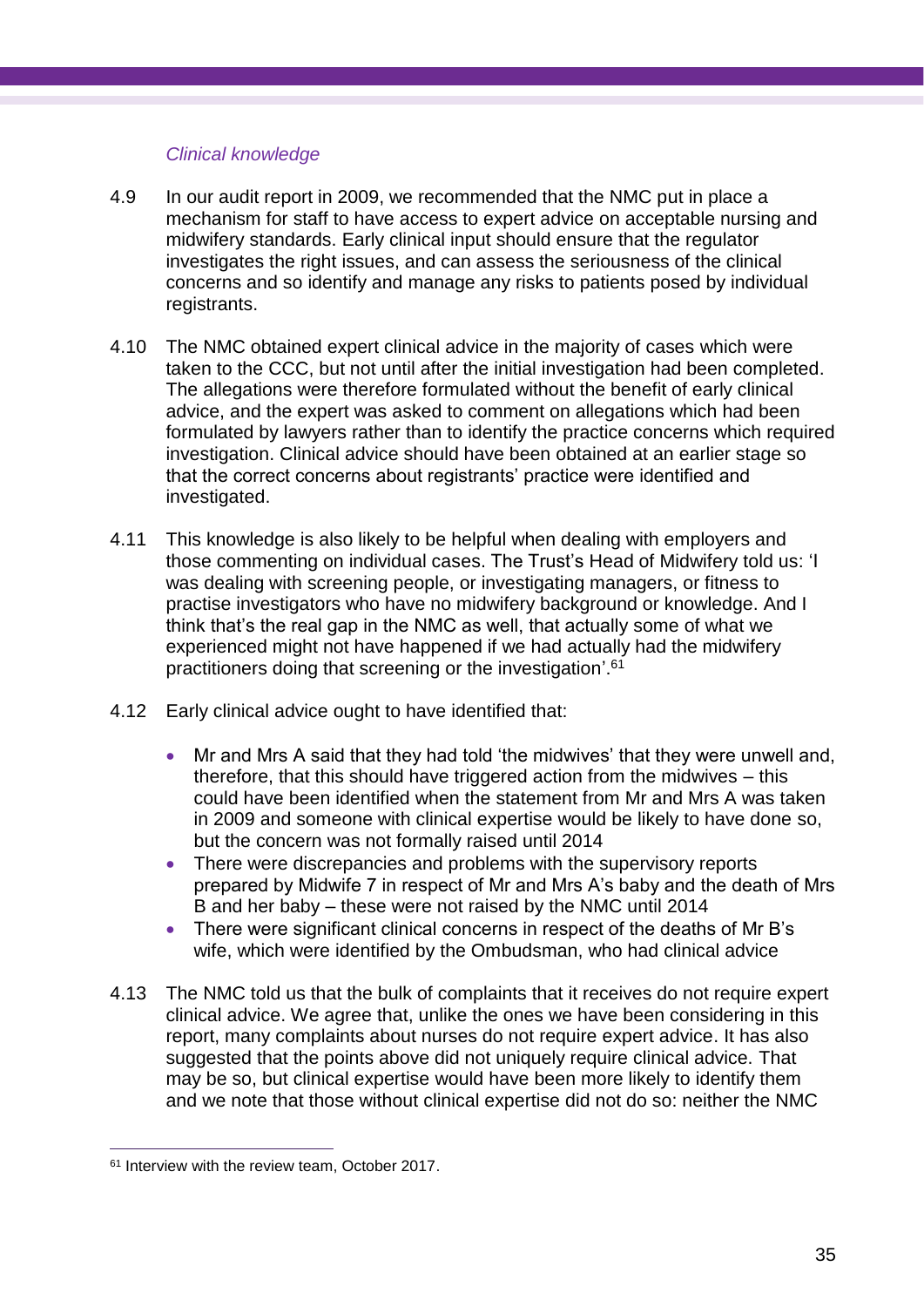## *Clinical knowledge*

- 4.9 In our audit report in 2009, we recommended that the NMC put in place a mechanism for staff to have access to expert advice on acceptable nursing and midwifery standards. Early clinical input should ensure that the regulator investigates the right issues, and can assess the seriousness of the clinical concerns and so identify and manage any risks to patients posed by individual registrants.
- 4.10 The NMC obtained expert clinical advice in the majority of cases which were taken to the CCC, but not until after the initial investigation had been completed. The allegations were therefore formulated without the benefit of early clinical advice, and the expert was asked to comment on allegations which had been formulated by lawyers rather than to identify the practice concerns which required investigation. Clinical advice should have been obtained at an earlier stage so that the correct concerns about registrants' practice were identified and investigated.
- 4.11 This knowledge is also likely to be helpful when dealing with employers and those commenting on individual cases. The Trust's Head of Midwifery told us: 'I was dealing with screening people, or investigating managers, or fitness to practise investigators who have no midwifery background or knowledge. And I think that's the real gap in the NMC as well, that actually some of what we experienced might not have happened if we had actually had the midwifery practitioners doing that screening or the investigation'.<sup>61</sup>
- 4.12 Early clinical advice ought to have identified that:
	- Mr and Mrs A said that they had told 'the midwives' that they were unwell and, therefore, that this should have triggered action from the midwives – this could have been identified when the statement from Mr and Mrs A was taken in 2009 and someone with clinical expertise would be likely to have done so, but the concern was not formally raised until 2014
	- There were discrepancies and problems with the supervisory reports prepared by Midwife 7 in respect of Mr and Mrs A's baby and the death of Mrs B and her baby – these were not raised by the NMC until 2014
	- There were significant clinical concerns in respect of the deaths of Mr B's wife, which were identified by the Ombudsman, who had clinical advice
- 4.13 The NMC told us that the bulk of complaints that it receives do not require expert clinical advice. We agree that, unlike the ones we have been considering in this report, many complaints about nurses do not require expert advice. It has also suggested that the points above did not uniquely require clinical advice. That may be so, but clinical expertise would have been more likely to identify them and we note that those without clinical expertise did not do so: neither the NMC

<sup>&</sup>lt;sup>61</sup> Interview with the review team, October 2017.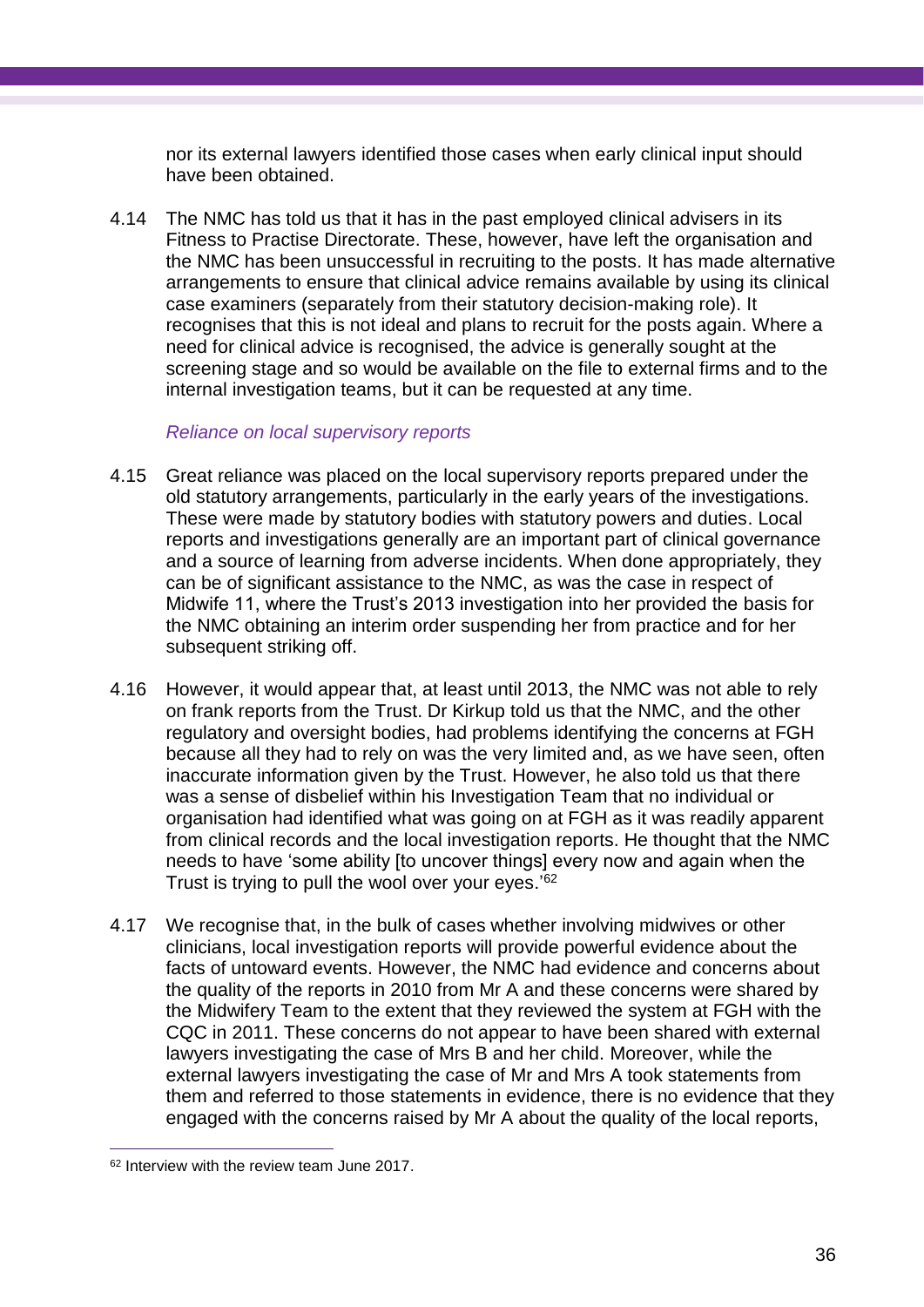nor its external lawyers identified those cases when early clinical input should have been obtained.

4.14 The NMC has told us that it has in the past employed clinical advisers in its Fitness to Practise Directorate. These, however, have left the organisation and the NMC has been unsuccessful in recruiting to the posts. It has made alternative arrangements to ensure that clinical advice remains available by using its clinical case examiners (separately from their statutory decision-making role). It recognises that this is not ideal and plans to recruit for the posts again. Where a need for clinical advice is recognised, the advice is generally sought at the screening stage and so would be available on the file to external firms and to the internal investigation teams, but it can be requested at any time.

#### *Reliance on local supervisory reports*

- 4.15 Great reliance was placed on the local supervisory reports prepared under the old statutory arrangements, particularly in the early years of the investigations. These were made by statutory bodies with statutory powers and duties. Local reports and investigations generally are an important part of clinical governance and a source of learning from adverse incidents. When done appropriately, they can be of significant assistance to the NMC, as was the case in respect of Midwife 11, where the Trust's 2013 investigation into her provided the basis for the NMC obtaining an interim order suspending her from practice and for her subsequent striking off.
- 4.16 However, it would appear that, at least until 2013, the NMC was not able to rely on frank reports from the Trust. Dr Kirkup told us that the NMC, and the other regulatory and oversight bodies, had problems identifying the concerns at FGH because all they had to rely on was the very limited and, as we have seen, often inaccurate information given by the Trust. However, he also told us that there was a sense of disbelief within his Investigation Team that no individual or organisation had identified what was going on at FGH as it was readily apparent from clinical records and the local investigation reports. He thought that the NMC needs to have 'some ability [to uncover things] every now and again when the Trust is trying to pull the wool over your eyes.<sup>'62</sup>
- 4.17 We recognise that, in the bulk of cases whether involving midwives or other clinicians, local investigation reports will provide powerful evidence about the facts of untoward events. However, the NMC had evidence and concerns about the quality of the reports in 2010 from Mr A and these concerns were shared by the Midwifery Team to the extent that they reviewed the system at FGH with the CQC in 2011. These concerns do not appear to have been shared with external lawyers investigating the case of Mrs B and her child. Moreover, while the external lawyers investigating the case of Mr and Mrs A took statements from them and referred to those statements in evidence, there is no evidence that they engaged with the concerns raised by Mr A about the quality of the local reports,

<sup>&</sup>lt;sup>62</sup> Interview with the review team June 2017.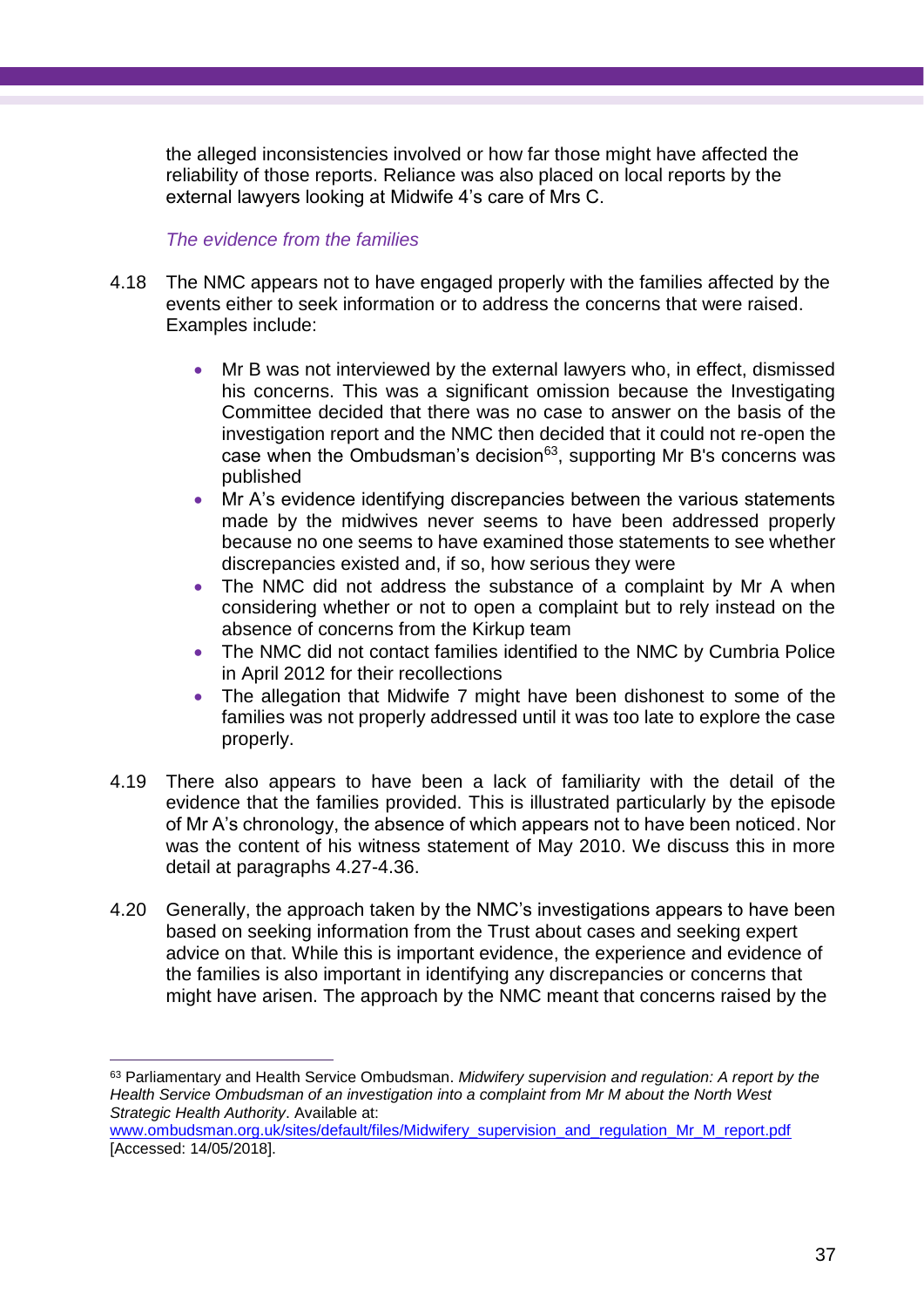the alleged inconsistencies involved or how far those might have affected the reliability of those reports. Reliance was also placed on local reports by the external lawyers looking at Midwife 4's care of Mrs C.

## *The evidence from the families*

- 4.18 The NMC appears not to have engaged properly with the families affected by the events either to seek information or to address the concerns that were raised. Examples include:
	- Mr B was not interviewed by the external lawyers who, in effect, dismissed his concerns. This was a significant omission because the Investigating Committee decided that there was no case to answer on the basis of the investigation report and the NMC then decided that it could not re-open the case when the Ombudsman's decision $63$ , supporting Mr B's concerns was published
	- Mr A's evidence identifying discrepancies between the various statements made by the midwives never seems to have been addressed properly because no one seems to have examined those statements to see whether discrepancies existed and, if so, how serious they were
	- The NMC did not address the substance of a complaint by Mr A when considering whether or not to open a complaint but to rely instead on the absence of concerns from the Kirkup team
	- The NMC did not contact families identified to the NMC by Cumbria Police in April 2012 for their recollections
	- The allegation that Midwife 7 might have been dishonest to some of the families was not properly addressed until it was too late to explore the case properly.
- 4.19 There also appears to have been a lack of familiarity with the detail of the evidence that the families provided. This is illustrated particularly by the episode of Mr A's chronology, the absence of which appears not to have been noticed. Nor was the content of his witness statement of May 2010. We discuss this in more detail at paragraphs 4.27-4.36.
- 4.20 Generally, the approach taken by the NMC's investigations appears to have been based on seeking information from the Trust about cases and seeking expert advice on that. While this is important evidence, the experience and evidence of the families is also important in identifying any discrepancies or concerns that might have arisen. The approach by the NMC meant that concerns raised by the

<sup>63</sup> Parliamentary and Health Service Ombudsman. *Midwifery supervision and regulation: A report by the Health Service Ombudsman of an investigation into a complaint from Mr M about the North West Strategic Health Authority*. Available at:

[www.ombudsman.org.uk/sites/default/files/Midwifery\\_supervision\\_and\\_regulation\\_Mr\\_M\\_report.pdf](http://www.ombudsman.org.uk/sites/default/files/Midwifery_supervision_and_regulation_Mr_M_report.pdf) [Accessed: 14/05/2018].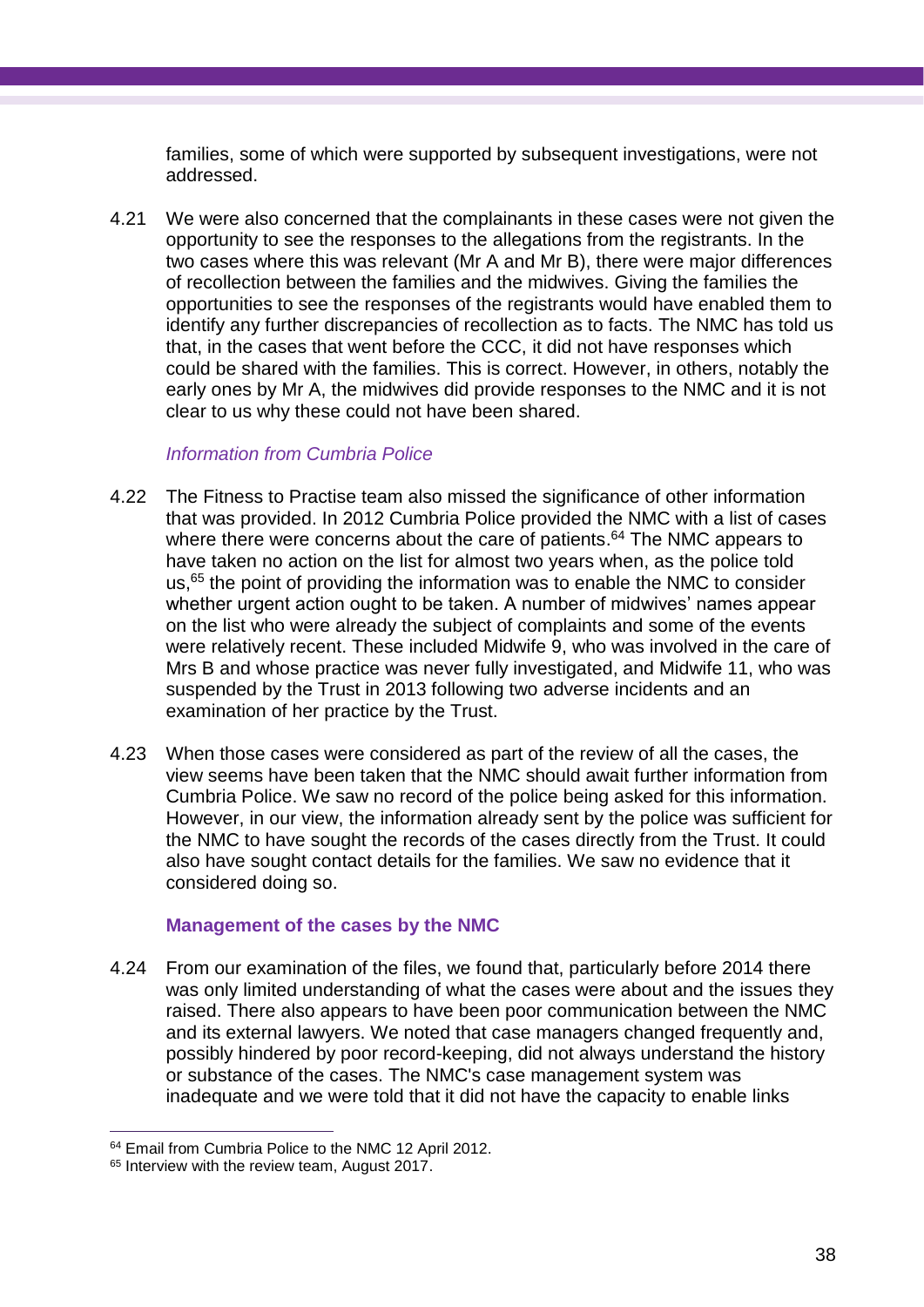families, some of which were supported by subsequent investigations, were not addressed.

4.21 We were also concerned that the complainants in these cases were not given the opportunity to see the responses to the allegations from the registrants. In the two cases where this was relevant (Mr A and Mr B), there were major differences of recollection between the families and the midwives. Giving the families the opportunities to see the responses of the registrants would have enabled them to identify any further discrepancies of recollection as to facts. The NMC has told us that, in the cases that went before the CCC, it did not have responses which could be shared with the families. This is correct. However, in others, notably the early ones by Mr A, the midwives did provide responses to the NMC and it is not clear to us why these could not have been shared.

## *Information from Cumbria Police*

- 4.22 The Fitness to Practise team also missed the significance of other information that was provided. In 2012 Cumbria Police provided the NMC with a list of cases where there were concerns about the care of patients.<sup>64</sup> The NMC appears to have taken no action on the list for almost two years when, as the police told us, <sup>65</sup> the point of providing the information was to enable the NMC to consider whether urgent action ought to be taken. A number of midwives' names appear on the list who were already the subject of complaints and some of the events were relatively recent. These included Midwife 9, who was involved in the care of Mrs B and whose practice was never fully investigated, and Midwife 11, who was suspended by the Trust in 2013 following two adverse incidents and an examination of her practice by the Trust.
- 4.23 When those cases were considered as part of the review of all the cases, the view seems have been taken that the NMC should await further information from Cumbria Police. We saw no record of the police being asked for this information. However, in our view, the information already sent by the police was sufficient for the NMC to have sought the records of the cases directly from the Trust. It could also have sought contact details for the families. We saw no evidence that it considered doing so.

## **Management of the cases by the NMC**

4.24 From our examination of the files, we found that, particularly before 2014 there was only limited understanding of what the cases were about and the issues they raised. There also appears to have been poor communication between the NMC and its external lawyers. We noted that case managers changed frequently and, possibly hindered by poor record-keeping, did not always understand the history or substance of the cases. The NMC's case management system was inadequate and we were told that it did not have the capacity to enable links

 $\overline{a}$ <sup>64</sup> Email from Cumbria Police to the NMC 12 April 2012.

<sup>&</sup>lt;sup>65</sup> Interview with the review team, August 2017.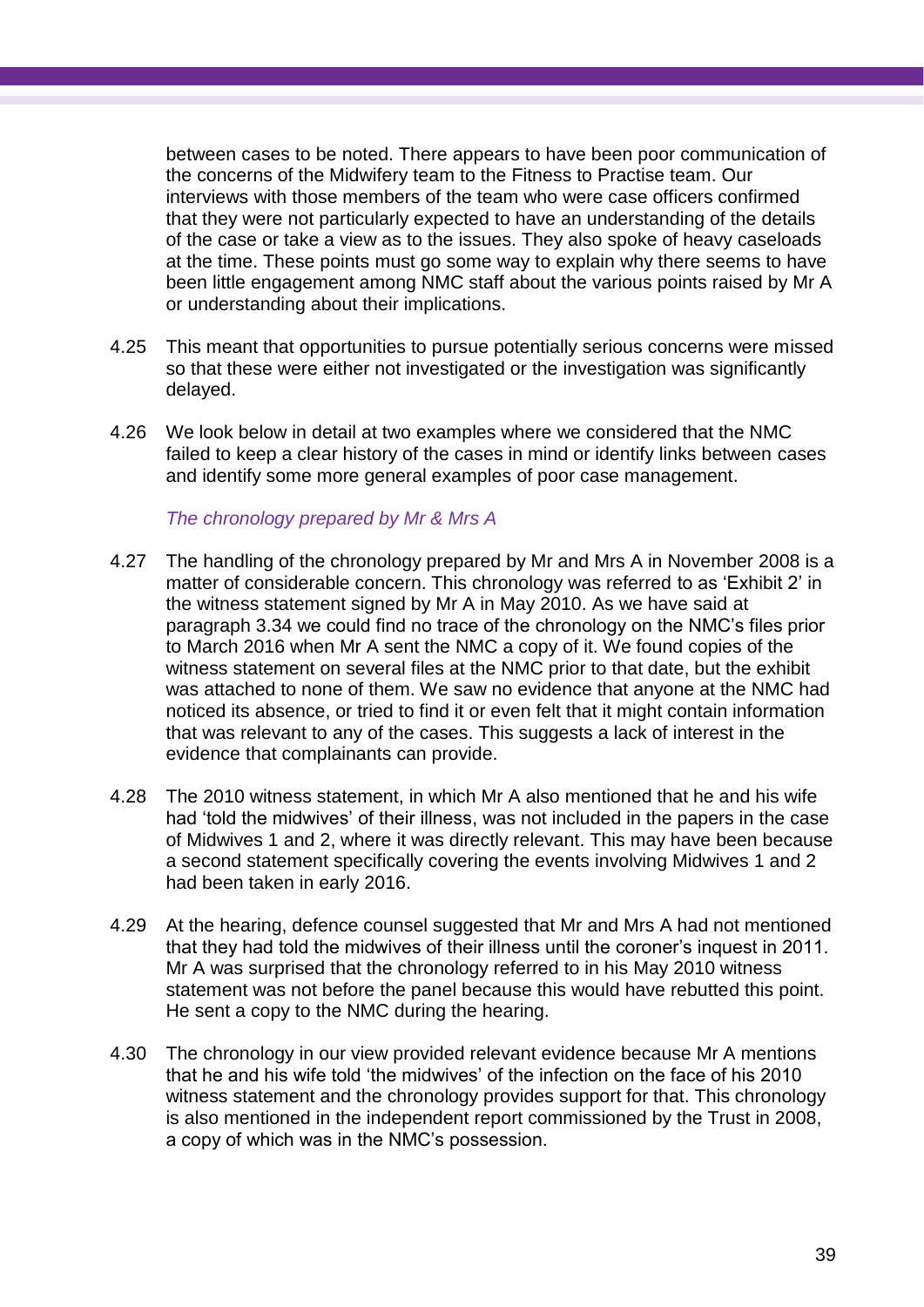between cases to be noted. There appears to have been poor communication of the concerns of the Midwifery team to the Fitness to Practise team. Our interviews with those members of the team who were case officers confirmed that they were not particularly expected to have an understanding of the details of the case or take a view as to the issues. They also spoke of heavy caseloads at the time. These points must go some way to explain why there seems to have been little engagement among NMC staff about the various points raised by Mr A or understanding about their implications.

- 4.25 This meant that opportunities to pursue potentially serious concerns were missed so that these were either not investigated or the investigation was significantly delayed.
- 4.26 We look below in detail at two examples where we considered that the NMC failed to keep a clear history of the cases in mind or identify links between cases and identify some more general examples of poor case management.

*The chronology prepared by Mr & Mrs A*

- 4.27 The handling of the chronology prepared by Mr and Mrs A in November 2008 is a matter of considerable concern. This chronology was referred to as 'Exhibit 2' in the witness statement signed by Mr A in May 2010. As we have said at paragraph 3.34 we could find no trace of the chronology on the NMC's files prior to March 2016 when Mr A sent the NMC a copy of it. We found copies of the witness statement on several files at the NMC prior to that date, but the exhibit was attached to none of them. We saw no evidence that anyone at the NMC had noticed its absence, or tried to find it or even felt that it might contain information that was relevant to any of the cases. This suggests a lack of interest in the evidence that complainants can provide.
- 4.28 The 2010 witness statement, in which Mr A also mentioned that he and his wife had 'told the midwives' of their illness, was not included in the papers in the case of Midwives 1 and 2, where it was directly relevant. This may have been because a second statement specifically covering the events involving Midwives 1 and 2 had been taken in early 2016.
- 4.29 At the hearing, defence counsel suggested that Mr and Mrs A had not mentioned that they had told the midwives of their illness until the coroner's inquest in 2011. Mr A was surprised that the chronology referred to in his May 2010 witness statement was not before the panel because this would have rebutted this point. He sent a copy to the NMC during the hearing.
- 4.30 The chronology in our view provided relevant evidence because Mr A mentions that he and his wife told 'the midwives' of the infection on the face of his 2010 witness statement and the chronology provides support for that. This chronology is also mentioned in the independent report commissioned by the Trust in 2008, a copy of which was in the NMC's possession.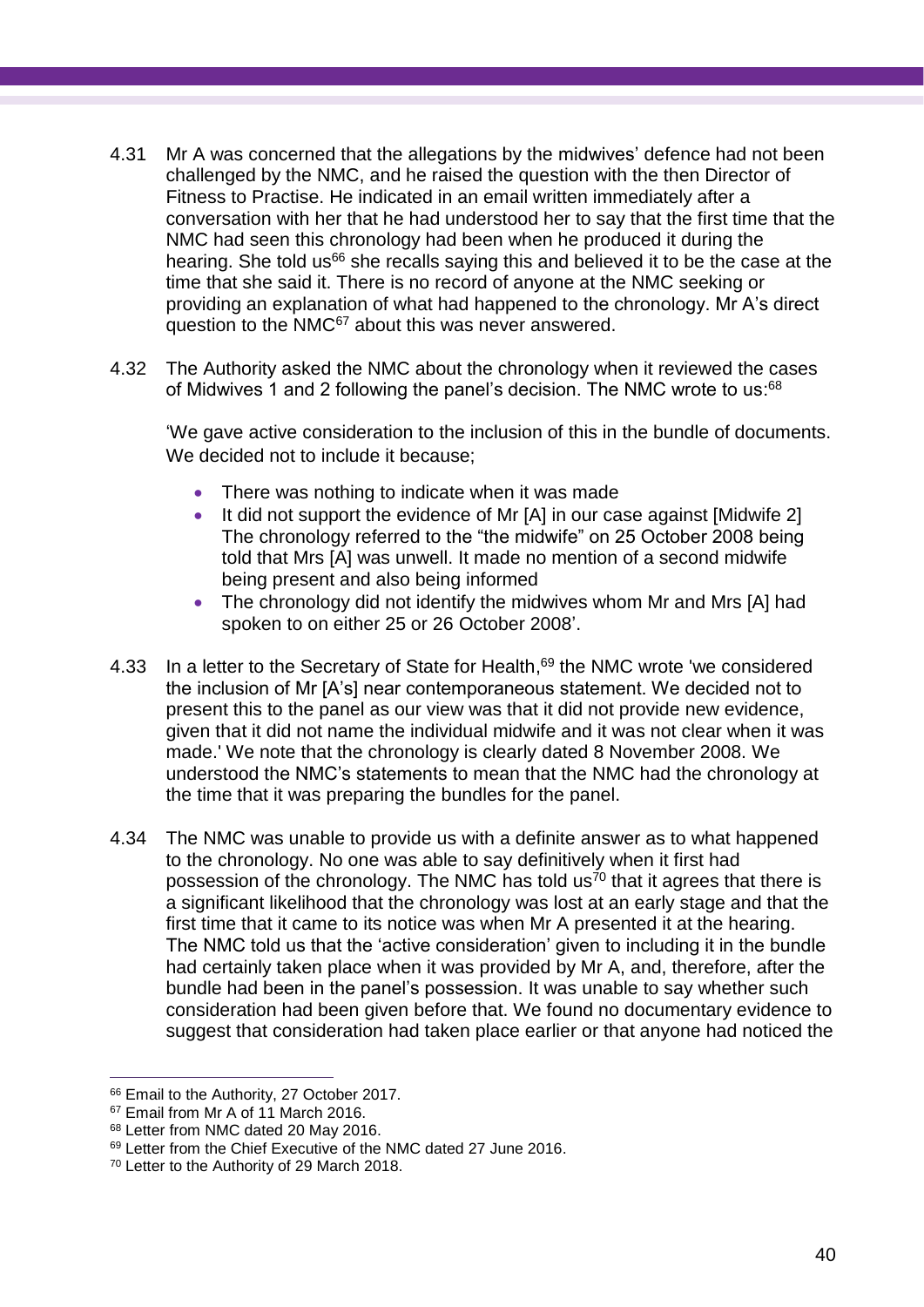- 4.31 Mr A was concerned that the allegations by the midwives' defence had not been challenged by the NMC, and he raised the question with the then Director of Fitness to Practise. He indicated in an email written immediately after a conversation with her that he had understood her to say that the first time that the NMC had seen this chronology had been when he produced it during the hearing. She told us<sup>66</sup> she recalls saying this and believed it to be the case at the time that she said it. There is no record of anyone at the NMC seeking or providing an explanation of what had happened to the chronology. Mr A's direct question to the NMC<sup>67</sup> about this was never answered.
- 4.32 The Authority asked the NMC about the chronology when it reviewed the cases of Midwives 1 and 2 following the panel's decision. The NMC wrote to us:<sup>68</sup>

'We gave active consideration to the inclusion of this in the bundle of documents. We decided not to include it because:

- There was nothing to indicate when it was made
- It did not support the evidence of Mr [A] in our case against [Midwife 2] The chronology referred to the "the midwife" on 25 October 2008 being told that Mrs [A] was unwell. It made no mention of a second midwife being present and also being informed
- The chronology did not identify the midwives whom Mr and Mrs [A] had spoken to on either 25 or 26 October 2008'.
- 4.33 In a letter to the Secretary of State for Health,<sup>69</sup> the NMC wrote 'we considered the inclusion of Mr [A's] near contemporaneous statement. We decided not to present this to the panel as our view was that it did not provide new evidence, given that it did not name the individual midwife and it was not clear when it was made.' We note that the chronology is clearly dated 8 November 2008. We understood the NMC's statements to mean that the NMC had the chronology at the time that it was preparing the bundles for the panel.
- 4.34 The NMC was unable to provide us with a definite answer as to what happened to the chronology. No one was able to say definitively when it first had possession of the chronology. The NMC has told us<sup>70</sup> that it agrees that there is a significant likelihood that the chronology was lost at an early stage and that the first time that it came to its notice was when Mr A presented it at the hearing. The NMC told us that the 'active consideration' given to including it in the bundle had certainly taken place when it was provided by Mr A, and, therefore, after the bundle had been in the panel's possession. It was unable to say whether such consideration had been given before that. We found no documentary evidence to suggest that consideration had taken place earlier or that anyone had noticed the

 $\overline{a}$ <sup>66</sup> Email to the Authority, 27 October 2017.

<sup>&</sup>lt;sup>67</sup> Email from Mr A of 11 March 2016.

<sup>68</sup> Letter from NMC dated 20 May 2016.

<sup>&</sup>lt;sup>69</sup> Letter from the Chief Executive of the NMC dated 27 June 2016.

<sup>70</sup> Letter to the Authority of 29 March 2018.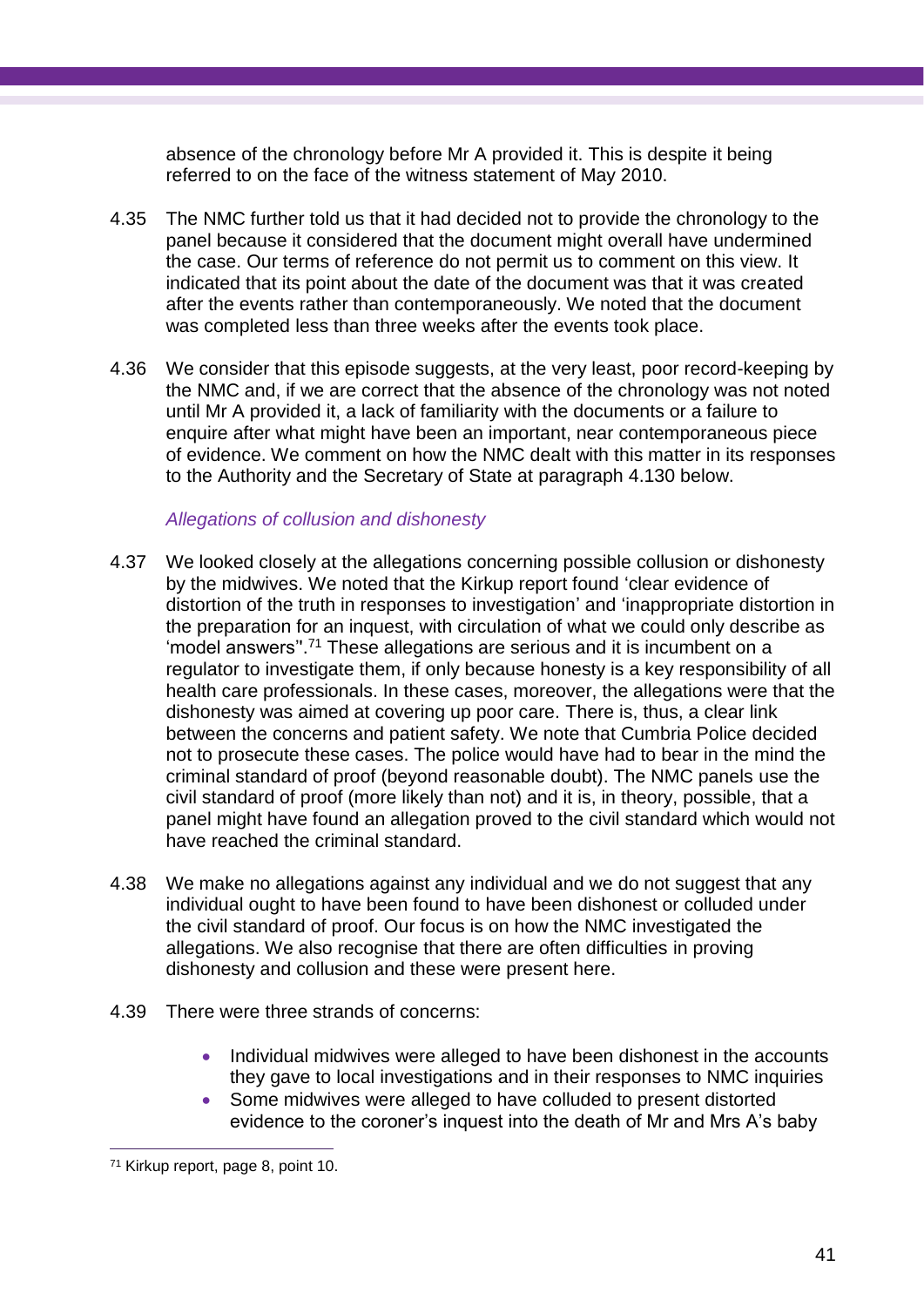absence of the chronology before Mr A provided it. This is despite it being referred to on the face of the witness statement of May 2010.

- 4.35 The NMC further told us that it had decided not to provide the chronology to the panel because it considered that the document might overall have undermined the case. Our terms of reference do not permit us to comment on this view. It indicated that its point about the date of the document was that it was created after the events rather than contemporaneously. We noted that the document was completed less than three weeks after the events took place.
- 4.36 We consider that this episode suggests, at the very least, poor record-keeping by the NMC and, if we are correct that the absence of the chronology was not noted until Mr A provided it, a lack of familiarity with the documents or a failure to enquire after what might have been an important, near contemporaneous piece of evidence. We comment on how the NMC dealt with this matter in its responses to the Authority and the Secretary of State at paragraph 4.130 below.

#### *Allegations of collusion and dishonesty*

- 4.37 We looked closely at the allegations concerning possible collusion or dishonesty by the midwives. We noted that the Kirkup report found 'clear evidence of distortion of the truth in responses to investigation' and 'inappropriate distortion in the preparation for an inquest, with circulation of what we could only describe as 'model answers''. <sup>71</sup> These allegations are serious and it is incumbent on a regulator to investigate them, if only because honesty is a key responsibility of all health care professionals. In these cases, moreover, the allegations were that the dishonesty was aimed at covering up poor care. There is, thus, a clear link between the concerns and patient safety. We note that Cumbria Police decided not to prosecute these cases. The police would have had to bear in the mind the criminal standard of proof (beyond reasonable doubt). The NMC panels use the civil standard of proof (more likely than not) and it is, in theory, possible, that a panel might have found an allegation proved to the civil standard which would not have reached the criminal standard.
- 4.38 We make no allegations against any individual and we do not suggest that any individual ought to have been found to have been dishonest or colluded under the civil standard of proof. Our focus is on how the NMC investigated the allegations. We also recognise that there are often difficulties in proving dishonesty and collusion and these were present here.
- 4.39 There were three strands of concerns:
	- Individual midwives were alleged to have been dishonest in the accounts they gave to local investigations and in their responses to NMC inquiries
	- Some midwives were alleged to have colluded to present distorted evidence to the coroner's inquest into the death of Mr and Mrs A's baby

<sup>71</sup> Kirkup report, page 8, point 10.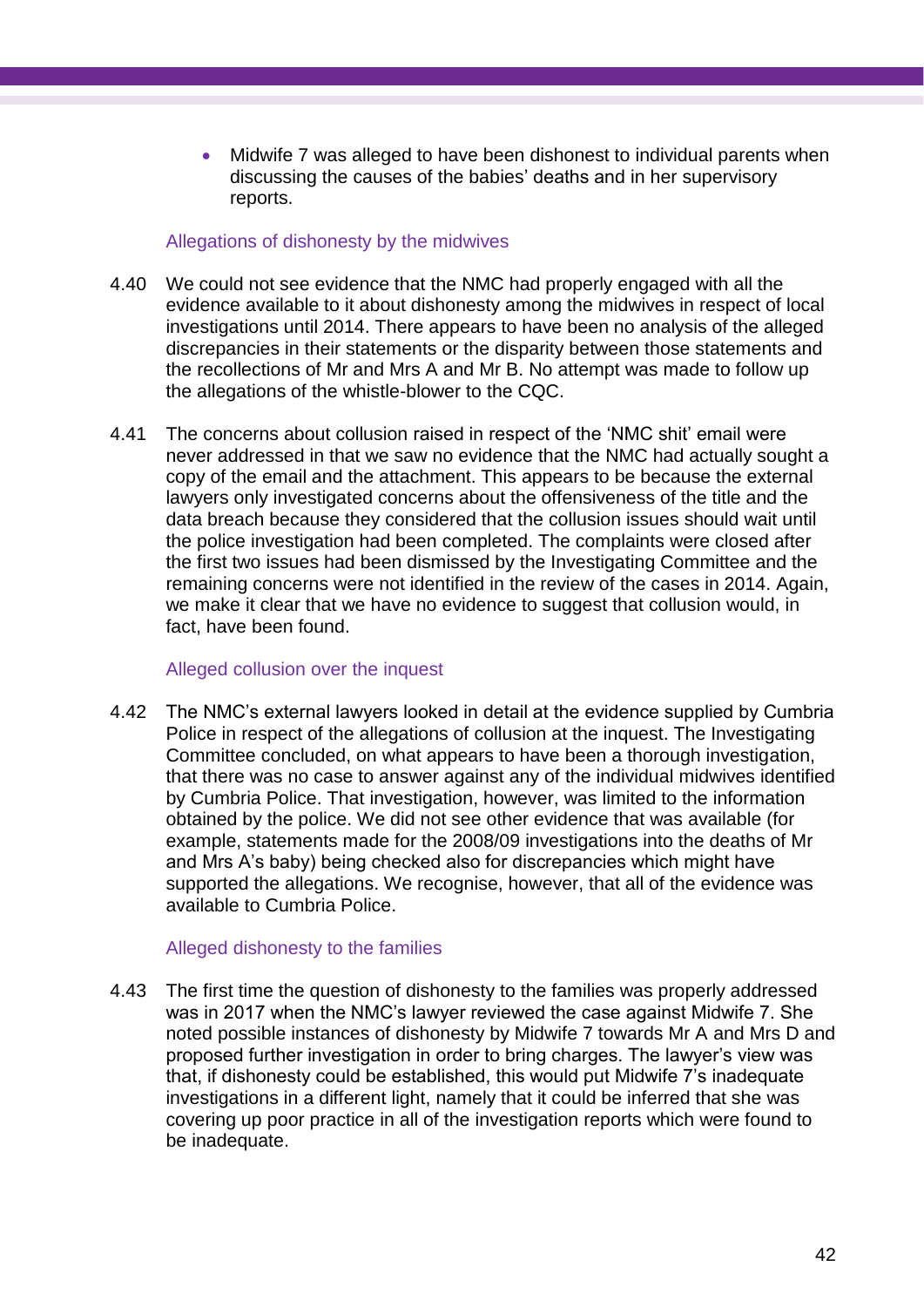• Midwife 7 was alleged to have been dishonest to individual parents when discussing the causes of the babies' deaths and in her supervisory reports.

## Allegations of dishonesty by the midwives

- 4.40 We could not see evidence that the NMC had properly engaged with all the evidence available to it about dishonesty among the midwives in respect of local investigations until 2014. There appears to have been no analysis of the alleged discrepancies in their statements or the disparity between those statements and the recollections of Mr and Mrs A and Mr B. No attempt was made to follow up the allegations of the whistle-blower to the CQC.
- 4.41 The concerns about collusion raised in respect of the 'NMC shit' email were never addressed in that we saw no evidence that the NMC had actually sought a copy of the email and the attachment. This appears to be because the external lawyers only investigated concerns about the offensiveness of the title and the data breach because they considered that the collusion issues should wait until the police investigation had been completed. The complaints were closed after the first two issues had been dismissed by the Investigating Committee and the remaining concerns were not identified in the review of the cases in 2014. Again, we make it clear that we have no evidence to suggest that collusion would, in fact, have been found.

## Alleged collusion over the inquest

4.42 The NMC's external lawyers looked in detail at the evidence supplied by Cumbria Police in respect of the allegations of collusion at the inquest. The Investigating Committee concluded, on what appears to have been a thorough investigation, that there was no case to answer against any of the individual midwives identified by Cumbria Police. That investigation, however, was limited to the information obtained by the police. We did not see other evidence that was available (for example, statements made for the 2008/09 investigations into the deaths of Mr and Mrs A's baby) being checked also for discrepancies which might have supported the allegations. We recognise, however, that all of the evidence was available to Cumbria Police.

## Alleged dishonesty to the families

4.43 The first time the question of dishonesty to the families was properly addressed was in 2017 when the NMC's lawyer reviewed the case against Midwife 7. She noted possible instances of dishonesty by Midwife 7 towards Mr A and Mrs D and proposed further investigation in order to bring charges. The lawyer's view was that, if dishonesty could be established, this would put Midwife 7's inadequate investigations in a different light, namely that it could be inferred that she was covering up poor practice in all of the investigation reports which were found to be inadequate.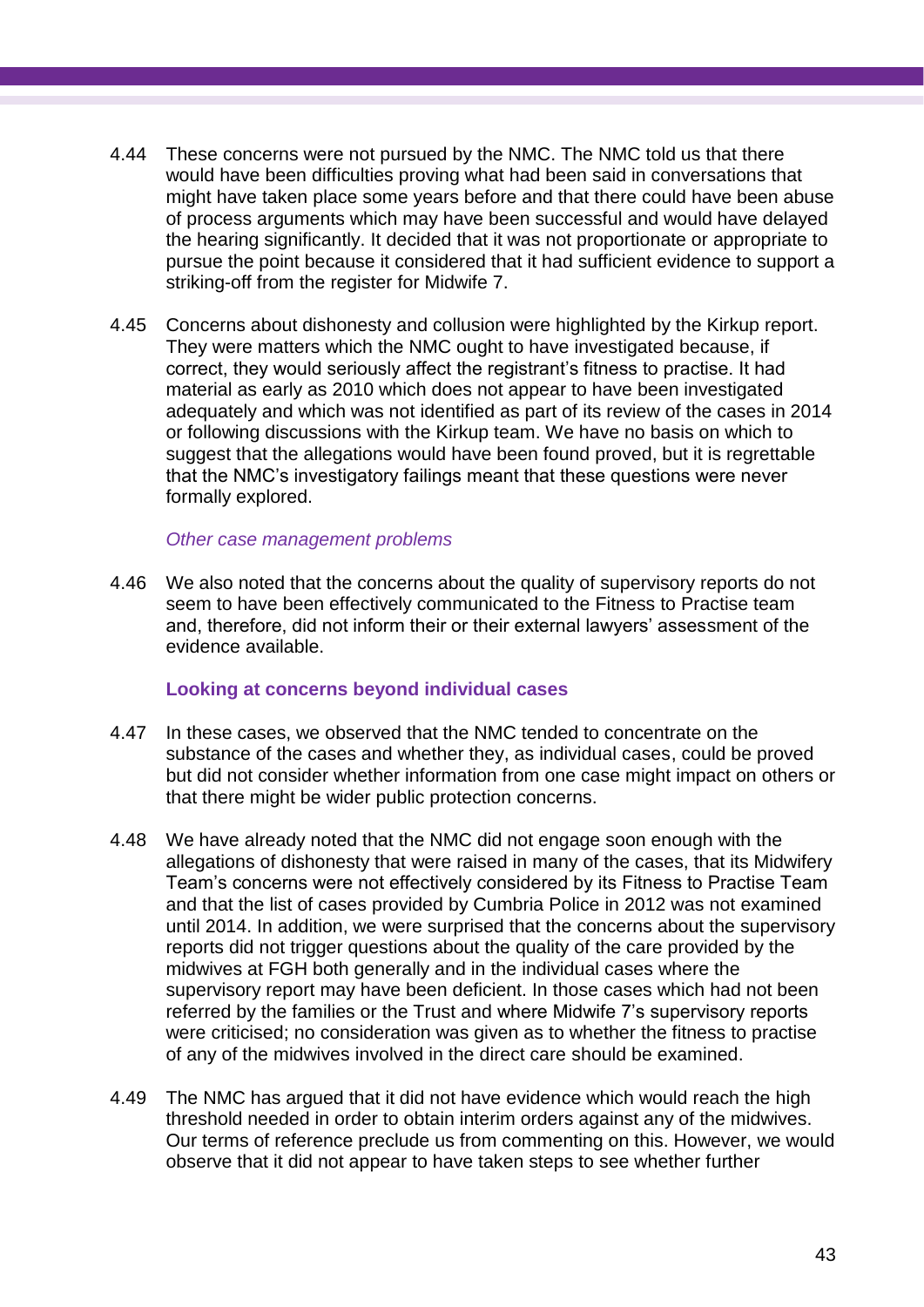- 4.44 These concerns were not pursued by the NMC. The NMC told us that there would have been difficulties proving what had been said in conversations that might have taken place some years before and that there could have been abuse of process arguments which may have been successful and would have delayed the hearing significantly. It decided that it was not proportionate or appropriate to pursue the point because it considered that it had sufficient evidence to support a striking-off from the register for Midwife 7.
- 4.45 Concerns about dishonesty and collusion were highlighted by the Kirkup report. They were matters which the NMC ought to have investigated because, if correct, they would seriously affect the registrant's fitness to practise. It had material as early as 2010 which does not appear to have been investigated adequately and which was not identified as part of its review of the cases in 2014 or following discussions with the Kirkup team. We have no basis on which to suggest that the allegations would have been found proved, but it is regrettable that the NMC's investigatory failings meant that these questions were never formally explored.

#### *Other case management problems*

4.46 We also noted that the concerns about the quality of supervisory reports do not seem to have been effectively communicated to the Fitness to Practise team and, therefore, did not inform their or their external lawyers' assessment of the evidence available.

#### **Looking at concerns beyond individual cases**

- 4.47 In these cases, we observed that the NMC tended to concentrate on the substance of the cases and whether they, as individual cases, could be proved but did not consider whether information from one case might impact on others or that there might be wider public protection concerns.
- 4.48 We have already noted that the NMC did not engage soon enough with the allegations of dishonesty that were raised in many of the cases, that its Midwifery Team's concerns were not effectively considered by its Fitness to Practise Team and that the list of cases provided by Cumbria Police in 2012 was not examined until 2014. In addition, we were surprised that the concerns about the supervisory reports did not trigger questions about the quality of the care provided by the midwives at FGH both generally and in the individual cases where the supervisory report may have been deficient. In those cases which had not been referred by the families or the Trust and where Midwife 7's supervisory reports were criticised; no consideration was given as to whether the fitness to practise of any of the midwives involved in the direct care should be examined.
- 4.49 The NMC has argued that it did not have evidence which would reach the high threshold needed in order to obtain interim orders against any of the midwives. Our terms of reference preclude us from commenting on this. However, we would observe that it did not appear to have taken steps to see whether further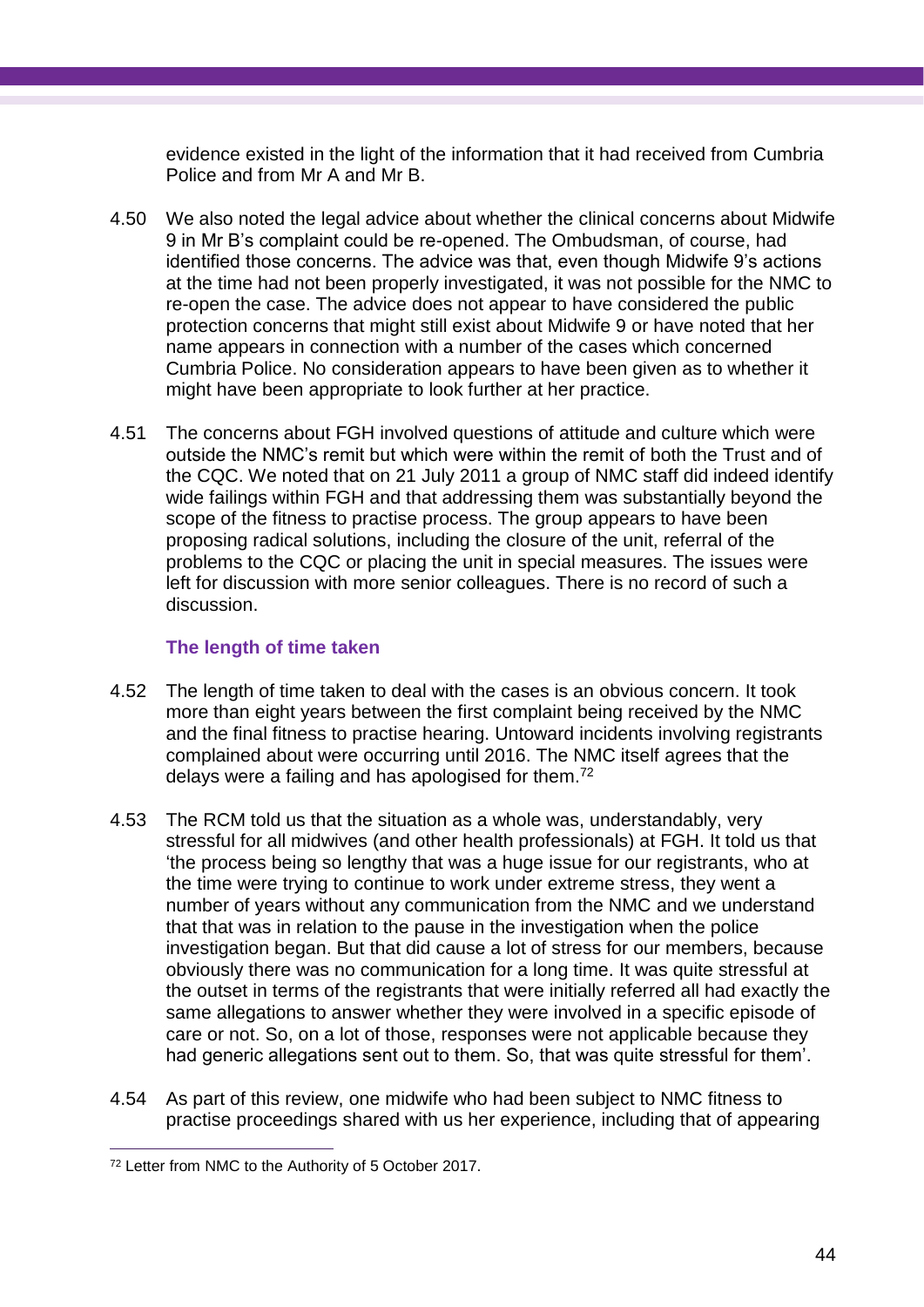evidence existed in the light of the information that it had received from Cumbria Police and from Mr A and Mr B.

- 4.50 We also noted the legal advice about whether the clinical concerns about Midwife 9 in Mr B's complaint could be re-opened. The Ombudsman, of course, had identified those concerns. The advice was that, even though Midwife 9's actions at the time had not been properly investigated, it was not possible for the NMC to re-open the case. The advice does not appear to have considered the public protection concerns that might still exist about Midwife 9 or have noted that her name appears in connection with a number of the cases which concerned Cumbria Police. No consideration appears to have been given as to whether it might have been appropriate to look further at her practice.
- 4.51 The concerns about FGH involved questions of attitude and culture which were outside the NMC's remit but which were within the remit of both the Trust and of the CQC. We noted that on 21 July 2011 a group of NMC staff did indeed identify wide failings within FGH and that addressing them was substantially beyond the scope of the fitness to practise process. The group appears to have been proposing radical solutions, including the closure of the unit, referral of the problems to the CQC or placing the unit in special measures. The issues were left for discussion with more senior colleagues. There is no record of such a discussion.

## **The length of time taken**

- 4.52 The length of time taken to deal with the cases is an obvious concern. It took more than eight years between the first complaint being received by the NMC and the final fitness to practise hearing. Untoward incidents involving registrants complained about were occurring until 2016. The NMC itself agrees that the delays were a failing and has apologised for them.<sup>72</sup>
- 4.53 The RCM told us that the situation as a whole was, understandably, very stressful for all midwives (and other health professionals) at FGH. It told us that 'the process being so lengthy that was a huge issue for our registrants, who at the time were trying to continue to work under extreme stress, they went a number of years without any communication from the NMC and we understand that that was in relation to the pause in the investigation when the police investigation began. But that did cause a lot of stress for our members, because obviously there was no communication for a long time. It was quite stressful at the outset in terms of the registrants that were initially referred all had exactly the same allegations to answer whether they were involved in a specific episode of care or not. So, on a lot of those, responses were not applicable because they had generic allegations sent out to them. So, that was quite stressful for them'.
- 4.54 As part of this review, one midwife who had been subject to NMC fitness to practise proceedings shared with us her experience, including that of appearing

 $\overline{a}$ <sup>72</sup> Letter from NMC to the Authority of 5 October 2017.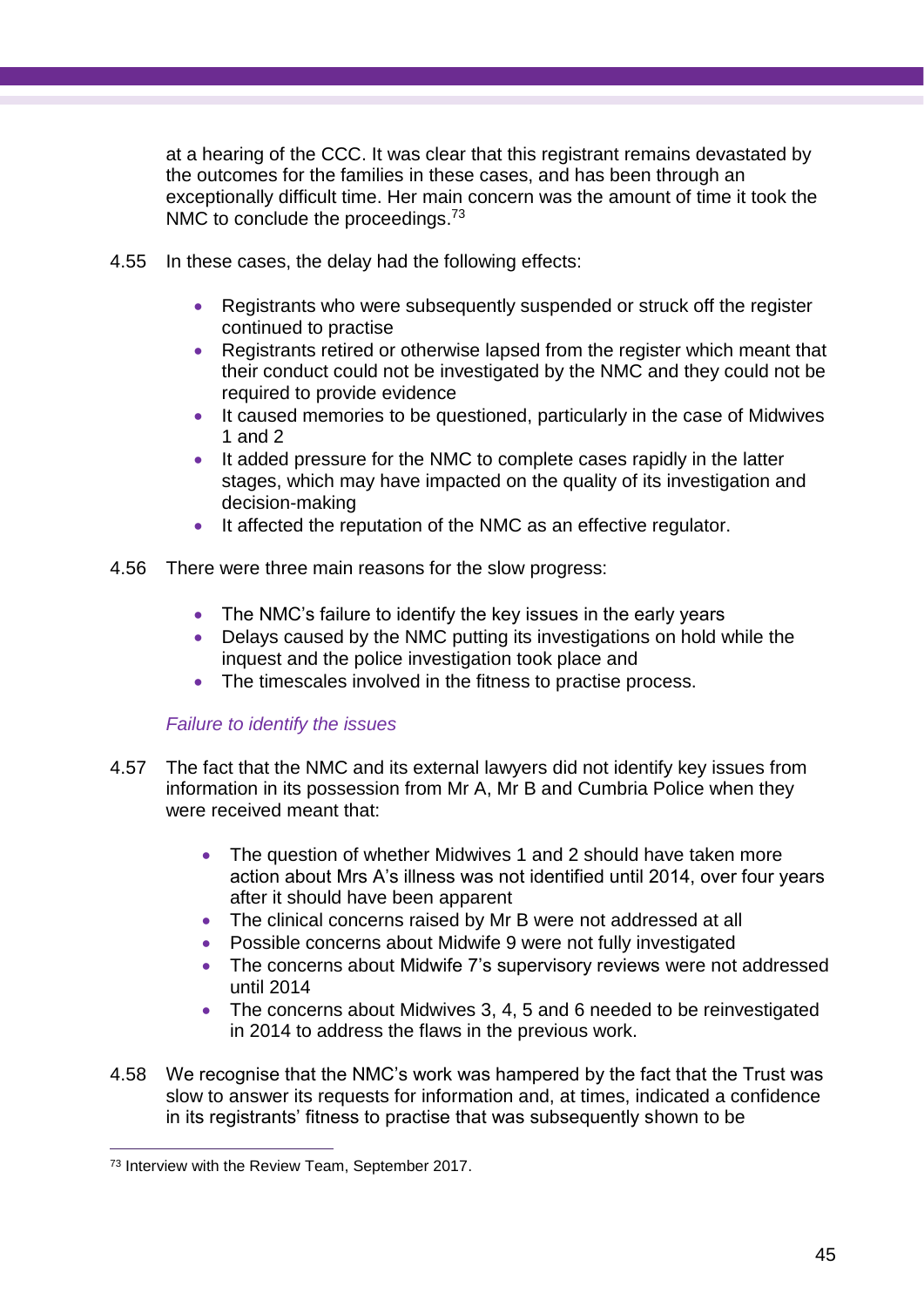at a hearing of the CCC. It was clear that this registrant remains devastated by the outcomes for the families in these cases, and has been through an exceptionally difficult time. Her main concern was the amount of time it took the NMC to conclude the proceedings.<sup>73</sup>

- 4.55 In these cases, the delay had the following effects:
	- Registrants who were subsequently suspended or struck off the register continued to practise
	- Registrants retired or otherwise lapsed from the register which meant that their conduct could not be investigated by the NMC and they could not be required to provide evidence
	- It caused memories to be questioned, particularly in the case of Midwives 1 and 2
	- It added pressure for the NMC to complete cases rapidly in the latter stages, which may have impacted on the quality of its investigation and decision-making
	- It affected the reputation of the NMC as an effective regulator.
- 4.56 There were three main reasons for the slow progress:
	- The NMC's failure to identify the key issues in the early years
	- Delays caused by the NMC putting its investigations on hold while the inquest and the police investigation took place and
	- The timescales involved in the fitness to practise process.

## *Failure to identify the issues*

- 4.57 The fact that the NMC and its external lawyers did not identify key issues from information in its possession from Mr A, Mr B and Cumbria Police when they were received meant that:
	- The question of whether Midwives 1 and 2 should have taken more action about Mrs A's illness was not identified until 2014, over four years after it should have been apparent
	- The clinical concerns raised by Mr B were not addressed at all
	- Possible concerns about Midwife 9 were not fully investigated
	- The concerns about Midwife 7's supervisory reviews were not addressed until 2014
	- The concerns about Midwives 3, 4, 5 and 6 needed to be reinvestigated in 2014 to address the flaws in the previous work.
- 4.58 We recognise that the NMC's work was hampered by the fact that the Trust was slow to answer its requests for information and, at times, indicated a confidence in its registrants' fitness to practise that was subsequently shown to be

<sup>73</sup> Interview with the Review Team, September 2017.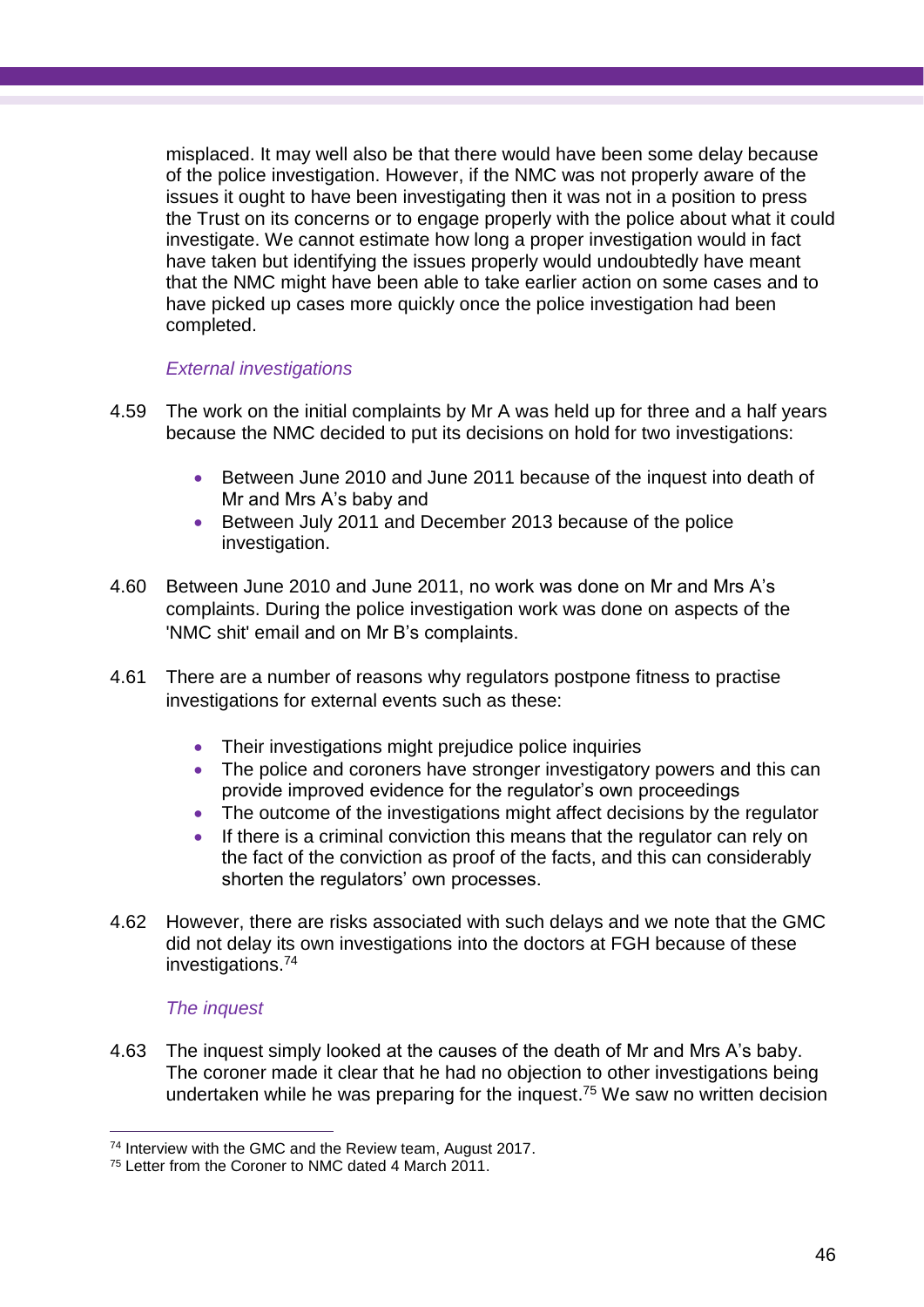misplaced. It may well also be that there would have been some delay because of the police investigation. However, if the NMC was not properly aware of the issues it ought to have been investigating then it was not in a position to press the Trust on its concerns or to engage properly with the police about what it could investigate. We cannot estimate how long a proper investigation would in fact have taken but identifying the issues properly would undoubtedly have meant that the NMC might have been able to take earlier action on some cases and to have picked up cases more quickly once the police investigation had been completed.

## *External investigations*

- 4.59 The work on the initial complaints by Mr A was held up for three and a half years because the NMC decided to put its decisions on hold for two investigations:
	- Between June 2010 and June 2011 because of the inquest into death of Mr and Mrs A's baby and
	- Between July 2011 and December 2013 because of the police investigation.
- 4.60 Between June 2010 and June 2011, no work was done on Mr and Mrs A's complaints. During the police investigation work was done on aspects of the 'NMC shit' email and on Mr B's complaints.
- 4.61 There are a number of reasons why regulators postpone fitness to practise investigations for external events such as these:
	- Their investigations might prejudice police inquiries
	- The police and coroners have stronger investigatory powers and this can provide improved evidence for the regulator's own proceedings
	- The outcome of the investigations might affect decisions by the regulator
	- If there is a criminal conviction this means that the regulator can rely on the fact of the conviction as proof of the facts, and this can considerably shorten the regulators' own processes.
- 4.62 However, there are risks associated with such delays and we note that the GMC did not delay its own investigations into the doctors at FGH because of these investigations. 74

## *The inquest*

4.63 The inquest simply looked at the causes of the death of Mr and Mrs A's baby. The coroner made it clear that he had no objection to other investigations being undertaken while he was preparing for the inquest. <sup>75</sup> We saw no written decision

 $\overline{a}$ <sup>74</sup> Interview with the GMC and the Review team, August 2017.

<sup>75</sup> Letter from the Coroner to NMC dated 4 March 2011.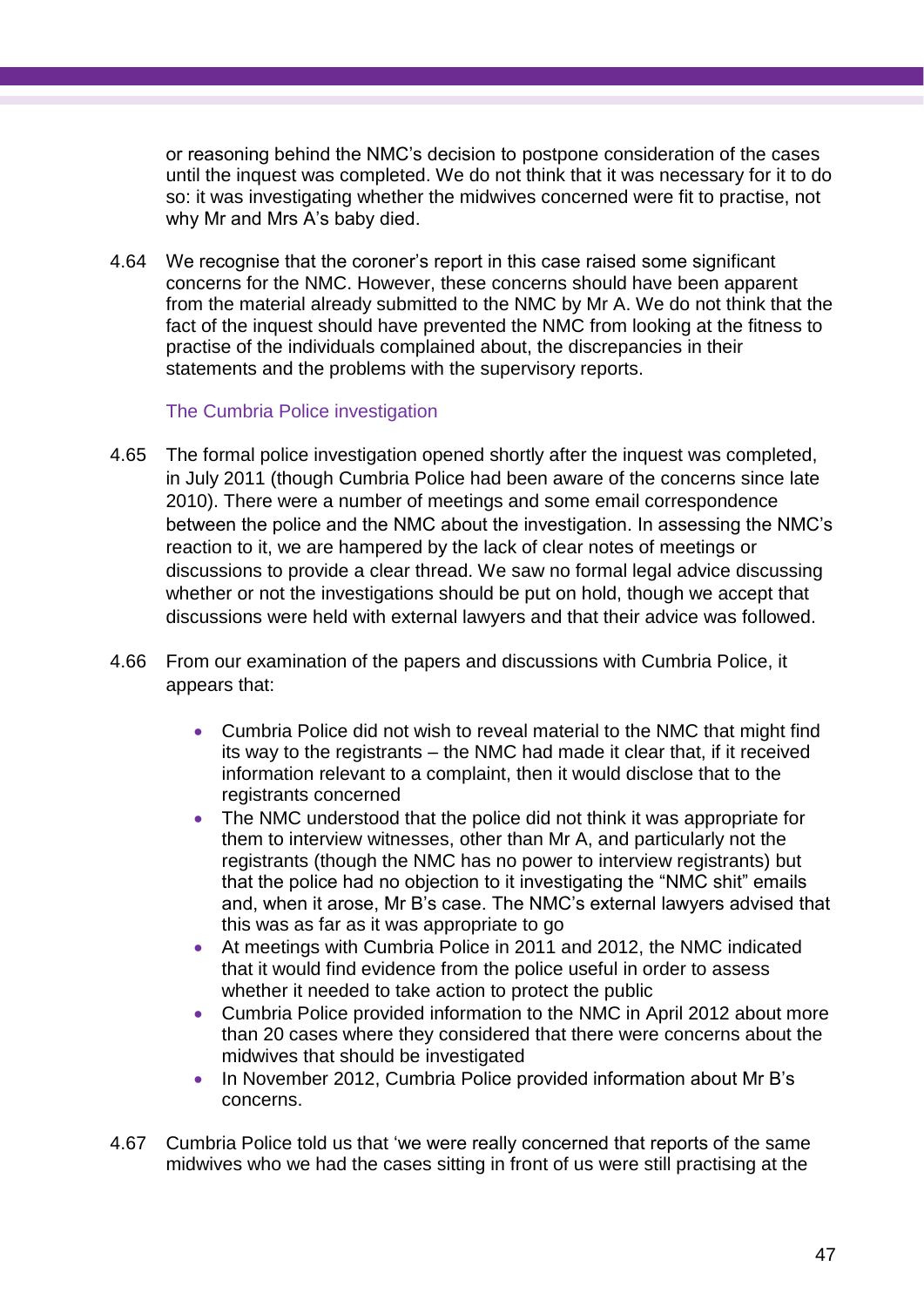or reasoning behind the NMC's decision to postpone consideration of the cases until the inquest was completed. We do not think that it was necessary for it to do so: it was investigating whether the midwives concerned were fit to practise, not why Mr and Mrs A's baby died.

4.64 We recognise that the coroner's report in this case raised some significant concerns for the NMC. However, these concerns should have been apparent from the material already submitted to the NMC by Mr A. We do not think that the fact of the inquest should have prevented the NMC from looking at the fitness to practise of the individuals complained about, the discrepancies in their statements and the problems with the supervisory reports.

## The Cumbria Police investigation

- 4.65 The formal police investigation opened shortly after the inquest was completed, in July 2011 (though Cumbria Police had been aware of the concerns since late 2010). There were a number of meetings and some email correspondence between the police and the NMC about the investigation. In assessing the NMC's reaction to it, we are hampered by the lack of clear notes of meetings or discussions to provide a clear thread. We saw no formal legal advice discussing whether or not the investigations should be put on hold, though we accept that discussions were held with external lawyers and that their advice was followed.
- 4.66 From our examination of the papers and discussions with Cumbria Police, it appears that:
	- Cumbria Police did not wish to reveal material to the NMC that might find its way to the registrants – the NMC had made it clear that, if it received information relevant to a complaint, then it would disclose that to the registrants concerned
	- The NMC understood that the police did not think it was appropriate for them to interview witnesses, other than Mr A, and particularly not the registrants (though the NMC has no power to interview registrants) but that the police had no objection to it investigating the "NMC shit" emails and, when it arose, Mr B's case. The NMC's external lawyers advised that this was as far as it was appropriate to go
	- At meetings with Cumbria Police in 2011 and 2012, the NMC indicated that it would find evidence from the police useful in order to assess whether it needed to take action to protect the public
	- Cumbria Police provided information to the NMC in April 2012 about more than 20 cases where they considered that there were concerns about the midwives that should be investigated
	- In November 2012, Cumbria Police provided information about Mr B's concerns.
- 4.67 Cumbria Police told us that 'we were really concerned that reports of the same midwives who we had the cases sitting in front of us were still practising at the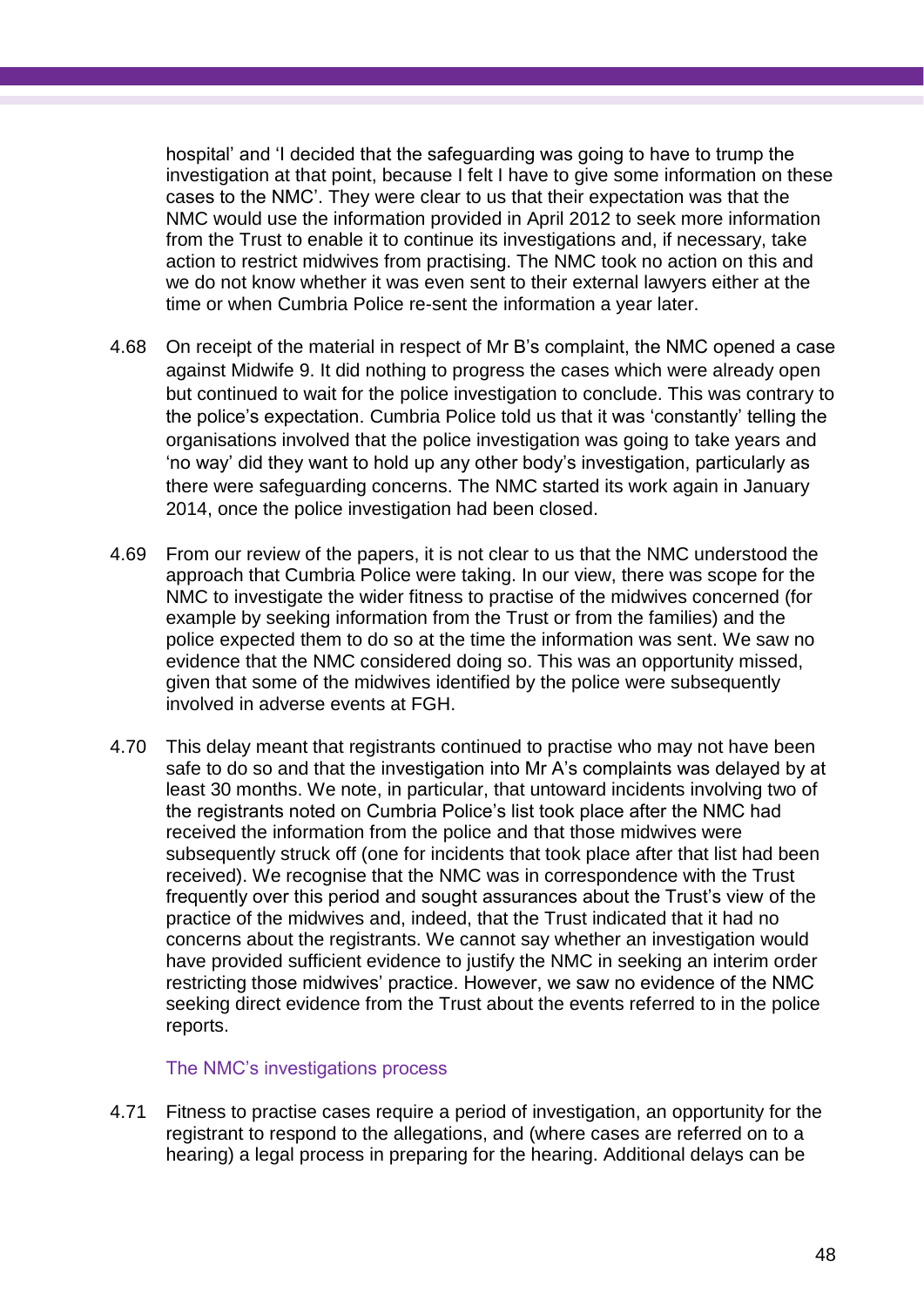hospital' and 'I decided that the safeguarding was going to have to trump the investigation at that point, because I felt I have to give some information on these cases to the NMC'. They were clear to us that their expectation was that the NMC would use the information provided in April 2012 to seek more information from the Trust to enable it to continue its investigations and, if necessary, take action to restrict midwives from practising. The NMC took no action on this and we do not know whether it was even sent to their external lawyers either at the time or when Cumbria Police re-sent the information a year later.

- 4.68 On receipt of the material in respect of Mr B's complaint, the NMC opened a case against Midwife 9. It did nothing to progress the cases which were already open but continued to wait for the police investigation to conclude. This was contrary to the police's expectation. Cumbria Police told us that it was 'constantly' telling the organisations involved that the police investigation was going to take years and 'no way' did they want to hold up any other body's investigation, particularly as there were safeguarding concerns. The NMC started its work again in January 2014, once the police investigation had been closed.
- 4.69 From our review of the papers, it is not clear to us that the NMC understood the approach that Cumbria Police were taking. In our view, there was scope for the NMC to investigate the wider fitness to practise of the midwives concerned (for example by seeking information from the Trust or from the families) and the police expected them to do so at the time the information was sent. We saw no evidence that the NMC considered doing so. This was an opportunity missed, given that some of the midwives identified by the police were subsequently involved in adverse events at FGH.
- 4.70 This delay meant that registrants continued to practise who may not have been safe to do so and that the investigation into Mr A's complaints was delayed by at least 30 months. We note, in particular, that untoward incidents involving two of the registrants noted on Cumbria Police's list took place after the NMC had received the information from the police and that those midwives were subsequently struck off (one for incidents that took place after that list had been received). We recognise that the NMC was in correspondence with the Trust frequently over this period and sought assurances about the Trust's view of the practice of the midwives and, indeed, that the Trust indicated that it had no concerns about the registrants. We cannot say whether an investigation would have provided sufficient evidence to justify the NMC in seeking an interim order restricting those midwives' practice. However, we saw no evidence of the NMC seeking direct evidence from the Trust about the events referred to in the police reports.

#### The NMC's investigations process

4.71 Fitness to practise cases require a period of investigation, an opportunity for the registrant to respond to the allegations, and (where cases are referred on to a hearing) a legal process in preparing for the hearing. Additional delays can be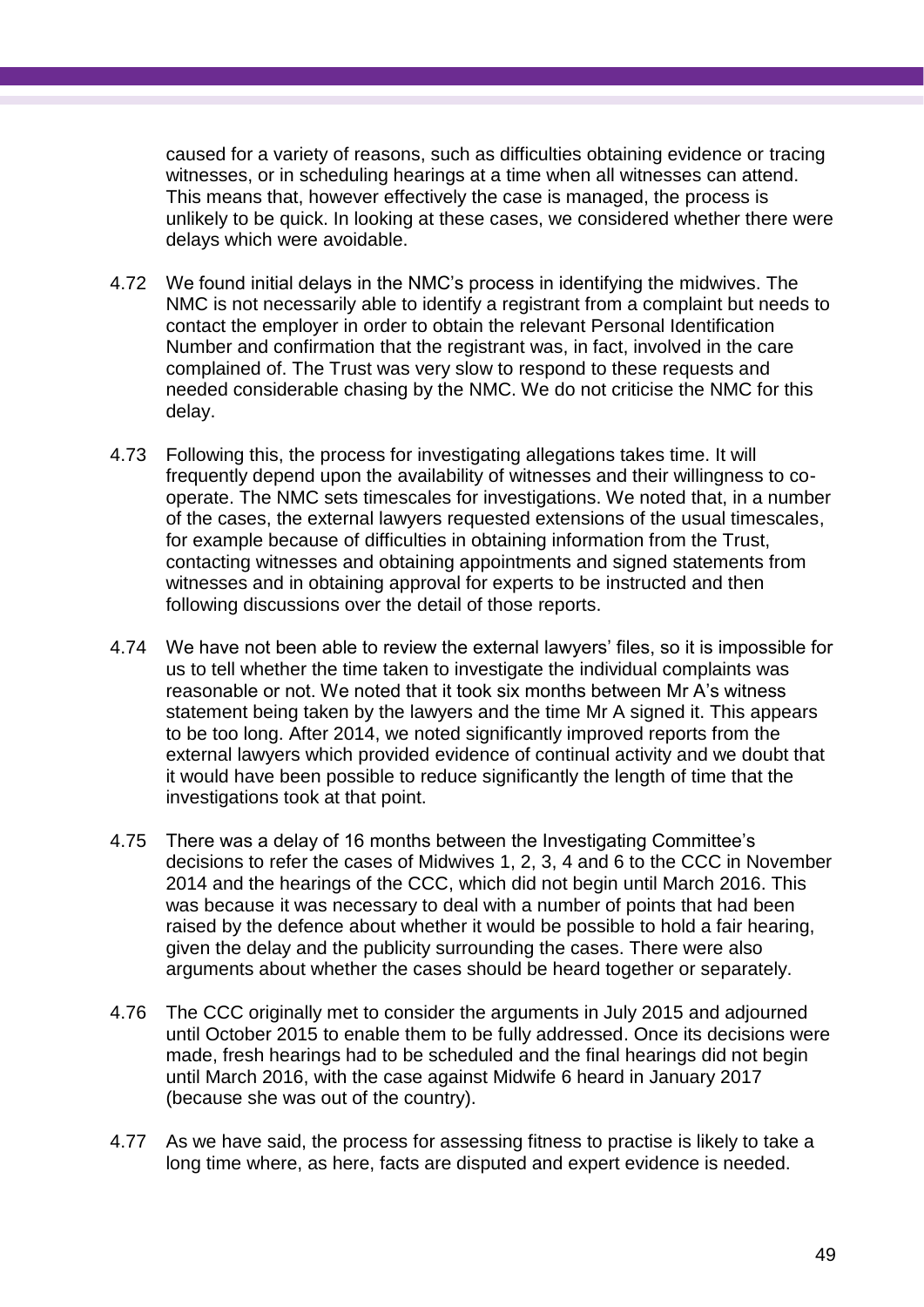caused for a variety of reasons, such as difficulties obtaining evidence or tracing witnesses, or in scheduling hearings at a time when all witnesses can attend. This means that, however effectively the case is managed, the process is unlikely to be quick. In looking at these cases, we considered whether there were delays which were avoidable.

- 4.72 We found initial delays in the NMC's process in identifying the midwives. The NMC is not necessarily able to identify a registrant from a complaint but needs to contact the employer in order to obtain the relevant Personal Identification Number and confirmation that the registrant was, in fact, involved in the care complained of. The Trust was very slow to respond to these requests and needed considerable chasing by the NMC. We do not criticise the NMC for this delay.
- 4.73 Following this, the process for investigating allegations takes time. It will frequently depend upon the availability of witnesses and their willingness to cooperate. The NMC sets timescales for investigations. We noted that, in a number of the cases, the external lawyers requested extensions of the usual timescales, for example because of difficulties in obtaining information from the Trust, contacting witnesses and obtaining appointments and signed statements from witnesses and in obtaining approval for experts to be instructed and then following discussions over the detail of those reports.
- 4.74 We have not been able to review the external lawyers' files, so it is impossible for us to tell whether the time taken to investigate the individual complaints was reasonable or not. We noted that it took six months between Mr A's witness statement being taken by the lawyers and the time Mr A signed it. This appears to be too long. After 2014, we noted significantly improved reports from the external lawyers which provided evidence of continual activity and we doubt that it would have been possible to reduce significantly the length of time that the investigations took at that point.
- 4.75 There was a delay of 16 months between the Investigating Committee's decisions to refer the cases of Midwives 1, 2, 3, 4 and 6 to the CCC in November 2014 and the hearings of the CCC, which did not begin until March 2016. This was because it was necessary to deal with a number of points that had been raised by the defence about whether it would be possible to hold a fair hearing, given the delay and the publicity surrounding the cases. There were also arguments about whether the cases should be heard together or separately.
- 4.76 The CCC originally met to consider the arguments in July 2015 and adjourned until October 2015 to enable them to be fully addressed. Once its decisions were made, fresh hearings had to be scheduled and the final hearings did not begin until March 2016, with the case against Midwife 6 heard in January 2017 (because she was out of the country).
- 4.77 As we have said, the process for assessing fitness to practise is likely to take a long time where, as here, facts are disputed and expert evidence is needed.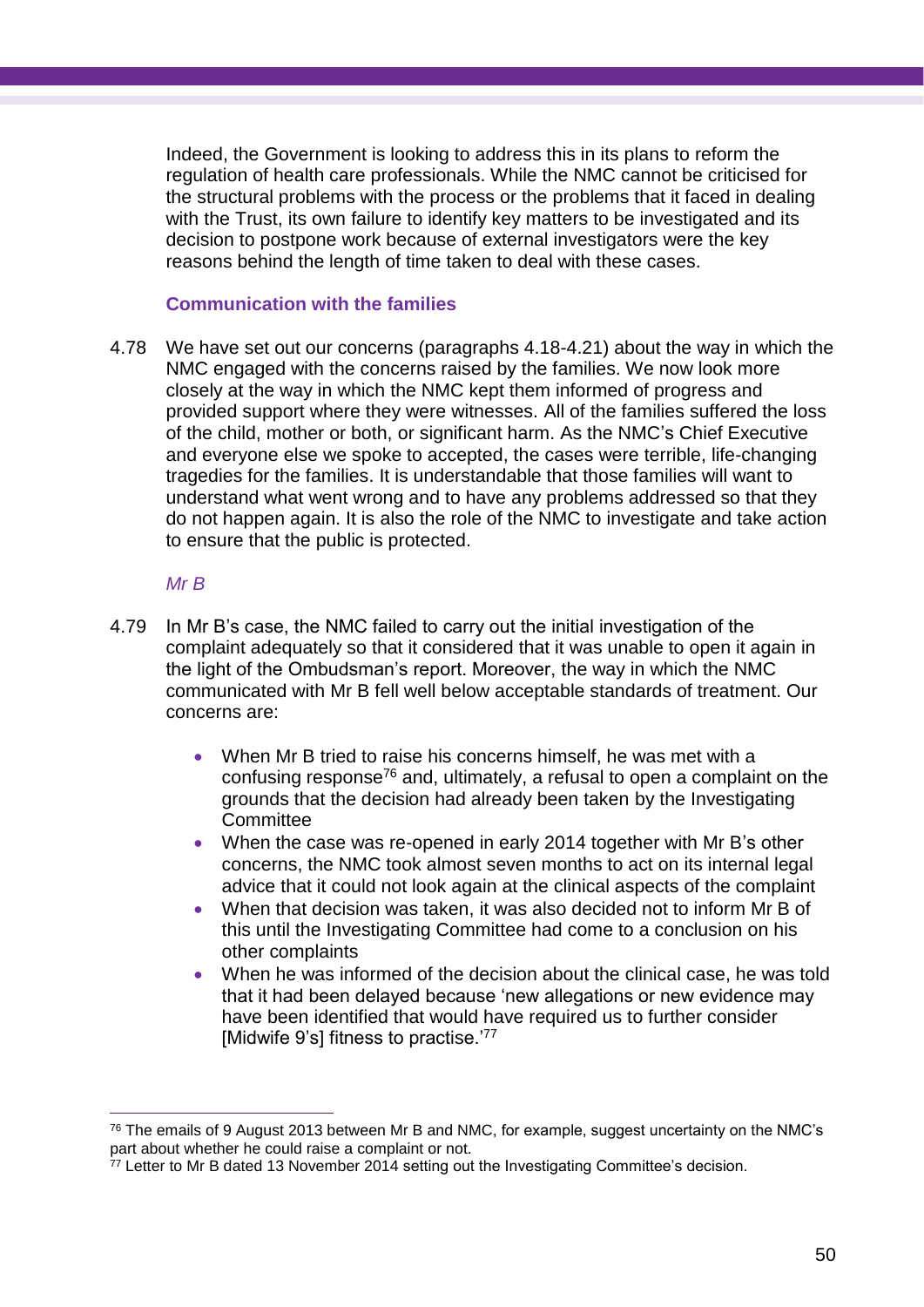Indeed, the Government is looking to address this in its plans to reform the regulation of health care professionals. While the NMC cannot be criticised for the structural problems with the process or the problems that it faced in dealing with the Trust, its own failure to identify key matters to be investigated and its decision to postpone work because of external investigators were the key reasons behind the length of time taken to deal with these cases.

#### **Communication with the families**

4.78 We have set out our concerns (paragraphs 4.18-4.21) about the way in which the NMC engaged with the concerns raised by the families. We now look more closely at the way in which the NMC kept them informed of progress and provided support where they were witnesses. All of the families suffered the loss of the child, mother or both, or significant harm. As the NMC's Chief Executive and everyone else we spoke to accepted, the cases were terrible, life-changing tragedies for the families. It is understandable that those families will want to understand what went wrong and to have any problems addressed so that they do not happen again. It is also the role of the NMC to investigate and take action to ensure that the public is protected.

## *Mr B*

- 4.79 In Mr B's case, the NMC failed to carry out the initial investigation of the complaint adequately so that it considered that it was unable to open it again in the light of the Ombudsman's report. Moreover, the way in which the NMC communicated with Mr B fell well below acceptable standards of treatment. Our concerns are:
	- When Mr B tried to raise his concerns himself, he was met with a confusing response<sup>76</sup> and, ultimately, a refusal to open a complaint on the grounds that the decision had already been taken by the Investigating **Committee**
	- When the case was re-opened in early 2014 together with Mr B's other concerns, the NMC took almost seven months to act on its internal legal advice that it could not look again at the clinical aspects of the complaint
	- When that decision was taken, it was also decided not to inform Mr B of this until the Investigating Committee had come to a conclusion on his other complaints
	- When he was informed of the decision about the clinical case, he was told that it had been delayed because 'new allegations or new evidence may have been identified that would have required us to further consider [Midwife 9's] fitness to practise.<sup>'77</sup>

 $76$  The emails of 9 August 2013 between Mr B and NMC, for example, suggest uncertainty on the NMC's part about whether he could raise a complaint or not.

<sup>77</sup> Letter to Mr B dated 13 November 2014 setting out the Investigating Committee's decision.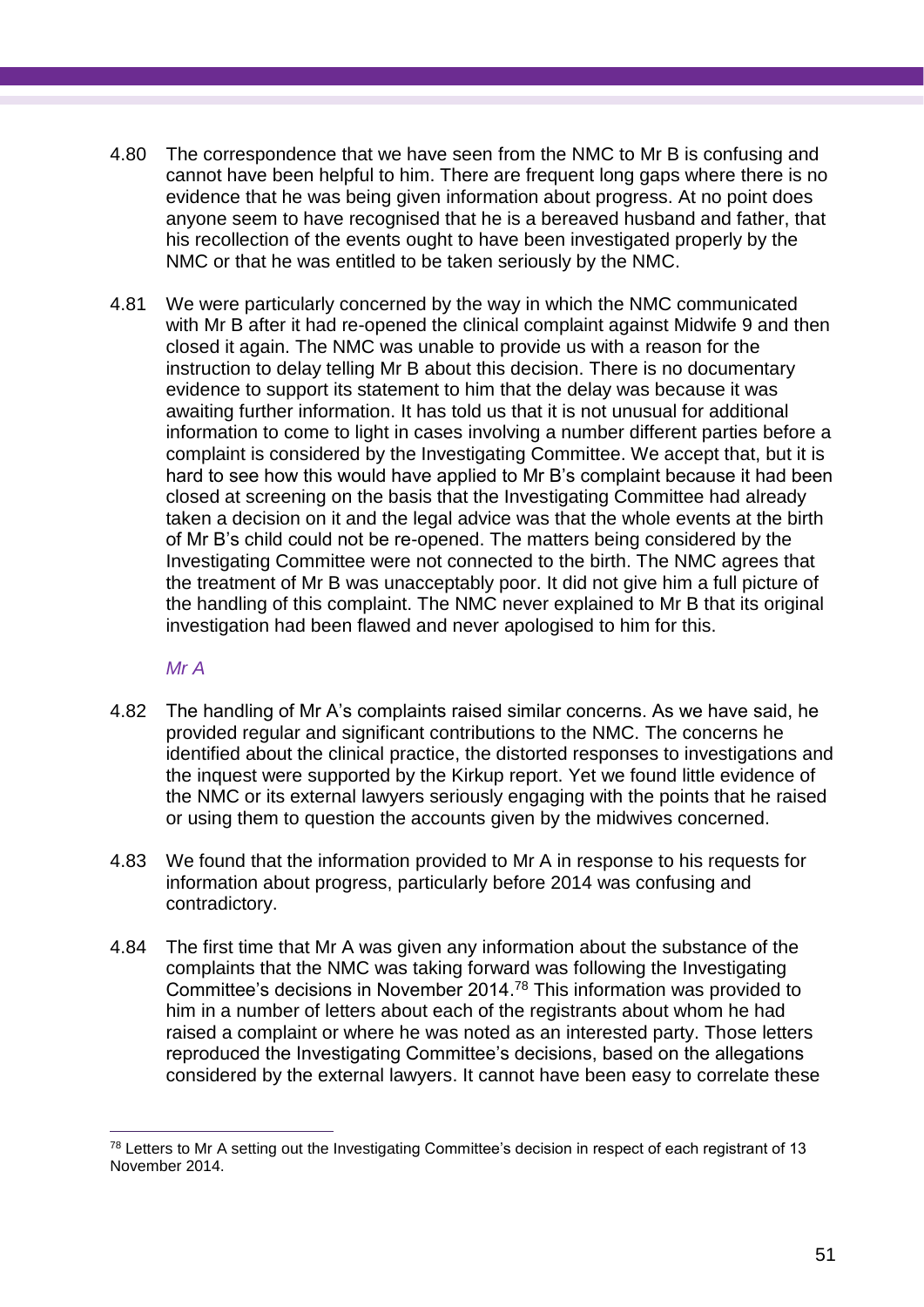- 4.80 The correspondence that we have seen from the NMC to Mr B is confusing and cannot have been helpful to him. There are frequent long gaps where there is no evidence that he was being given information about progress. At no point does anyone seem to have recognised that he is a bereaved husband and father, that his recollection of the events ought to have been investigated properly by the NMC or that he was entitled to be taken seriously by the NMC.
- 4.81 We were particularly concerned by the way in which the NMC communicated with Mr B after it had re-opened the clinical complaint against Midwife 9 and then closed it again. The NMC was unable to provide us with a reason for the instruction to delay telling Mr B about this decision. There is no documentary evidence to support its statement to him that the delay was because it was awaiting further information. It has told us that it is not unusual for additional information to come to light in cases involving a number different parties before a complaint is considered by the Investigating Committee. We accept that, but it is hard to see how this would have applied to Mr B's complaint because it had been closed at screening on the basis that the Investigating Committee had already taken a decision on it and the legal advice was that the whole events at the birth of Mr B's child could not be re-opened. The matters being considered by the Investigating Committee were not connected to the birth. The NMC agrees that the treatment of Mr B was unacceptably poor. It did not give him a full picture of the handling of this complaint. The NMC never explained to Mr B that its original investigation had been flawed and never apologised to him for this.

## *Mr A*

- 4.82 The handling of Mr A's complaints raised similar concerns. As we have said, he provided regular and significant contributions to the NMC. The concerns he identified about the clinical practice, the distorted responses to investigations and the inquest were supported by the Kirkup report. Yet we found little evidence of the NMC or its external lawyers seriously engaging with the points that he raised or using them to question the accounts given by the midwives concerned.
- 4.83 We found that the information provided to Mr A in response to his requests for information about progress, particularly before 2014 was confusing and contradictory.
- 4.84 The first time that Mr A was given any information about the substance of the complaints that the NMC was taking forward was following the Investigating Committee's decisions in November 2014. <sup>78</sup> This information was provided to him in a number of letters about each of the registrants about whom he had raised a complaint or where he was noted as an interested party. Those letters reproduced the Investigating Committee's decisions, based on the allegations considered by the external lawyers. It cannot have been easy to correlate these

 $\overline{a}$ <sup>78</sup> Letters to Mr A setting out the Investigating Committee's decision in respect of each registrant of 13 November 2014.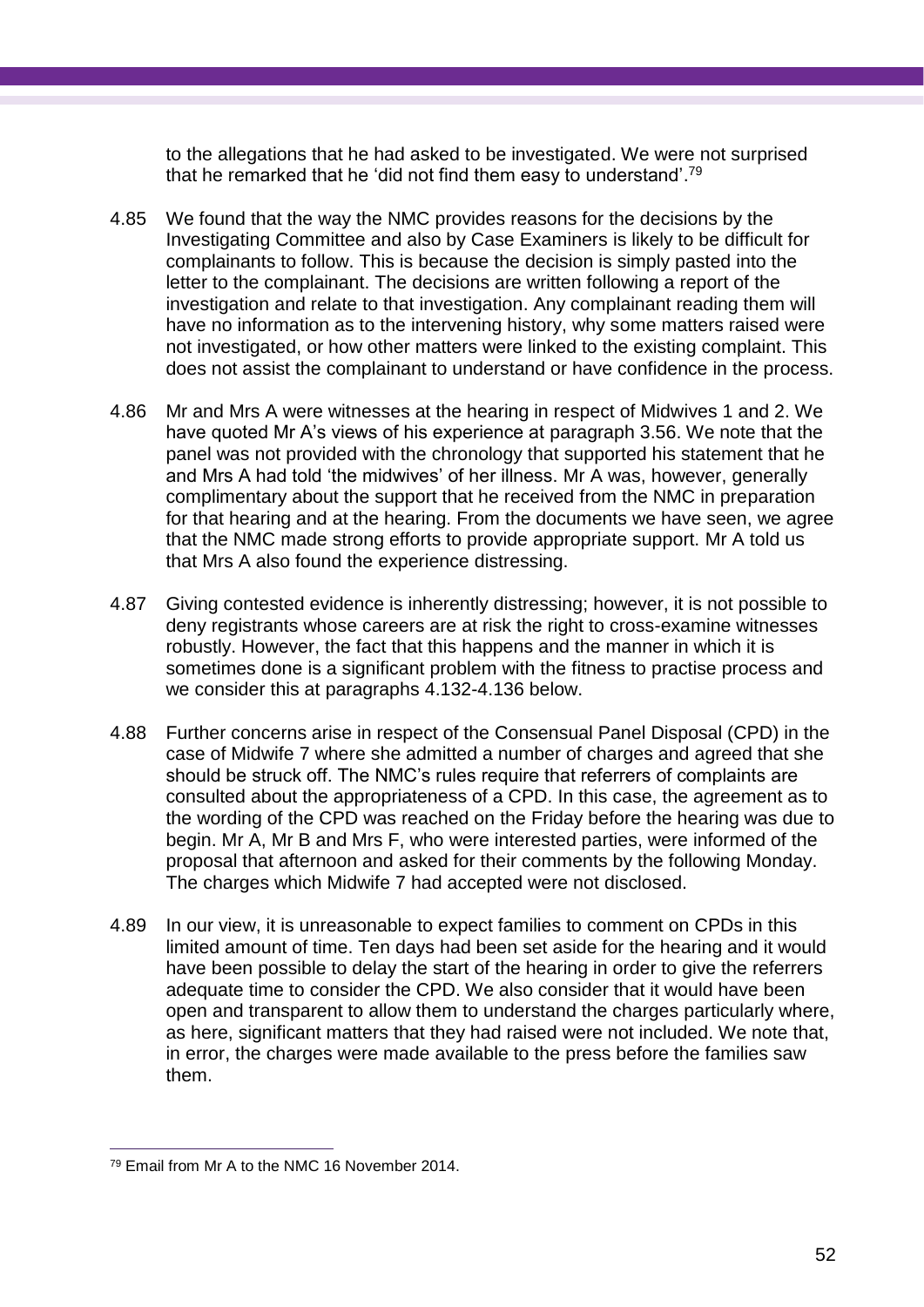to the allegations that he had asked to be investigated. We were not surprised that he remarked that he 'did not find them easy to understand'. 79

- 4.85 We found that the way the NMC provides reasons for the decisions by the Investigating Committee and also by Case Examiners is likely to be difficult for complainants to follow. This is because the decision is simply pasted into the letter to the complainant. The decisions are written following a report of the investigation and relate to that investigation. Any complainant reading them will have no information as to the intervening history, why some matters raised were not investigated, or how other matters were linked to the existing complaint. This does not assist the complainant to understand or have confidence in the process.
- 4.86 Mr and Mrs A were witnesses at the hearing in respect of Midwives 1 and 2. We have quoted Mr A's views of his experience at paragraph 3.56. We note that the panel was not provided with the chronology that supported his statement that he and Mrs A had told 'the midwives' of her illness. Mr A was, however, generally complimentary about the support that he received from the NMC in preparation for that hearing and at the hearing. From the documents we have seen, we agree that the NMC made strong efforts to provide appropriate support. Mr A told us that Mrs A also found the experience distressing.
- 4.87 Giving contested evidence is inherently distressing; however, it is not possible to deny registrants whose careers are at risk the right to cross-examine witnesses robustly. However, the fact that this happens and the manner in which it is sometimes done is a significant problem with the fitness to practise process and we consider this at paragraphs 4.132-4.136 below.
- 4.88 Further concerns arise in respect of the Consensual Panel Disposal (CPD) in the case of Midwife 7 where she admitted a number of charges and agreed that she should be struck off. The NMC's rules require that referrers of complaints are consulted about the appropriateness of a CPD. In this case, the agreement as to the wording of the CPD was reached on the Friday before the hearing was due to begin. Mr A, Mr B and Mrs F, who were interested parties, were informed of the proposal that afternoon and asked for their comments by the following Monday. The charges which Midwife 7 had accepted were not disclosed.
- 4.89 In our view, it is unreasonable to expect families to comment on CPDs in this limited amount of time. Ten days had been set aside for the hearing and it would have been possible to delay the start of the hearing in order to give the referrers adequate time to consider the CPD. We also consider that it would have been open and transparent to allow them to understand the charges particularly where, as here, significant matters that they had raised were not included. We note that, in error, the charges were made available to the press before the families saw them.

<sup>79</sup> Email from Mr A to the NMC 16 November 2014.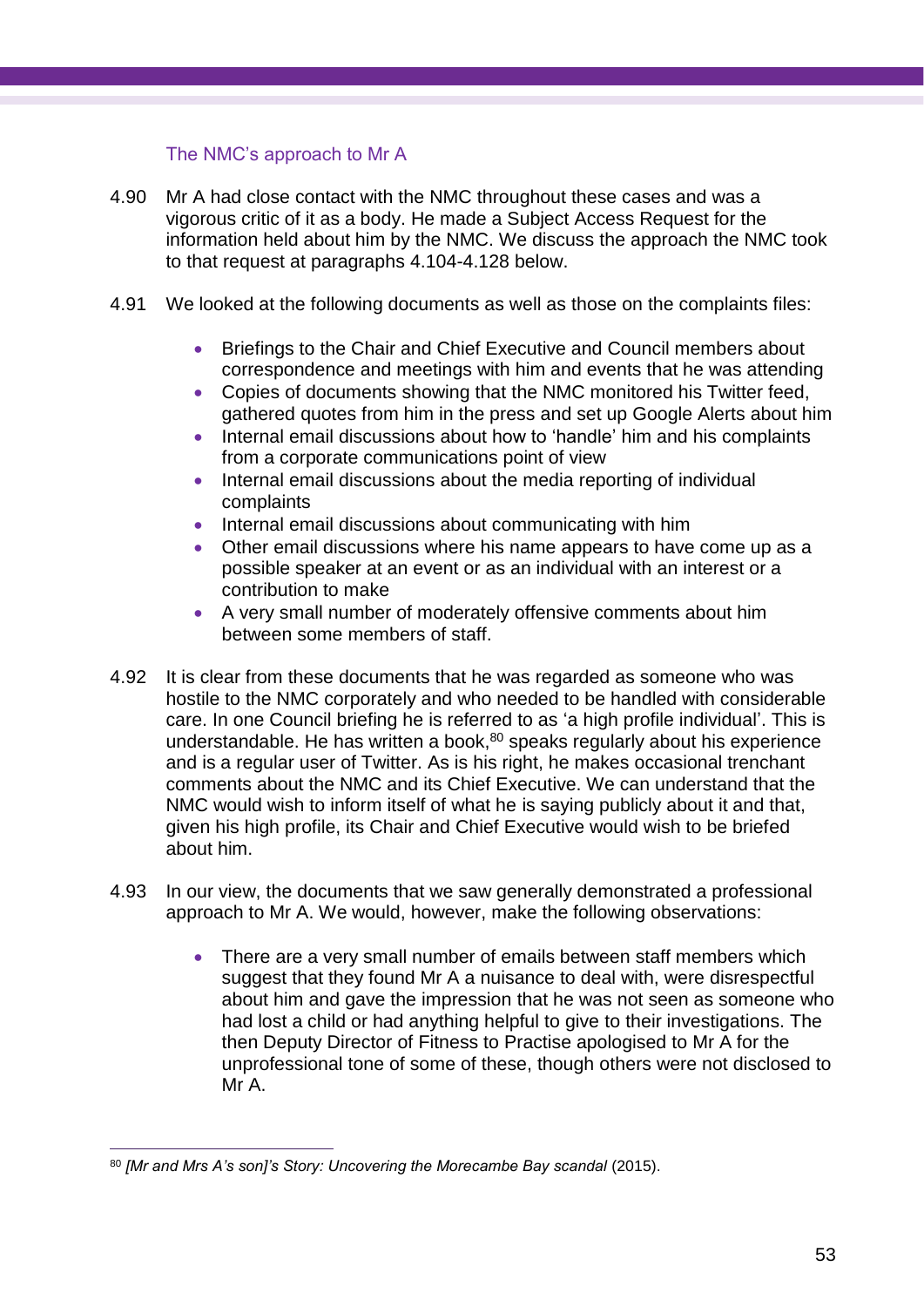The NMC's approach to Mr A

- 4.90 Mr A had close contact with the NMC throughout these cases and was a vigorous critic of it as a body. He made a Subject Access Request for the information held about him by the NMC. We discuss the approach the NMC took to that request at paragraphs 4.104-4.128 below.
- 4.91 We looked at the following documents as well as those on the complaints files:
	- Briefings to the Chair and Chief Executive and Council members about correspondence and meetings with him and events that he was attending
	- Copies of documents showing that the NMC monitored his Twitter feed, gathered quotes from him in the press and set up Google Alerts about him
	- Internal email discussions about how to 'handle' him and his complaints from a corporate communications point of view
	- Internal email discussions about the media reporting of individual complaints
	- Internal email discussions about communicating with him
	- Other email discussions where his name appears to have come up as a possible speaker at an event or as an individual with an interest or a contribution to make
	- A very small number of moderately offensive comments about him between some members of staff.
- 4.92 It is clear from these documents that he was regarded as someone who was hostile to the NMC corporately and who needed to be handled with considerable care. In one Council briefing he is referred to as 'a high profile individual'. This is understandable. He has written a book, <sup>80</sup> speaks regularly about his experience and is a regular user of Twitter. As is his right, he makes occasional trenchant comments about the NMC and its Chief Executive. We can understand that the NMC would wish to inform itself of what he is saying publicly about it and that, given his high profile, its Chair and Chief Executive would wish to be briefed about him.
- 4.93 In our view, the documents that we saw generally demonstrated a professional approach to Mr A. We would, however, make the following observations:
	- There are a very small number of emails between staff members which suggest that they found Mr A a nuisance to deal with, were disrespectful about him and gave the impression that he was not seen as someone who had lost a child or had anything helpful to give to their investigations. The then Deputy Director of Fitness to Practise apologised to Mr A for the unprofessional tone of some of these, though others were not disclosed to Mr A.

<sup>80</sup> *[Mr and Mrs A's son]'s Story: Uncovering the Morecambe Bay scandal* (2015).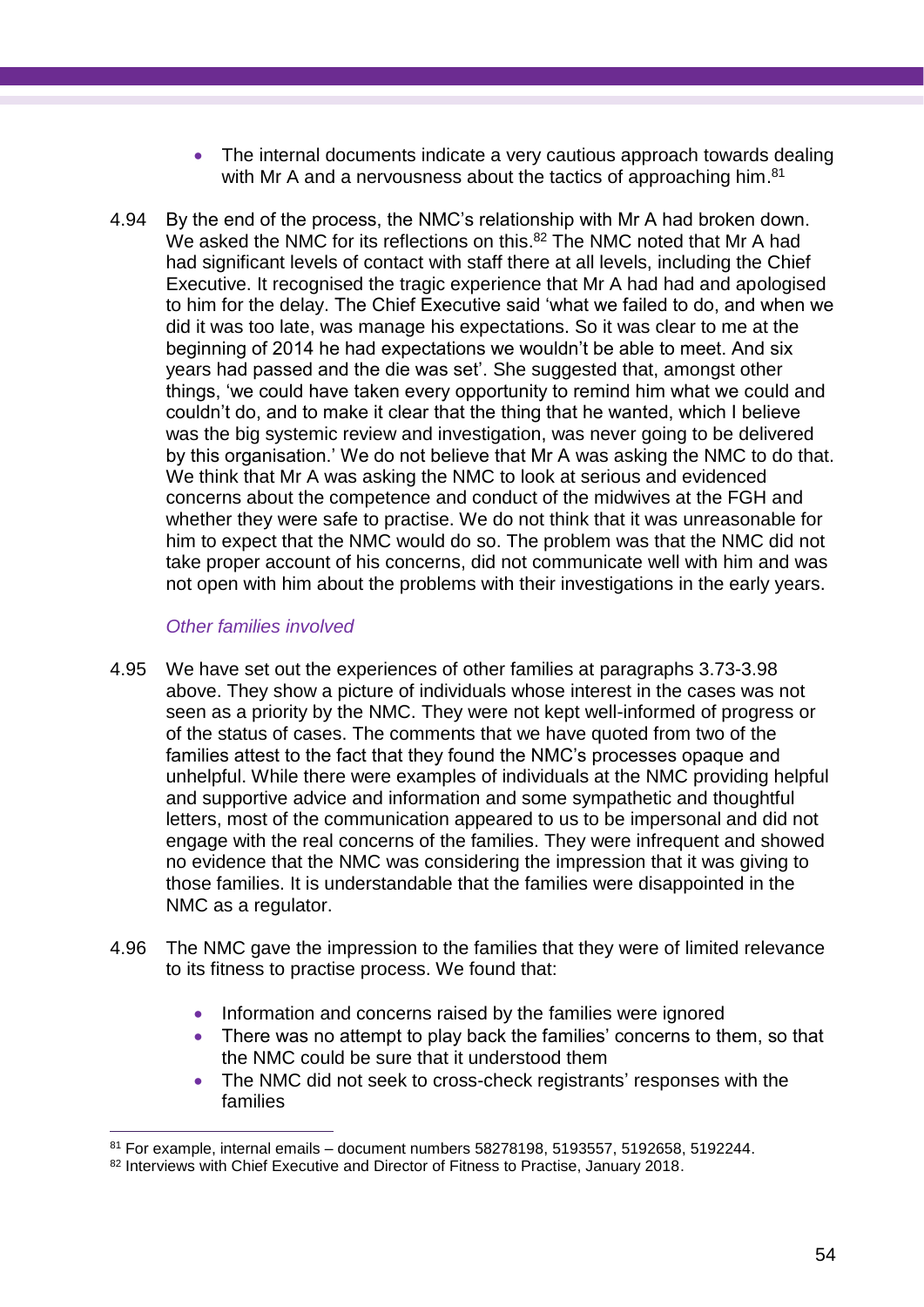- The internal documents indicate a very cautious approach towards dealing with Mr A and a nervousness about the tactics of approaching him.<sup>81</sup>
- 4.94 By the end of the process, the NMC's relationship with Mr A had broken down. We asked the NMC for its reflections on this.<sup>82</sup> The NMC noted that Mr A had had significant levels of contact with staff there at all levels, including the Chief Executive. It recognised the tragic experience that Mr A had had and apologised to him for the delay. The Chief Executive said 'what we failed to do, and when we did it was too late, was manage his expectations. So it was clear to me at the beginning of 2014 he had expectations we wouldn't be able to meet. And six years had passed and the die was set'. She suggested that, amongst other things, 'we could have taken every opportunity to remind him what we could and couldn't do, and to make it clear that the thing that he wanted, which I believe was the big systemic review and investigation, was never going to be delivered by this organisation.' We do not believe that Mr A was asking the NMC to do that. We think that Mr A was asking the NMC to look at serious and evidenced concerns about the competence and conduct of the midwives at the FGH and whether they were safe to practise. We do not think that it was unreasonable for him to expect that the NMC would do so. The problem was that the NMC did not take proper account of his concerns, did not communicate well with him and was not open with him about the problems with their investigations in the early years.

## *Other families involved*

- 4.95 We have set out the experiences of other families at paragraphs 3.73-3.98 above. They show a picture of individuals whose interest in the cases was not seen as a priority by the NMC. They were not kept well-informed of progress or of the status of cases. The comments that we have quoted from two of the families attest to the fact that they found the NMC's processes opaque and unhelpful. While there were examples of individuals at the NMC providing helpful and supportive advice and information and some sympathetic and thoughtful letters, most of the communication appeared to us to be impersonal and did not engage with the real concerns of the families. They were infrequent and showed no evidence that the NMC was considering the impression that it was giving to those families. It is understandable that the families were disappointed in the NMC as a regulator.
- 4.96 The NMC gave the impression to the families that they were of limited relevance to its fitness to practise process. We found that:
	- Information and concerns raised by the families were ignored
	- There was no attempt to play back the families' concerns to them, so that the NMC could be sure that it understood them
	- The NMC did not seek to cross-check registrants' responses with the families

 $\overline{a}$  $81$  For example, internal emails – document numbers 58278198, 5193557, 5192658, 5192244.

<sup>82</sup> Interviews with Chief Executive and Director of Fitness to Practise, January 2018.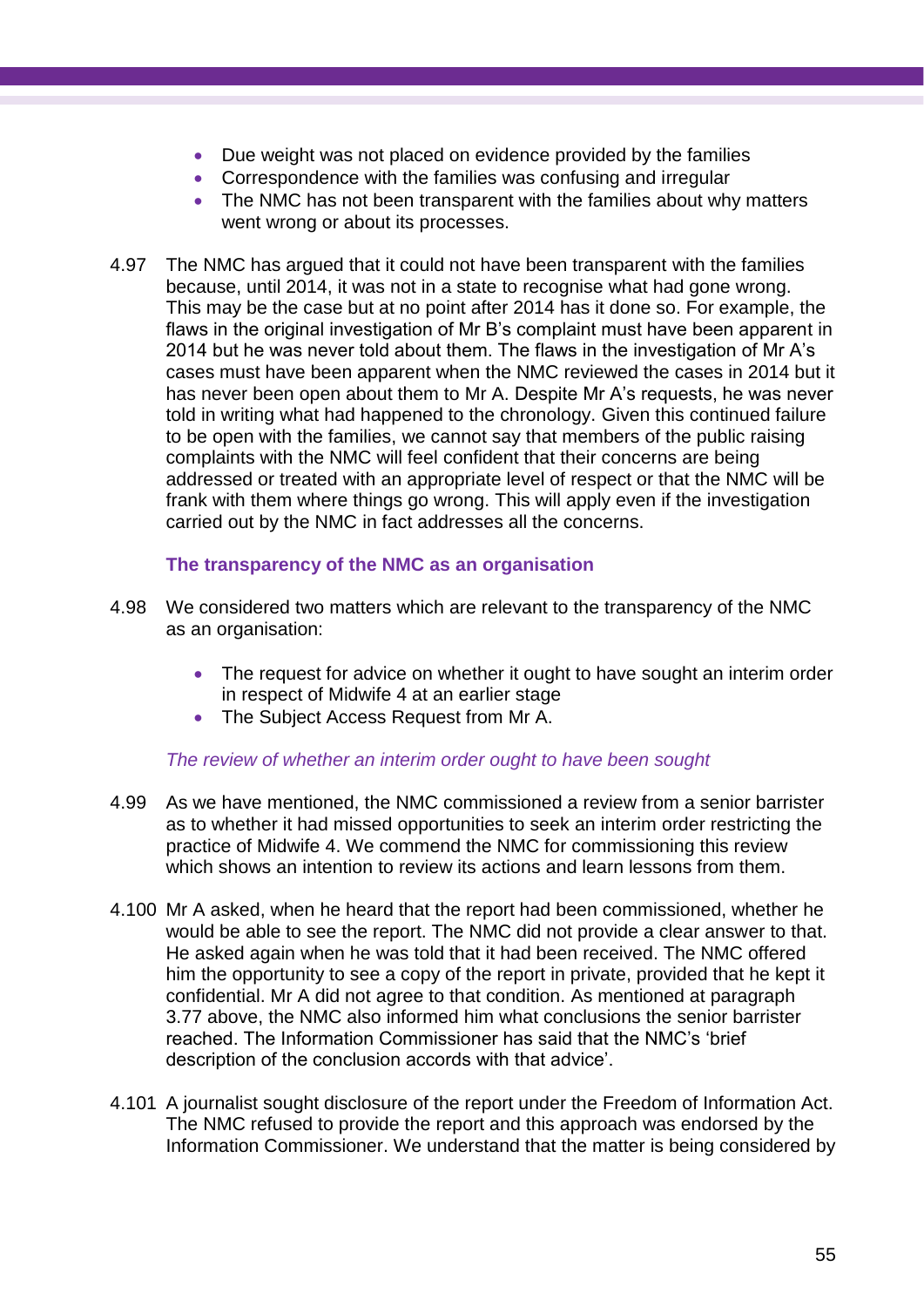- Due weight was not placed on evidence provided by the families
- Correspondence with the families was confusing and irregular
- The NMC has not been transparent with the families about why matters went wrong or about its processes.
- 4.97 The NMC has argued that it could not have been transparent with the families because, until 2014, it was not in a state to recognise what had gone wrong. This may be the case but at no point after 2014 has it done so. For example, the flaws in the original investigation of Mr B's complaint must have been apparent in 2014 but he was never told about them. The flaws in the investigation of Mr A's cases must have been apparent when the NMC reviewed the cases in 2014 but it has never been open about them to Mr A. Despite Mr A's requests, he was never told in writing what had happened to the chronology. Given this continued failure to be open with the families, we cannot say that members of the public raising complaints with the NMC will feel confident that their concerns are being addressed or treated with an appropriate level of respect or that the NMC will be frank with them where things go wrong. This will apply even if the investigation carried out by the NMC in fact addresses all the concerns.

## **The transparency of the NMC as an organisation**

- 4.98 We considered two matters which are relevant to the transparency of the NMC as an organisation:
	- The request for advice on whether it ought to have sought an interim order in respect of Midwife 4 at an earlier stage
	- The Subject Access Request from Mr A.

## *The review of whether an interim order ought to have been sought*

- 4.99 As we have mentioned, the NMC commissioned a review from a senior barrister as to whether it had missed opportunities to seek an interim order restricting the practice of Midwife 4. We commend the NMC for commissioning this review which shows an intention to review its actions and learn lessons from them.
- 4.100 Mr A asked, when he heard that the report had been commissioned, whether he would be able to see the report. The NMC did not provide a clear answer to that. He asked again when he was told that it had been received. The NMC offered him the opportunity to see a copy of the report in private, provided that he kept it confidential. Mr A did not agree to that condition. As mentioned at paragraph 3.77 above, the NMC also informed him what conclusions the senior barrister reached. The Information Commissioner has said that the NMC's 'brief description of the conclusion accords with that advice'.
- 4.101 A journalist sought disclosure of the report under the Freedom of Information Act. The NMC refused to provide the report and this approach was endorsed by the Information Commissioner. We understand that the matter is being considered by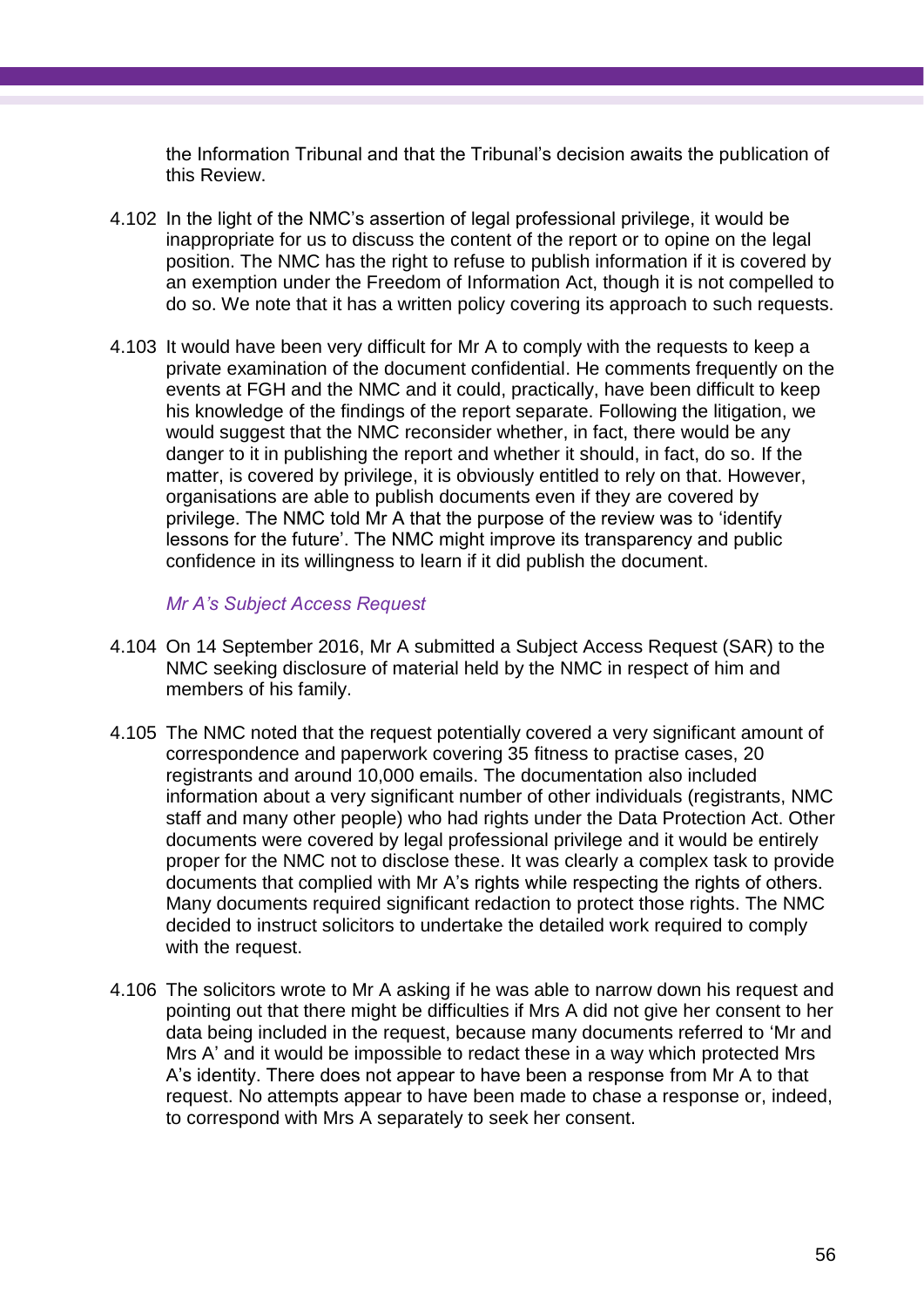the Information Tribunal and that the Tribunal's decision awaits the publication of this Review.

- 4.102 In the light of the NMC's assertion of legal professional privilege, it would be inappropriate for us to discuss the content of the report or to opine on the legal position. The NMC has the right to refuse to publish information if it is covered by an exemption under the Freedom of Information Act, though it is not compelled to do so. We note that it has a written policy covering its approach to such requests.
- 4.103 It would have been very difficult for Mr A to comply with the requests to keep a private examination of the document confidential. He comments frequently on the events at FGH and the NMC and it could, practically, have been difficult to keep his knowledge of the findings of the report separate. Following the litigation, we would suggest that the NMC reconsider whether, in fact, there would be any danger to it in publishing the report and whether it should, in fact, do so. If the matter, is covered by privilege, it is obviously entitled to rely on that. However, organisations are able to publish documents even if they are covered by privilege. The NMC told Mr A that the purpose of the review was to 'identify lessons for the future'. The NMC might improve its transparency and public confidence in its willingness to learn if it did publish the document.

*Mr A's Subject Access Request*

- 4.104 On 14 September 2016, Mr A submitted a Subject Access Request (SAR) to the NMC seeking disclosure of material held by the NMC in respect of him and members of his family.
- 4.105 The NMC noted that the request potentially covered a very significant amount of correspondence and paperwork covering 35 fitness to practise cases, 20 registrants and around 10,000 emails. The documentation also included information about a very significant number of other individuals (registrants, NMC staff and many other people) who had rights under the Data Protection Act. Other documents were covered by legal professional privilege and it would be entirely proper for the NMC not to disclose these. It was clearly a complex task to provide documents that complied with Mr A's rights while respecting the rights of others. Many documents required significant redaction to protect those rights. The NMC decided to instruct solicitors to undertake the detailed work required to comply with the request.
- 4.106 The solicitors wrote to Mr A asking if he was able to narrow down his request and pointing out that there might be difficulties if Mrs A did not give her consent to her data being included in the request, because many documents referred to 'Mr and Mrs A' and it would be impossible to redact these in a way which protected Mrs A's identity. There does not appear to have been a response from Mr A to that request. No attempts appear to have been made to chase a response or, indeed, to correspond with Mrs A separately to seek her consent.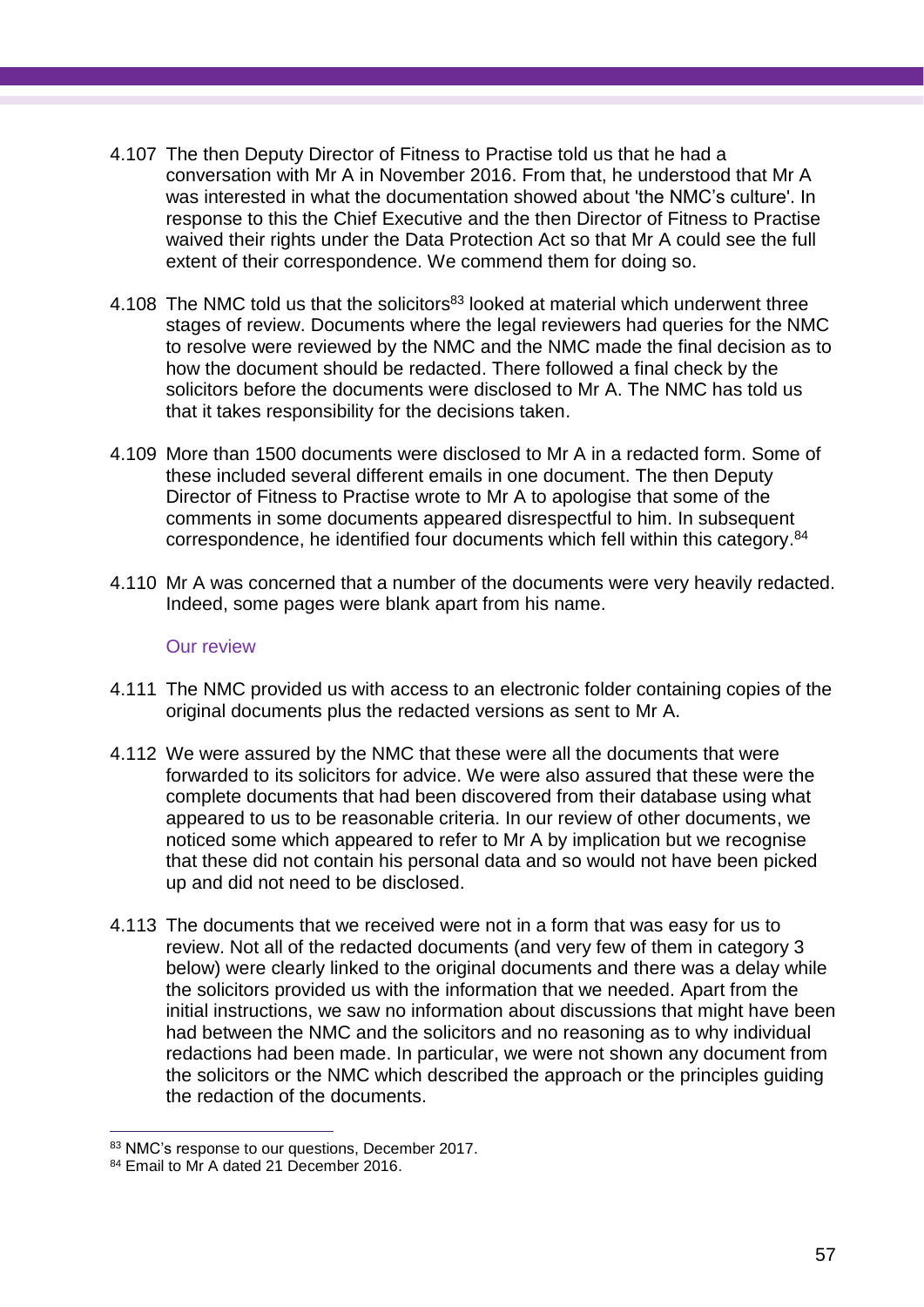- 4.107 The then Deputy Director of Fitness to Practise told us that he had a conversation with Mr A in November 2016. From that, he understood that Mr A was interested in what the documentation showed about 'the NMC's culture'. In response to this the Chief Executive and the then Director of Fitness to Practise waived their rights under the Data Protection Act so that Mr A could see the full extent of their correspondence. We commend them for doing so.
- 4.108 The NMC told us that the solicitors<sup>83</sup> looked at material which underwent three stages of review. Documents where the legal reviewers had queries for the NMC to resolve were reviewed by the NMC and the NMC made the final decision as to how the document should be redacted. There followed a final check by the solicitors before the documents were disclosed to Mr A. The NMC has told us that it takes responsibility for the decisions taken.
- 4.109 More than 1500 documents were disclosed to Mr A in a redacted form. Some of these included several different emails in one document. The then Deputy Director of Fitness to Practise wrote to Mr A to apologise that some of the comments in some documents appeared disrespectful to him. In subsequent correspondence, he identified four documents which fell within this category.<sup>84</sup>
- 4.110 Mr A was concerned that a number of the documents were very heavily redacted. Indeed, some pages were blank apart from his name.

## Our review

- 4.111 The NMC provided us with access to an electronic folder containing copies of the original documents plus the redacted versions as sent to Mr A.
- 4.112 We were assured by the NMC that these were all the documents that were forwarded to its solicitors for advice. We were also assured that these were the complete documents that had been discovered from their database using what appeared to us to be reasonable criteria. In our review of other documents, we noticed some which appeared to refer to Mr A by implication but we recognise that these did not contain his personal data and so would not have been picked up and did not need to be disclosed.
- 4.113 The documents that we received were not in a form that was easy for us to review. Not all of the redacted documents (and very few of them in category 3 below) were clearly linked to the original documents and there was a delay while the solicitors provided us with the information that we needed. Apart from the initial instructions, we saw no information about discussions that might have been had between the NMC and the solicitors and no reasoning as to why individual redactions had been made. In particular, we were not shown any document from the solicitors or the NMC which described the approach or the principles guiding the redaction of the documents.

 $\overline{a}$ 83 NMC's response to our questions, December 2017.

<sup>84</sup> Email to Mr A dated 21 December 2016.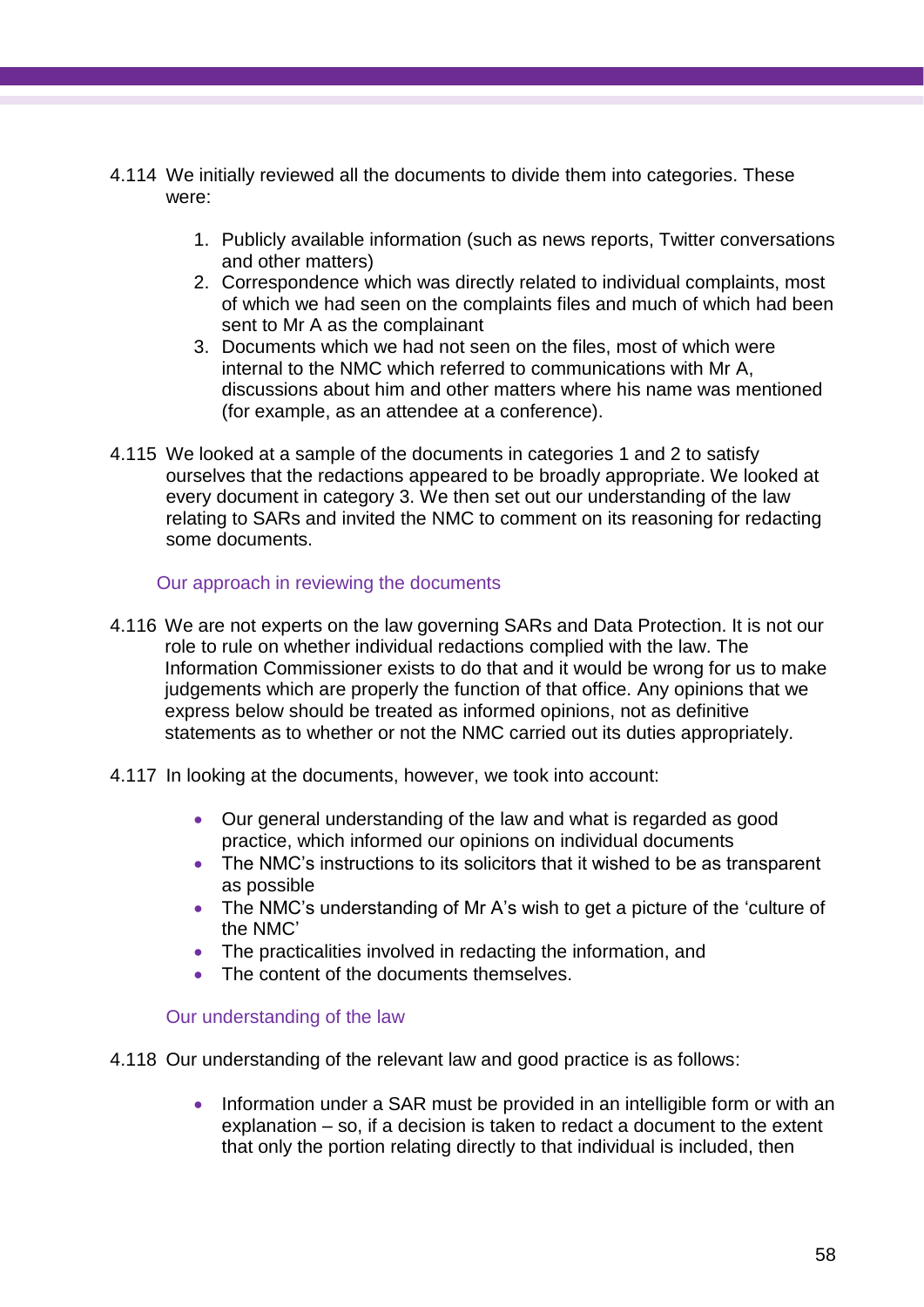- 4.114 We initially reviewed all the documents to divide them into categories. These were:
	- 1. Publicly available information (such as news reports, Twitter conversations and other matters)
	- 2. Correspondence which was directly related to individual complaints, most of which we had seen on the complaints files and much of which had been sent to Mr A as the complainant
	- 3. Documents which we had not seen on the files, most of which were internal to the NMC which referred to communications with Mr A, discussions about him and other matters where his name was mentioned (for example, as an attendee at a conference).
- 4.115 We looked at a sample of the documents in categories 1 and 2 to satisfy ourselves that the redactions appeared to be broadly appropriate. We looked at every document in category 3. We then set out our understanding of the law relating to SARs and invited the NMC to comment on its reasoning for redacting some documents.

## Our approach in reviewing the documents

- 4.116 We are not experts on the law governing SARs and Data Protection. It is not our role to rule on whether individual redactions complied with the law. The Information Commissioner exists to do that and it would be wrong for us to make judgements which are properly the function of that office. Any opinions that we express below should be treated as informed opinions, not as definitive statements as to whether or not the NMC carried out its duties appropriately.
- 4.117 In looking at the documents, however, we took into account:
	- Our general understanding of the law and what is regarded as good practice, which informed our opinions on individual documents
	- The NMC's instructions to its solicitors that it wished to be as transparent as possible
	- The NMC's understanding of Mr A's wish to get a picture of the 'culture of the NMC'
	- The practicalities involved in redacting the information, and
	- The content of the documents themselves.

## Our understanding of the law

- 4.118 Our understanding of the relevant law and good practice is as follows:
	- Information under a SAR must be provided in an intelligible form or with an explanation – so, if a decision is taken to redact a document to the extent that only the portion relating directly to that individual is included, then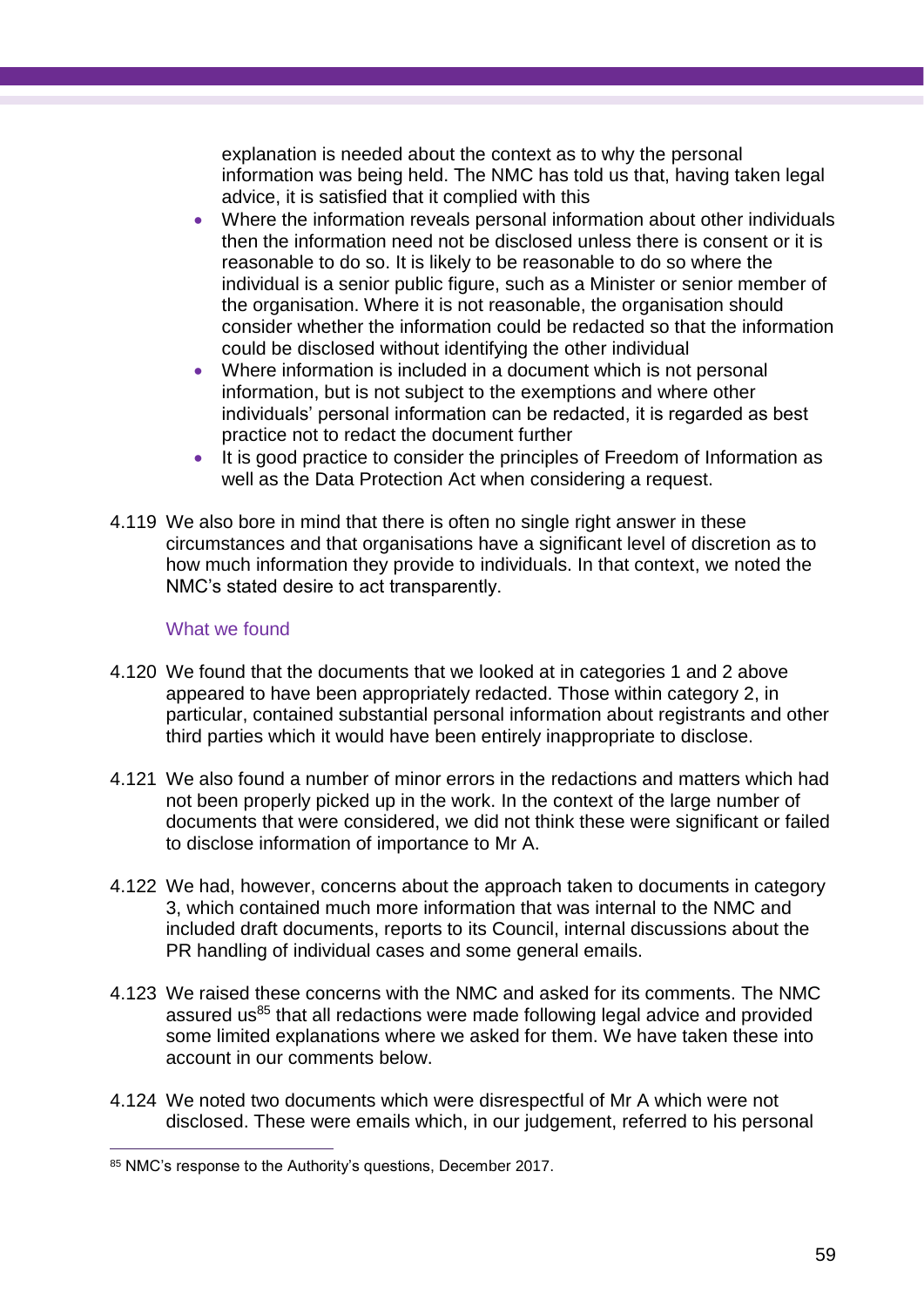explanation is needed about the context as to why the personal information was being held. The NMC has told us that, having taken legal advice, it is satisfied that it complied with this

- Where the information reveals personal information about other individuals then the information need not be disclosed unless there is consent or it is reasonable to do so. It is likely to be reasonable to do so where the individual is a senior public figure, such as a Minister or senior member of the organisation. Where it is not reasonable, the organisation should consider whether the information could be redacted so that the information could be disclosed without identifying the other individual
- Where information is included in a document which is not personal information, but is not subject to the exemptions and where other individuals' personal information can be redacted, it is regarded as best practice not to redact the document further
- It is good practice to consider the principles of Freedom of Information as well as the Data Protection Act when considering a request.
- 4.119 We also bore in mind that there is often no single right answer in these circumstances and that organisations have a significant level of discretion as to how much information they provide to individuals. In that context, we noted the NMC's stated desire to act transparently.

## What we found

- 4.120 We found that the documents that we looked at in categories 1 and 2 above appeared to have been appropriately redacted. Those within category 2, in particular, contained substantial personal information about registrants and other third parties which it would have been entirely inappropriate to disclose.
- 4.121 We also found a number of minor errors in the redactions and matters which had not been properly picked up in the work. In the context of the large number of documents that were considered, we did not think these were significant or failed to disclose information of importance to Mr A.
- 4.122 We had, however, concerns about the approach taken to documents in category 3, which contained much more information that was internal to the NMC and included draft documents, reports to its Council, internal discussions about the PR handling of individual cases and some general emails.
- 4.123 We raised these concerns with the NMC and asked for its comments. The NMC assured us<sup>85</sup> that all redactions were made following legal advice and provided some limited explanations where we asked for them. We have taken these into account in our comments below.
- 4.124 We noted two documents which were disrespectful of Mr A which were not disclosed. These were emails which, in our judgement, referred to his personal

<sup>85</sup> NMC's response to the Authority's questions, December 2017.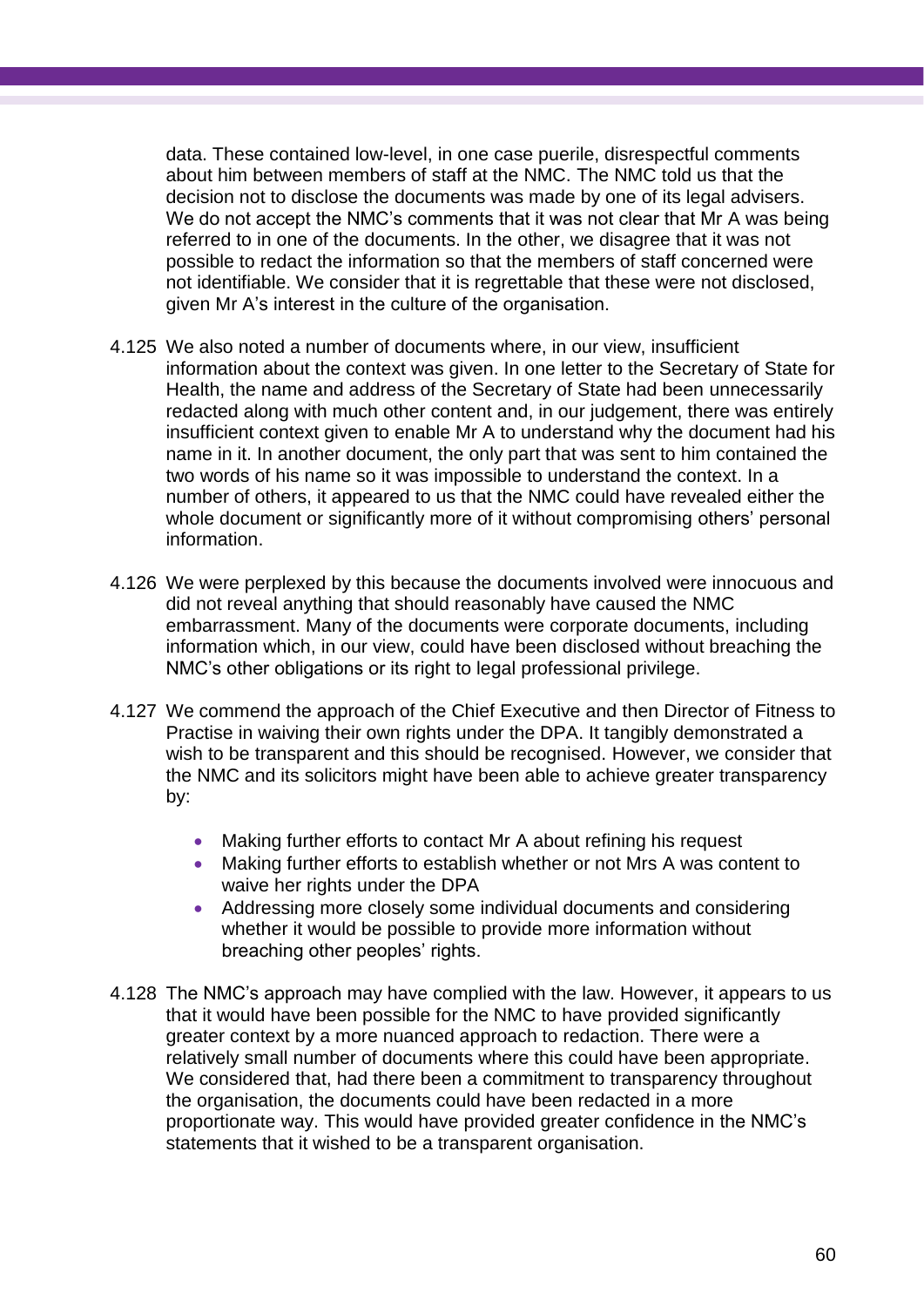data. These contained low-level, in one case puerile, disrespectful comments about him between members of staff at the NMC. The NMC told us that the decision not to disclose the documents was made by one of its legal advisers. We do not accept the NMC's comments that it was not clear that Mr A was being referred to in one of the documents. In the other, we disagree that it was not possible to redact the information so that the members of staff concerned were not identifiable. We consider that it is regrettable that these were not disclosed, given Mr A's interest in the culture of the organisation.

- 4.125 We also noted a number of documents where, in our view, insufficient information about the context was given. In one letter to the Secretary of State for Health, the name and address of the Secretary of State had been unnecessarily redacted along with much other content and, in our judgement, there was entirely insufficient context given to enable Mr A to understand why the document had his name in it. In another document, the only part that was sent to him contained the two words of his name so it was impossible to understand the context. In a number of others, it appeared to us that the NMC could have revealed either the whole document or significantly more of it without compromising others' personal information.
- 4.126 We were perplexed by this because the documents involved were innocuous and did not reveal anything that should reasonably have caused the NMC embarrassment. Many of the documents were corporate documents, including information which, in our view, could have been disclosed without breaching the NMC's other obligations or its right to legal professional privilege.
- 4.127 We commend the approach of the Chief Executive and then Director of Fitness to Practise in waiving their own rights under the DPA. It tangibly demonstrated a wish to be transparent and this should be recognised. However, we consider that the NMC and its solicitors might have been able to achieve greater transparency by:
	- Making further efforts to contact Mr A about refining his request
	- Making further efforts to establish whether or not Mrs A was content to waive her rights under the DPA
	- Addressing more closely some individual documents and considering whether it would be possible to provide more information without breaching other peoples' rights.
- 4.128 The NMC's approach may have complied with the law. However, it appears to us that it would have been possible for the NMC to have provided significantly greater context by a more nuanced approach to redaction. There were a relatively small number of documents where this could have been appropriate. We considered that, had there been a commitment to transparency throughout the organisation, the documents could have been redacted in a more proportionate way. This would have provided greater confidence in the NMC's statements that it wished to be a transparent organisation.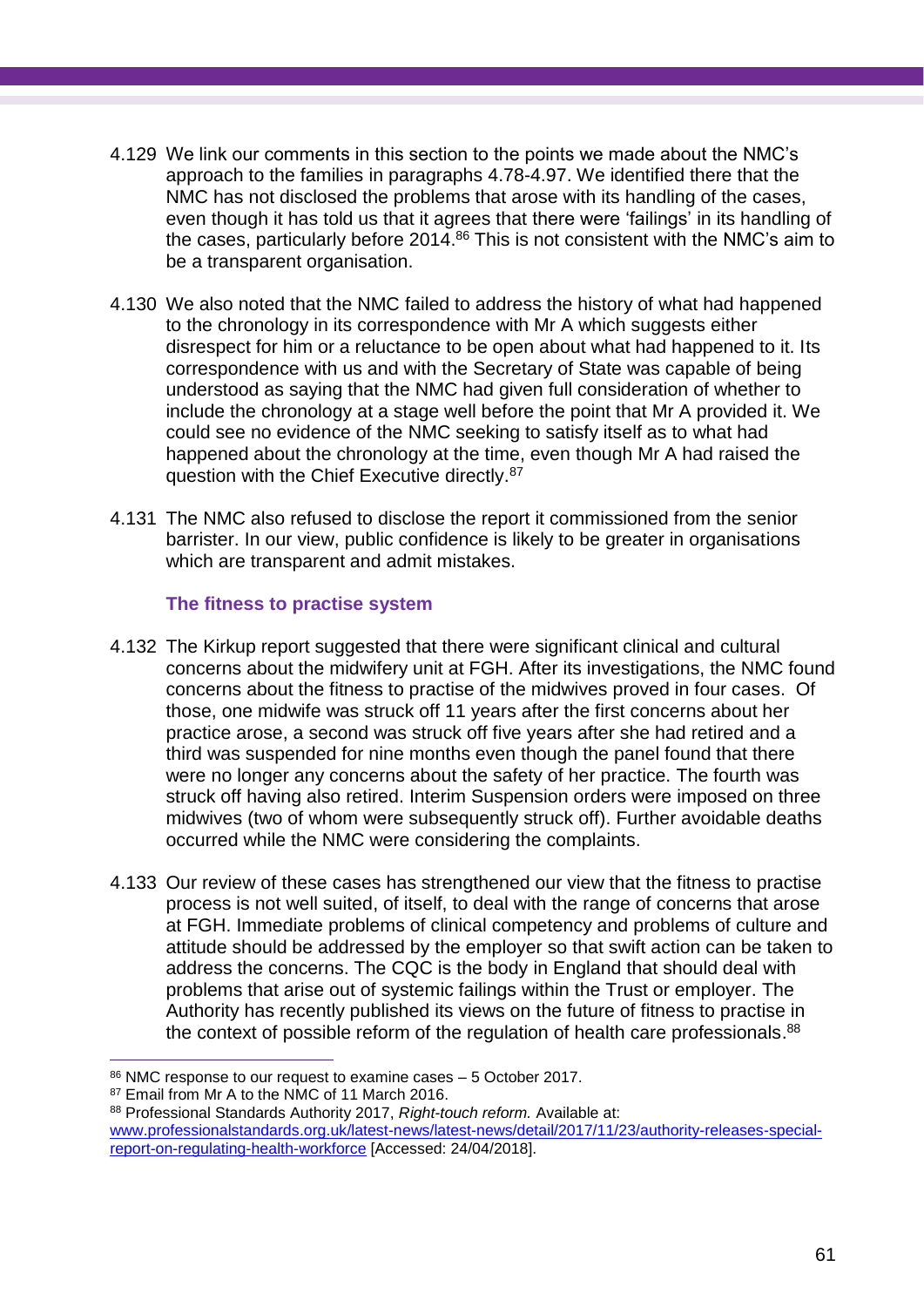- 4.129 We link our comments in this section to the points we made about the NMC's approach to the families in paragraphs 4.78-4.97. We identified there that the NMC has not disclosed the problems that arose with its handling of the cases, even though it has told us that it agrees that there were 'failings' in its handling of the cases, particularly before 2014. <sup>86</sup> This is not consistent with the NMC's aim to be a transparent organisation.
- 4.130 We also noted that the NMC failed to address the history of what had happened to the chronology in its correspondence with Mr A which suggests either disrespect for him or a reluctance to be open about what had happened to it. Its correspondence with us and with the Secretary of State was capable of being understood as saying that the NMC had given full consideration of whether to include the chronology at a stage well before the point that Mr A provided it. We could see no evidence of the NMC seeking to satisfy itself as to what had happened about the chronology at the time, even though Mr A had raised the question with the Chief Executive directly.<sup>87</sup>
- 4.131 The NMC also refused to disclose the report it commissioned from the senior barrister. In our view, public confidence is likely to be greater in organisations which are transparent and admit mistakes.

## **The fitness to practise system**

- 4.132 The Kirkup report suggested that there were significant clinical and cultural concerns about the midwifery unit at FGH. After its investigations, the NMC found concerns about the fitness to practise of the midwives proved in four cases. Of those, one midwife was struck off 11 years after the first concerns about her practice arose, a second was struck off five years after she had retired and a third was suspended for nine months even though the panel found that there were no longer any concerns about the safety of her practice. The fourth was struck off having also retired. Interim Suspension orders were imposed on three midwives (two of whom were subsequently struck off). Further avoidable deaths occurred while the NMC were considering the complaints.
- 4.133 Our review of these cases has strengthened our view that the fitness to practise process is not well suited, of itself, to deal with the range of concerns that arose at FGH. Immediate problems of clinical competency and problems of culture and attitude should be addressed by the employer so that swift action can be taken to address the concerns. The CQC is the body in England that should deal with problems that arise out of systemic failings within the Trust or employer. The Authority has recently published its views on the future of fitness to practise in the context of possible reform of the regulation of health care professionals.<sup>88</sup>

 $\overline{a}$ <sup>86</sup> NMC response to our request to examine cases – 5 October 2017.

<sup>87</sup> Email from Mr A to the NMC of 11 March 2016.

<sup>88</sup> Professional Standards Authority 2017, *Right-touch reform.* Available at: [www.professionalstandards.org.uk/latest-news/latest-news/detail/2017/11/23/authority-releases-special](http://www.professionalstandards.org.uk/latest-news/latest-news/detail/2017/11/23/authority-releases-special-report-on-regulating-health-workforce)[report-on-regulating-health-workforce](http://www.professionalstandards.org.uk/latest-news/latest-news/detail/2017/11/23/authority-releases-special-report-on-regulating-health-workforce) [Accessed: 24/04/2018].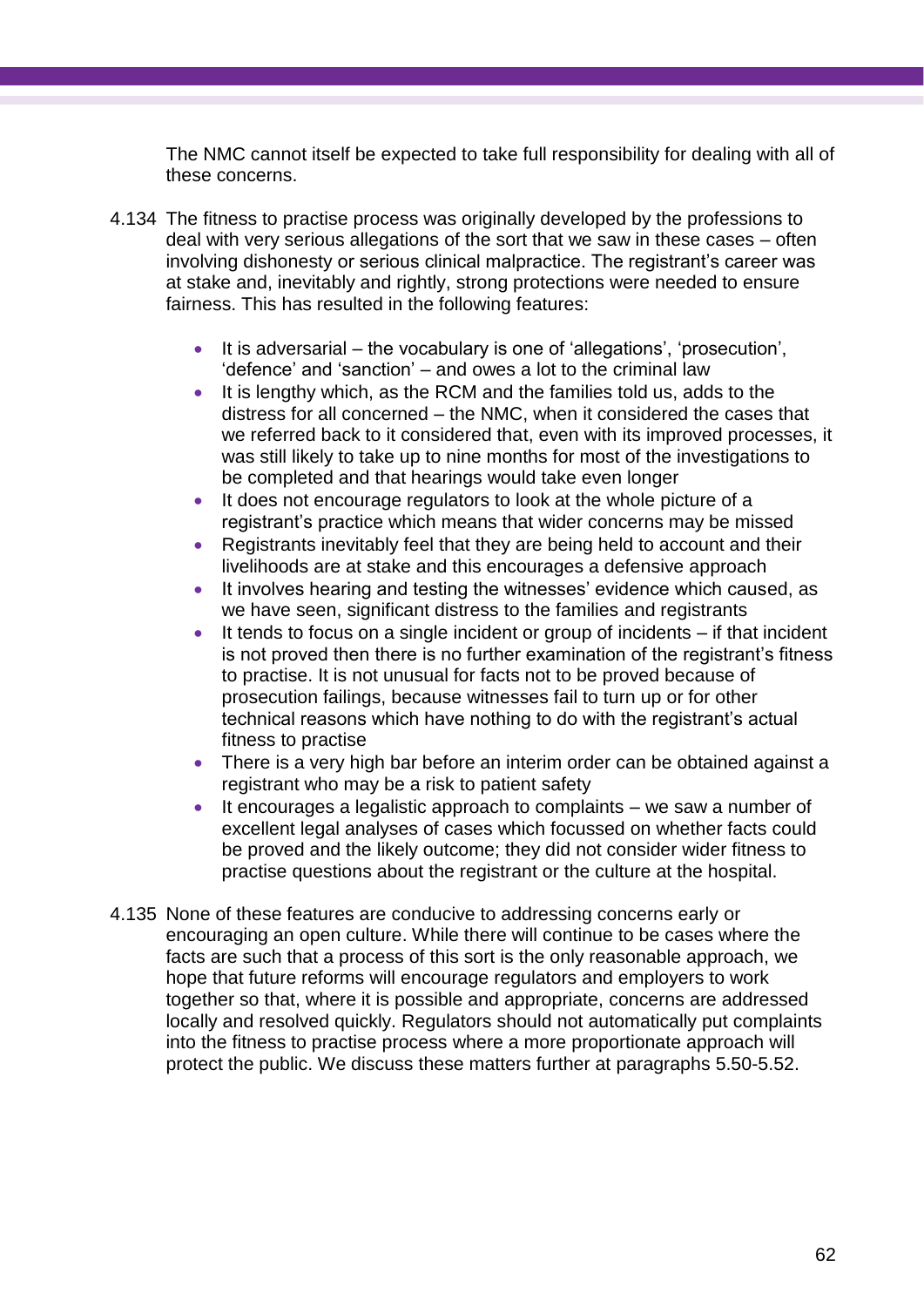The NMC cannot itself be expected to take full responsibility for dealing with all of these concerns.

- 4.134 The fitness to practise process was originally developed by the professions to deal with very serious allegations of the sort that we saw in these cases – often involving dishonesty or serious clinical malpractice. The registrant's career was at stake and, inevitably and rightly, strong protections were needed to ensure fairness. This has resulted in the following features:
	- It is adversarial the vocabulary is one of 'allegations', 'prosecution', 'defence' and 'sanction' – and owes a lot to the criminal law
	- It is lengthy which, as the RCM and the families told us, adds to the distress for all concerned – the NMC, when it considered the cases that we referred back to it considered that, even with its improved processes, it was still likely to take up to nine months for most of the investigations to be completed and that hearings would take even longer
	- It does not encourage regulators to look at the whole picture of a registrant's practice which means that wider concerns may be missed
	- Registrants inevitably feel that they are being held to account and their livelihoods are at stake and this encourages a defensive approach
	- It involves hearing and testing the witnesses' evidence which caused, as we have seen, significant distress to the families and registrants
	- It tends to focus on a single incident or group of incidents if that incident is not proved then there is no further examination of the registrant's fitness to practise. It is not unusual for facts not to be proved because of prosecution failings, because witnesses fail to turn up or for other technical reasons which have nothing to do with the registrant's actual fitness to practise
	- There is a very high bar before an interim order can be obtained against a registrant who may be a risk to patient safety
	- $\bullet$  It encourages a legalistic approach to complaints we saw a number of excellent legal analyses of cases which focussed on whether facts could be proved and the likely outcome; they did not consider wider fitness to practise questions about the registrant or the culture at the hospital.
- 4.135 None of these features are conducive to addressing concerns early or encouraging an open culture. While there will continue to be cases where the facts are such that a process of this sort is the only reasonable approach, we hope that future reforms will encourage regulators and employers to work together so that, where it is possible and appropriate, concerns are addressed locally and resolved quickly. Regulators should not automatically put complaints into the fitness to practise process where a more proportionate approach will protect the public. We discuss these matters further at paragraphs 5.50-5.52.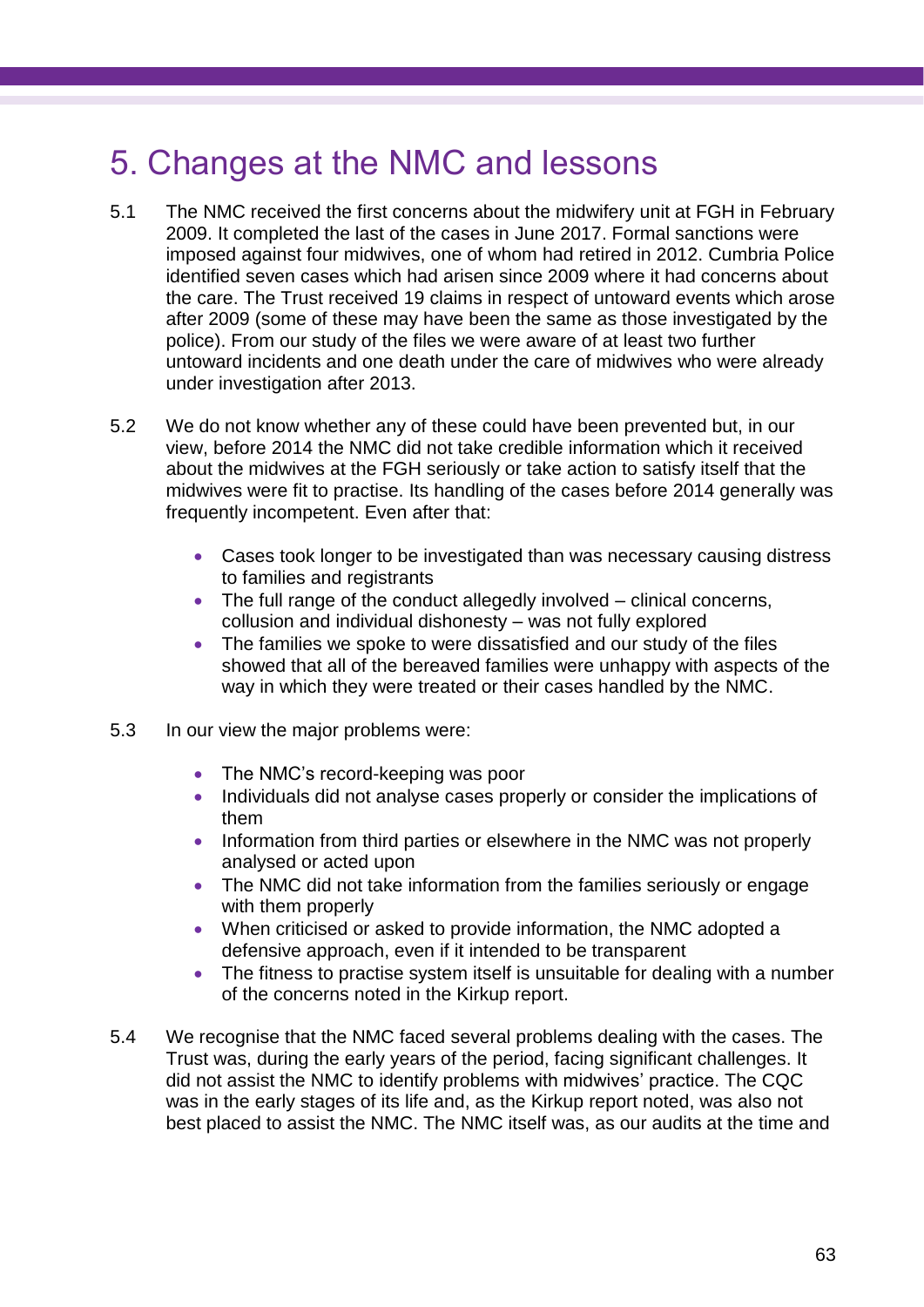# 5. Changes at the NMC and lessons

- 5.1 The NMC received the first concerns about the midwifery unit at FGH in February 2009. It completed the last of the cases in June 2017. Formal sanctions were imposed against four midwives, one of whom had retired in 2012. Cumbria Police identified seven cases which had arisen since 2009 where it had concerns about the care. The Trust received 19 claims in respect of untoward events which arose after 2009 (some of these may have been the same as those investigated by the police). From our study of the files we were aware of at least two further untoward incidents and one death under the care of midwives who were already under investigation after 2013.
- 5.2 We do not know whether any of these could have been prevented but, in our view, before 2014 the NMC did not take credible information which it received about the midwives at the FGH seriously or take action to satisfy itself that the midwives were fit to practise. Its handling of the cases before 2014 generally was frequently incompetent. Even after that:
	- Cases took longer to be investigated than was necessary causing distress to families and registrants
	- The full range of the conduct allegedly involved  $-$  clinical concerns, collusion and individual dishonesty – was not fully explored
	- The families we spoke to were dissatisfied and our study of the files showed that all of the bereaved families were unhappy with aspects of the way in which they were treated or their cases handled by the NMC.
- 5.3 In our view the major problems were:
	- The NMC's record-keeping was poor
	- Individuals did not analyse cases properly or consider the implications of them
	- Information from third parties or elsewhere in the NMC was not properly analysed or acted upon
	- The NMC did not take information from the families seriously or engage with them properly
	- When criticised or asked to provide information, the NMC adopted a defensive approach, even if it intended to be transparent
	- The fitness to practise system itself is unsuitable for dealing with a number of the concerns noted in the Kirkup report.
- 5.4 We recognise that the NMC faced several problems dealing with the cases. The Trust was, during the early years of the period, facing significant challenges. It did not assist the NMC to identify problems with midwives' practice. The CQC was in the early stages of its life and, as the Kirkup report noted, was also not best placed to assist the NMC. The NMC itself was, as our audits at the time and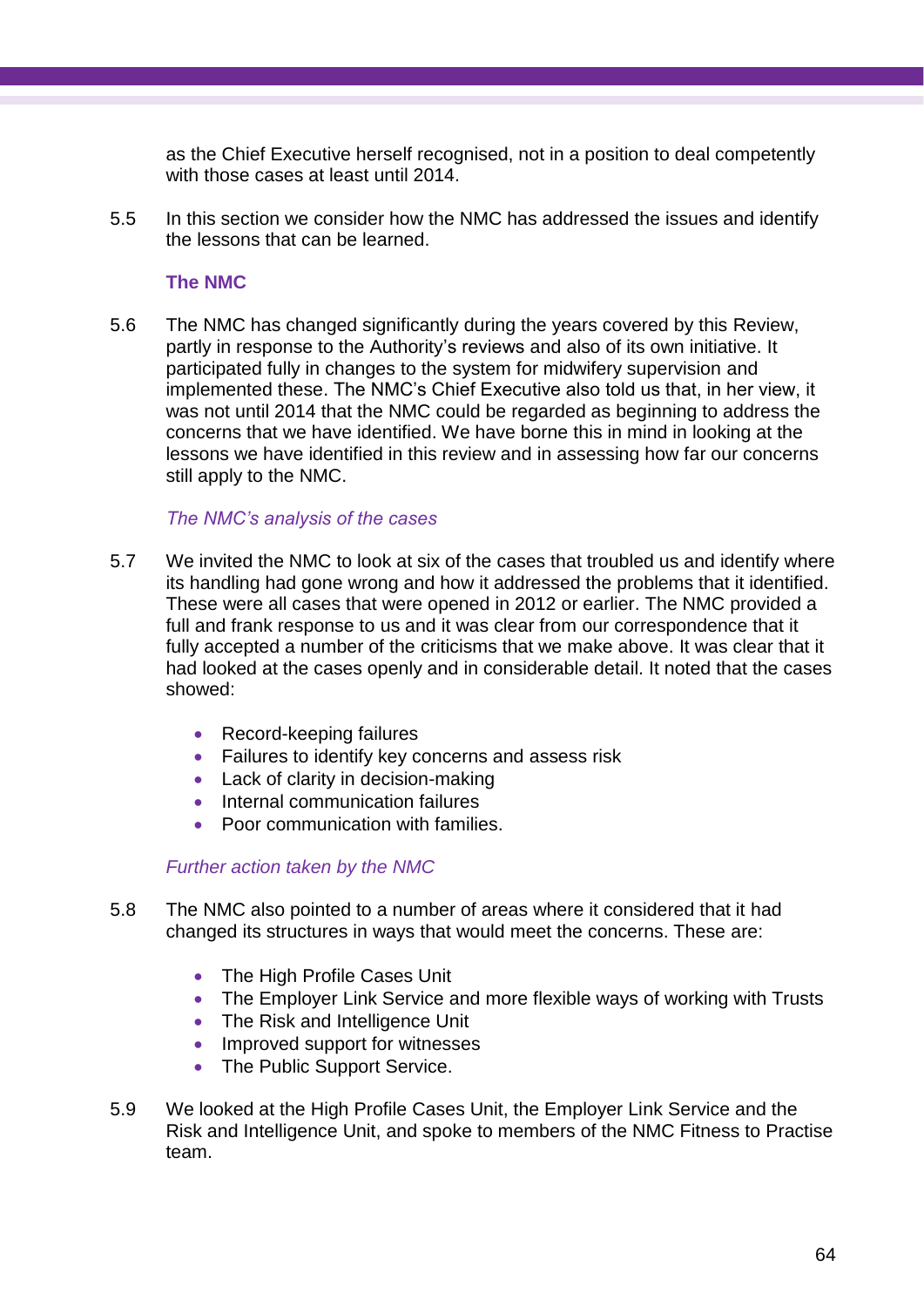as the Chief Executive herself recognised, not in a position to deal competently with those cases at least until 2014.

5.5 In this section we consider how the NMC has addressed the issues and identify the lessons that can be learned.

## **The NMC**

5.6 The NMC has changed significantly during the years covered by this Review, partly in response to the Authority's reviews and also of its own initiative. It participated fully in changes to the system for midwifery supervision and implemented these. The NMC's Chief Executive also told us that, in her view, it was not until 2014 that the NMC could be regarded as beginning to address the concerns that we have identified. We have borne this in mind in looking at the lessons we have identified in this review and in assessing how far our concerns still apply to the NMC.

## *The NMC's analysis of the cases*

- 5.7 We invited the NMC to look at six of the cases that troubled us and identify where its handling had gone wrong and how it addressed the problems that it identified. These were all cases that were opened in 2012 or earlier. The NMC provided a full and frank response to us and it was clear from our correspondence that it fully accepted a number of the criticisms that we make above. It was clear that it had looked at the cases openly and in considerable detail. It noted that the cases showed:
	- Record-keeping failures
	- Failures to identify key concerns and assess risk
	- Lack of clarity in decision-making
	- Internal communication failures
	- Poor communication with families.

## *Further action taken by the NMC*

- 5.8 The NMC also pointed to a number of areas where it considered that it had changed its structures in ways that would meet the concerns. These are:
	- The High Profile Cases Unit
	- The Employer Link Service and more flexible ways of working with Trusts
	- The Risk and Intelligence Unit
	- Improved support for witnesses
	- The Public Support Service.
- 5.9 We looked at the High Profile Cases Unit, the Employer Link Service and the Risk and Intelligence Unit, and spoke to members of the NMC Fitness to Practise team.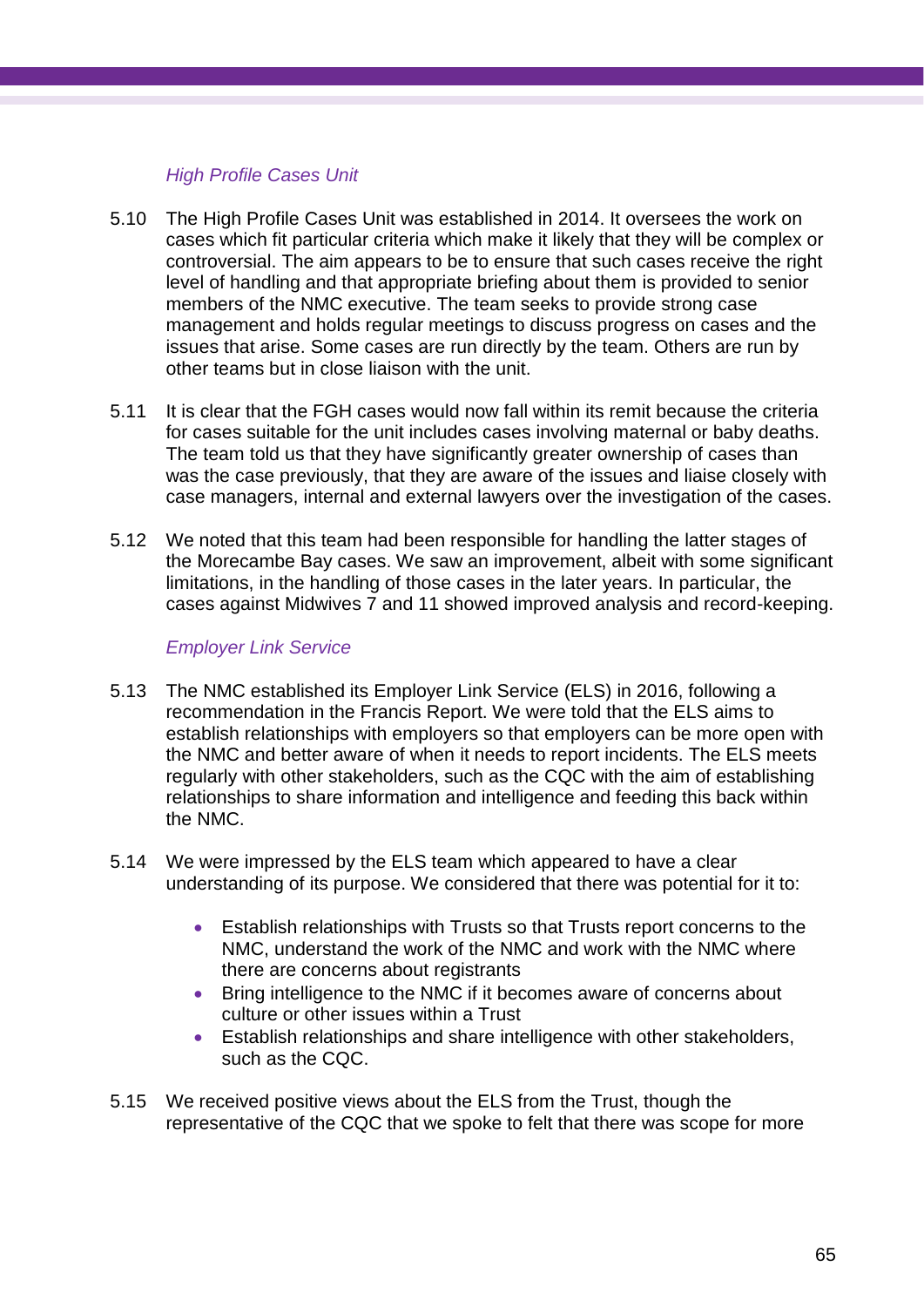## *High Profile Cases Unit*

- 5.10 The High Profile Cases Unit was established in 2014. It oversees the work on cases which fit particular criteria which make it likely that they will be complex or controversial. The aim appears to be to ensure that such cases receive the right level of handling and that appropriate briefing about them is provided to senior members of the NMC executive. The team seeks to provide strong case management and holds regular meetings to discuss progress on cases and the issues that arise. Some cases are run directly by the team. Others are run by other teams but in close liaison with the unit.
- 5.11 It is clear that the FGH cases would now fall within its remit because the criteria for cases suitable for the unit includes cases involving maternal or baby deaths. The team told us that they have significantly greater ownership of cases than was the case previously, that they are aware of the issues and liaise closely with case managers, internal and external lawyers over the investigation of the cases.
- 5.12 We noted that this team had been responsible for handling the latter stages of the Morecambe Bay cases. We saw an improvement, albeit with some significant limitations, in the handling of those cases in the later years. In particular, the cases against Midwives 7 and 11 showed improved analysis and record-keeping.

## *Employer Link Service*

- 5.13 The NMC established its Employer Link Service (ELS) in 2016, following a recommendation in the Francis Report. We were told that the ELS aims to establish relationships with employers so that employers can be more open with the NMC and better aware of when it needs to report incidents. The ELS meets regularly with other stakeholders, such as the CQC with the aim of establishing relationships to share information and intelligence and feeding this back within the NMC.
- 5.14 We were impressed by the ELS team which appeared to have a clear understanding of its purpose. We considered that there was potential for it to:
	- Establish relationships with Trusts so that Trusts report concerns to the NMC, understand the work of the NMC and work with the NMC where there are concerns about registrants
	- Bring intelligence to the NMC if it becomes aware of concerns about culture or other issues within a Trust
	- Establish relationships and share intelligence with other stakeholders, such as the CQC.
- 5.15 We received positive views about the ELS from the Trust, though the representative of the CQC that we spoke to felt that there was scope for more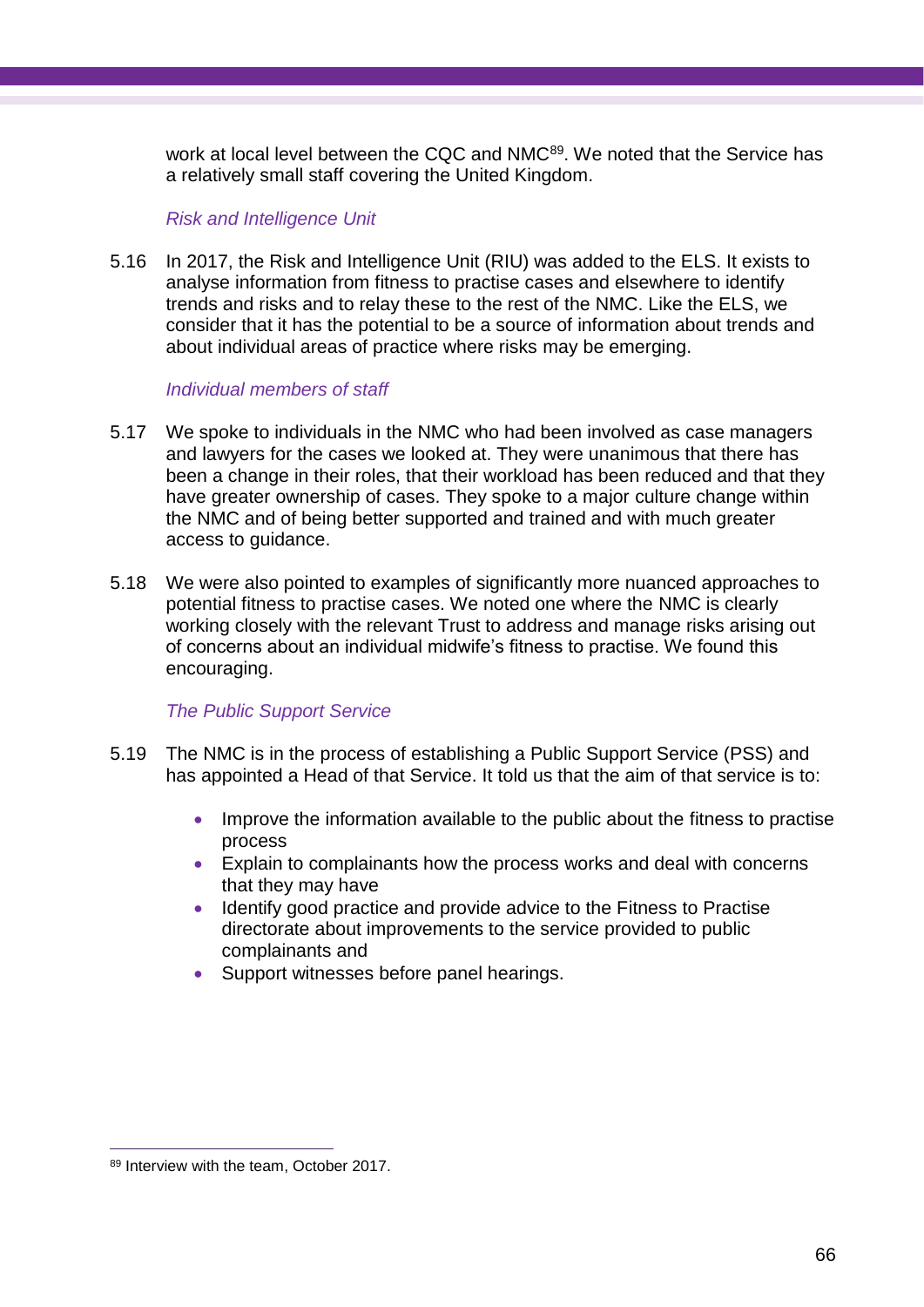work at local level between the CQC and NMC<sup>89</sup>. We noted that the Service has a relatively small staff covering the United Kingdom.

#### *Risk and Intelligence Unit*

5.16 In 2017, the Risk and Intelligence Unit (RIU) was added to the ELS. It exists to analyse information from fitness to practise cases and elsewhere to identify trends and risks and to relay these to the rest of the NMC. Like the ELS, we consider that it has the potential to be a source of information about trends and about individual areas of practice where risks may be emerging.

#### *Individual members of staff*

- 5.17 We spoke to individuals in the NMC who had been involved as case managers and lawyers for the cases we looked at. They were unanimous that there has been a change in their roles, that their workload has been reduced and that they have greater ownership of cases. They spoke to a major culture change within the NMC and of being better supported and trained and with much greater access to guidance.
- 5.18 We were also pointed to examples of significantly more nuanced approaches to potential fitness to practise cases. We noted one where the NMC is clearly working closely with the relevant Trust to address and manage risks arising out of concerns about an individual midwife's fitness to practise. We found this encouraging.

## *The Public Support Service*

- 5.19 The NMC is in the process of establishing a Public Support Service (PSS) and has appointed a Head of that Service. It told us that the aim of that service is to:
	- Improve the information available to the public about the fitness to practise process
	- Explain to complainants how the process works and deal with concerns that they may have
	- Identify good practice and provide advice to the Fitness to Practise directorate about improvements to the service provided to public complainants and
	- Support witnesses before panel hearings.

<sup>89</sup> Interview with the team, October 2017.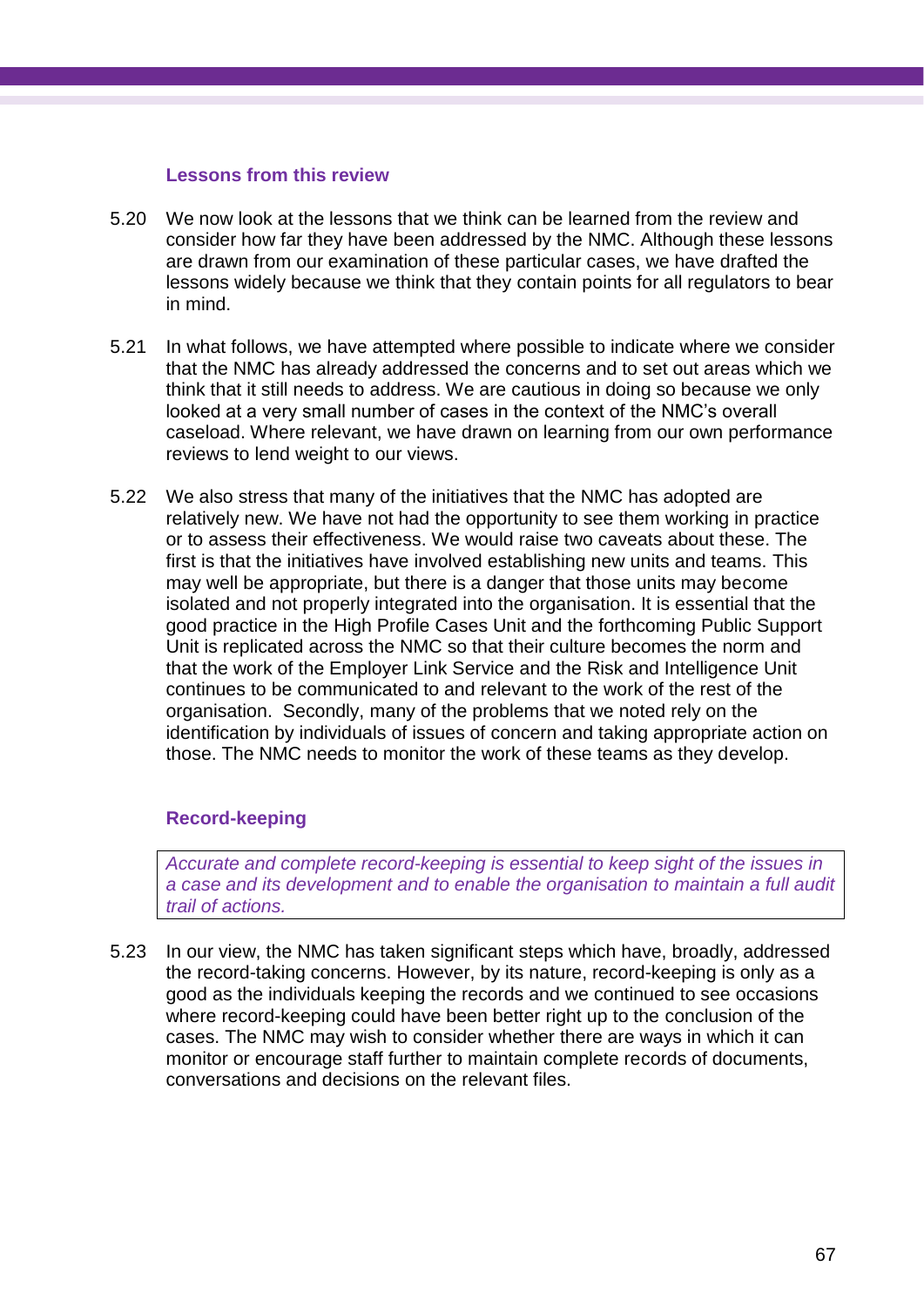#### **Lessons from this review**

- 5.20 We now look at the lessons that we think can be learned from the review and consider how far they have been addressed by the NMC. Although these lessons are drawn from our examination of these particular cases, we have drafted the lessons widely because we think that they contain points for all regulators to bear in mind.
- 5.21 In what follows, we have attempted where possible to indicate where we consider that the NMC has already addressed the concerns and to set out areas which we think that it still needs to address. We are cautious in doing so because we only looked at a very small number of cases in the context of the NMC's overall caseload. Where relevant, we have drawn on learning from our own performance reviews to lend weight to our views.
- 5.22 We also stress that many of the initiatives that the NMC has adopted are relatively new. We have not had the opportunity to see them working in practice or to assess their effectiveness. We would raise two caveats about these. The first is that the initiatives have involved establishing new units and teams. This may well be appropriate, but there is a danger that those units may become isolated and not properly integrated into the organisation. It is essential that the good practice in the High Profile Cases Unit and the forthcoming Public Support Unit is replicated across the NMC so that their culture becomes the norm and that the work of the Employer Link Service and the Risk and Intelligence Unit continues to be communicated to and relevant to the work of the rest of the organisation. Secondly, many of the problems that we noted rely on the identification by individuals of issues of concern and taking appropriate action on those. The NMC needs to monitor the work of these teams as they develop.

## **Record-keeping**

*Accurate and complete record-keeping is essential to keep sight of the issues in a case and its development and to enable the organisation to maintain a full audit trail of actions.*

5.23 In our view, the NMC has taken significant steps which have, broadly, addressed the record-taking concerns. However, by its nature, record-keeping is only as a good as the individuals keeping the records and we continued to see occasions where record-keeping could have been better right up to the conclusion of the cases. The NMC may wish to consider whether there are ways in which it can monitor or encourage staff further to maintain complete records of documents, conversations and decisions on the relevant files.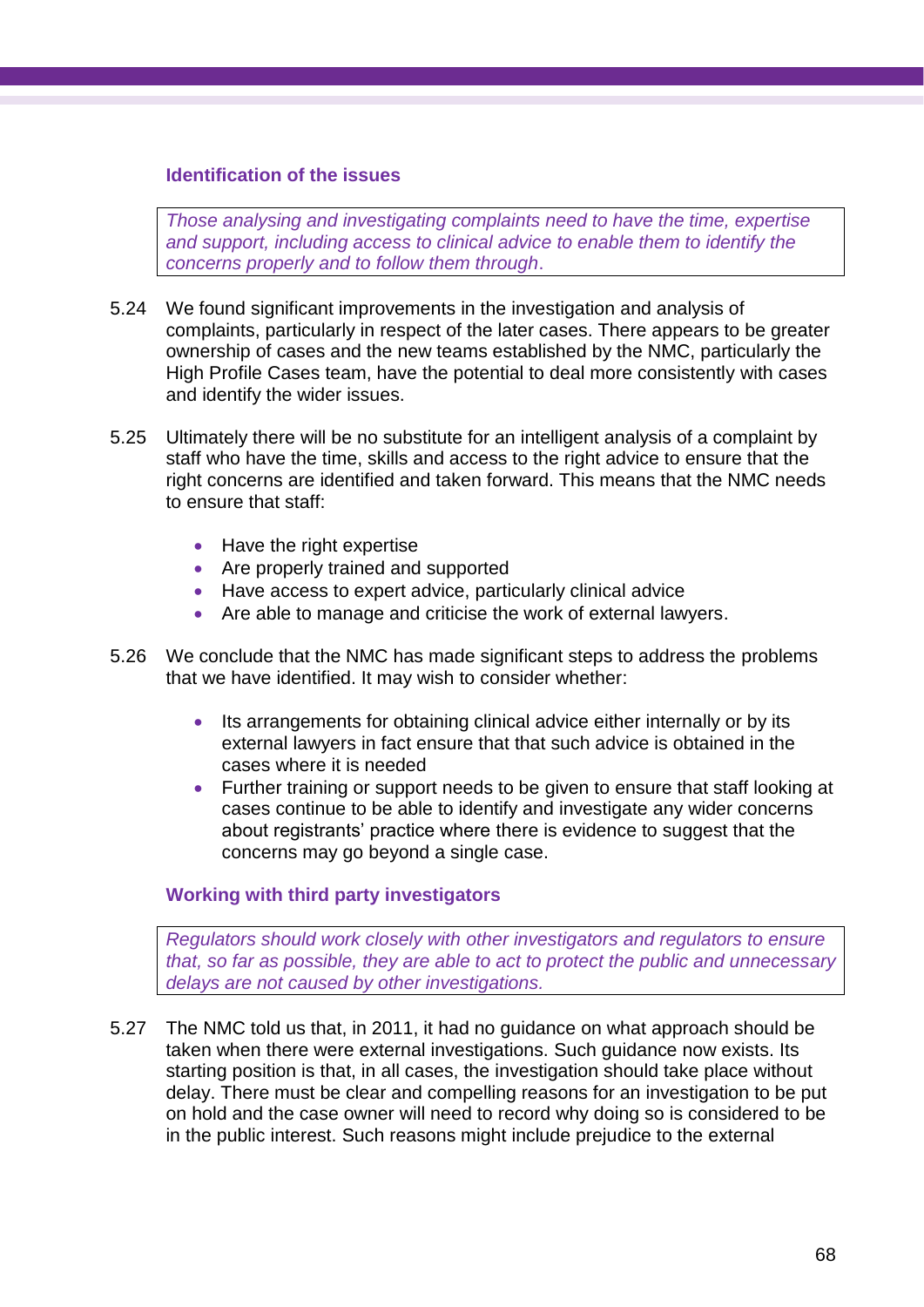## **Identification of the issues**

*Those analysing and investigating complaints need to have the time, expertise and support, including access to clinical advice to enable them to identify the concerns properly and to follow them through*.

- 5.24 We found significant improvements in the investigation and analysis of complaints, particularly in respect of the later cases. There appears to be greater ownership of cases and the new teams established by the NMC, particularly the High Profile Cases team, have the potential to deal more consistently with cases and identify the wider issues.
- 5.25 Ultimately there will be no substitute for an intelligent analysis of a complaint by staff who have the time, skills and access to the right advice to ensure that the right concerns are identified and taken forward. This means that the NMC needs to ensure that staff:
	- Have the right expertise
	- Are properly trained and supported
	- Have access to expert advice, particularly clinical advice
	- Are able to manage and criticise the work of external lawyers.
- 5.26 We conclude that the NMC has made significant steps to address the problems that we have identified. It may wish to consider whether:
	- Its arrangements for obtaining clinical advice either internally or by its external lawyers in fact ensure that that such advice is obtained in the cases where it is needed
	- Further training or support needs to be given to ensure that staff looking at cases continue to be able to identify and investigate any wider concerns about registrants' practice where there is evidence to suggest that the concerns may go beyond a single case.

## **Working with third party investigators**

*Regulators should work closely with other investigators and regulators to ensure that, so far as possible, they are able to act to protect the public and unnecessary delays are not caused by other investigations.*

5.27 The NMC told us that, in 2011, it had no guidance on what approach should be taken when there were external investigations. Such guidance now exists. Its starting position is that, in all cases, the investigation should take place without delay. There must be clear and compelling reasons for an investigation to be put on hold and the case owner will need to record why doing so is considered to be in the public interest. Such reasons might include prejudice to the external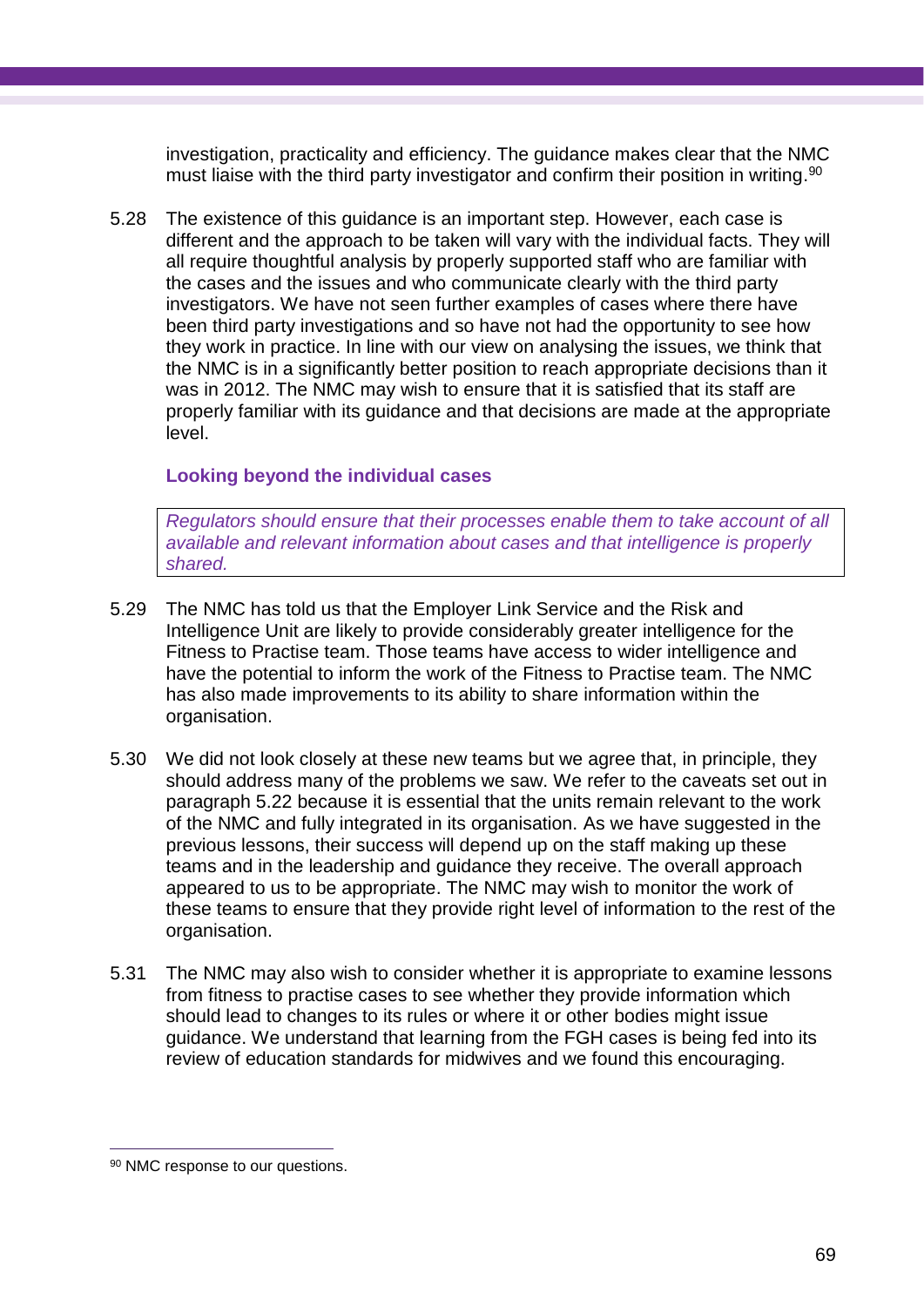investigation, practicality and efficiency. The guidance makes clear that the NMC must liaise with the third party investigator and confirm their position in writing.<sup>90</sup>

5.28 The existence of this guidance is an important step. However, each case is different and the approach to be taken will vary with the individual facts. They will all require thoughtful analysis by properly supported staff who are familiar with the cases and the issues and who communicate clearly with the third party investigators. We have not seen further examples of cases where there have been third party investigations and so have not had the opportunity to see how they work in practice. In line with our view on analysing the issues, we think that the NMC is in a significantly better position to reach appropriate decisions than it was in 2012. The NMC may wish to ensure that it is satisfied that its staff are properly familiar with its guidance and that decisions are made at the appropriate level.

### **Looking beyond the individual cases**

*Regulators should ensure that their processes enable them to take account of all available and relevant information about cases and that intelligence is properly shared.*

- 5.29 The NMC has told us that the Employer Link Service and the Risk and Intelligence Unit are likely to provide considerably greater intelligence for the Fitness to Practise team. Those teams have access to wider intelligence and have the potential to inform the work of the Fitness to Practise team. The NMC has also made improvements to its ability to share information within the organisation.
- 5.30 We did not look closely at these new teams but we agree that, in principle, they should address many of the problems we saw. We refer to the caveats set out in paragraph 5.22 because it is essential that the units remain relevant to the work of the NMC and fully integrated in its organisation. As we have suggested in the previous lessons, their success will depend up on the staff making up these teams and in the leadership and guidance they receive. The overall approach appeared to us to be appropriate. The NMC may wish to monitor the work of these teams to ensure that they provide right level of information to the rest of the organisation.
- 5.31 The NMC may also wish to consider whether it is appropriate to examine lessons from fitness to practise cases to see whether they provide information which should lead to changes to its rules or where it or other bodies might issue guidance. We understand that learning from the FGH cases is being fed into its review of education standards for midwives and we found this encouraging.

 $\overline{a}$ 

<sup>90</sup> NMC response to our questions.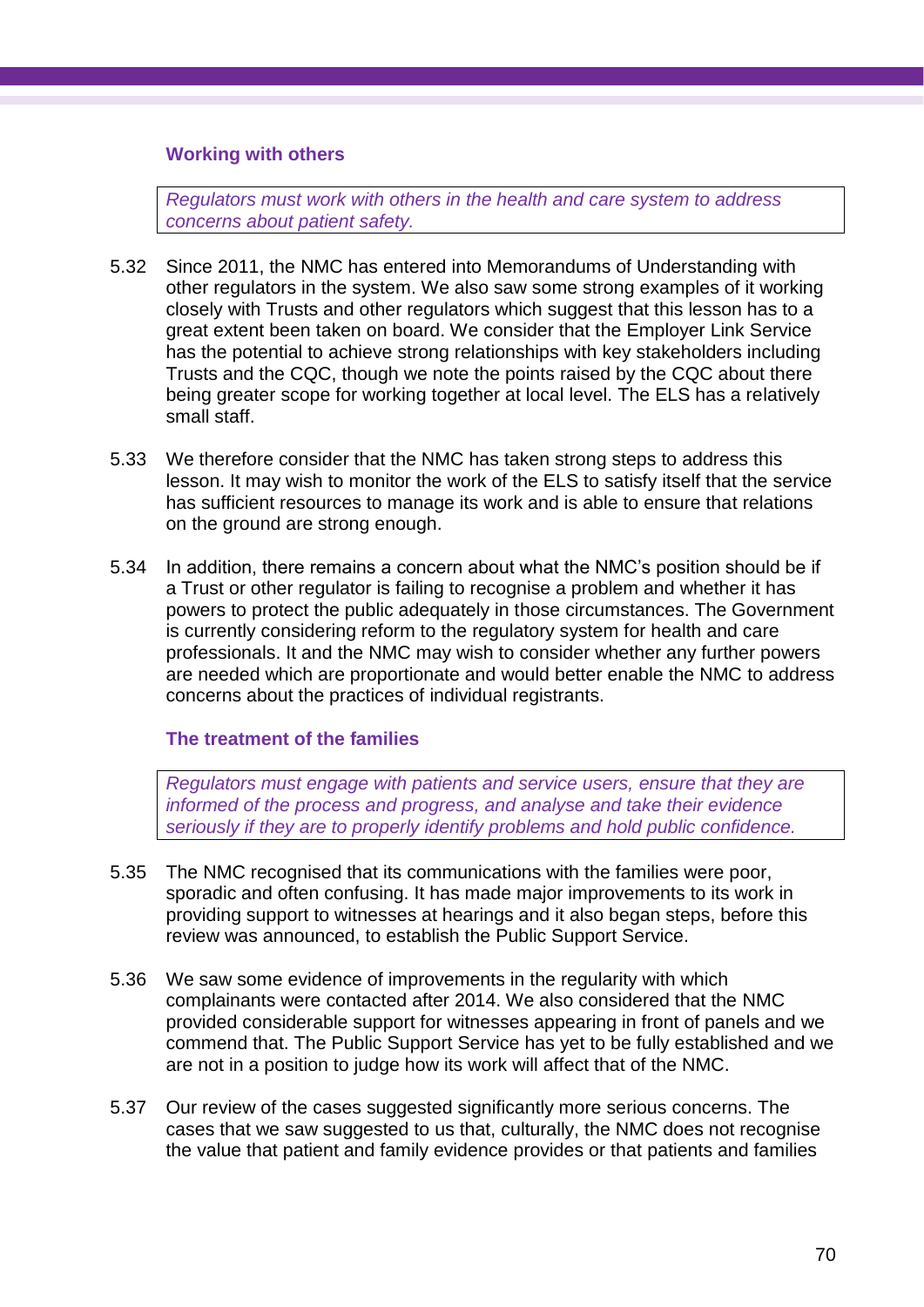### **Working with others**

*Regulators must work with others in the health and care system to address concerns about patient safety.*

- 5.32 Since 2011, the NMC has entered into Memorandums of Understanding with other regulators in the system. We also saw some strong examples of it working closely with Trusts and other regulators which suggest that this lesson has to a great extent been taken on board. We consider that the Employer Link Service has the potential to achieve strong relationships with key stakeholders including Trusts and the CQC, though we note the points raised by the CQC about there being greater scope for working together at local level. The ELS has a relatively small staff.
- 5.33 We therefore consider that the NMC has taken strong steps to address this lesson. It may wish to monitor the work of the ELS to satisfy itself that the service has sufficient resources to manage its work and is able to ensure that relations on the ground are strong enough.
- 5.34 In addition, there remains a concern about what the NMC's position should be if a Trust or other regulator is failing to recognise a problem and whether it has powers to protect the public adequately in those circumstances. The Government is currently considering reform to the regulatory system for health and care professionals. It and the NMC may wish to consider whether any further powers are needed which are proportionate and would better enable the NMC to address concerns about the practices of individual registrants.

### **The treatment of the families**

*Regulators must engage with patients and service users, ensure that they are informed of the process and progress, and analyse and take their evidence seriously if they are to properly identify problems and hold public confidence.*

- 5.35 The NMC recognised that its communications with the families were poor, sporadic and often confusing. It has made major improvements to its work in providing support to witnesses at hearings and it also began steps, before this review was announced, to establish the Public Support Service.
- 5.36 We saw some evidence of improvements in the regularity with which complainants were contacted after 2014. We also considered that the NMC provided considerable support for witnesses appearing in front of panels and we commend that. The Public Support Service has yet to be fully established and we are not in a position to judge how its work will affect that of the NMC.
- 5.37 Our review of the cases suggested significantly more serious concerns. The cases that we saw suggested to us that, culturally, the NMC does not recognise the value that patient and family evidence provides or that patients and families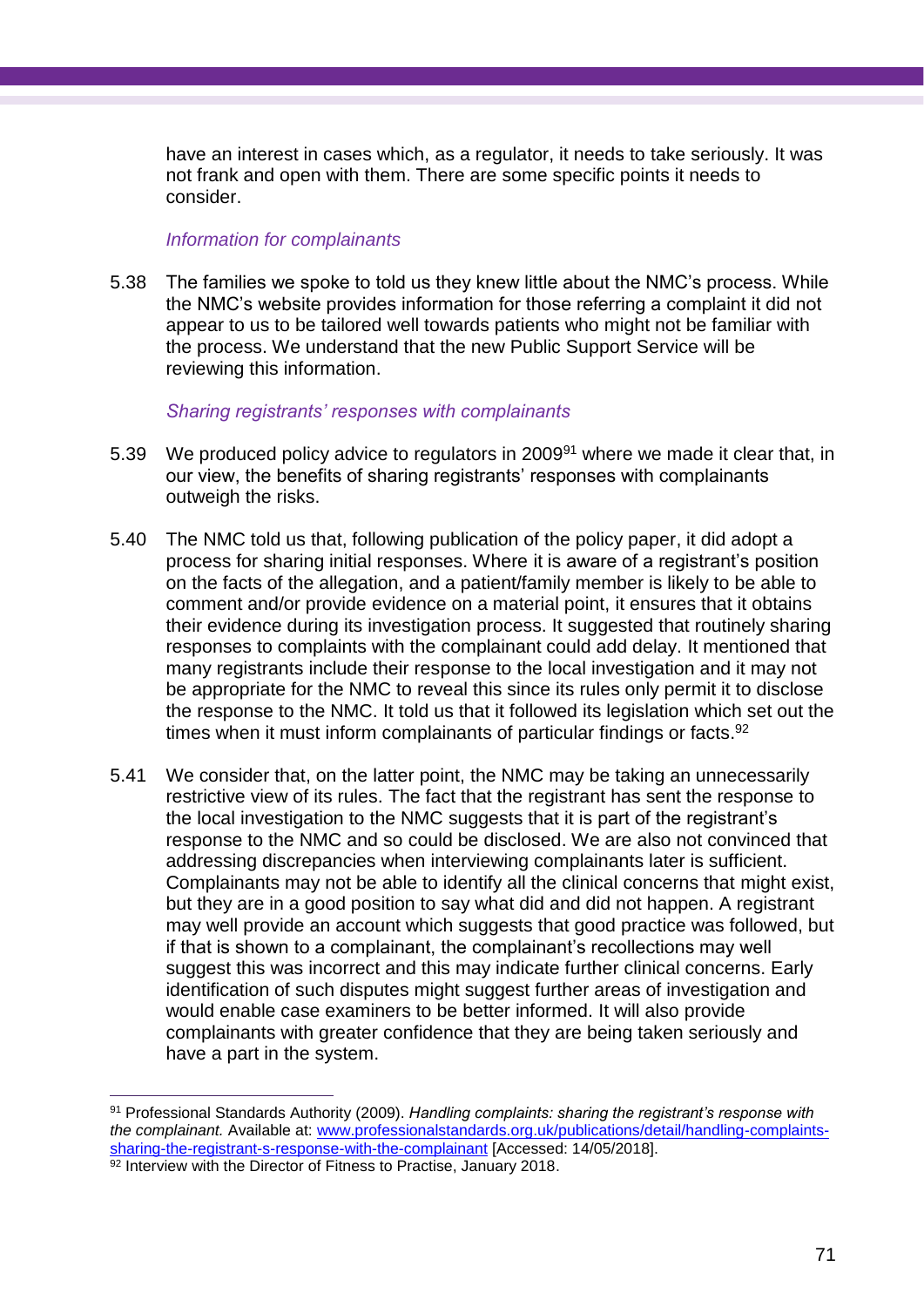have an interest in cases which, as a regulator, it needs to take seriously. It was not frank and open with them. There are some specific points it needs to consider.

#### *Information for complainants*

 $\overline{a}$ 

5.38 The families we spoke to told us they knew little about the NMC's process. While the NMC's website provides information for those referring a complaint it did not appear to us to be tailored well towards patients who might not be familiar with the process. We understand that the new Public Support Service will be reviewing this information.

#### *Sharing registrants' responses with complainants*

- 5.39 We produced policy advice to regulators in 2009<sup>91</sup> where we made it clear that, in our view, the benefits of sharing registrants' responses with complainants outweigh the risks.
- 5.40 The NMC told us that, following publication of the policy paper, it did adopt a process for sharing initial responses. Where it is aware of a registrant's position on the facts of the allegation, and a patient/family member is likely to be able to comment and/or provide evidence on a material point, it ensures that it obtains their evidence during its investigation process. It suggested that routinely sharing responses to complaints with the complainant could add delay. It mentioned that many registrants include their response to the local investigation and it may not be appropriate for the NMC to reveal this since its rules only permit it to disclose the response to the NMC. It told us that it followed its legislation which set out the times when it must inform complainants of particular findings or facts.<sup>92</sup>
- 5.41 We consider that, on the latter point, the NMC may be taking an unnecessarily restrictive view of its rules. The fact that the registrant has sent the response to the local investigation to the NMC suggests that it is part of the registrant's response to the NMC and so could be disclosed. We are also not convinced that addressing discrepancies when interviewing complainants later is sufficient. Complainants may not be able to identify all the clinical concerns that might exist, but they are in a good position to say what did and did not happen. A registrant may well provide an account which suggests that good practice was followed, but if that is shown to a complainant, the complainant's recollections may well suggest this was incorrect and this may indicate further clinical concerns. Early identification of such disputes might suggest further areas of investigation and would enable case examiners to be better informed. It will also provide complainants with greater confidence that they are being taken seriously and have a part in the system.

<sup>91</sup> Professional Standards Authority (2009). *Handling complaints: sharing the registrant's response with the complainant.* Available at: [www.professionalstandards.org.uk/publications/detail/handling-complaints](http://www.professionalstandards.org.uk/publications/detail/handling-complaints-sharing-the-registrant-s-response-with-the-complainant)[sharing-the-registrant-s-response-with-the-complainant](http://www.professionalstandards.org.uk/publications/detail/handling-complaints-sharing-the-registrant-s-response-with-the-complainant) [Accessed: 14/05/2018]. 92 Interview with the Director of Fitness to Practise, January 2018.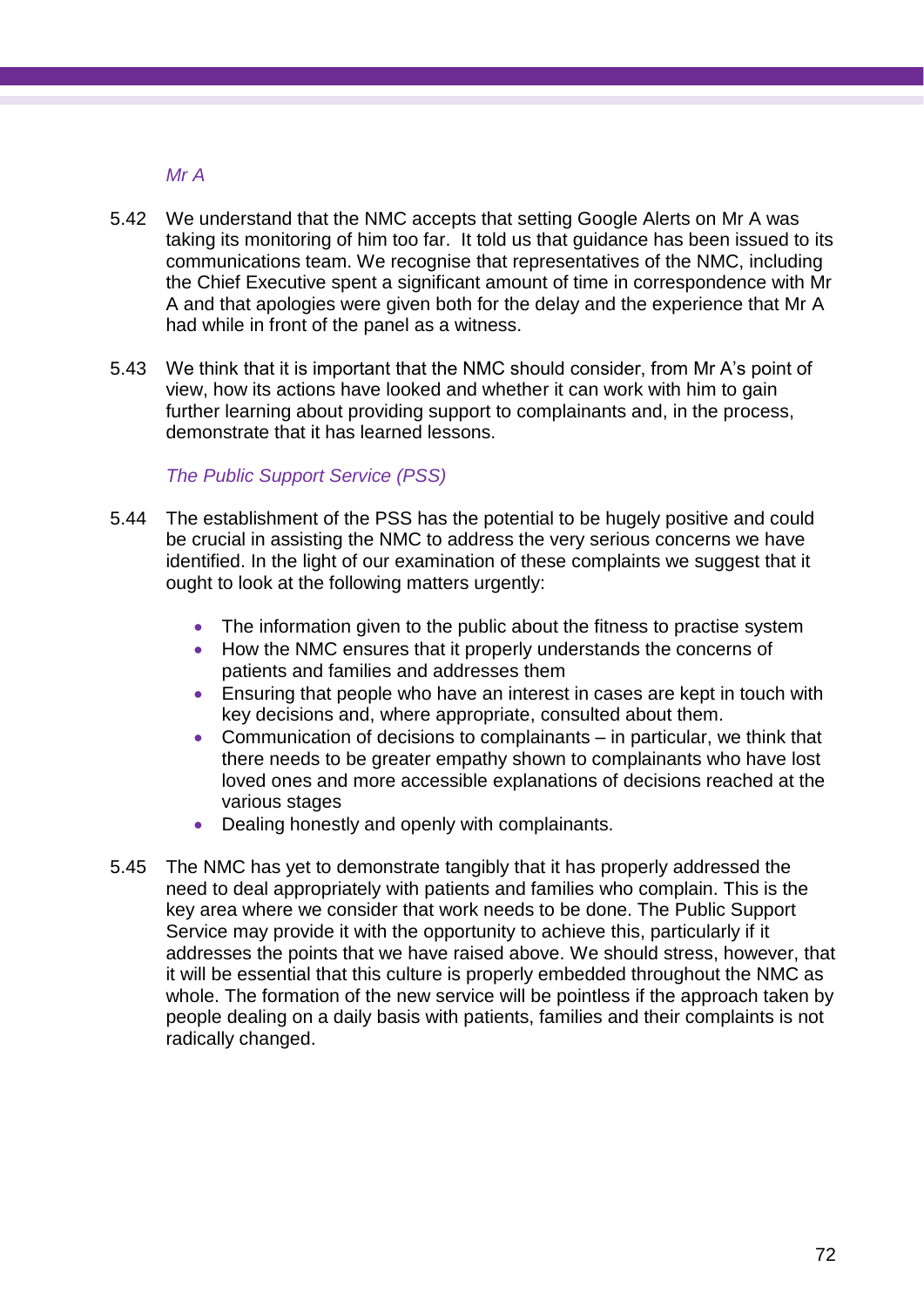# *Mr A*

- 5.42 We understand that the NMC accepts that setting Google Alerts on Mr A was taking its monitoring of him too far. It told us that guidance has been issued to its communications team. We recognise that representatives of the NMC, including the Chief Executive spent a significant amount of time in correspondence with Mr A and that apologies were given both for the delay and the experience that Mr A had while in front of the panel as a witness.
- 5.43 We think that it is important that the NMC should consider, from Mr A's point of view, how its actions have looked and whether it can work with him to gain further learning about providing support to complainants and, in the process, demonstrate that it has learned lessons.

### *The Public Support Service (PSS)*

- 5.44 The establishment of the PSS has the potential to be hugely positive and could be crucial in assisting the NMC to address the very serious concerns we have identified. In the light of our examination of these complaints we suggest that it ought to look at the following matters urgently:
	- The information given to the public about the fitness to practise system
	- How the NMC ensures that it properly understands the concerns of patients and families and addresses them
	- Ensuring that people who have an interest in cases are kept in touch with key decisions and, where appropriate, consulted about them.
	- Communication of decisions to complainants in particular, we think that there needs to be greater empathy shown to complainants who have lost loved ones and more accessible explanations of decisions reached at the various stages
	- Dealing honestly and openly with complainants.
- 5.45 The NMC has yet to demonstrate tangibly that it has properly addressed the need to deal appropriately with patients and families who complain. This is the key area where we consider that work needs to be done. The Public Support Service may provide it with the opportunity to achieve this, particularly if it addresses the points that we have raised above. We should stress, however, that it will be essential that this culture is properly embedded throughout the NMC as whole. The formation of the new service will be pointless if the approach taken by people dealing on a daily basis with patients, families and their complaints is not radically changed.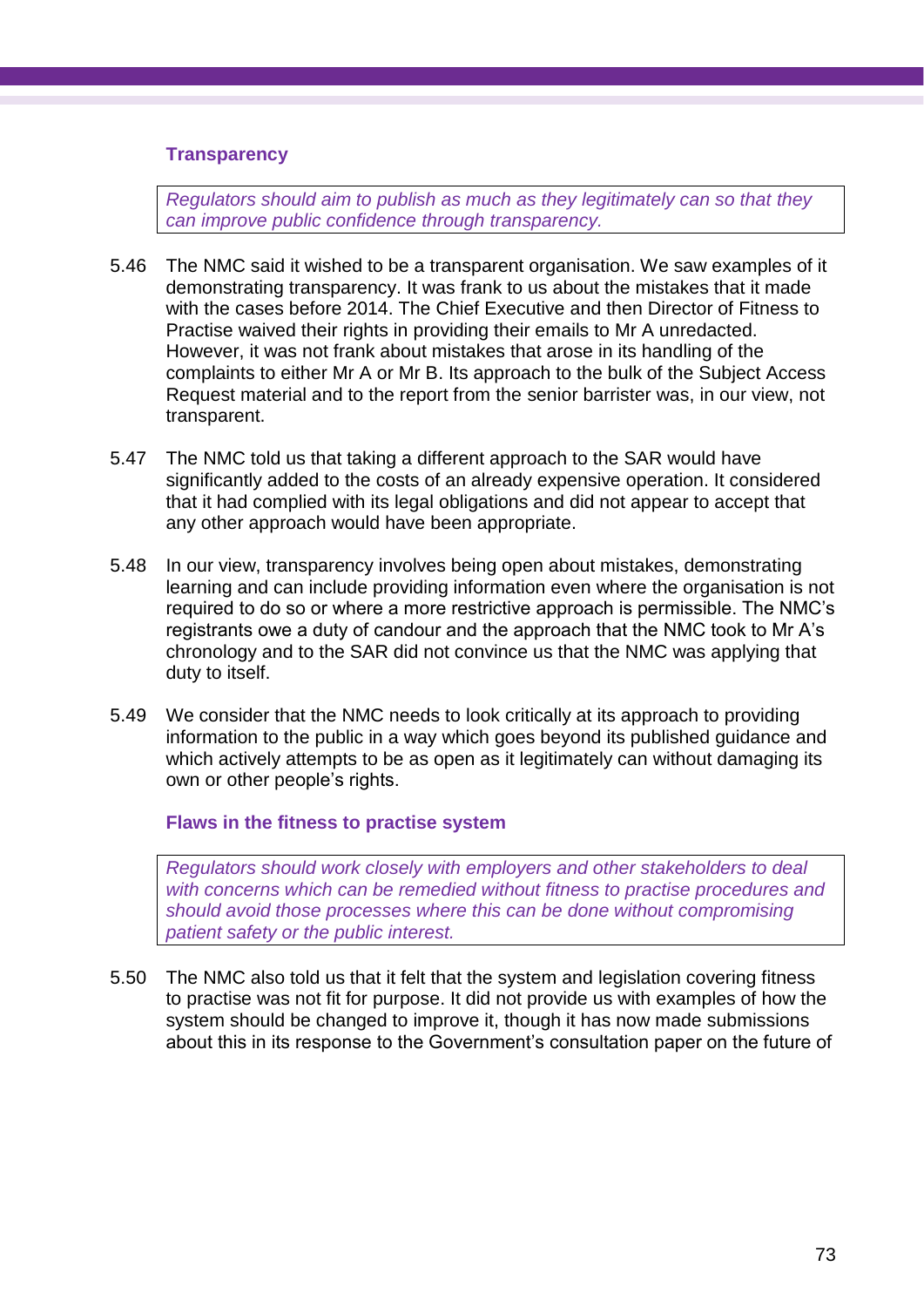### **Transparency**

*Regulators should aim to publish as much as they legitimately can so that they can improve public confidence through transparency.* 

- 5.46 The NMC said it wished to be a transparent organisation. We saw examples of it demonstrating transparency. It was frank to us about the mistakes that it made with the cases before 2014. The Chief Executive and then Director of Fitness to Practise waived their rights in providing their emails to Mr A unredacted. However, it was not frank about mistakes that arose in its handling of the complaints to either Mr A or Mr B. Its approach to the bulk of the Subject Access Request material and to the report from the senior barrister was, in our view, not transparent.
- 5.47 The NMC told us that taking a different approach to the SAR would have significantly added to the costs of an already expensive operation. It considered that it had complied with its legal obligations and did not appear to accept that any other approach would have been appropriate.
- 5.48 In our view, transparency involves being open about mistakes, demonstrating learning and can include providing information even where the organisation is not required to do so or where a more restrictive approach is permissible. The NMC's registrants owe a duty of candour and the approach that the NMC took to Mr A's chronology and to the SAR did not convince us that the NMC was applying that duty to itself.
- 5.49 We consider that the NMC needs to look critically at its approach to providing information to the public in a way which goes beyond its published guidance and which actively attempts to be as open as it legitimately can without damaging its own or other people's rights.

#### **Flaws in the fitness to practise system**

*Regulators should work closely with employers and other stakeholders to deal with concerns which can be remedied without fitness to practise procedures and should avoid those processes where this can be done without compromising patient safety or the public interest.*

5.50 The NMC also told us that it felt that the system and legislation covering fitness to practise was not fit for purpose. It did not provide us with examples of how the system should be changed to improve it, though it has now made submissions about this in its response to the Government's consultation paper on the future of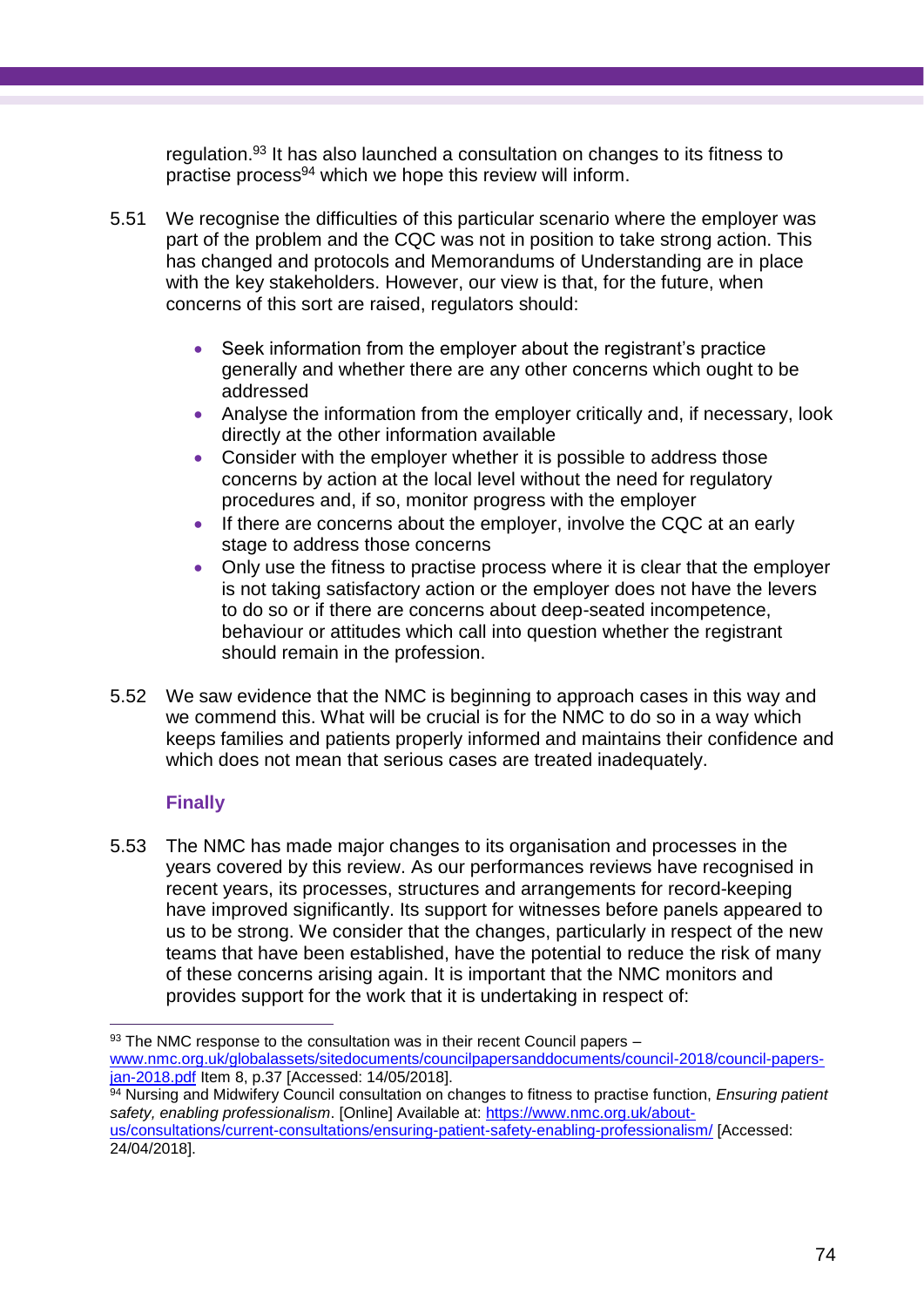regulation. <sup>93</sup> It has also launched a consultation on changes to its fitness to practise process<sup>94</sup> which we hope this review will inform.

- 5.51 We recognise the difficulties of this particular scenario where the employer was part of the problem and the CQC was not in position to take strong action. This has changed and protocols and Memorandums of Understanding are in place with the key stakeholders. However, our view is that, for the future, when concerns of this sort are raised, regulators should:
	- Seek information from the employer about the registrant's practice generally and whether there are any other concerns which ought to be addressed
	- Analyse the information from the employer critically and, if necessary, look directly at the other information available
	- Consider with the employer whether it is possible to address those concerns by action at the local level without the need for regulatory procedures and, if so, monitor progress with the employer
	- If there are concerns about the employer, involve the CQC at an early stage to address those concerns
	- Only use the fitness to practise process where it is clear that the employer is not taking satisfactory action or the employer does not have the levers to do so or if there are concerns about deep-seated incompetence, behaviour or attitudes which call into question whether the registrant should remain in the profession.
- 5.52 We saw evidence that the NMC is beginning to approach cases in this way and we commend this. What will be crucial is for the NMC to do so in a way which keeps families and patients properly informed and maintains their confidence and which does not mean that serious cases are treated inadequately.

## **Finally**

 $\overline{a}$ 

5.53 The NMC has made major changes to its organisation and processes in the years covered by this review. As our performances reviews have recognised in recent years, its processes, structures and arrangements for record-keeping have improved significantly. Its support for witnesses before panels appeared to us to be strong. We consider that the changes, particularly in respect of the new teams that have been established, have the potential to reduce the risk of many of these concerns arising again. It is important that the NMC monitors and provides support for the work that it is undertaking in respect of:

 $93$  The NMC response to the consultation was in their recent Council papers – [www.nmc.org.uk/globalassets/sitedocuments/councilpapersanddocuments/council-2018/council-papers](http://www.nmc.org.uk/globalassets/sitedocuments/councilpapersanddocuments/council-2018/council-papers-jan-2018.pdf)[jan-2018.pdf](http://www.nmc.org.uk/globalassets/sitedocuments/councilpapersanddocuments/council-2018/council-papers-jan-2018.pdf) Item 8, p.37 [Accessed: 14/05/2018].

<sup>94</sup> Nursing and Midwifery Council consultation on changes to fitness to practise function, *Ensuring patient safety, enabling professionalism*. [Online] Available at: [https://www.nmc.org.uk/about](https://www.nmc.org.uk/about-us/consultations/current-consultations/ensuring-patient-safety-enabling-professionalism/)[us/consultations/current-consultations/ensuring-patient-safety-enabling-professionalism/](https://www.nmc.org.uk/about-us/consultations/current-consultations/ensuring-patient-safety-enabling-professionalism/) [Accessed: 24/04/2018].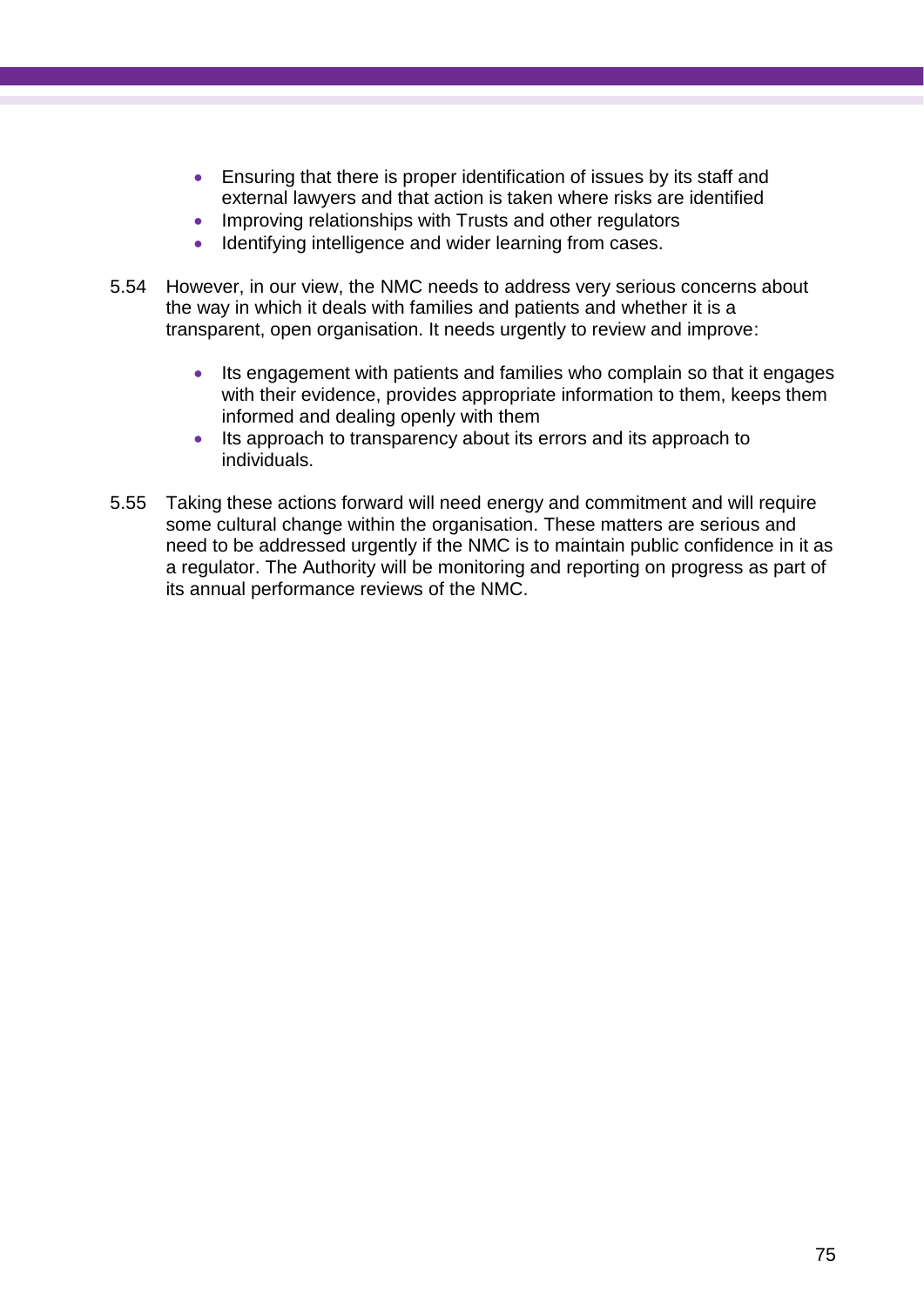- Ensuring that there is proper identification of issues by its staff and external lawyers and that action is taken where risks are identified
- Improving relationships with Trusts and other regulators
- Identifying intelligence and wider learning from cases.
- 5.54 However, in our view, the NMC needs to address very serious concerns about the way in which it deals with families and patients and whether it is a transparent, open organisation. It needs urgently to review and improve:
	- Its engagement with patients and families who complain so that it engages with their evidence, provides appropriate information to them, keeps them informed and dealing openly with them
	- Its approach to transparency about its errors and its approach to individuals.
- 5.55 Taking these actions forward will need energy and commitment and will require some cultural change within the organisation. These matters are serious and need to be addressed urgently if the NMC is to maintain public confidence in it as a regulator. The Authority will be monitoring and reporting on progress as part of its annual performance reviews of the NMC.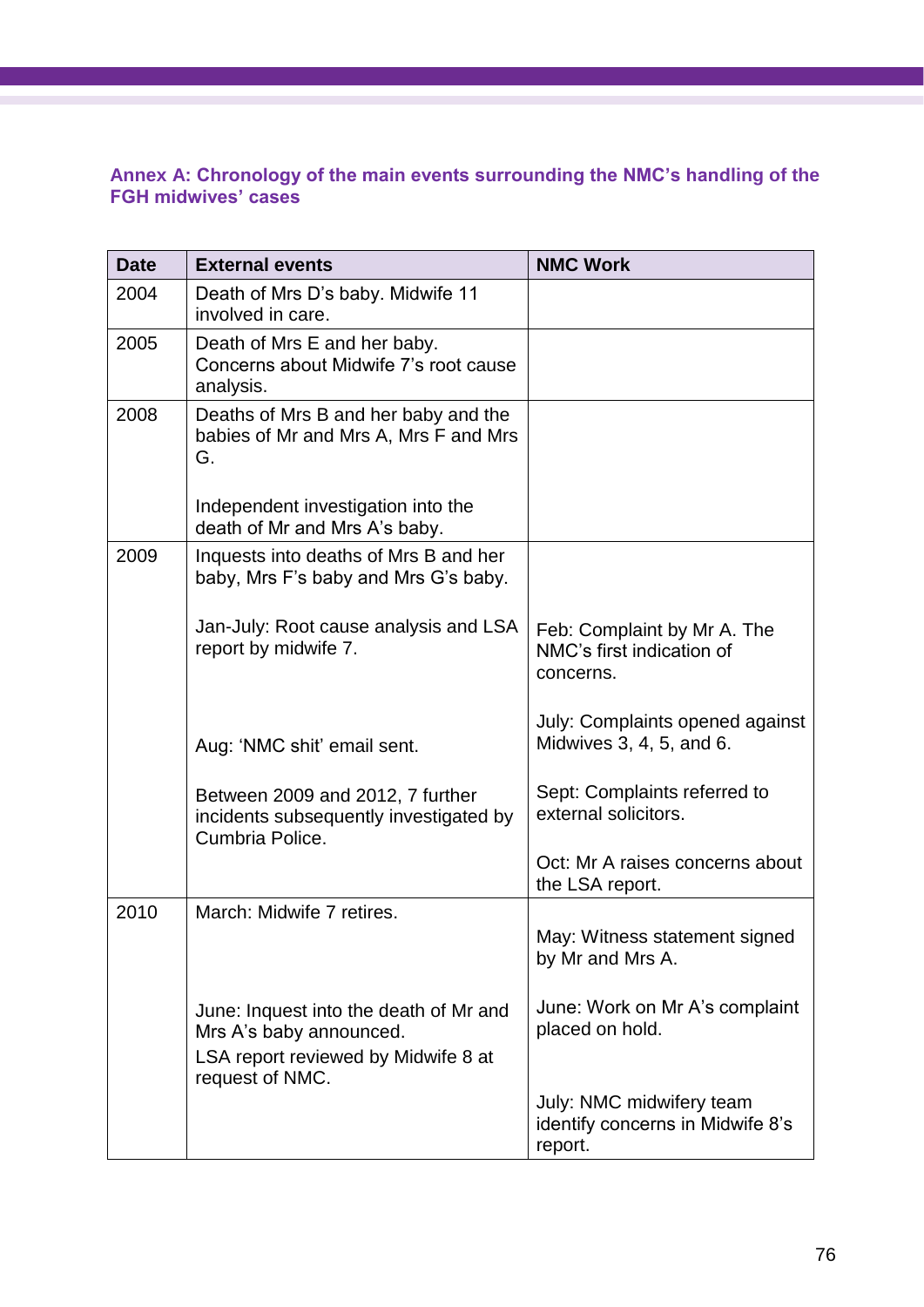## **Annex A: Chronology of the main events surrounding the NMC's handling of the FGH midwives' cases**

| <b>Date</b> | <b>External events</b>                                                                                                      | <b>NMC Work</b>                                                         |
|-------------|-----------------------------------------------------------------------------------------------------------------------------|-------------------------------------------------------------------------|
| 2004        | Death of Mrs D's baby. Midwife 11<br>involved in care.                                                                      |                                                                         |
| 2005        | Death of Mrs E and her baby.<br>Concerns about Midwife 7's root cause<br>analysis.                                          |                                                                         |
| 2008        | Deaths of Mrs B and her baby and the<br>babies of Mr and Mrs A, Mrs F and Mrs<br>G.                                         |                                                                         |
|             | Independent investigation into the<br>death of Mr and Mrs A's baby.                                                         |                                                                         |
| 2009        | Inquests into deaths of Mrs B and her<br>baby, Mrs F's baby and Mrs G's baby.                                               |                                                                         |
|             | Jan-July: Root cause analysis and LSA<br>report by midwife 7.                                                               | Feb: Complaint by Mr A. The<br>NMC's first indication of<br>concerns.   |
|             | Aug: 'NMC shit' email sent.                                                                                                 | July: Complaints opened against<br>Midwives 3, 4, 5, and 6.             |
|             | Between 2009 and 2012, 7 further<br>incidents subsequently investigated by<br>Cumbria Police.                               | Sept: Complaints referred to<br>external solicitors.                    |
|             |                                                                                                                             | Oct: Mr A raises concerns about<br>the LSA report.                      |
| 2010        | March: Midwife 7 retires.                                                                                                   | May: Witness statement signed<br>by Mr and Mrs A.                       |
|             | June: Inquest into the death of Mr and<br>Mrs A's baby announced.<br>LSA report reviewed by Midwife 8 at<br>request of NMC. | June: Work on Mr A's complaint<br>placed on hold.                       |
|             |                                                                                                                             | July: NMC midwifery team<br>identify concerns in Midwife 8's<br>report. |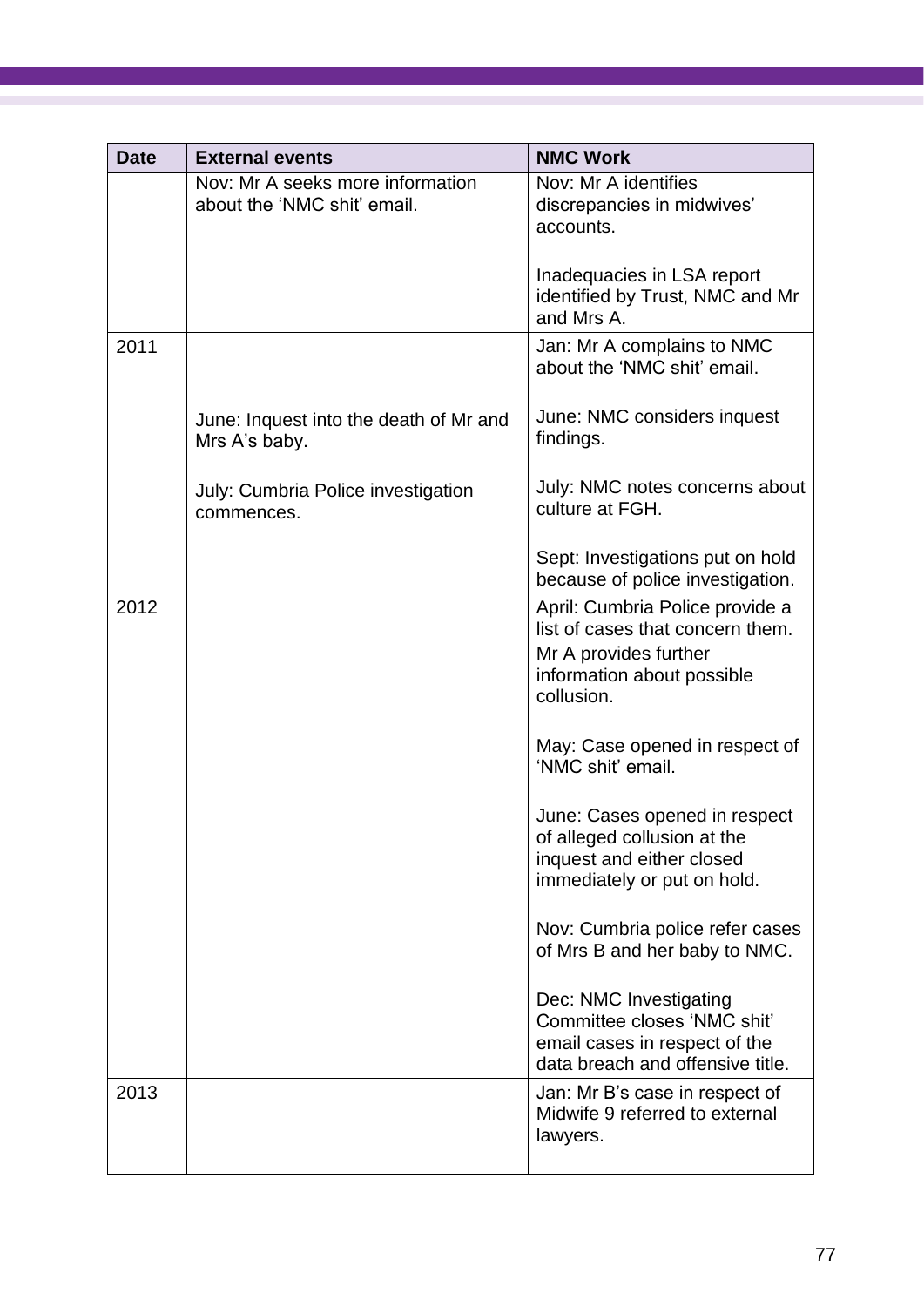| <b>Date</b> | <b>External events</b>                                          | <b>NMC Work</b>                                                                                                                          |
|-------------|-----------------------------------------------------------------|------------------------------------------------------------------------------------------------------------------------------------------|
|             | Nov: Mr A seeks more information<br>about the 'NMC shit' email. | Nov: Mr A identifies<br>discrepancies in midwives'<br>accounts.                                                                          |
|             |                                                                 | Inadequacies in LSA report<br>identified by Trust, NMC and Mr<br>and Mrs A.                                                              |
| 2011        |                                                                 | Jan: Mr A complains to NMC<br>about the 'NMC shit' email.                                                                                |
|             | June: Inquest into the death of Mr and<br>Mrs A's baby.         | June: NMC considers inquest<br>findings.                                                                                                 |
|             | July: Cumbria Police investigation<br>commences.                | July: NMC notes concerns about<br>culture at FGH.                                                                                        |
|             |                                                                 | Sept: Investigations put on hold<br>because of police investigation.                                                                     |
| 2012        |                                                                 | April: Cumbria Police provide a<br>list of cases that concern them.<br>Mr A provides further<br>information about possible<br>collusion. |
|             |                                                                 | May: Case opened in respect of<br>'NMC shit' email.                                                                                      |
|             |                                                                 | June: Cases opened in respect<br>of alleged collusion at the<br>inquest and either closed<br>immediately or put on hold.                 |
|             |                                                                 | Nov: Cumbria police refer cases<br>of Mrs B and her baby to NMC.                                                                         |
|             |                                                                 | Dec: NMC Investigating<br>Committee closes 'NMC shit'<br>email cases in respect of the<br>data breach and offensive title.               |
| 2013        |                                                                 | Jan: Mr B's case in respect of<br>Midwife 9 referred to external<br>lawyers.                                                             |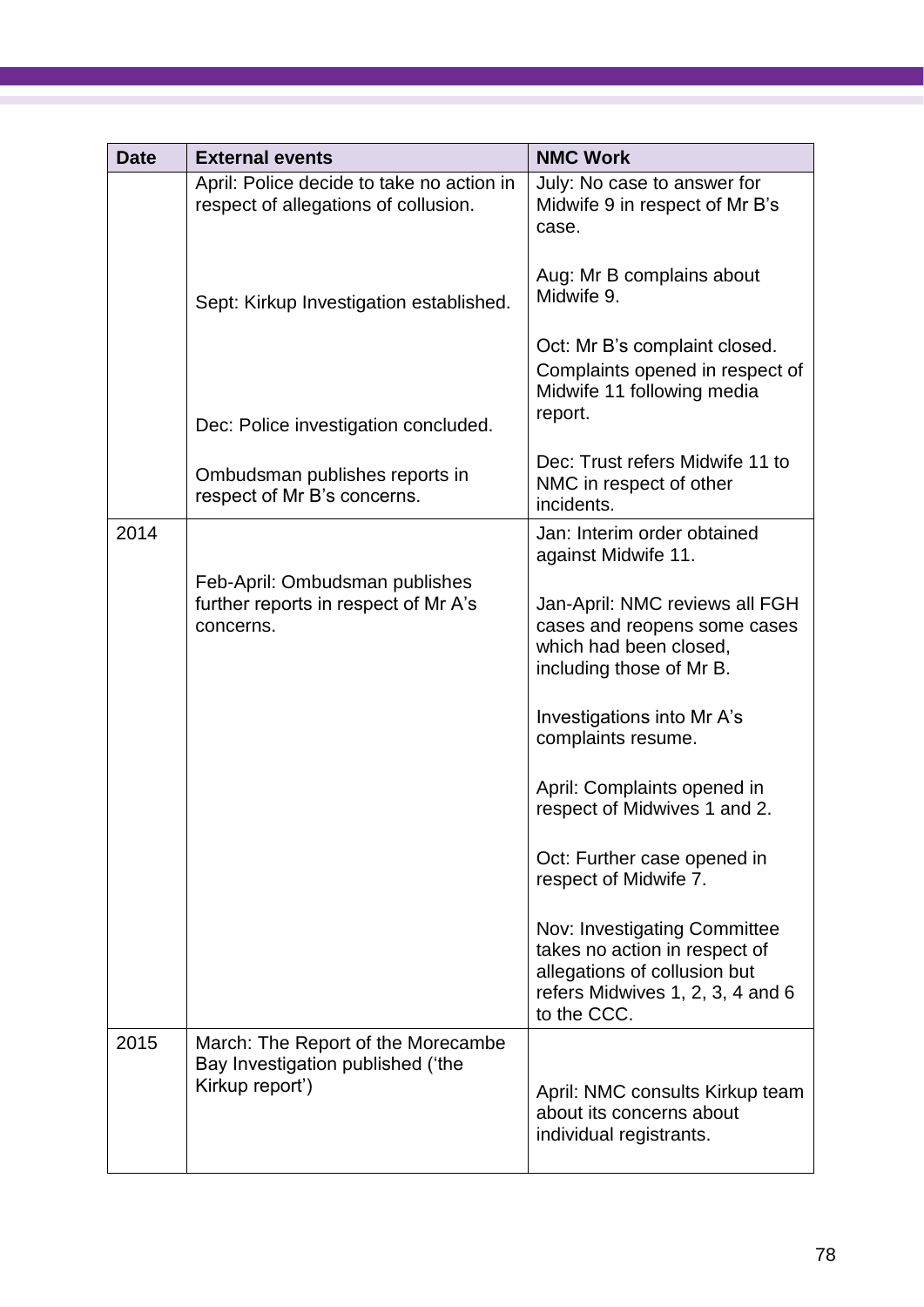| <b>Date</b> | <b>External events</b>                                                                     | <b>NMC Work</b>                                                                                                                                  |
|-------------|--------------------------------------------------------------------------------------------|--------------------------------------------------------------------------------------------------------------------------------------------------|
|             | April: Police decide to take no action in<br>respect of allegations of collusion.          | July: No case to answer for<br>Midwife 9 in respect of Mr B's<br>case.                                                                           |
|             | Sept: Kirkup Investigation established.                                                    | Aug: Mr B complains about<br>Midwife 9.                                                                                                          |
|             |                                                                                            | Oct: Mr B's complaint closed.<br>Complaints opened in respect of<br>Midwife 11 following media                                                   |
|             | Dec: Police investigation concluded.                                                       | report.                                                                                                                                          |
|             | Ombudsman publishes reports in<br>respect of Mr B's concerns.                              | Dec: Trust refers Midwife 11 to<br>NMC in respect of other<br>incidents.                                                                         |
| 2014        |                                                                                            | Jan: Interim order obtained<br>against Midwife 11.                                                                                               |
|             | Feb-April: Ombudsman publishes<br>further reports in respect of Mr A's<br>concerns.        | Jan-April: NMC reviews all FGH<br>cases and reopens some cases<br>which had been closed,<br>including those of Mr B.                             |
|             |                                                                                            | Investigations into Mr A's<br>complaints resume.                                                                                                 |
|             |                                                                                            | April: Complaints opened in<br>respect of Midwives 1 and 2.                                                                                      |
|             |                                                                                            | Oct: Further case opened in<br>respect of Midwife 7.                                                                                             |
|             |                                                                                            | Nov: Investigating Committee<br>takes no action in respect of<br>allegations of collusion but<br>refers Midwives 1, 2, 3, 4 and 6<br>to the CCC. |
| 2015        | March: The Report of the Morecambe<br>Bay Investigation published ('the<br>Kirkup report') | April: NMC consults Kirkup team<br>about its concerns about<br>individual registrants.                                                           |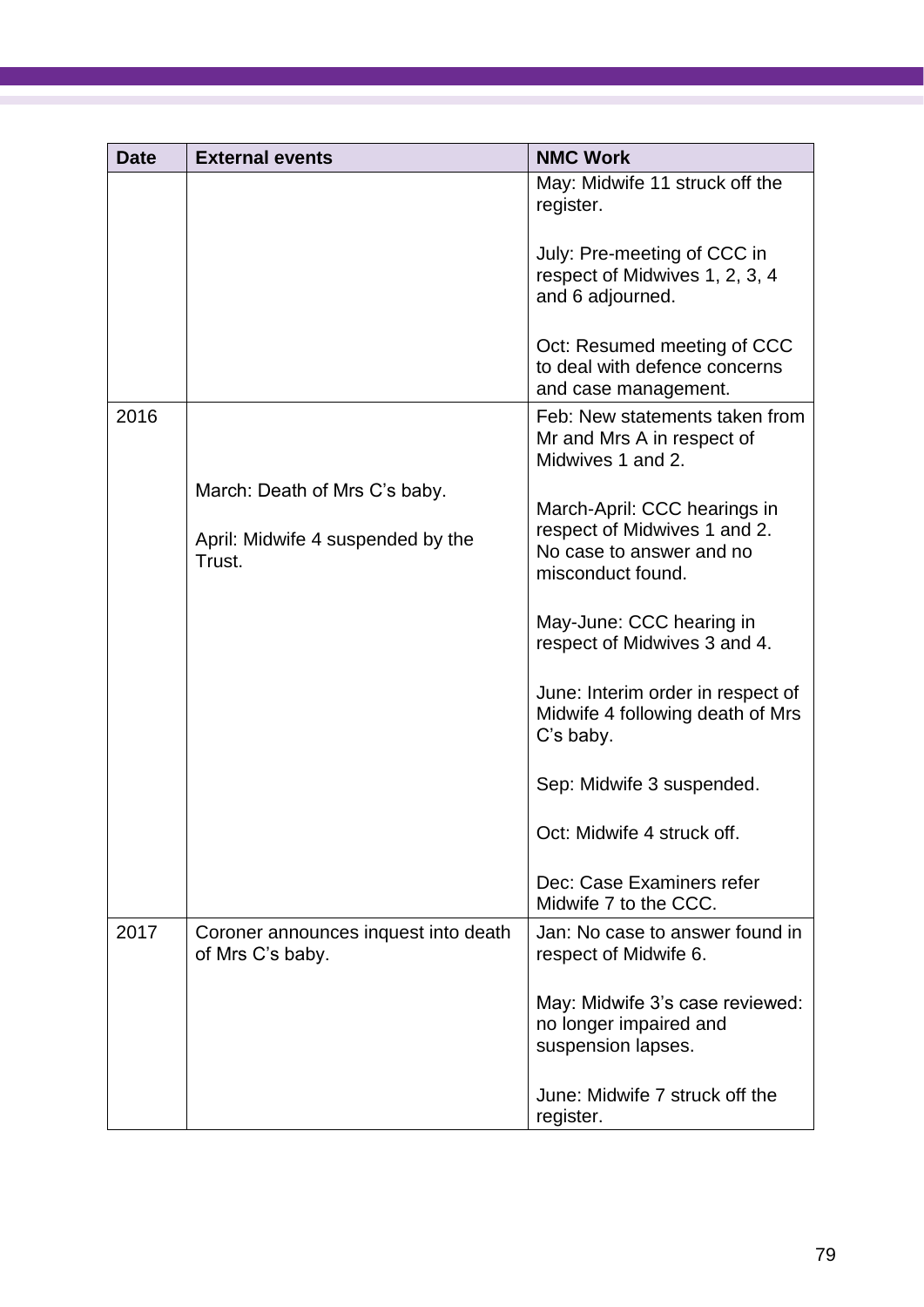| <b>Date</b> | <b>External events</b>                                   | <b>NMC Work</b>                                                                      |
|-------------|----------------------------------------------------------|--------------------------------------------------------------------------------------|
|             |                                                          | May: Midwife 11 struck off the<br>register.                                          |
|             |                                                          | July: Pre-meeting of CCC in<br>respect of Midwives 1, 2, 3, 4<br>and 6 adjourned.    |
|             |                                                          | Oct: Resumed meeting of CCC<br>to deal with defence concerns<br>and case management. |
| 2016        |                                                          | Feb: New statements taken from<br>Mr and Mrs A in respect of<br>Midwives 1 and 2.    |
|             | March: Death of Mrs C's baby.                            | March-April: CCC hearings in                                                         |
|             | April: Midwife 4 suspended by the<br>Trust.              | respect of Midwives 1 and 2.<br>No case to answer and no<br>misconduct found.        |
|             |                                                          | May-June: CCC hearing in<br>respect of Midwives 3 and 4.                             |
|             |                                                          | June: Interim order in respect of<br>Midwife 4 following death of Mrs<br>C's baby.   |
|             |                                                          | Sep: Midwife 3 suspended.                                                            |
|             |                                                          | Oct: Midwife 4 struck off.                                                           |
|             |                                                          | Dec: Case Examiners refer<br>Midwife 7 to the CCC.                                   |
| 2017        | Coroner announces inquest into death<br>of Mrs C's baby. | Jan: No case to answer found in<br>respect of Midwife 6.                             |
|             |                                                          | May: Midwife 3's case reviewed:<br>no longer impaired and<br>suspension lapses.      |
|             |                                                          | June: Midwife 7 struck off the<br>register.                                          |